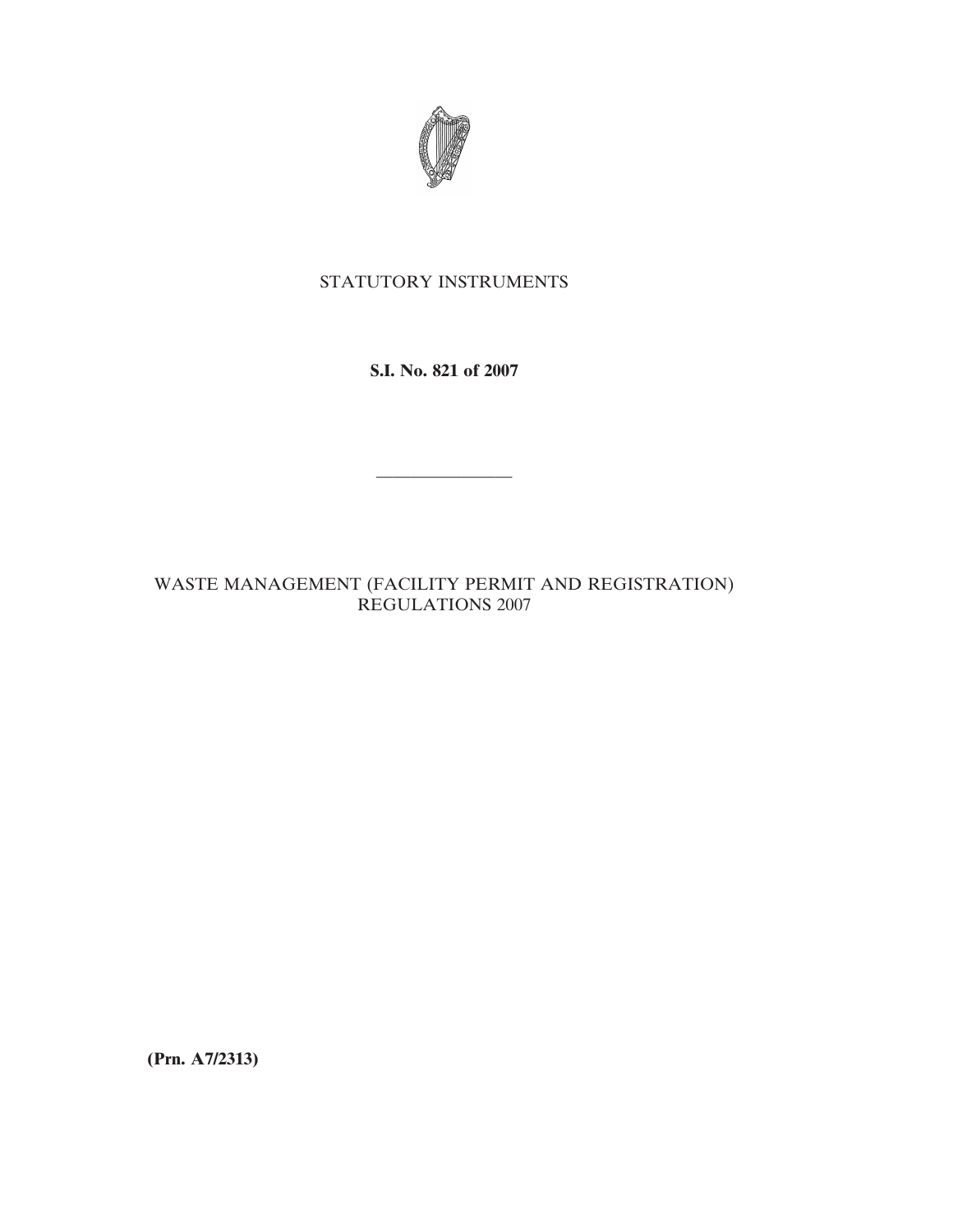

# STATUTORY INSTRUMENTS

**S.I. No. 821 of 2007**

————————

# WASTE MANAGEMENT (FACILITY PERMIT AND REGISTRATION) REGULATIONS 2007

**(Prn. A7/2313)**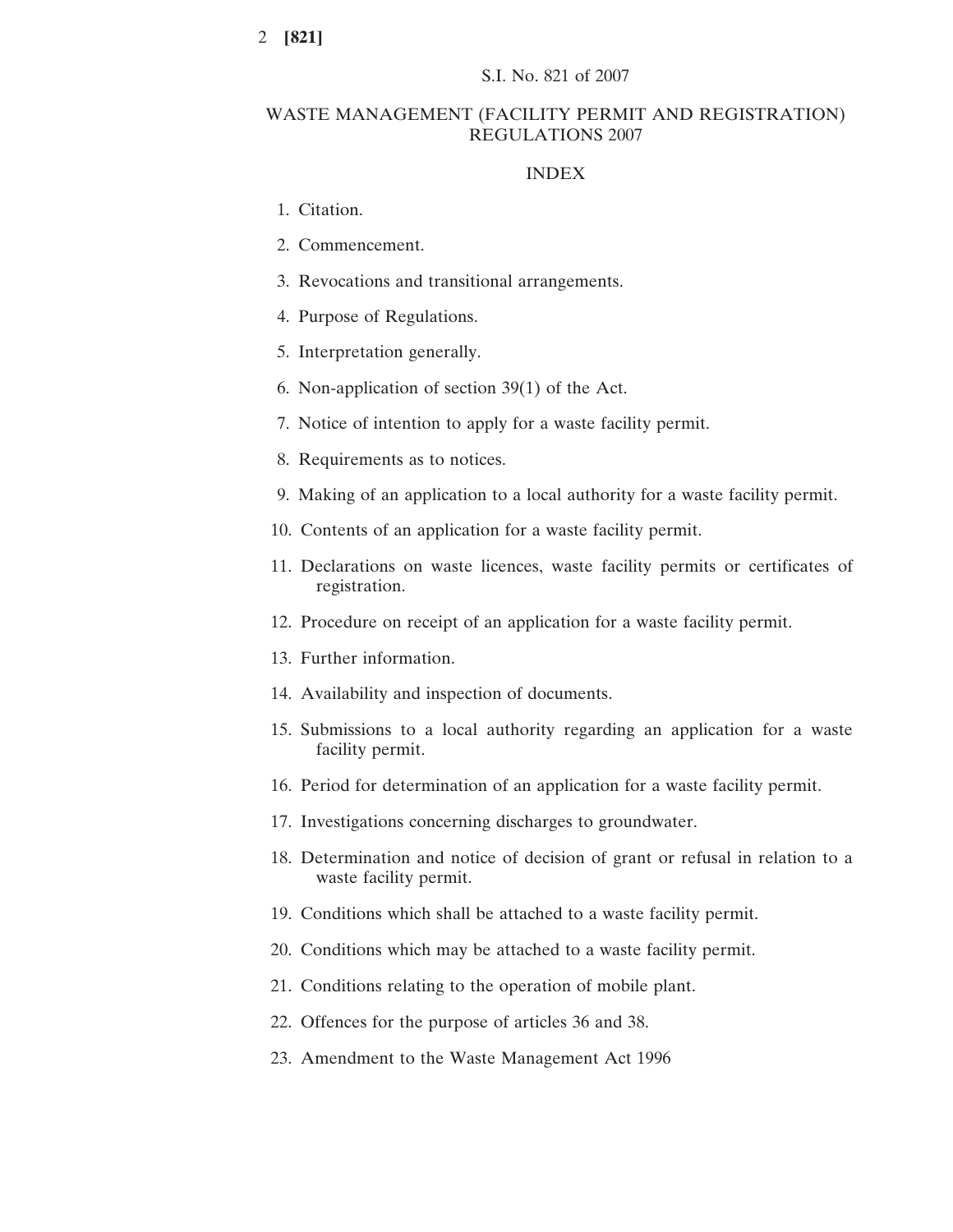### WASTE MANAGEMENT (FACILITY PERMIT AND REGISTRATION) REGULATIONS 2007

#### INDEX

- 1. Citation.
- 2. Commencement.
- 3. Revocations and transitional arrangements.
- 4. Purpose of Regulations.
- 5. Interpretation generally.
- 6. Non-application of section 39(1) of the Act.
- 7. Notice of intention to apply for a waste facility permit.
- 8. Requirements as to notices.
- 9. Making of an application to a local authority for a waste facility permit.
- 10. Contents of an application for a waste facility permit.
- 11. Declarations on waste licences, waste facility permits or certificates of registration.
- 12. Procedure on receipt of an application for a waste facility permit.
- 13. Further information.
- 14. Availability and inspection of documents.
- 15. Submissions to a local authority regarding an application for a waste facility permit.
- 16. Period for determination of an application for a waste facility permit.
- 17. Investigations concerning discharges to groundwater.
- 18. Determination and notice of decision of grant or refusal in relation to a waste facility permit.
- 19. Conditions which shall be attached to a waste facility permit.
- 20. Conditions which may be attached to a waste facility permit.
- 21. Conditions relating to the operation of mobile plant.
- 22. Offences for the purpose of articles 36 and 38.
- 23. Amendment to the Waste Management Act 1996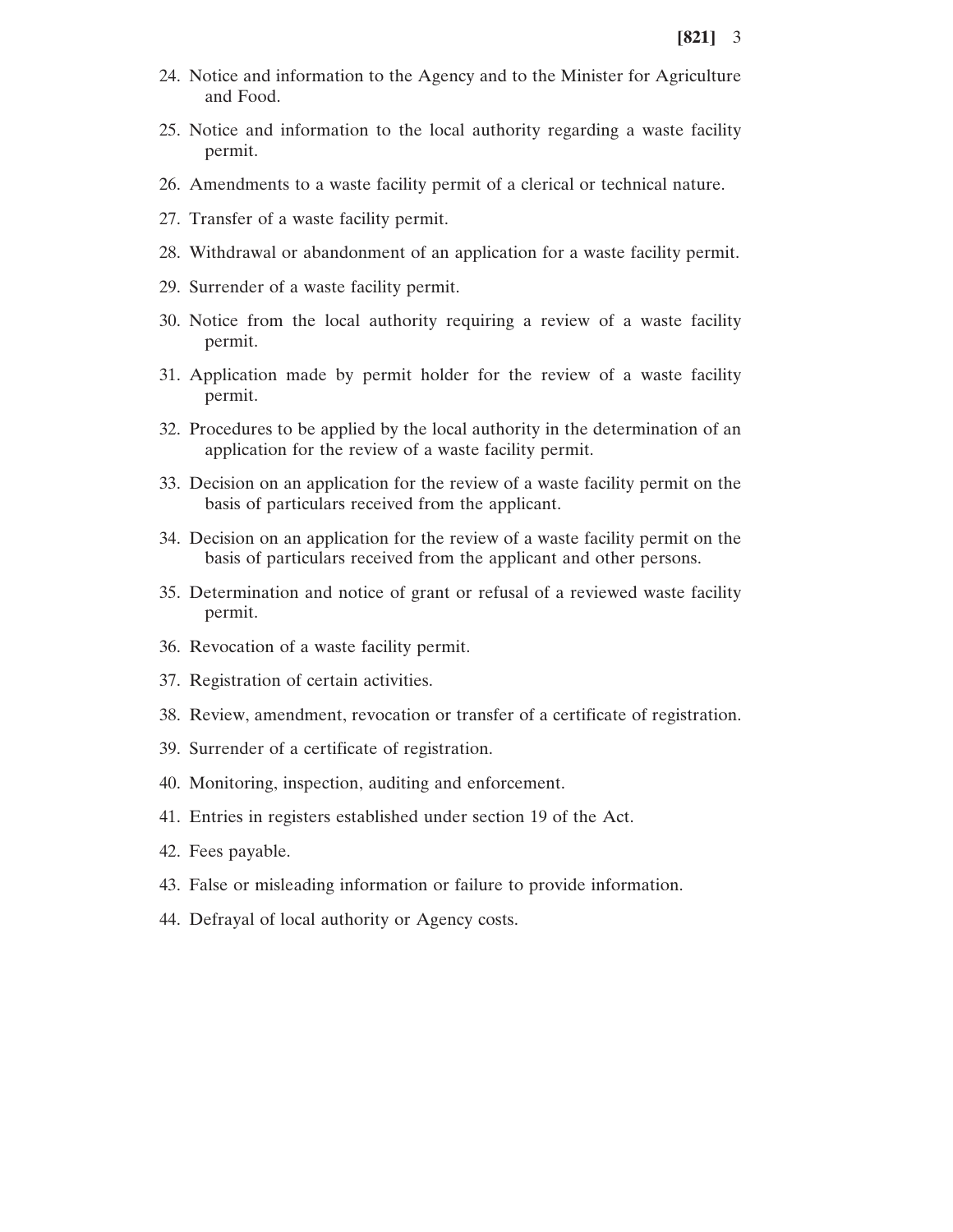- 24. Notice and information to the Agency and to the Minister for Agriculture and Food.
- 25. Notice and information to the local authority regarding a waste facility permit.
- 26. Amendments to a waste facility permit of a clerical or technical nature.
- 27. Transfer of a waste facility permit.
- 28. Withdrawal or abandonment of an application for a waste facility permit.
- 29. Surrender of a waste facility permit.
- 30. Notice from the local authority requiring a review of a waste facility permit.
- 31. Application made by permit holder for the review of a waste facility permit.
- 32. Procedures to be applied by the local authority in the determination of an application for the review of a waste facility permit.
- 33. Decision on an application for the review of a waste facility permit on the basis of particulars received from the applicant.
- 34. Decision on an application for the review of a waste facility permit on the basis of particulars received from the applicant and other persons.
- 35. Determination and notice of grant or refusal of a reviewed waste facility permit.
- 36. Revocation of a waste facility permit.
- 37. Registration of certain activities.
- 38. Review, amendment, revocation or transfer of a certificate of registration.
- 39. Surrender of a certificate of registration.
- 40. Monitoring, inspection, auditing and enforcement.
- 41. Entries in registers established under section 19 of the Act.
- 42. Fees payable.
- 43. False or misleading information or failure to provide information.
- 44. Defrayal of local authority or Agency costs.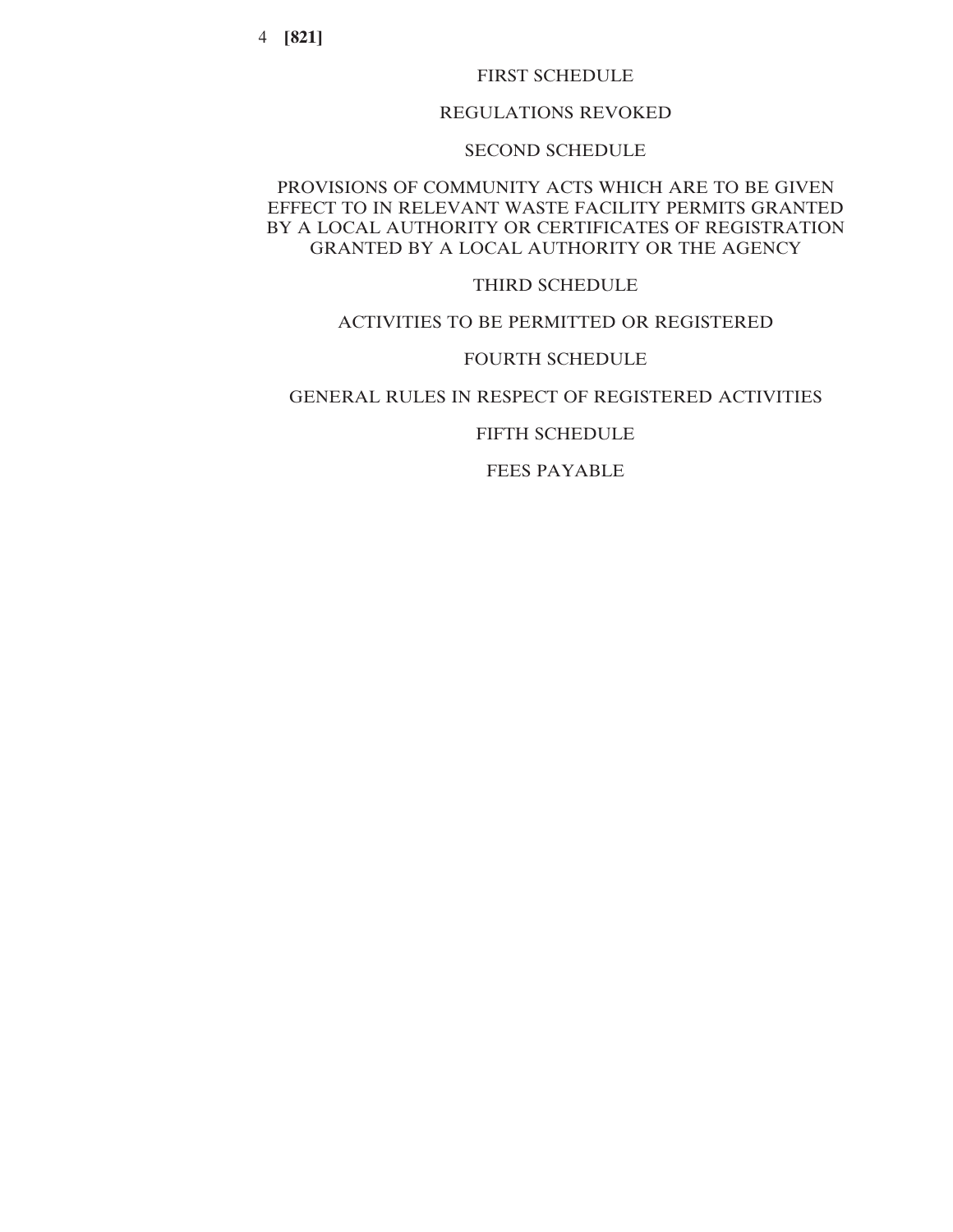### FIRST SCHEDULE

## REGULATIONS REVOKED

### SECOND SCHEDULE

# PROVISIONS OF COMMUNITY ACTS WHICH ARE TO BE GIVEN EFFECT TO IN RELEVANT WASTE FACILITY PERMITS GRANTED BY A LOCAL AUTHORITY OR CERTIFICATES OF REGISTRATION GRANTED BY A LOCAL AUTHORITY OR THE AGENCY

### THIRD SCHEDULE

### ACTIVITIES TO BE PERMITTED OR REGISTERED

# FOURTH SCHEDULE

# GENERAL RULES IN RESPECT OF REGISTERED ACTIVITIES

### FIFTH SCHEDULE

FEES PAYABLE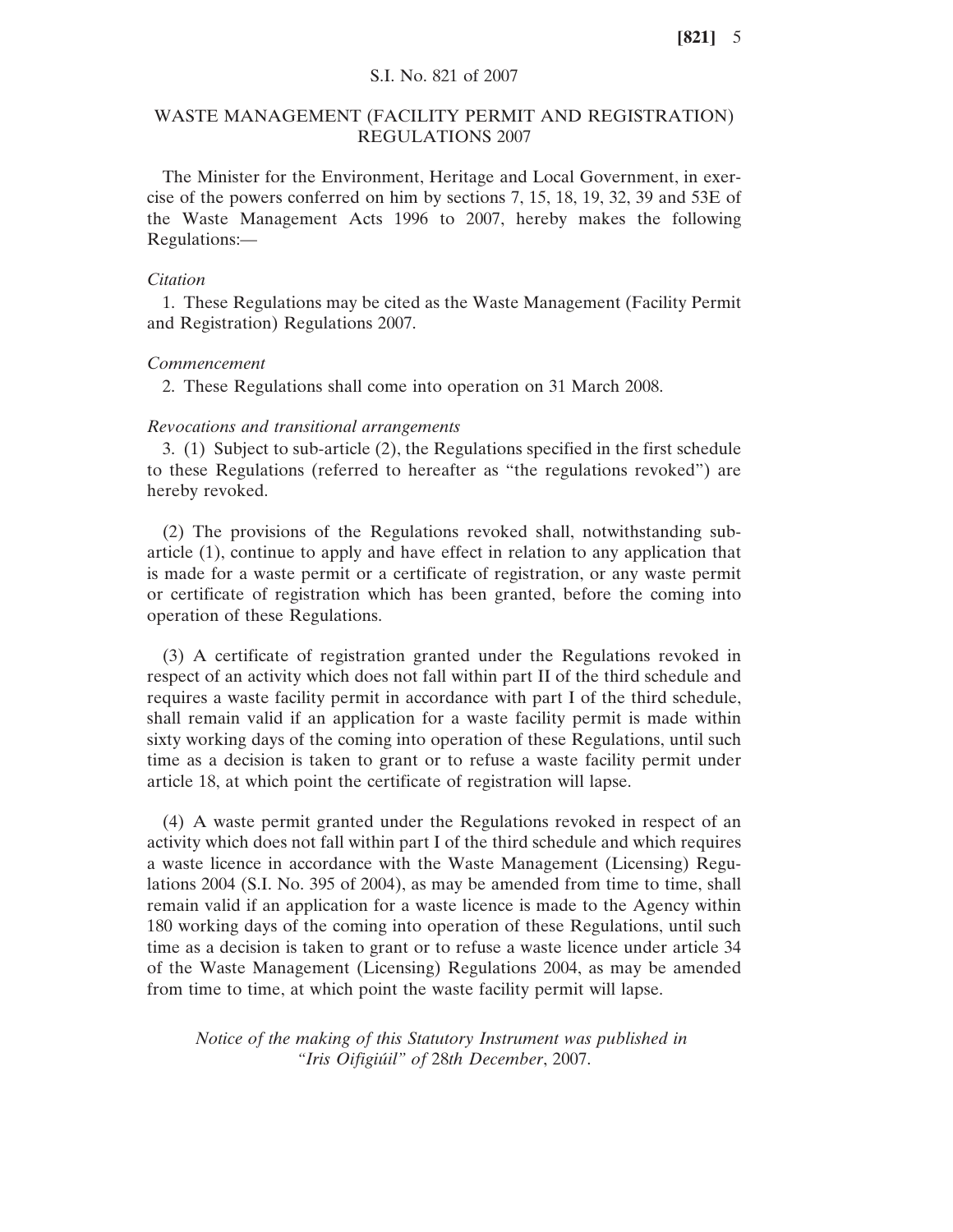# S.I. No. 821 of 2007

## WASTE MANAGEMENT (FACILITY PERMIT AND REGISTRATION) REGULATIONS 2007

The Minister for the Environment, Heritage and Local Government, in exercise of the powers conferred on him by sections 7, 15, 18, 19, 32, 39 and 53E of the Waste Management Acts 1996 to 2007, hereby makes the following Regulations:—

#### *Citation*

1. These Regulations may be cited as the Waste Management (Facility Permit and Registration) Regulations 2007.

#### *Commencement*

2. These Regulations shall come into operation on 31 March 2008.

#### *Revocations and transitional arrangements*

3. (1) Subject to sub-article (2), the Regulations specified in the first schedule to these Regulations (referred to hereafter as "the regulations revoked") are hereby revoked.

(2) The provisions of the Regulations revoked shall, notwithstanding subarticle (1), continue to apply and have effect in relation to any application that is made for a waste permit or a certificate of registration, or any waste permit or certificate of registration which has been granted, before the coming into operation of these Regulations.

(3) A certificate of registration granted under the Regulations revoked in respect of an activity which does not fall within part II of the third schedule and requires a waste facility permit in accordance with part I of the third schedule, shall remain valid if an application for a waste facility permit is made within sixty working days of the coming into operation of these Regulations, until such time as a decision is taken to grant or to refuse a waste facility permit under article 18, at which point the certificate of registration will lapse.

(4) A waste permit granted under the Regulations revoked in respect of an activity which does not fall within part I of the third schedule and which requires a waste licence in accordance with the Waste Management (Licensing) Regulations 2004 (S.I. No. 395 of 2004), as may be amended from time to time, shall remain valid if an application for a waste licence is made to the Agency within 180 working days of the coming into operation of these Regulations, until such time as a decision is taken to grant or to refuse a waste licence under article 34 of the Waste Management (Licensing) Regulations 2004, as may be amended from time to time, at which point the waste facility permit will lapse.

*Notice of the making of this Statutory Instrument was published in "Iris Oifigiu´il" of* 28*th December*, 2007.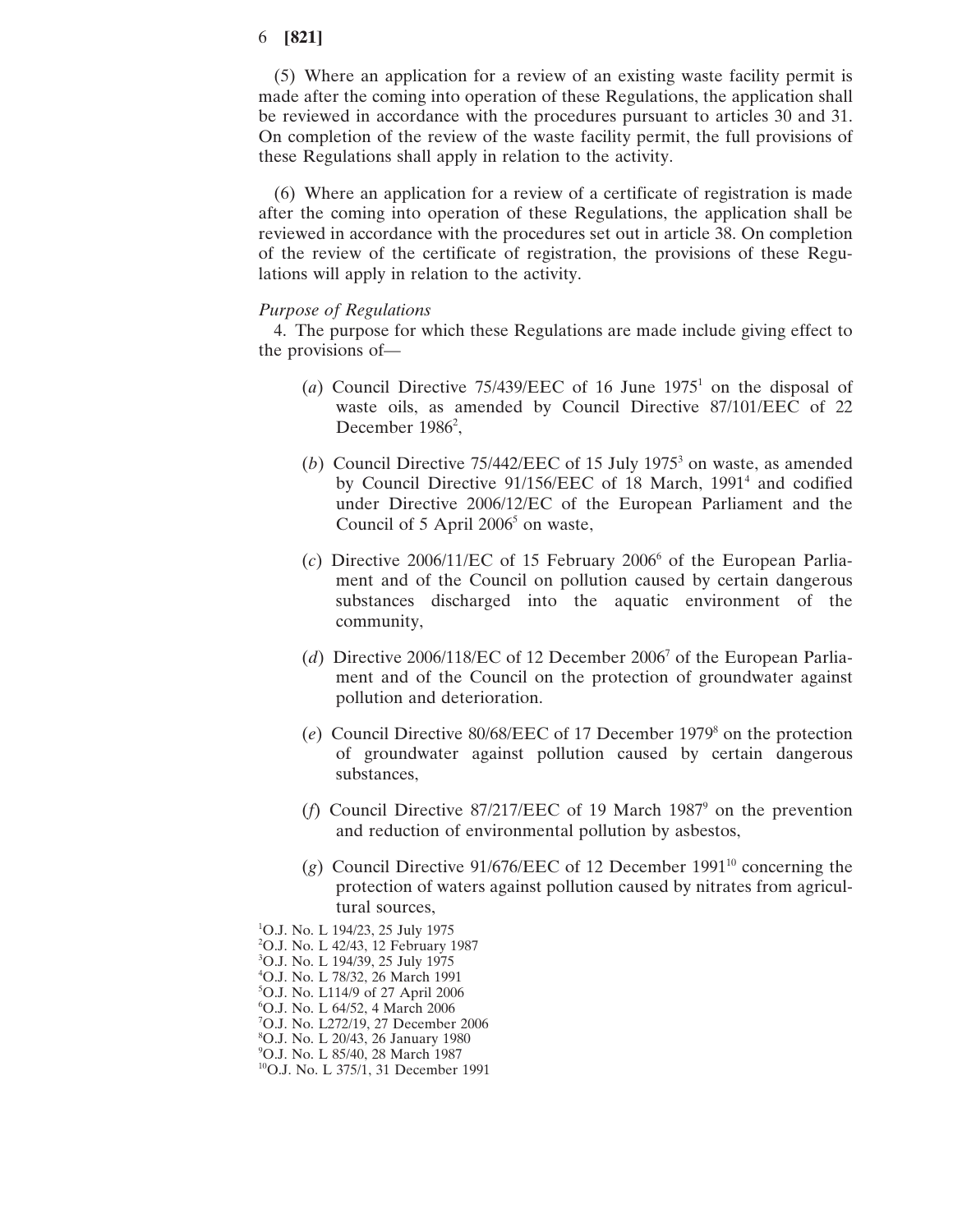(5) Where an application for a review of an existing waste facility permit is made after the coming into operation of these Regulations, the application shall be reviewed in accordance with the procedures pursuant to articles 30 and 31. On completion of the review of the waste facility permit, the full provisions of these Regulations shall apply in relation to the activity.

(6) Where an application for a review of a certificate of registration is made after the coming into operation of these Regulations, the application shall be reviewed in accordance with the procedures set out in article 38. On completion of the review of the certificate of registration, the provisions of these Regulations will apply in relation to the activity.

#### *Purpose of Regulations*

4. The purpose for which these Regulations are made include giving effect to the provisions of—

- (*a*) Council Directive 75/439/EEC of 16 June 19751 on the disposal of waste oils, as amended by Council Directive 87/101/EEC of 22 December 1986<sup>2</sup>,
- (*b*) Council Directive 75/442/EEC of 15 July 1975<sup>3</sup> on waste, as amended by Council Directive 91/156/EEC of 18 March, 1991<sup>4</sup> and codified under Directive 2006/12/EC of the European Parliament and the Council of 5 April  $2006<sup>5</sup>$  on waste,
- $(c)$  Directive 2006/11/EC of 15 February 2006<sup>6</sup> of the European Parliament and of the Council on pollution caused by certain dangerous substances discharged into the aquatic environment of the community,
- (*d*) Directive 2006/118/EC of 12 December 20067 of the European Parliament and of the Council on the protection of groundwater against pollution and deterioration.
- (*e*) Council Directive 80/68/EEC of 17 December 19798 on the protection of groundwater against pollution caused by certain dangerous substances,
- (*f*) Council Directive 87/217/EEC of 19 March 19879 on the prevention and reduction of environmental pollution by asbestos,
- ( $g$ ) Council Directive 91/676/EEC of 12 December 1991<sup>10</sup> concerning the protection of waters against pollution caused by nitrates from agricultural sources,
- 1 O.J. No. L 194/23, 25 July 1975
- 2 O.J. No. L 42/43, 12 February 1987
- 3 O.J. No. L 194/39, 25 July 1975
- 4 O.J. No. L 78/32, 26 March 1991
- 5 O.J. No. L114/9 of 27 April 2006
- 6 O.J. No. L 64/52, 4 March 2006
- 7 O.J. No. L272/19, 27 December 2006
- 8 O.J. No. L 20/43, 26 January 1980
- 9 O.J. No. L 85/40, 28 March 1987 <sup>10</sup>O.J. No. L 375/1, 31 December 1991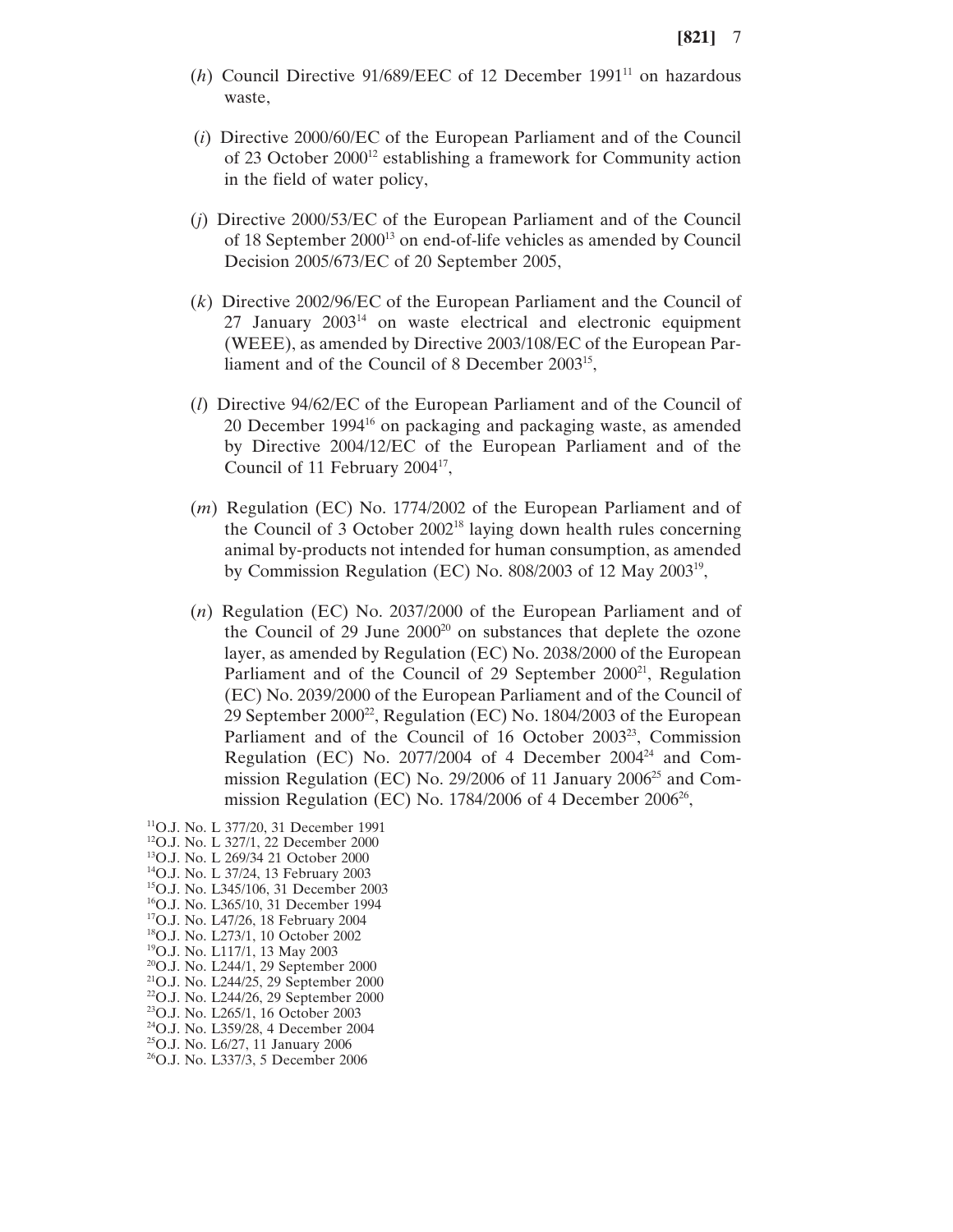- (*h*) Council Directive 91/689/EEC of 12 December 1991<sup>11</sup> on hazardous waste,
- (*i*) Directive 2000/60/EC of the European Parliament and of the Council of 23 October 200012 establishing a framework for Community action in the field of water policy,
- (*j*) Directive 2000/53/EC of the European Parliament and of the Council of 18 September 2000<sup>13</sup> on end-of-life vehicles as amended by Council Decision 2005/673/EC of 20 September 2005,
- (*k*) Directive 2002/96/EC of the European Parliament and the Council of  $27$  January  $2003<sup>14</sup>$  on waste electrical and electronic equipment (WEEE), as amended by Directive 2003/108/EC of the European Parliament and of the Council of 8 December 2003<sup>15</sup>,
- (*l*) Directive 94/62/EC of the European Parliament and of the Council of 20 December 199416 on packaging and packaging waste, as amended by Directive 2004/12/EC of the European Parliament and of the Council of 11 February  $2004^{\frac{1}{7}}$ ,
- (*m*) Regulation (EC) No. 1774/2002 of the European Parliament and of the Council of 3 October 200218 laying down health rules concerning animal by-products not intended for human consumption, as amended by Commission Regulation (EC) No. 808/2003 of 12 May 200319,
- (*n*) Regulation (EC) No. 2037/2000 of the European Parliament and of the Council of  $29$  June  $2000^{20}$  on substances that deplete the ozone layer, as amended by Regulation (EC) No. 2038/2000 of the European Parliament and of the Council of 29 September 2000<sup>21</sup>, Regulation (EC) No. 2039/2000 of the European Parliament and of the Council of 29 September 200022, Regulation (EC) No. 1804/2003 of the European Parliament and of the Council of 16 October 2003<sup>23</sup>, Commission Regulation (EC) No.  $2077/2004$  of 4 December  $2004^{24}$  and Commission Regulation (EC) No. 29/2006 of 11 January 2006<sup>25</sup> and Commission Regulation (EC) No.  $1784/2006$  of 4 December 2006<sup>26</sup>,
- 11O.J. No. L 377/20, 31 December 1991 12O.J. No. L 327/1, 22 December 2000 13O.J. No. L 269/34 21 October 2000 14O.J. No. L 37/24, 13 February 2003 15O.J. No. L345/106, 31 December 2003 16O.J. No. L365/10, 31 December 1994 17O.J. No. L47/26, 18 February 2004 18O.J. No. L273/1, 10 October 2002 19O.J. No. L117/1, 13 May 2003 20O.J. No. L244/1, 29 September 2000 21O.J. No. L244/25, 29 September 2000 22O.J. No. L244/26, 29 September 2000 23O.J. No. L265/1, 16 October 2003 24O.J. No. L359/28, 4 December 2004 25O.J. No. L6/27, 11 January 2006 <sup>26</sup>O.J. No. L337/3, 5 December 2006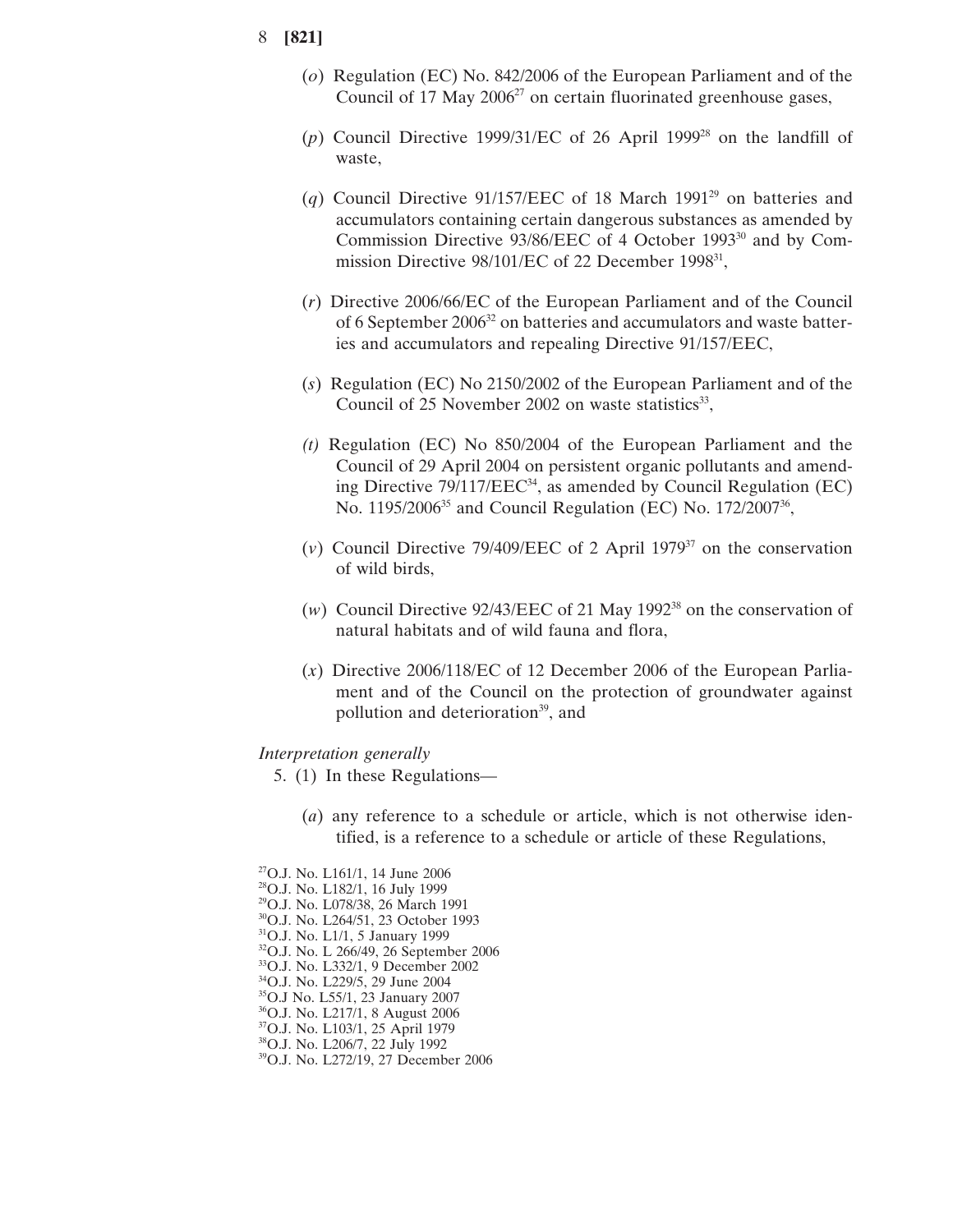- (*o*) Regulation (EC) No. 842/2006 of the European Parliament and of the Council of 17 May  $2006^{27}$  on certain fluorinated greenhouse gases,
- (*p*) Council Directive 1999/31/EC of 26 April 199928 on the landfill of waste,
- (*q*) Council Directive 91/157/EEC of 18 March 199129 on batteries and accumulators containing certain dangerous substances as amended by Commission Directive 93/86/EEC of 4 October 1993<sup>30</sup> and by Commission Directive 98/101/EC of 22 December 1998<sup>31</sup>,
- (*r*) Directive 2006/66/EC of the European Parliament and of the Council of 6 September 2006<sup>32</sup> on batteries and accumulators and waste batteries and accumulators and repealing Directive 91/157/EEC,
- (*s*) Regulation (EC) No 2150/2002 of the European Parliament and of the Council of  $25$  November 2002 on waste statistics<sup>33</sup>,
- *(t)* Regulation (EC) No 850/2004 of the European Parliament and the Council of 29 April 2004 on persistent organic pollutants and amending Directive 79/117/EEC<sup>34</sup>, as amended by Council Regulation (EC) No. 1195/2006<sup>35</sup> and Council Regulation (EC) No. 172/2007<sup>36</sup>,
- ( $v$ ) Council Directive 79/409/EEC of 2 April 1979<sup>37</sup> on the conservation of wild birds,
- (*w*) Council Directive 92/43/EEC of 21 May 199238 on the conservation of natural habitats and of wild fauna and flora,
- (*x*) Directive 2006/118/EC of 12 December 2006 of the European Parliament and of the Council on the protection of groundwater against pollution and deterioration<sup>39</sup>, and

#### *Interpretation generally*

- 5. (1) In these Regulations—
	- (*a*) any reference to a schedule or article, which is not otherwise identified, is a reference to a schedule or article of these Regulations,
- 27O.J. No. L161/1, 14 June 2006
- 28O.J. No. L182/1, 16 July 1999
- 29O.J. No. L078/38, 26 March 1991
- 30O.J. No. L264/51, 23 October 1993
- 31O.J. No. L1/1, 5 January 1999
- 32O.J. No. L 266/49, 26 September 2006
- 33O.J. No. L332/1, 9 December 2002 34O.J. No. L229/5, 29 June 2004
- 35O.J No. L55/1, 23 January 2007
- 36O.J. No. L217/1, 8 August 2006
- 37O.J. No. L103/1, 25 April 1979
- 38O.J. No. L206/7, 22 July 1992
- 39O.J. No. L272/19, 27 December 2006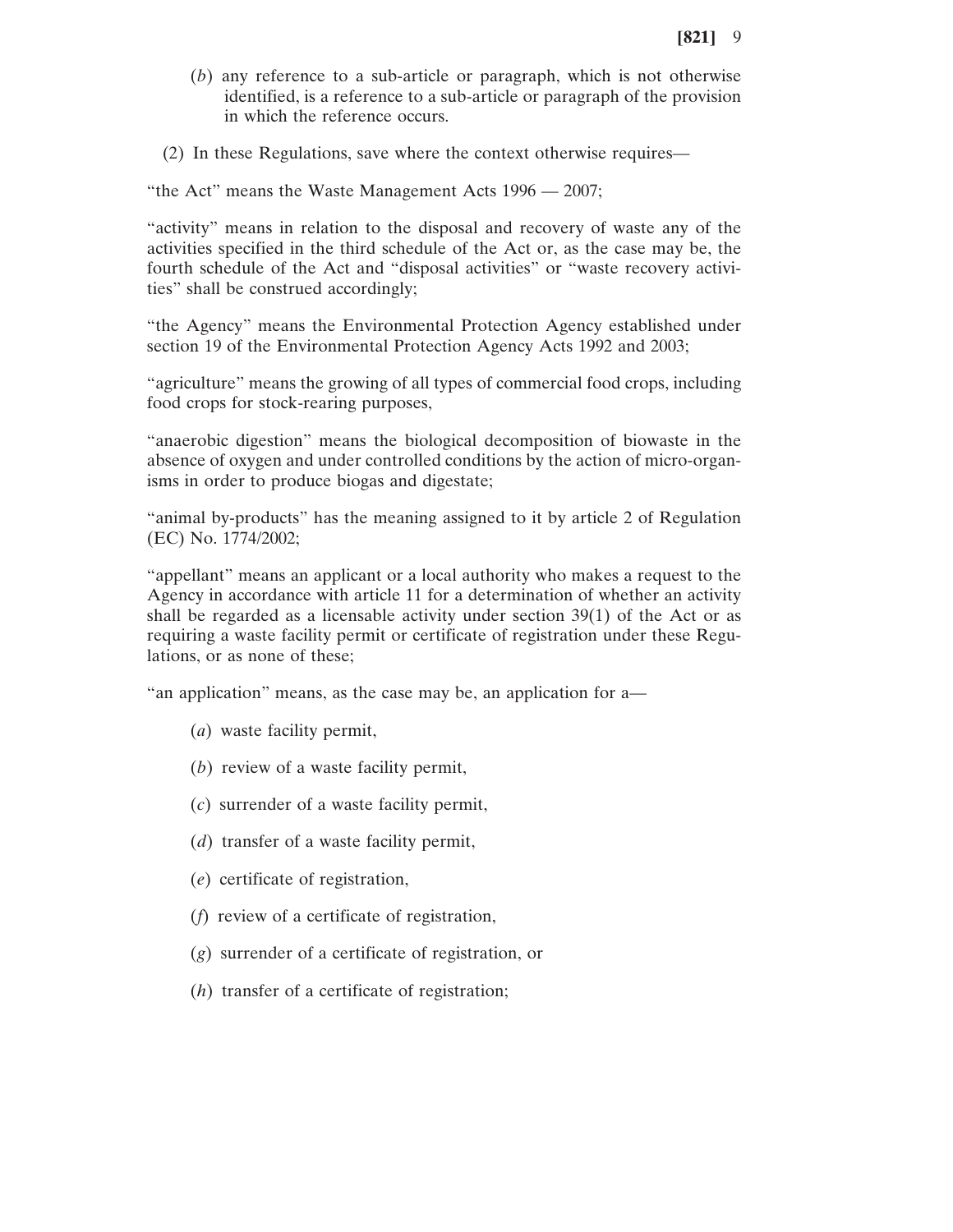- (*b*) any reference to a sub-article or paragraph, which is not otherwise identified, is a reference to a sub-article or paragraph of the provision in which the reference occurs.
- (2) In these Regulations, save where the context otherwise requires—

"the Act" means the Waste Management Acts 1996 — 2007;

"activity" means in relation to the disposal and recovery of waste any of the activities specified in the third schedule of the Act or, as the case may be, the fourth schedule of the Act and "disposal activities" or "waste recovery activities" shall be construed accordingly;

"the Agency" means the Environmental Protection Agency established under section 19 of the Environmental Protection Agency Acts 1992 and 2003;

"agriculture" means the growing of all types of commercial food crops, including food crops for stock-rearing purposes,

"anaerobic digestion" means the biological decomposition of biowaste in the absence of oxygen and under controlled conditions by the action of micro-organisms in order to produce biogas and digestate;

"animal by-products" has the meaning assigned to it by article 2 of Regulation (EC) No. 1774/2002;

"appellant" means an applicant or a local authority who makes a request to the Agency in accordance with article 11 for a determination of whether an activity shall be regarded as a licensable activity under section 39(1) of the Act or as requiring a waste facility permit or certificate of registration under these Regulations, or as none of these;

"an application" means, as the case may be, an application for a—

- (*a*) waste facility permit,
- (*b*) review of a waste facility permit,
- (*c*) surrender of a waste facility permit,
- (*d*) transfer of a waste facility permit,
- (*e*) certificate of registration,
- (*f*) review of a certificate of registration,
- (*g*) surrender of a certificate of registration, or
- (*h*) transfer of a certificate of registration;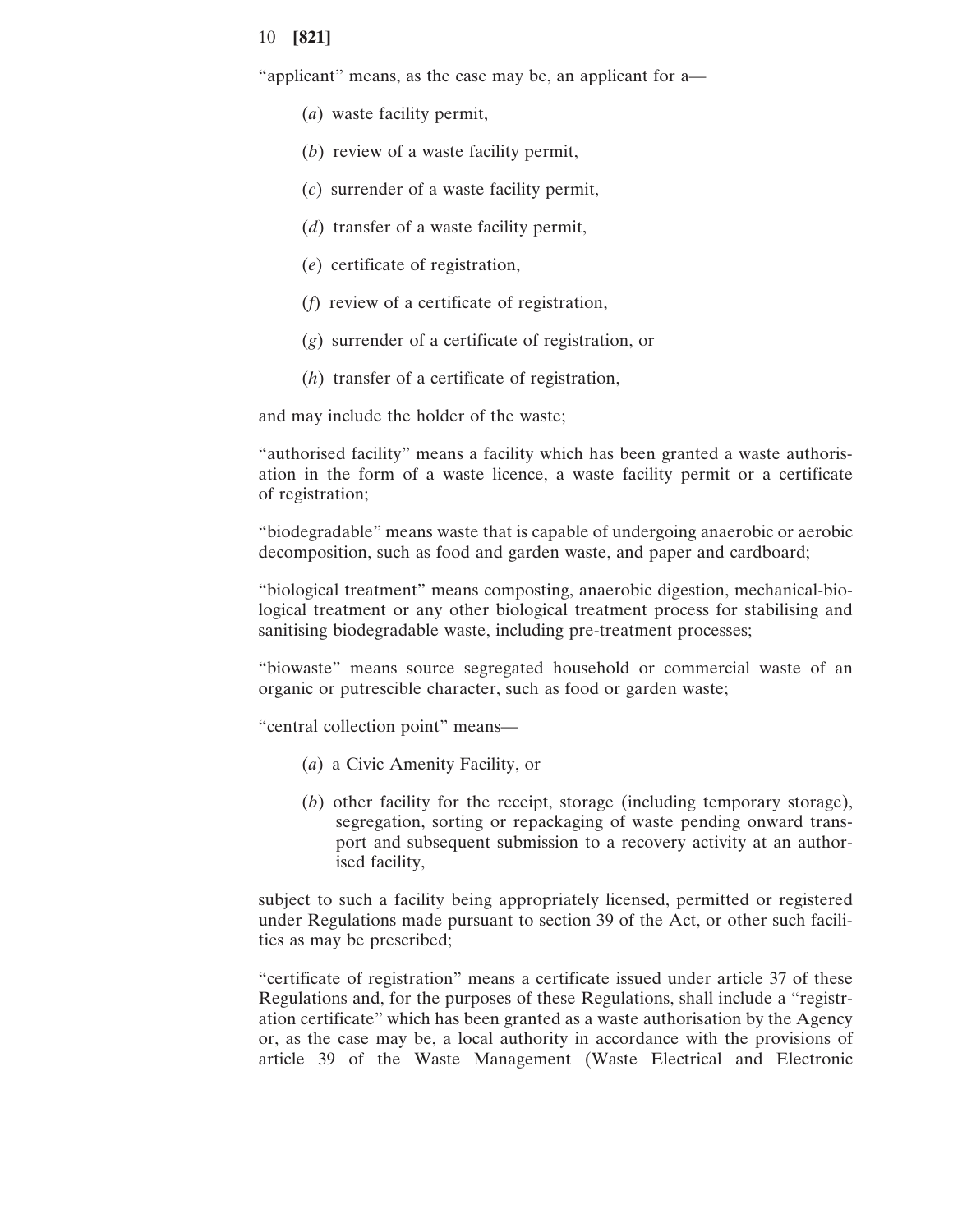"applicant" means, as the case may be, an applicant for a—

- (*a*) waste facility permit,
- (*b*) review of a waste facility permit,
- (*c*) surrender of a waste facility permit,
- (*d*) transfer of a waste facility permit,
- (*e*) certificate of registration,
- (*f*) review of a certificate of registration,
- (*g*) surrender of a certificate of registration, or
- (*h*) transfer of a certificate of registration,

and may include the holder of the waste;

"authorised facility" means a facility which has been granted a waste authorisation in the form of a waste licence, a waste facility permit or a certificate of registration;

"biodegradable" means waste that is capable of undergoing anaerobic or aerobic decomposition, such as food and garden waste, and paper and cardboard;

"biological treatment" means composting, anaerobic digestion, mechanical-biological treatment or any other biological treatment process for stabilising and sanitising biodegradable waste, including pre-treatment processes;

"biowaste" means source segregated household or commercial waste of an organic or putrescible character, such as food or garden waste;

"central collection point" means—

- (*a*) a Civic Amenity Facility, or
- (*b*) other facility for the receipt, storage (including temporary storage), segregation, sorting or repackaging of waste pending onward transport and subsequent submission to a recovery activity at an authorised facility,

subject to such a facility being appropriately licensed, permitted or registered under Regulations made pursuant to section 39 of the Act, or other such facilities as may be prescribed;

"certificate of registration" means a certificate issued under article 37 of these Regulations and, for the purposes of these Regulations, shall include a "registration certificate" which has been granted as a waste authorisation by the Agency or, as the case may be, a local authority in accordance with the provisions of article 39 of the Waste Management (Waste Electrical and Electronic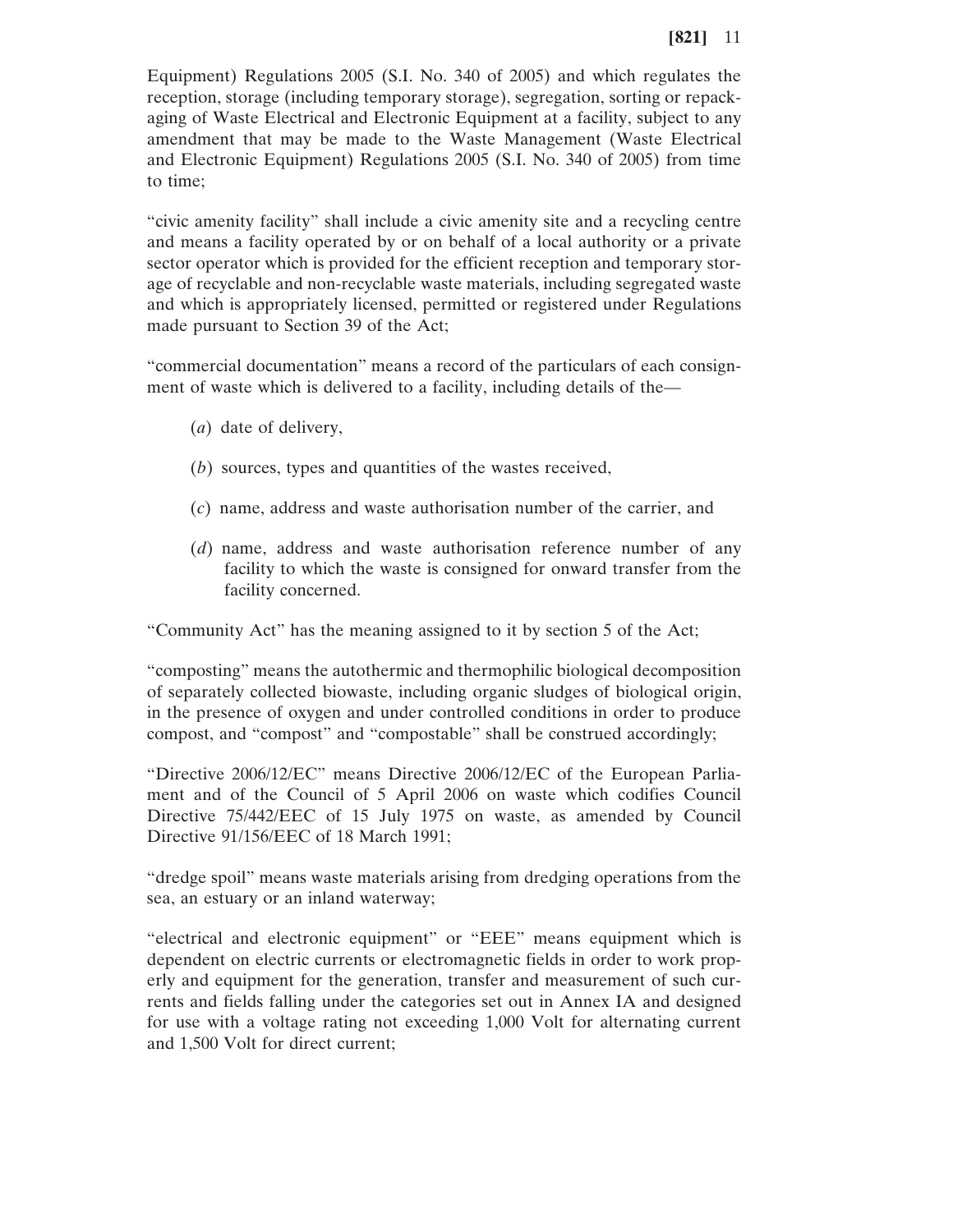Equipment) Regulations 2005 (S.I. No. 340 of 2005) and which regulates the reception, storage (including temporary storage), segregation, sorting or repackaging of Waste Electrical and Electronic Equipment at a facility, subject to any amendment that may be made to the Waste Management (Waste Electrical and Electronic Equipment) Regulations 2005 (S.I. No. 340 of 2005) from time to time;

"civic amenity facility" shall include a civic amenity site and a recycling centre and means a facility operated by or on behalf of a local authority or a private sector operator which is provided for the efficient reception and temporary storage of recyclable and non-recyclable waste materials, including segregated waste and which is appropriately licensed, permitted or registered under Regulations made pursuant to Section 39 of the Act;

"commercial documentation" means a record of the particulars of each consignment of waste which is delivered to a facility, including details of the—

- (*a*) date of delivery,
- (*b*) sources, types and quantities of the wastes received,
- (*c*) name, address and waste authorisation number of the carrier, and
- (*d*) name, address and waste authorisation reference number of any facility to which the waste is consigned for onward transfer from the facility concerned.

"Community Act" has the meaning assigned to it by section 5 of the Act;

"composting" means the autothermic and thermophilic biological decomposition of separately collected biowaste, including organic sludges of biological origin, in the presence of oxygen and under controlled conditions in order to produce compost, and "compost" and "compostable" shall be construed accordingly;

"Directive 2006/12/EC" means Directive 2006/12/EC of the European Parliament and of the Council of 5 April 2006 on waste which codifies Council Directive 75/442/EEC of 15 July 1975 on waste, as amended by Council Directive 91/156/EEC of 18 March 1991;

"dredge spoil" means waste materials arising from dredging operations from the sea, an estuary or an inland waterway;

"electrical and electronic equipment" or "EEE" means equipment which is dependent on electric currents or electromagnetic fields in order to work properly and equipment for the generation, transfer and measurement of such currents and fields falling under the categories set out in Annex IA and designed for use with a voltage rating not exceeding 1,000 Volt for alternating current and 1,500 Volt for direct current;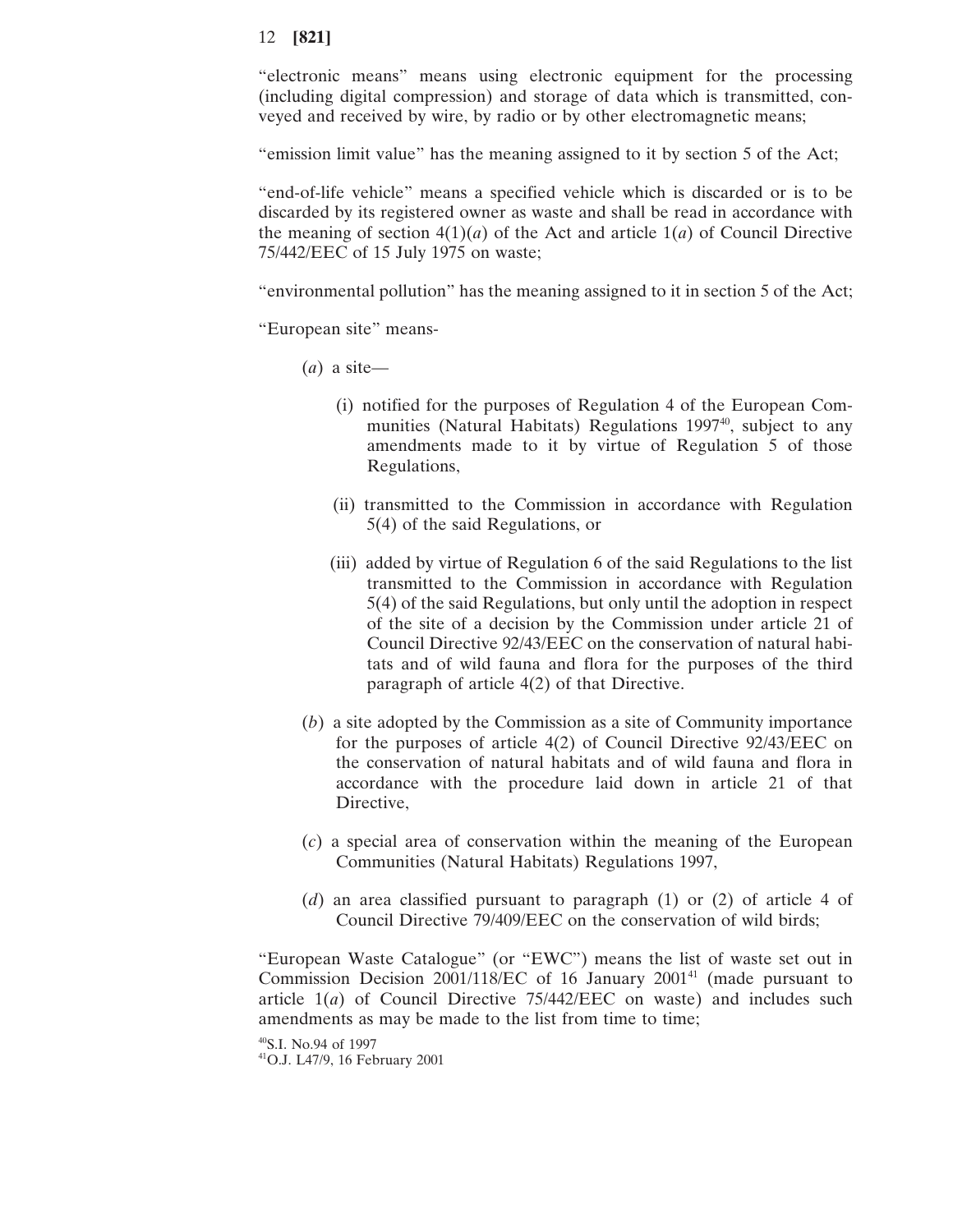"electronic means" means using electronic equipment for the processing (including digital compression) and storage of data which is transmitted, conveyed and received by wire, by radio or by other electromagnetic means;

"emission limit value" has the meaning assigned to it by section 5 of the Act;

"end-of-life vehicle" means a specified vehicle which is discarded or is to be discarded by its registered owner as waste and shall be read in accordance with the meaning of section  $4(1)(a)$  of the Act and article  $1(a)$  of Council Directive 75/442/EEC of 15 July 1975 on waste;

"environmental pollution" has the meaning assigned to it in section 5 of the Act;

"European site" means-

- (*a*) a site—
	- (i) notified for the purposes of Regulation 4 of the European Communities (Natural Habitats) Regulations 1997<sup>40</sup>, subject to any amendments made to it by virtue of Regulation 5 of those Regulations,
	- (ii) transmitted to the Commission in accordance with Regulation 5(4) of the said Regulations, or
	- (iii) added by virtue of Regulation 6 of the said Regulations to the list transmitted to the Commission in accordance with Regulation 5(4) of the said Regulations, but only until the adoption in respect of the site of a decision by the Commission under article 21 of Council Directive 92/43/EEC on the conservation of natural habitats and of wild fauna and flora for the purposes of the third paragraph of article 4(2) of that Directive.
- (*b*) a site adopted by the Commission as a site of Community importance for the purposes of article 4(2) of Council Directive 92/43/EEC on the conservation of natural habitats and of wild fauna and flora in accordance with the procedure laid down in article 21 of that Directive,
- (*c*) a special area of conservation within the meaning of the European Communities (Natural Habitats) Regulations 1997,
- (*d*) an area classified pursuant to paragraph (1) or (2) of article 4 of Council Directive 79/409/EEC on the conservation of wild birds;

"European Waste Catalogue" (or "EWC") means the list of waste set out in Commission Decision 2001/118/EC of 16 January 2001<sup>41</sup> (made pursuant to article  $1(a)$  of Council Directive  $75/442/EEC$  on waste) and includes such amendments as may be made to the list from time to time;

40S.I. No.94 of 1997

41O.J. L47/9, 16 February 2001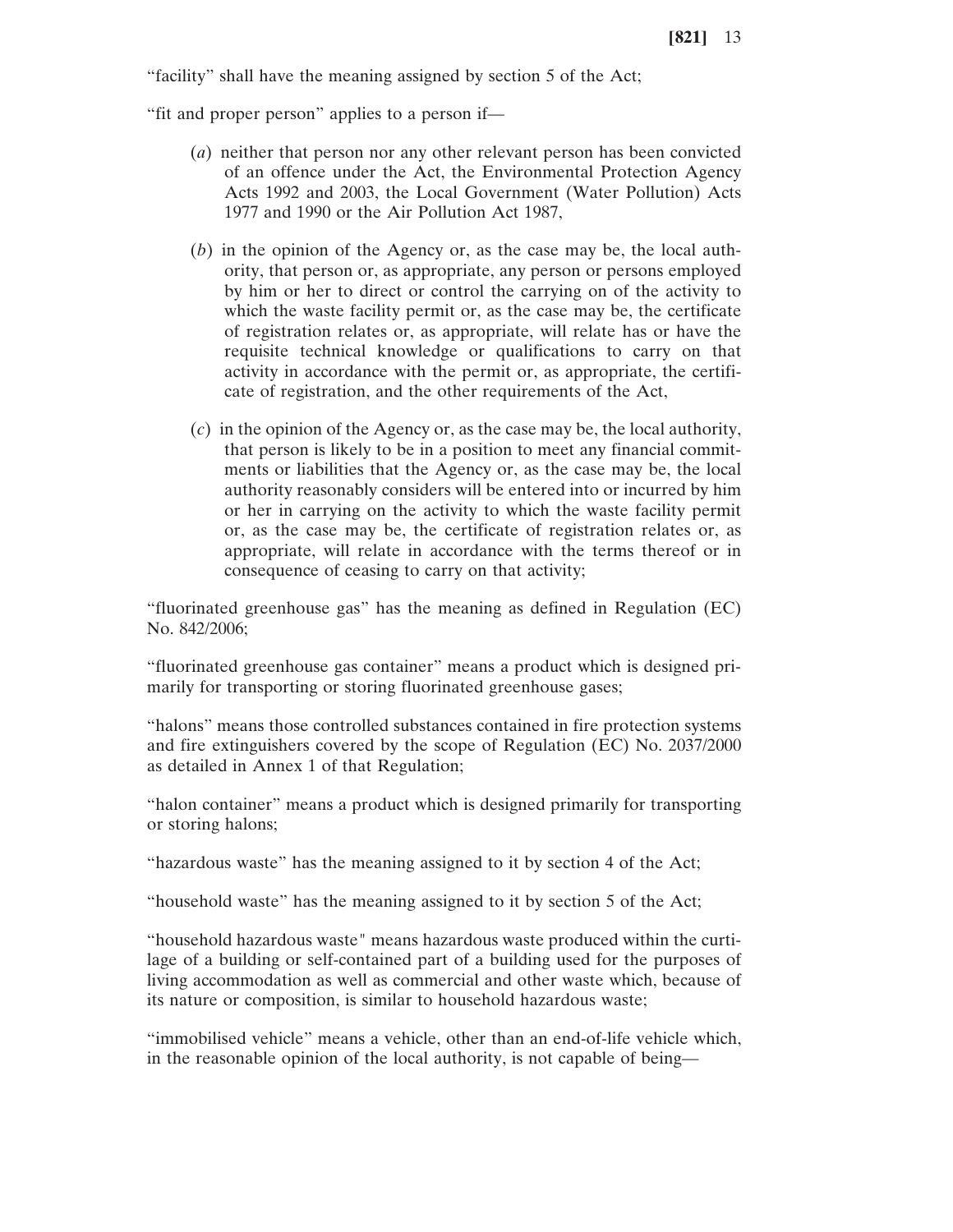"facility" shall have the meaning assigned by section 5 of the Act;

"fit and proper person" applies to a person if—

- (*a*) neither that person nor any other relevant person has been convicted of an offence under the Act, the Environmental Protection Agency Acts 1992 and 2003, the Local Government (Water Pollution) Acts 1977 and 1990 or the Air Pollution Act 1987,
- (*b*) in the opinion of the Agency or, as the case may be, the local authority, that person or, as appropriate, any person or persons employed by him or her to direct or control the carrying on of the activity to which the waste facility permit or, as the case may be, the certificate of registration relates or, as appropriate, will relate has or have the requisite technical knowledge or qualifications to carry on that activity in accordance with the permit or, as appropriate, the certificate of registration, and the other requirements of the Act,
- (*c*) in the opinion of the Agency or, as the case may be, the local authority, that person is likely to be in a position to meet any financial commitments or liabilities that the Agency or, as the case may be, the local authority reasonably considers will be entered into or incurred by him or her in carrying on the activity to which the waste facility permit or, as the case may be, the certificate of registration relates or, as appropriate, will relate in accordance with the terms thereof or in consequence of ceasing to carry on that activity;

"fluorinated greenhouse gas" has the meaning as defined in Regulation (EC) No. 842/2006;

"fluorinated greenhouse gas container" means a product which is designed primarily for transporting or storing fluorinated greenhouse gases;

"halons" means those controlled substances contained in fire protection systems and fire extinguishers covered by the scope of Regulation (EC) No. 2037/2000 as detailed in Annex 1 of that Regulation;

"halon container" means a product which is designed primarily for transporting or storing halons;

"hazardous waste" has the meaning assigned to it by section 4 of the Act;

"household waste" has the meaning assigned to it by section 5 of the Act;

"household hazardous waste" means hazardous waste produced within the curtilage of a building or self-contained part of a building used for the purposes of living accommodation as well as commercial and other waste which, because of its nature or composition, is similar to household hazardous waste;

"immobilised vehicle" means a vehicle, other than an end-of-life vehicle which, in the reasonable opinion of the local authority, is not capable of being—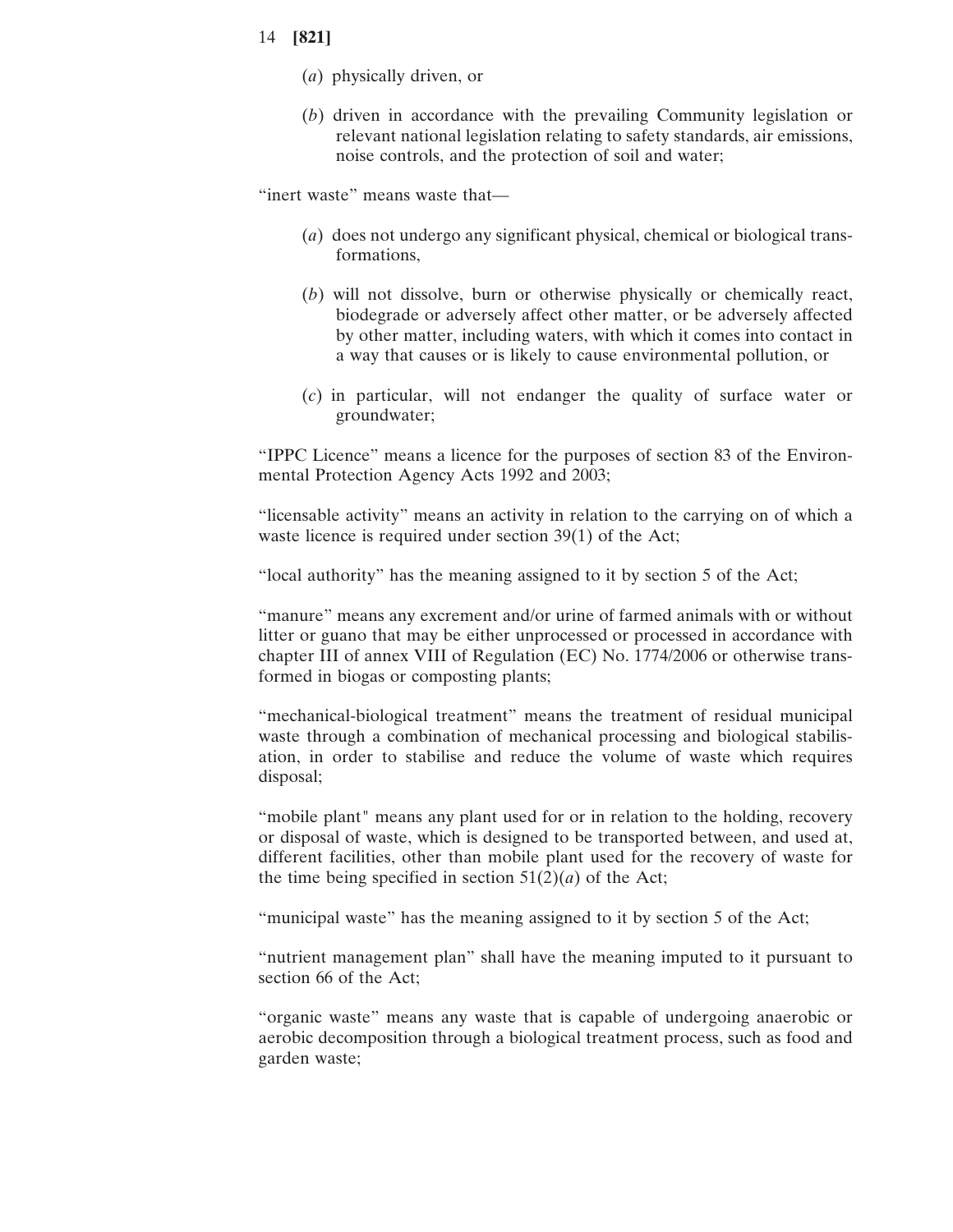- (*a*) physically driven, or
- (*b*) driven in accordance with the prevailing Community legislation or relevant national legislation relating to safety standards, air emissions, noise controls, and the protection of soil and water;

"inert waste" means waste that—

- (*a*) does not undergo any significant physical, chemical or biological transformations,
- (*b*) will not dissolve, burn or otherwise physically or chemically react, biodegrade or adversely affect other matter, or be adversely affected by other matter, including waters, with which it comes into contact in a way that causes or is likely to cause environmental pollution, or
- (*c*) in particular, will not endanger the quality of surface water or groundwater;

"IPPC Licence" means a licence for the purposes of section 83 of the Environmental Protection Agency Acts 1992 and 2003;

"licensable activity" means an activity in relation to the carrying on of which a waste licence is required under section 39(1) of the Act;

"local authority" has the meaning assigned to it by section 5 of the Act;

"manure" means any excrement and/or urine of farmed animals with or without litter or guano that may be either unprocessed or processed in accordance with chapter III of annex VIII of Regulation (EC) No. 1774/2006 or otherwise transformed in biogas or composting plants;

"mechanical-biological treatment" means the treatment of residual municipal waste through a combination of mechanical processing and biological stabilisation, in order to stabilise and reduce the volume of waste which requires disposal;

"mobile plant" means any plant used for or in relation to the holding, recovery or disposal of waste, which is designed to be transported between, and used at, different facilities, other than mobile plant used for the recovery of waste for the time being specified in section  $51(2)(a)$  of the Act;

"municipal waste" has the meaning assigned to it by section 5 of the Act;

"nutrient management plan" shall have the meaning imputed to it pursuant to section 66 of the Act;

"organic waste" means any waste that is capable of undergoing anaerobic or aerobic decomposition through a biological treatment process, such as food and garden waste;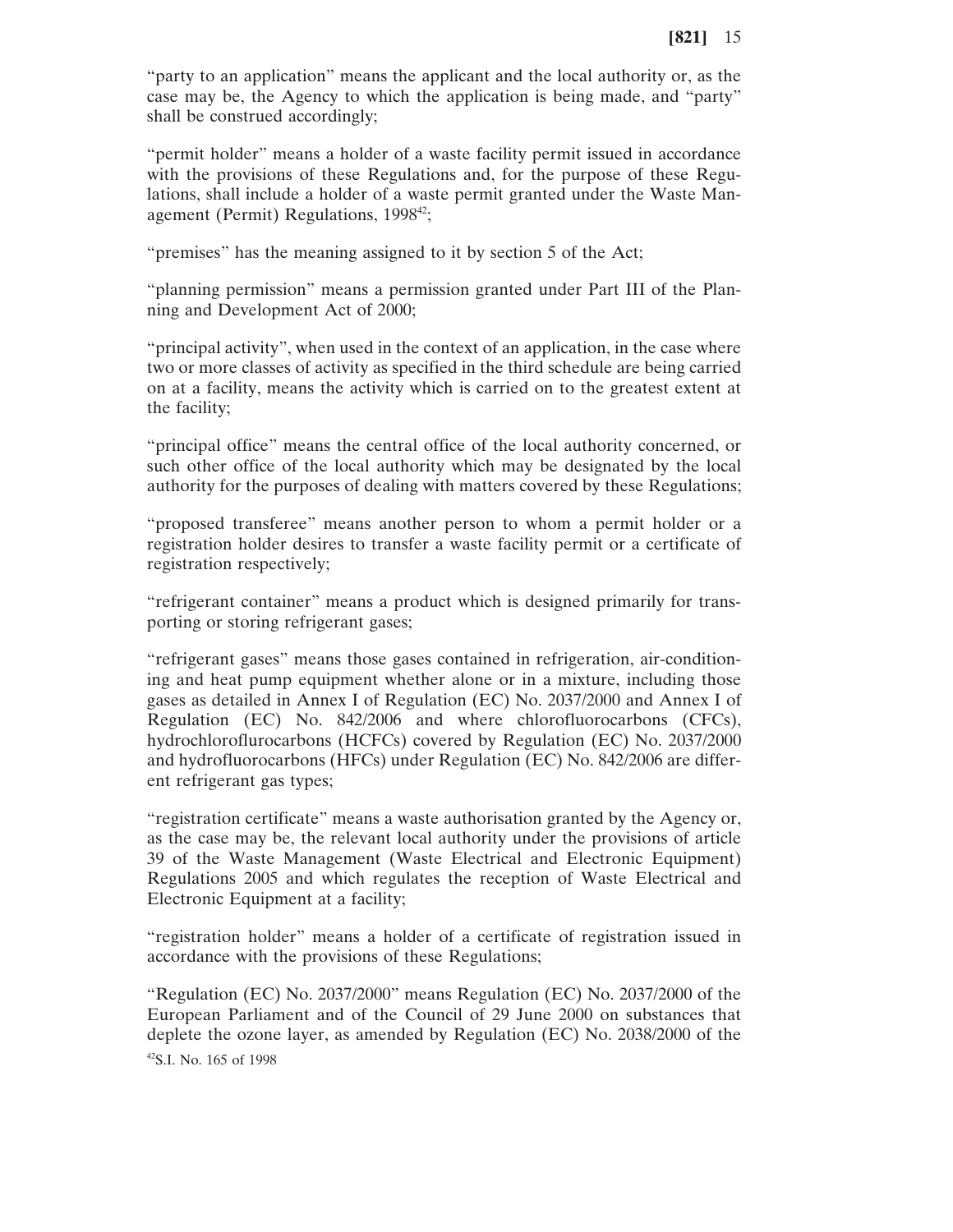"party to an application" means the applicant and the local authority or, as the case may be, the Agency to which the application is being made, and "party" shall be construed accordingly;

"permit holder" means a holder of a waste facility permit issued in accordance with the provisions of these Regulations and, for the purpose of these Regulations, shall include a holder of a waste permit granted under the Waste Management (Permit) Regulations,  $1998^{42}$ ;

"premises" has the meaning assigned to it by section 5 of the Act;

"planning permission" means a permission granted under Part III of the Planning and Development Act of 2000;

"principal activity", when used in the context of an application, in the case where two or more classes of activity as specified in the third schedule are being carried on at a facility, means the activity which is carried on to the greatest extent at the facility;

"principal office" means the central office of the local authority concerned, or such other office of the local authority which may be designated by the local authority for the purposes of dealing with matters covered by these Regulations;

"proposed transferee" means another person to whom a permit holder or a registration holder desires to transfer a waste facility permit or a certificate of registration respectively;

"refrigerant container" means a product which is designed primarily for transporting or storing refrigerant gases;

"refrigerant gases" means those gases contained in refrigeration, air-conditioning and heat pump equipment whether alone or in a mixture, including those gases as detailed in Annex I of Regulation (EC) No. 2037/2000 and Annex I of Regulation (EC) No. 842/2006 and where chlorofluorocarbons (CFCs), hydrochloroflurocarbons (HCFCs) covered by Regulation (EC) No. 2037/2000 and hydrofluorocarbons (HFCs) under Regulation (EC) No. 842/2006 are different refrigerant gas types;

"registration certificate" means a waste authorisation granted by the Agency or, as the case may be, the relevant local authority under the provisions of article 39 of the Waste Management (Waste Electrical and Electronic Equipment) Regulations 2005 and which regulates the reception of Waste Electrical and Electronic Equipment at a facility;

"registration holder" means a holder of a certificate of registration issued in accordance with the provisions of these Regulations;

"Regulation (EC) No. 2037/2000" means Regulation (EC) No. 2037/2000 of the European Parliament and of the Council of 29 June 2000 on substances that deplete the ozone layer, as amended by Regulation (EC) No. 2038/2000 of the 42S.I. No. 165 of 1998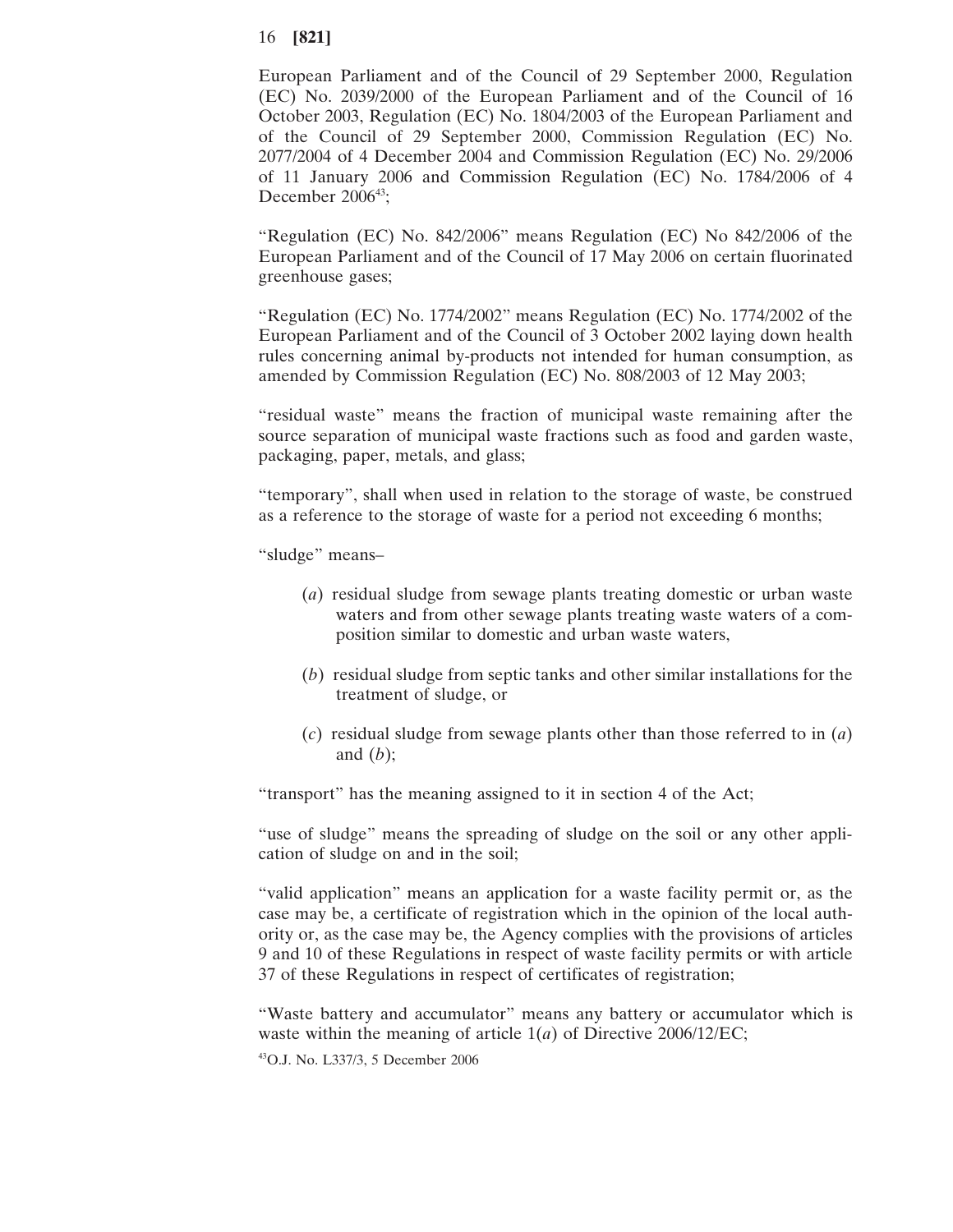European Parliament and of the Council of 29 September 2000, Regulation (EC) No. 2039/2000 of the European Parliament and of the Council of 16 October 2003, Regulation (EC) No. 1804/2003 of the European Parliament and of the Council of 29 September 2000, Commission Regulation (EC) No. 2077/2004 of 4 December 2004 and Commission Regulation (EC) No. 29/2006 of 11 January 2006 and Commission Regulation (EC) No. 1784/2006 of 4 December  $2006^{43}$ ;

"Regulation (EC) No. 842/2006" means Regulation (EC) No 842/2006 of the European Parliament and of the Council of 17 May 2006 on certain fluorinated greenhouse gases;

"Regulation (EC) No. 1774/2002" means Regulation (EC) No. 1774/2002 of the European Parliament and of the Council of 3 October 2002 laying down health rules concerning animal by-products not intended for human consumption, as amended by Commission Regulation (EC) No. 808/2003 of 12 May 2003;

"residual waste" means the fraction of municipal waste remaining after the source separation of municipal waste fractions such as food and garden waste, packaging, paper, metals, and glass;

"temporary", shall when used in relation to the storage of waste, be construed as a reference to the storage of waste for a period not exceeding 6 months;

"sludge" means–

- (*a*) residual sludge from sewage plants treating domestic or urban waste waters and from other sewage plants treating waste waters of a composition similar to domestic and urban waste waters,
- (*b*) residual sludge from septic tanks and other similar installations for the treatment of sludge, or
- (*c*) residual sludge from sewage plants other than those referred to in (*a*) and (*b*);

"transport" has the meaning assigned to it in section 4 of the Act;

"use of sludge" means the spreading of sludge on the soil or any other application of sludge on and in the soil;

"valid application" means an application for a waste facility permit or, as the case may be, a certificate of registration which in the opinion of the local authority or, as the case may be, the Agency complies with the provisions of articles 9 and 10 of these Regulations in respect of waste facility permits or with article 37 of these Regulations in respect of certificates of registration;

"Waste battery and accumulator" means any battery or accumulator which is waste within the meaning of article 1(*a*) of Directive 2006/12/EC;

43O.J. No. L337/3, 5 December 2006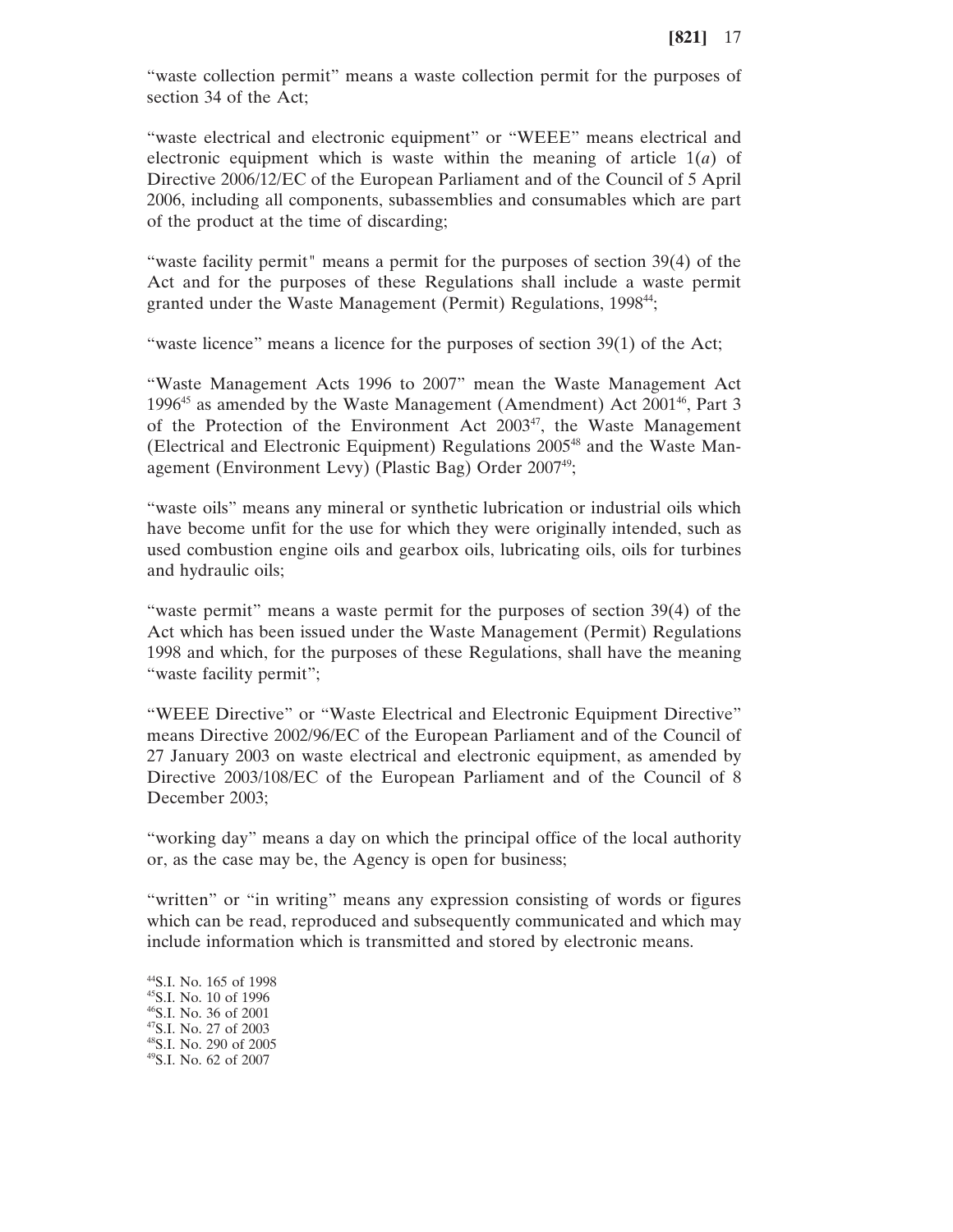"waste collection permit" means a waste collection permit for the purposes of section 34 of the Act;

"waste electrical and electronic equipment" or "WEEE" means electrical and electronic equipment which is waste within the meaning of article 1(*a*) of Directive 2006/12/EC of the European Parliament and of the Council of 5 April 2006, including all components, subassemblies and consumables which are part of the product at the time of discarding;

"waste facility permit" means a permit for the purposes of section 39(4) of the Act and for the purposes of these Regulations shall include a waste permit granted under the Waste Management (Permit) Regulations, 1998<sup>44</sup>;

"waste licence" means a licence for the purposes of section 39(1) of the Act;

"Waste Management Acts 1996 to 2007" mean the Waste Management Act 1996<sup>45</sup> as amended by the Waste Management (Amendment) Act  $2001^{46}$ , Part 3 of the Protection of the Environment Act 2003<sup>47</sup>, the Waste Management (Electrical and Electronic Equipment) Regulations 2005<sup>48</sup> and the Waste Management (Environment Levy) (Plastic Bag) Order 2007<sup>49</sup>;

"waste oils" means any mineral or synthetic lubrication or industrial oils which have become unfit for the use for which they were originally intended, such as used combustion engine oils and gearbox oils, lubricating oils, oils for turbines and hydraulic oils;

"waste permit" means a waste permit for the purposes of section 39(4) of the Act which has been issued under the Waste Management (Permit) Regulations 1998 and which, for the purposes of these Regulations, shall have the meaning "waste facility permit";

"WEEE Directive" or "Waste Electrical and Electronic Equipment Directive" means Directive 2002/96/EC of the European Parliament and of the Council of 27 January 2003 on waste electrical and electronic equipment, as amended by Directive 2003/108/EC of the European Parliament and of the Council of 8 December 2003;

"working day" means a day on which the principal office of the local authority or, as the case may be, the Agency is open for business;

"written" or "in writing" means any expression consisting of words or figures which can be read, reproduced and subsequently communicated and which may include information which is transmitted and stored by electronic means.

44S.I. No. 165 of 1998 45S.I. No. 10 of 1996 46S.I. No. 36 of 2001 47S.I. No. 27 of 2003 48S.I. No. 290 of 2005 49S.I. No. 62 of 2007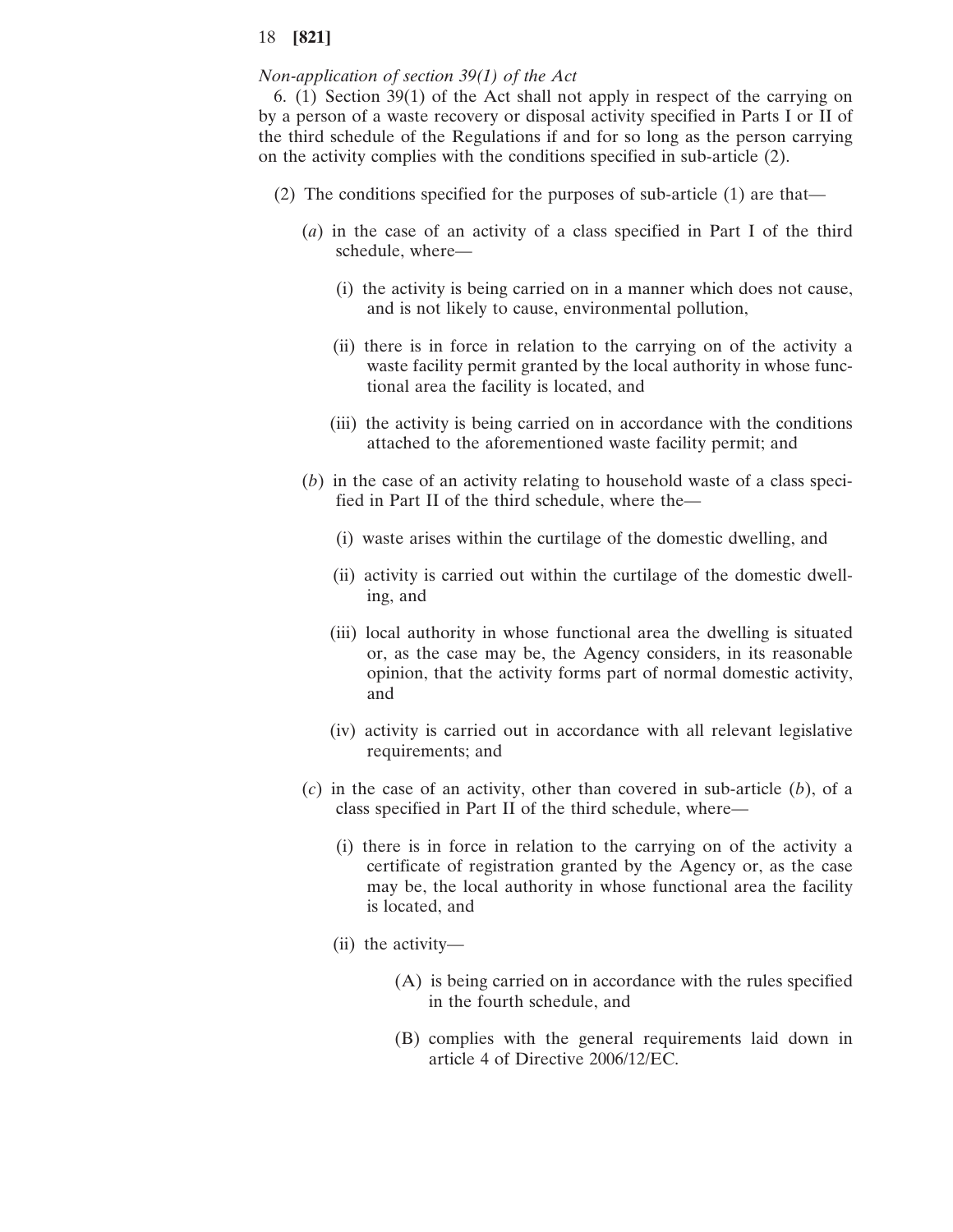### *Non-application of section 39(1) of the Act*

6. (1) Section 39(1) of the Act shall not apply in respect of the carrying on by a person of a waste recovery or disposal activity specified in Parts I or II of the third schedule of the Regulations if and for so long as the person carrying on the activity complies with the conditions specified in sub-article (2).

- (2) The conditions specified for the purposes of sub-article (1) are that—
	- (*a*) in the case of an activity of a class specified in Part I of the third schedule, where—
		- (i) the activity is being carried on in a manner which does not cause, and is not likely to cause, environmental pollution,
		- (ii) there is in force in relation to the carrying on of the activity a waste facility permit granted by the local authority in whose functional area the facility is located, and
		- (iii) the activity is being carried on in accordance with the conditions attached to the aforementioned waste facility permit; and
	- (*b*) in the case of an activity relating to household waste of a class specified in Part II of the third schedule, where the—
		- (i) waste arises within the curtilage of the domestic dwelling, and
		- (ii) activity is carried out within the curtilage of the domestic dwelling, and
		- (iii) local authority in whose functional area the dwelling is situated or, as the case may be, the Agency considers, in its reasonable opinion, that the activity forms part of normal domestic activity, and
		- (iv) activity is carried out in accordance with all relevant legislative requirements; and
	- (*c*) in the case of an activity, other than covered in sub-article (*b*), of a class specified in Part II of the third schedule, where—
		- (i) there is in force in relation to the carrying on of the activity a certificate of registration granted by the Agency or, as the case may be, the local authority in whose functional area the facility is located, and
		- (ii) the activity—
			- (A) is being carried on in accordance with the rules specified in the fourth schedule, and
			- (B) complies with the general requirements laid down in article 4 of Directive 2006/12/EC.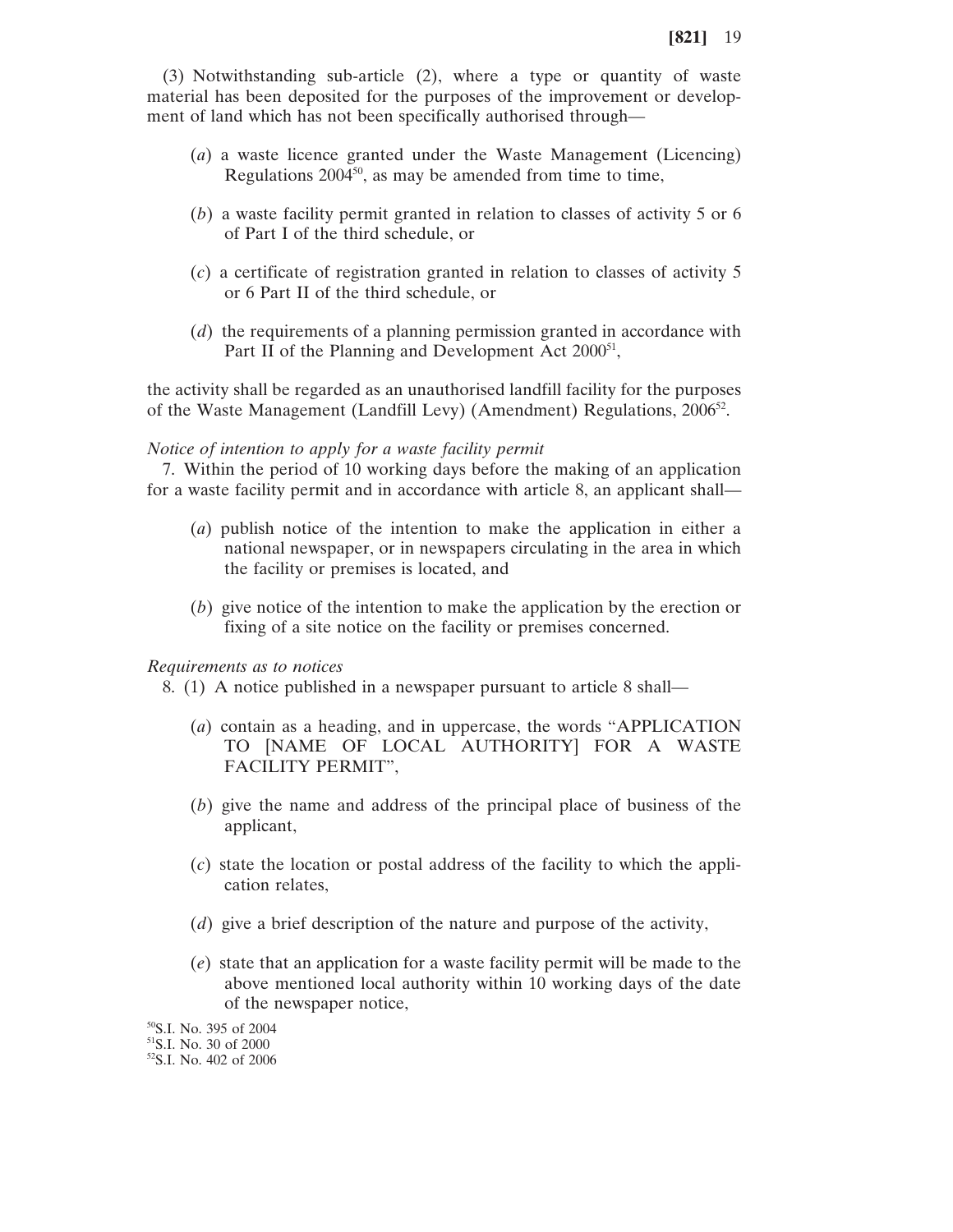(3) Notwithstanding sub-article (2), where a type or quantity of waste material has been deposited for the purposes of the improvement or development of land which has not been specifically authorised through—

- (*a*) a waste licence granted under the Waste Management (Licencing) Regulations  $2004^{50}$ , as may be amended from time to time,
- (*b*) a waste facility permit granted in relation to classes of activity 5 or 6 of Part I of the third schedule, or
- (*c*) a certificate of registration granted in relation to classes of activity 5 or 6 Part II of the third schedule, or
- (*d*) the requirements of a planning permission granted in accordance with Part II of the Planning and Development Act 2000<sup>51</sup>,

the activity shall be regarded as an unauthorised landfill facility for the purposes of the Waste Management (Landfill Levy) (Amendment) Regulations,  $2006^{52}$ .

#### *Notice of intention to apply for a waste facility permit*

7. Within the period of 10 working days before the making of an application for a waste facility permit and in accordance with article 8, an applicant shall—

- (*a*) publish notice of the intention to make the application in either a national newspaper, or in newspapers circulating in the area in which the facility or premises is located, and
- (*b*) give notice of the intention to make the application by the erection or fixing of a site notice on the facility or premises concerned.

### *Requirements as to notices*

- 8. (1) A notice published in a newspaper pursuant to article 8 shall—
	- (*a*) contain as a heading, and in uppercase, the words "APPLICATION TO [NAME OF LOCAL AUTHORITY] FOR A WASTE FACILITY PERMIT",
	- (*b*) give the name and address of the principal place of business of the applicant,
	- (*c*) state the location or postal address of the facility to which the application relates,
	- (*d*) give a brief description of the nature and purpose of the activity,
	- (*e*) state that an application for a waste facility permit will be made to the above mentioned local authority within 10 working days of the date of the newspaper notice,

50S.I. No. 395 of 2004

<sup>51</sup>S.I. No. 30 of 2000

<sup>52</sup>S.I. No. 402 of 2006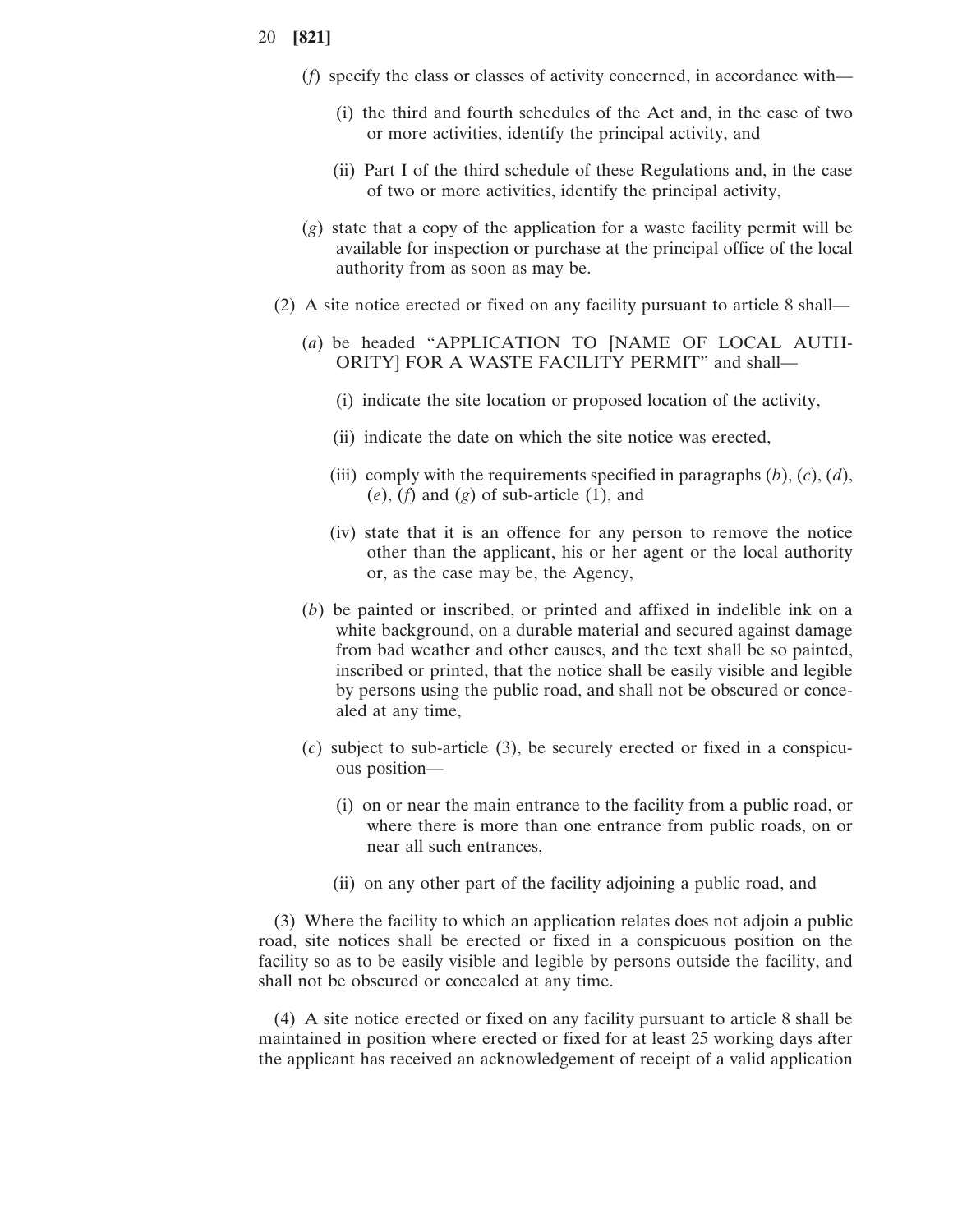- (*f*) specify the class or classes of activity concerned, in accordance with—
	- (i) the third and fourth schedules of the Act and, in the case of two or more activities, identify the principal activity, and
	- (ii) Part I of the third schedule of these Regulations and, in the case of two or more activities, identify the principal activity,
- (*g*) state that a copy of the application for a waste facility permit will be available for inspection or purchase at the principal office of the local authority from as soon as may be.
- (2) A site notice erected or fixed on any facility pursuant to article 8 shall—
	- (*a*) be headed "APPLICATION TO [NAME OF LOCAL AUTH-ORITY] FOR A WASTE FACILITY PERMIT" and shall—
		- (i) indicate the site location or proposed location of the activity,
		- (ii) indicate the date on which the site notice was erected,
		- (iii) comply with the requirements specified in paragraphs  $(b)$ ,  $(c)$ ,  $(d)$ , (*e*), (*f*) and (*g*) of sub-article (1), and
		- (iv) state that it is an offence for any person to remove the notice other than the applicant, his or her agent or the local authority or, as the case may be, the Agency,
	- (*b*) be painted or inscribed, or printed and affixed in indelible ink on a white background, on a durable material and secured against damage from bad weather and other causes, and the text shall be so painted, inscribed or printed, that the notice shall be easily visible and legible by persons using the public road, and shall not be obscured or concealed at any time,
	- (*c*) subject to sub-article (3), be securely erected or fixed in a conspicuous position—
		- (i) on or near the main entrance to the facility from a public road, or where there is more than one entrance from public roads, on or near all such entrances,
		- (ii) on any other part of the facility adjoining a public road, and

(3) Where the facility to which an application relates does not adjoin a public road, site notices shall be erected or fixed in a conspicuous position on the facility so as to be easily visible and legible by persons outside the facility, and shall not be obscured or concealed at any time.

(4) A site notice erected or fixed on any facility pursuant to article 8 shall be maintained in position where erected or fixed for at least 25 working days after the applicant has received an acknowledgement of receipt of a valid application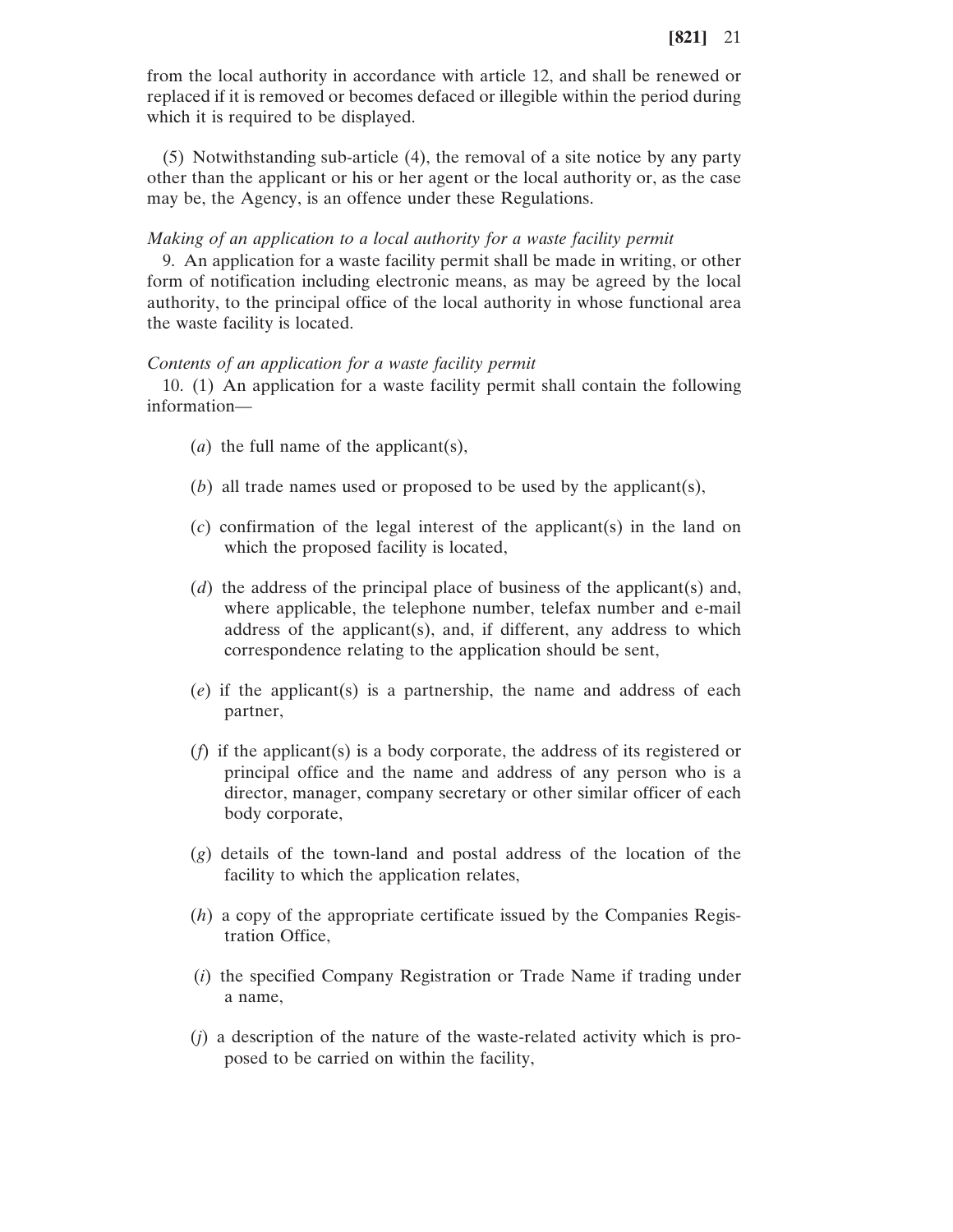from the local authority in accordance with article 12, and shall be renewed or replaced if it is removed or becomes defaced or illegible within the period during which it is required to be displayed.

(5) Notwithstanding sub-article (4), the removal of a site notice by any party other than the applicant or his or her agent or the local authority or, as the case may be, the Agency, is an offence under these Regulations.

#### *Making of an application to a local authority for a waste facility permit*

9. An application for a waste facility permit shall be made in writing, or other form of notification including electronic means, as may be agreed by the local authority, to the principal office of the local authority in whose functional area the waste facility is located.

### *Contents of an application for a waste facility permit*

10. (1) An application for a waste facility permit shall contain the following information—

- (*a*) the full name of the applicant(s),
- (*b*) all trade names used or proposed to be used by the applicant(s),
- (*c*) confirmation of the legal interest of the applicant(s) in the land on which the proposed facility is located,
- (*d*) the address of the principal place of business of the applicant(s) and, where applicable, the telephone number, telefax number and e-mail address of the applicant(s), and, if different, any address to which correspondence relating to the application should be sent,
- (*e*) if the applicant(s) is a partnership, the name and address of each partner,
- (*f*) if the applicant(s) is a body corporate, the address of its registered or principal office and the name and address of any person who is a director, manager, company secretary or other similar officer of each body corporate,
- (*g*) details of the town-land and postal address of the location of the facility to which the application relates,
- (*h*) a copy of the appropriate certificate issued by the Companies Registration Office,
- (*i*) the specified Company Registration or Trade Name if trading under a name,
- (*j*) a description of the nature of the waste-related activity which is proposed to be carried on within the facility,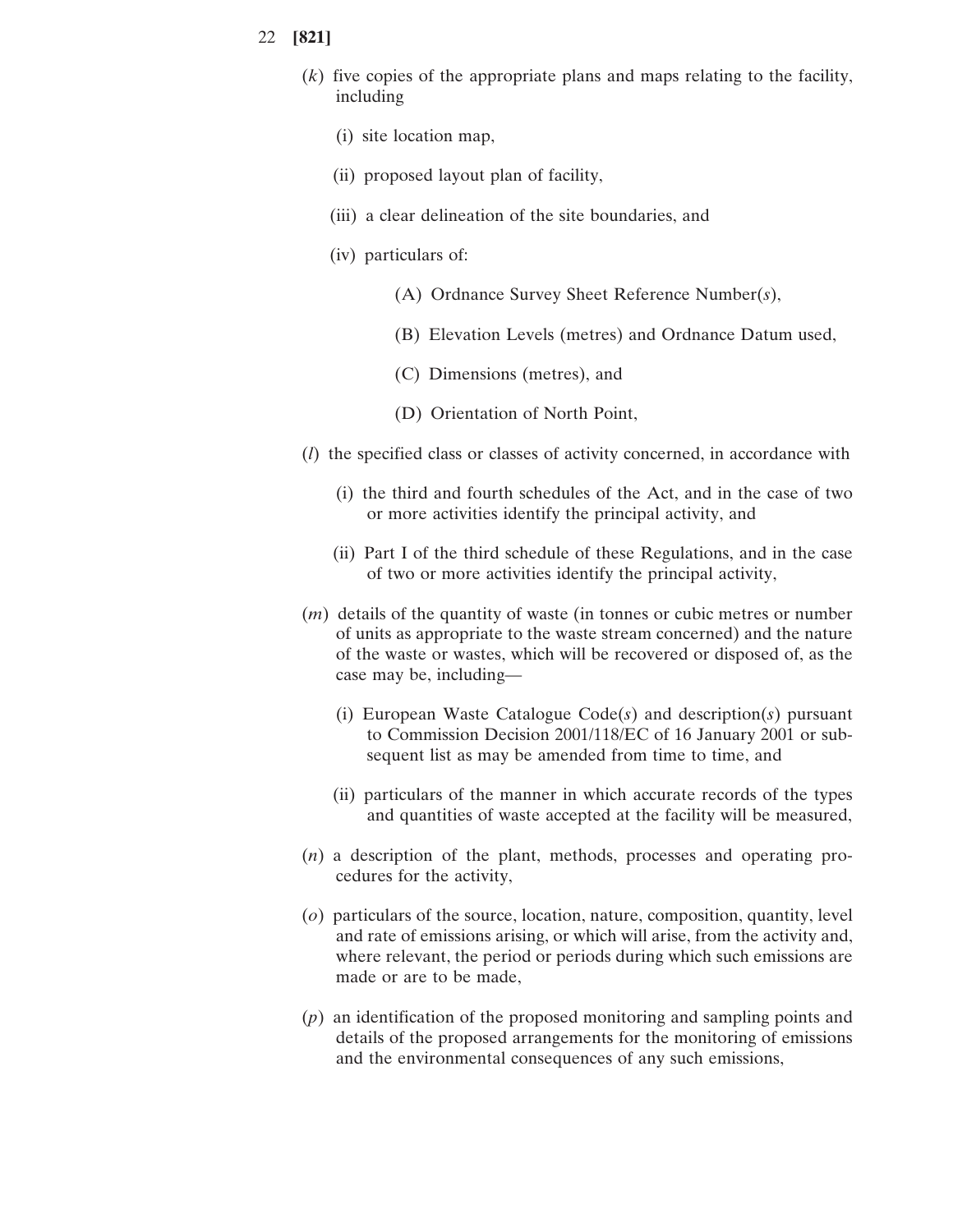- (*k*) five copies of the appropriate plans and maps relating to the facility, including
	- (i) site location map,
	- (ii) proposed layout plan of facility,
	- (iii) a clear delineation of the site boundaries, and
	- (iv) particulars of:
		- (A) Ordnance Survey Sheet Reference Number(*s*),
		- (B) Elevation Levels (metres) and Ordnance Datum used,
		- (C) Dimensions (metres), and
		- (D) Orientation of North Point,
- (*l*) the specified class or classes of activity concerned, in accordance with
	- (i) the third and fourth schedules of the Act, and in the case of two or more activities identify the principal activity, and
	- (ii) Part I of the third schedule of these Regulations, and in the case of two or more activities identify the principal activity,
- (*m*) details of the quantity of waste (in tonnes or cubic metres or number of units as appropriate to the waste stream concerned) and the nature of the waste or wastes, which will be recovered or disposed of, as the case may be, including—
	- (i) European Waste Catalogue Code(*s*) and description(*s*) pursuant to Commission Decision 2001/118/EC of 16 January 2001 or subsequent list as may be amended from time to time, and
	- (ii) particulars of the manner in which accurate records of the types and quantities of waste accepted at the facility will be measured,
- (*n*) a description of the plant, methods, processes and operating procedures for the activity,
- (*o*) particulars of the source, location, nature, composition, quantity, level and rate of emissions arising, or which will arise, from the activity and, where relevant, the period or periods during which such emissions are made or are to be made,
- (*p*) an identification of the proposed monitoring and sampling points and details of the proposed arrangements for the monitoring of emissions and the environmental consequences of any such emissions,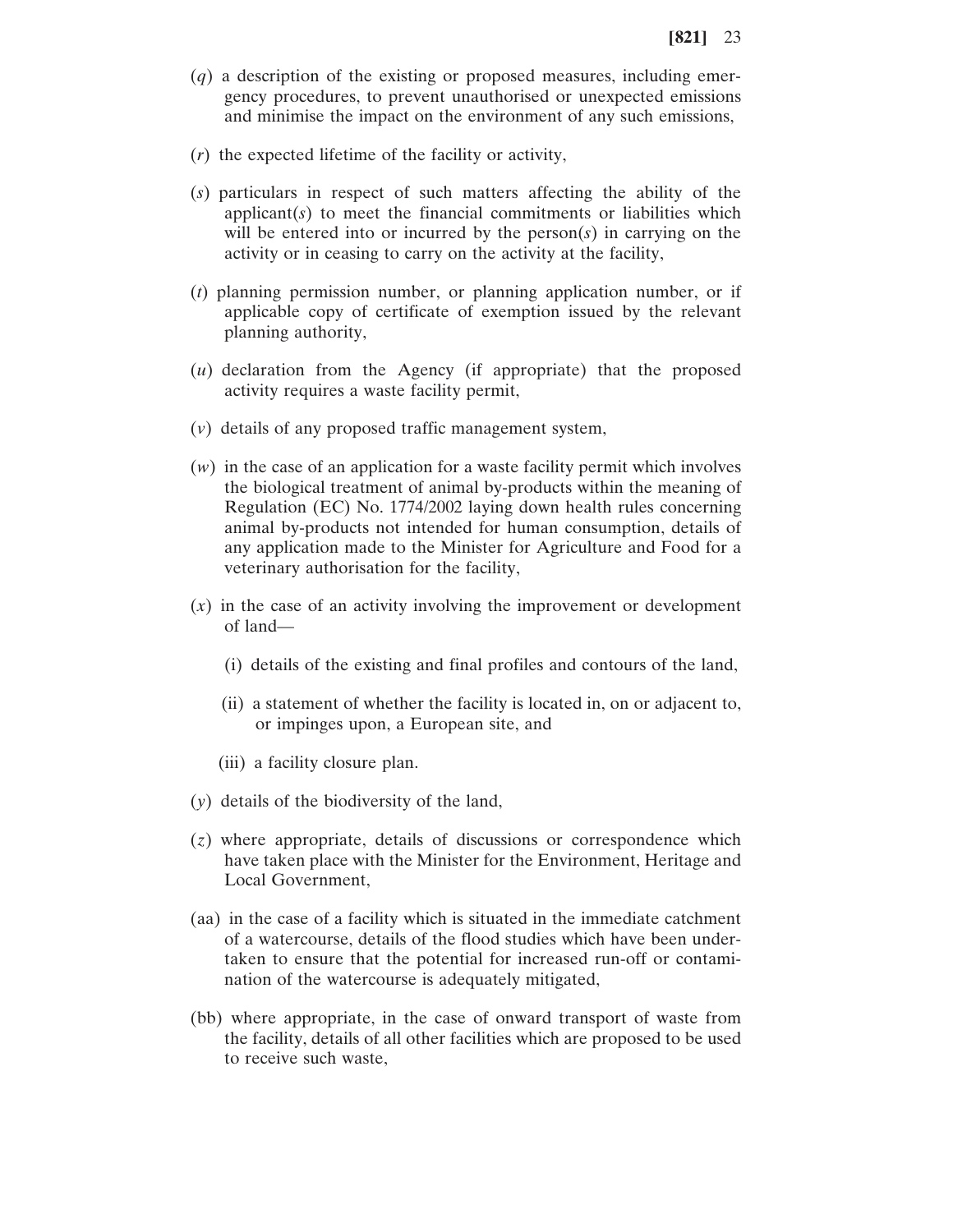- (*q*) a description of the existing or proposed measures, including emergency procedures, to prevent unauthorised or unexpected emissions and minimise the impact on the environment of any such emissions,
- (*r*) the expected lifetime of the facility or activity,
- (*s*) particulars in respect of such matters affecting the ability of the applicant(*s*) to meet the financial commitments or liabilities which will be entered into or incurred by the person(*s*) in carrying on the activity or in ceasing to carry on the activity at the facility,
- (*t*) planning permission number, or planning application number, or if applicable copy of certificate of exemption issued by the relevant planning authority,
- (*u*) declaration from the Agency (if appropriate) that the proposed activity requires a waste facility permit,
- (*v*) details of any proposed traffic management system,
- (*w*) in the case of an application for a waste facility permit which involves the biological treatment of animal by-products within the meaning of Regulation (EC) No. 1774/2002 laying down health rules concerning animal by-products not intended for human consumption, details of any application made to the Minister for Agriculture and Food for a veterinary authorisation for the facility,
- (*x*) in the case of an activity involving the improvement or development of land—
	- (i) details of the existing and final profiles and contours of the land,
	- (ii) a statement of whether the facility is located in, on or adjacent to, or impinges upon, a European site, and
	- (iii) a facility closure plan.
- (*y*) details of the biodiversity of the land,
- (*z*) where appropriate, details of discussions or correspondence which have taken place with the Minister for the Environment, Heritage and Local Government,
- (aa) in the case of a facility which is situated in the immediate catchment of a watercourse, details of the flood studies which have been undertaken to ensure that the potential for increased run-off or contamination of the watercourse is adequately mitigated,
- (bb) where appropriate, in the case of onward transport of waste from the facility, details of all other facilities which are proposed to be used to receive such waste,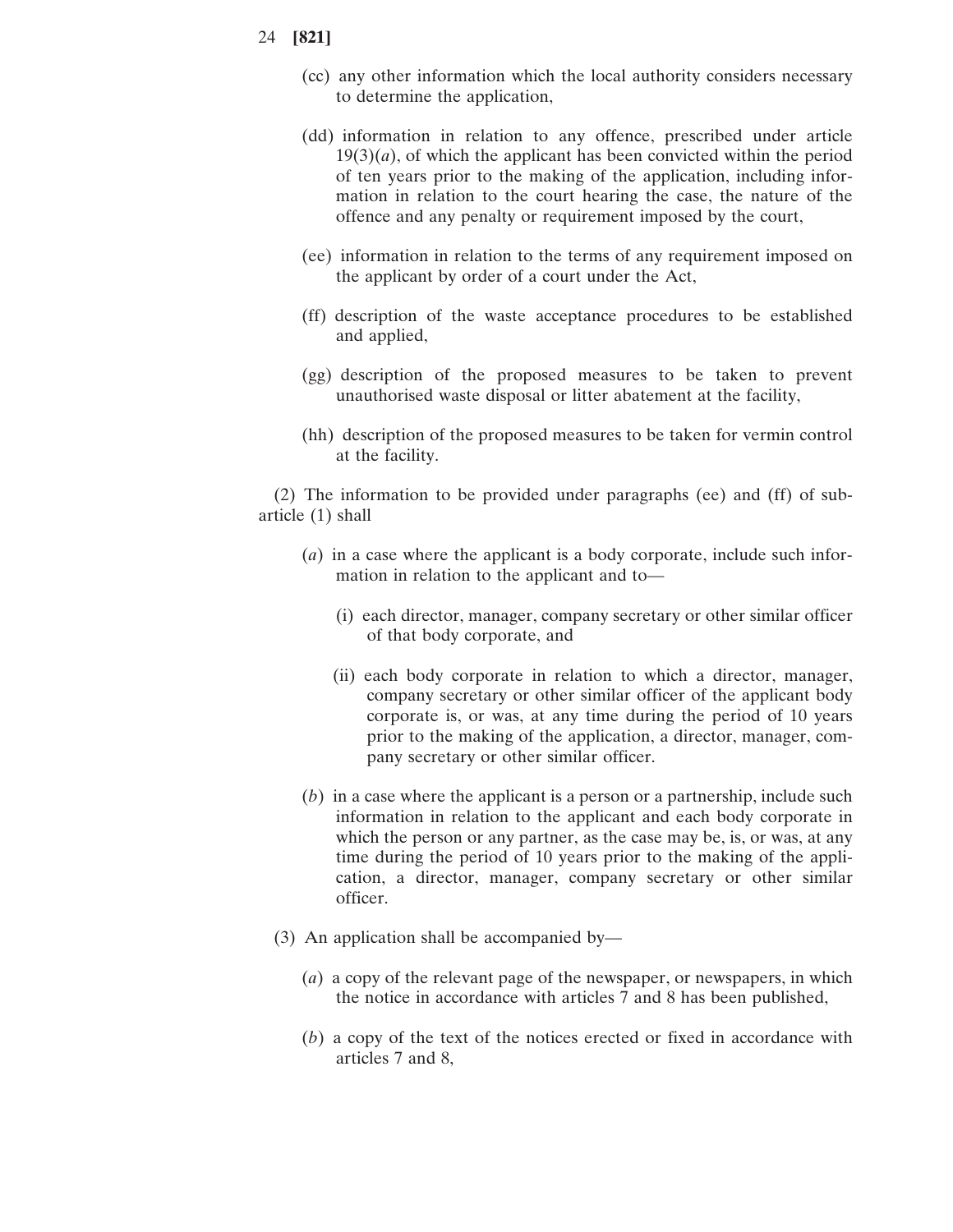- (cc) any other information which the local authority considers necessary to determine the application,
- (dd) information in relation to any offence, prescribed under article  $19(3)(a)$ , of which the applicant has been convicted within the period of ten years prior to the making of the application, including information in relation to the court hearing the case, the nature of the offence and any penalty or requirement imposed by the court,
- (ee) information in relation to the terms of any requirement imposed on the applicant by order of a court under the Act,
- (ff) description of the waste acceptance procedures to be established and applied,
- (gg) description of the proposed measures to be taken to prevent unauthorised waste disposal or litter abatement at the facility,
- (hh) description of the proposed measures to be taken for vermin control at the facility.

(2) The information to be provided under paragraphs (ee) and (ff) of subarticle (1) shall

- (*a*) in a case where the applicant is a body corporate, include such information in relation to the applicant and to—
	- (i) each director, manager, company secretary or other similar officer of that body corporate, and
	- (ii) each body corporate in relation to which a director, manager, company secretary or other similar officer of the applicant body corporate is, or was, at any time during the period of 10 years prior to the making of the application, a director, manager, company secretary or other similar officer.
- (*b*) in a case where the applicant is a person or a partnership, include such information in relation to the applicant and each body corporate in which the person or any partner, as the case may be, is, or was, at any time during the period of 10 years prior to the making of the application, a director, manager, company secretary or other similar officer.
- (3) An application shall be accompanied by—
	- (*a*) a copy of the relevant page of the newspaper, or newspapers, in which the notice in accordance with articles 7 and 8 has been published,
	- (*b*) a copy of the text of the notices erected or fixed in accordance with articles 7 and 8,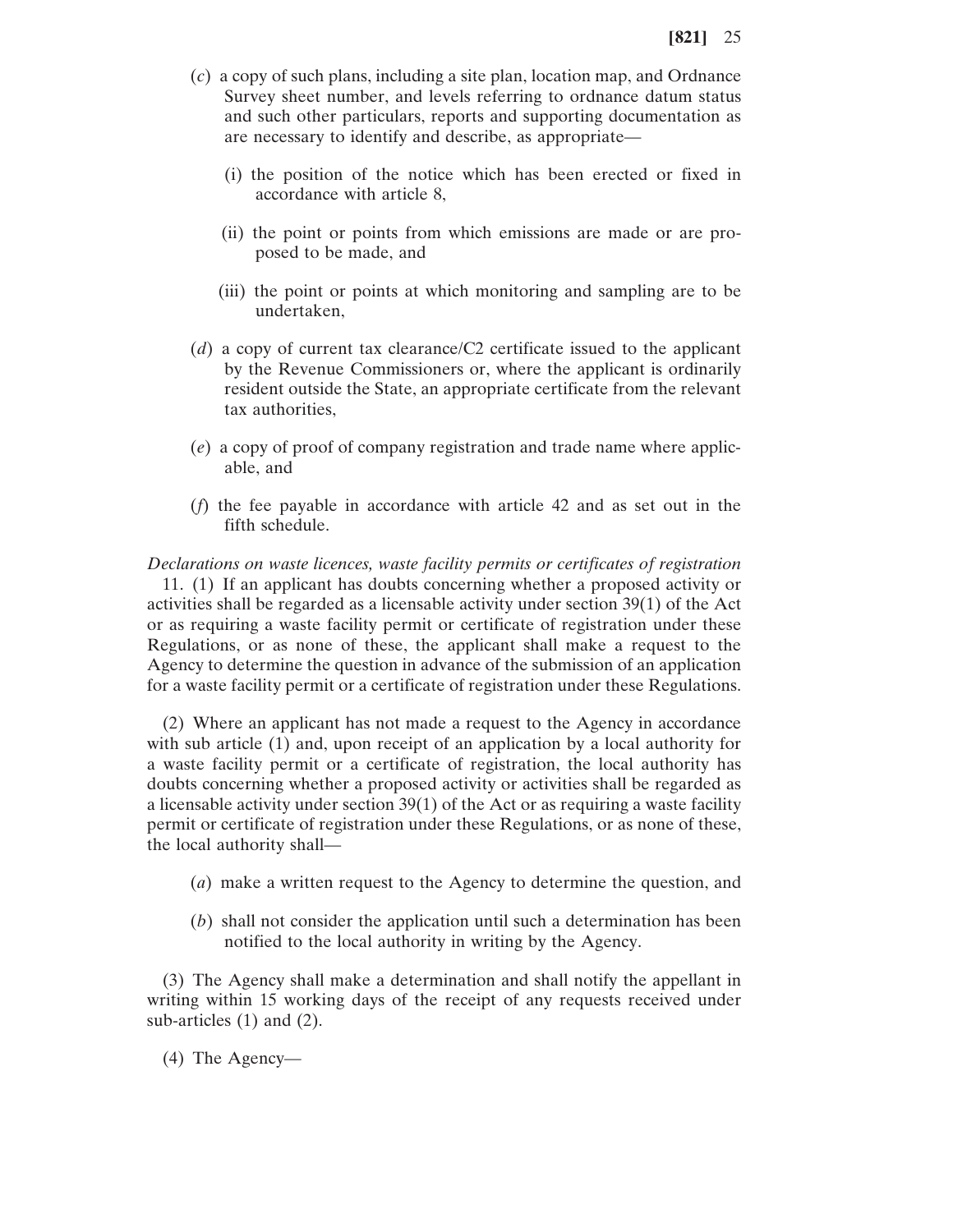- (*c*) a copy of such plans, including a site plan, location map, and Ordnance Survey sheet number, and levels referring to ordnance datum status and such other particulars, reports and supporting documentation as are necessary to identify and describe, as appropriate—
	- (i) the position of the notice which has been erected or fixed in accordance with article 8,
	- (ii) the point or points from which emissions are made or are proposed to be made, and
	- (iii) the point or points at which monitoring and sampling are to be undertaken,
- (*d*) a copy of current tax clearance/C2 certificate issued to the applicant by the Revenue Commissioners or, where the applicant is ordinarily resident outside the State, an appropriate certificate from the relevant tax authorities,
- (*e*) a copy of proof of company registration and trade name where applicable, and
- (*f*) the fee payable in accordance with article 42 and as set out in the fifth schedule.

*Declarations on waste licences, waste facility permits or certificates of registration* 11. (1) If an applicant has doubts concerning whether a proposed activity or activities shall be regarded as a licensable activity under section 39(1) of the Act or as requiring a waste facility permit or certificate of registration under these Regulations, or as none of these, the applicant shall make a request to the Agency to determine the question in advance of the submission of an application for a waste facility permit or a certificate of registration under these Regulations.

(2) Where an applicant has not made a request to the Agency in accordance with sub article (1) and, upon receipt of an application by a local authority for a waste facility permit or a certificate of registration, the local authority has doubts concerning whether a proposed activity or activities shall be regarded as a licensable activity under section 39(1) of the Act or as requiring a waste facility permit or certificate of registration under these Regulations, or as none of these, the local authority shall—

- (*a*) make a written request to the Agency to determine the question, and
- (*b*) shall not consider the application until such a determination has been notified to the local authority in writing by the Agency.

(3) The Agency shall make a determination and shall notify the appellant in writing within 15 working days of the receipt of any requests received under sub-articles (1) and (2).

(4) The Agency—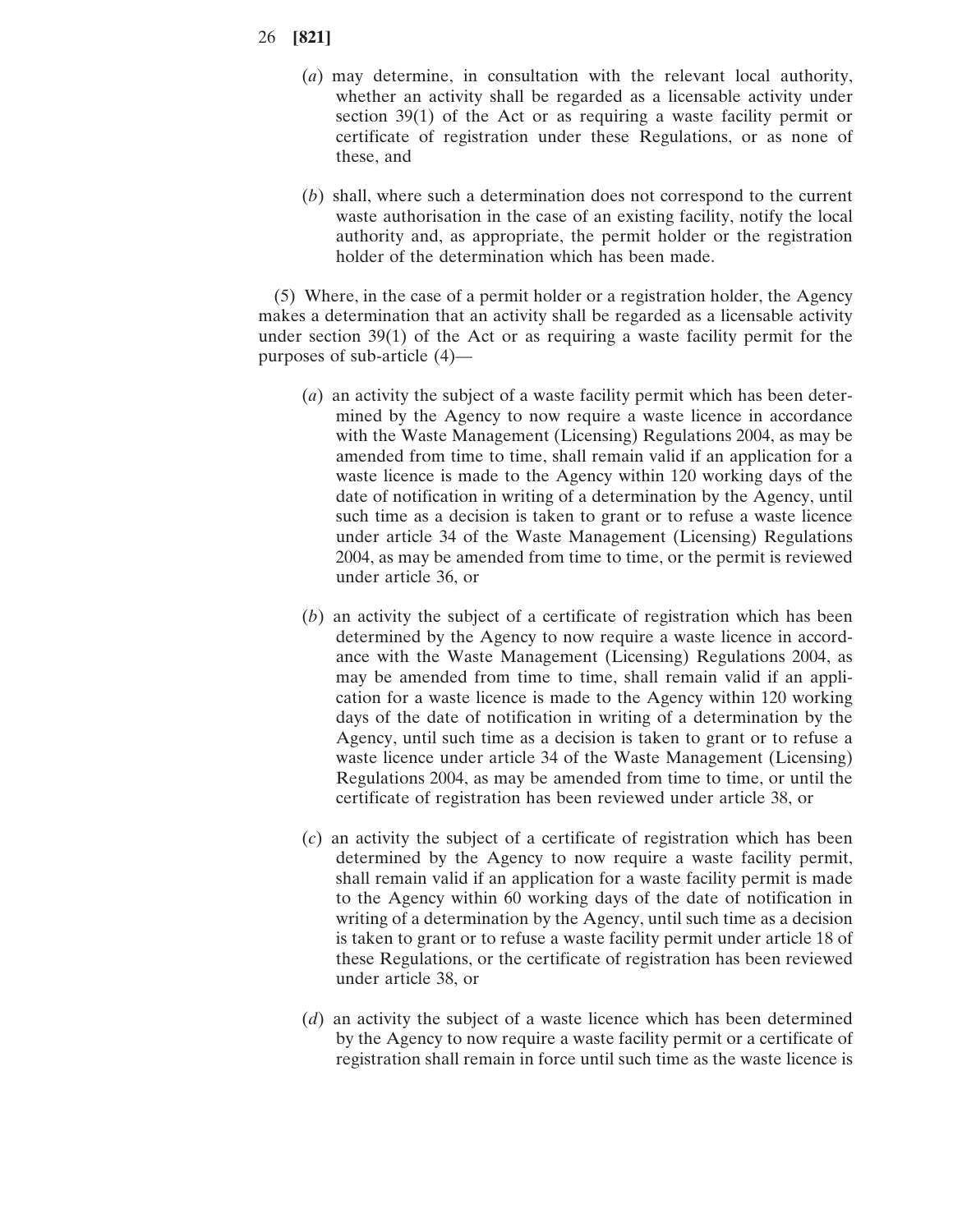- 26 **[821]**
	- (*a*) may determine, in consultation with the relevant local authority, whether an activity shall be regarded as a licensable activity under section 39(1) of the Act or as requiring a waste facility permit or certificate of registration under these Regulations, or as none of these, and
	- (*b*) shall, where such a determination does not correspond to the current waste authorisation in the case of an existing facility, notify the local authority and, as appropriate, the permit holder or the registration holder of the determination which has been made.

(5) Where, in the case of a permit holder or a registration holder, the Agency makes a determination that an activity shall be regarded as a licensable activity under section  $39(1)$  of the Act or as requiring a waste facility permit for the purposes of sub-article (4)—

- (*a*) an activity the subject of a waste facility permit which has been determined by the Agency to now require a waste licence in accordance with the Waste Management (Licensing) Regulations 2004, as may be amended from time to time, shall remain valid if an application for a waste licence is made to the Agency within 120 working days of the date of notification in writing of a determination by the Agency, until such time as a decision is taken to grant or to refuse a waste licence under article 34 of the Waste Management (Licensing) Regulations 2004, as may be amended from time to time, or the permit is reviewed under article 36, or
- (*b*) an activity the subject of a certificate of registration which has been determined by the Agency to now require a waste licence in accordance with the Waste Management (Licensing) Regulations 2004, as may be amended from time to time, shall remain valid if an application for a waste licence is made to the Agency within 120 working days of the date of notification in writing of a determination by the Agency, until such time as a decision is taken to grant or to refuse a waste licence under article 34 of the Waste Management (Licensing) Regulations 2004, as may be amended from time to time, or until the certificate of registration has been reviewed under article 38, or
- (*c*) an activity the subject of a certificate of registration which has been determined by the Agency to now require a waste facility permit, shall remain valid if an application for a waste facility permit is made to the Agency within 60 working days of the date of notification in writing of a determination by the Agency, until such time as a decision is taken to grant or to refuse a waste facility permit under article 18 of these Regulations, or the certificate of registration has been reviewed under article 38, or
- (*d*) an activity the subject of a waste licence which has been determined by the Agency to now require a waste facility permit or a certificate of registration shall remain in force until such time as the waste licence is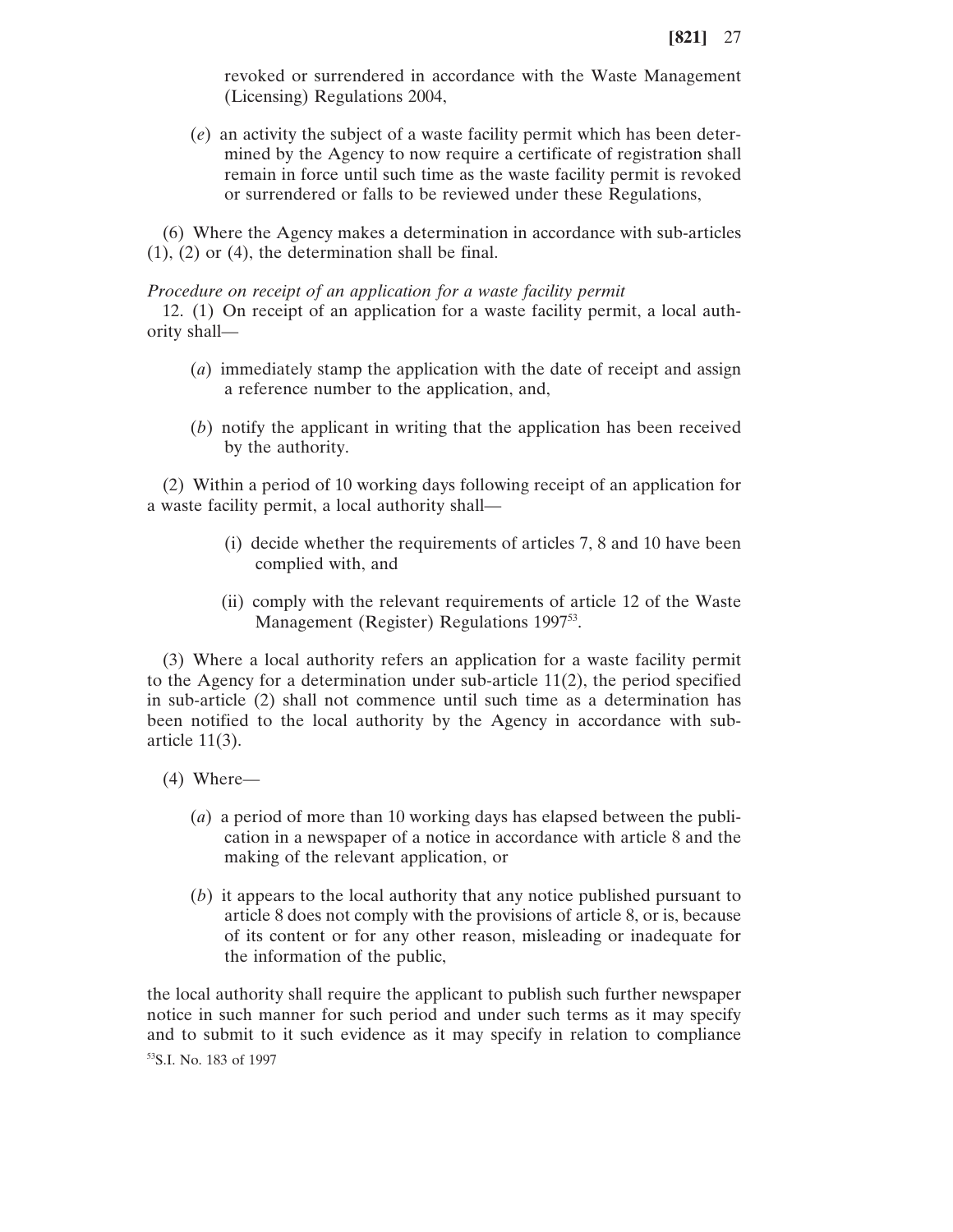revoked or surrendered in accordance with the Waste Management (Licensing) Regulations 2004,

(*e*) an activity the subject of a waste facility permit which has been determined by the Agency to now require a certificate of registration shall remain in force until such time as the waste facility permit is revoked or surrendered or falls to be reviewed under these Regulations,

(6) Where the Agency makes a determination in accordance with sub-articles  $(1)$ ,  $(2)$  or  $(4)$ , the determination shall be final.

#### *Procedure on receipt of an application for a waste facility permit*

12. (1) On receipt of an application for a waste facility permit, a local authority shall—

- (*a*) immediately stamp the application with the date of receipt and assign a reference number to the application, and,
- (*b*) notify the applicant in writing that the application has been received by the authority.

(2) Within a period of 10 working days following receipt of an application for a waste facility permit, a local authority shall—

- (i) decide whether the requirements of articles 7, 8 and 10 have been complied with, and
- (ii) comply with the relevant requirements of article 12 of the Waste Management (Register) Regulations 1997<sup>53</sup>.

(3) Where a local authority refers an application for a waste facility permit to the Agency for a determination under sub-article 11(2), the period specified in sub-article (2) shall not commence until such time as a determination has been notified to the local authority by the Agency in accordance with subarticle 11(3).

- (4) Where—
	- (*a*) a period of more than 10 working days has elapsed between the publication in a newspaper of a notice in accordance with article 8 and the making of the relevant application, or
	- (*b*) it appears to the local authority that any notice published pursuant to article 8 does not comply with the provisions of article 8, or is, because of its content or for any other reason, misleading or inadequate for the information of the public,

the local authority shall require the applicant to publish such further newspaper notice in such manner for such period and under such terms as it may specify and to submit to it such evidence as it may specify in relation to compliance 53S.I. No. 183 of 1997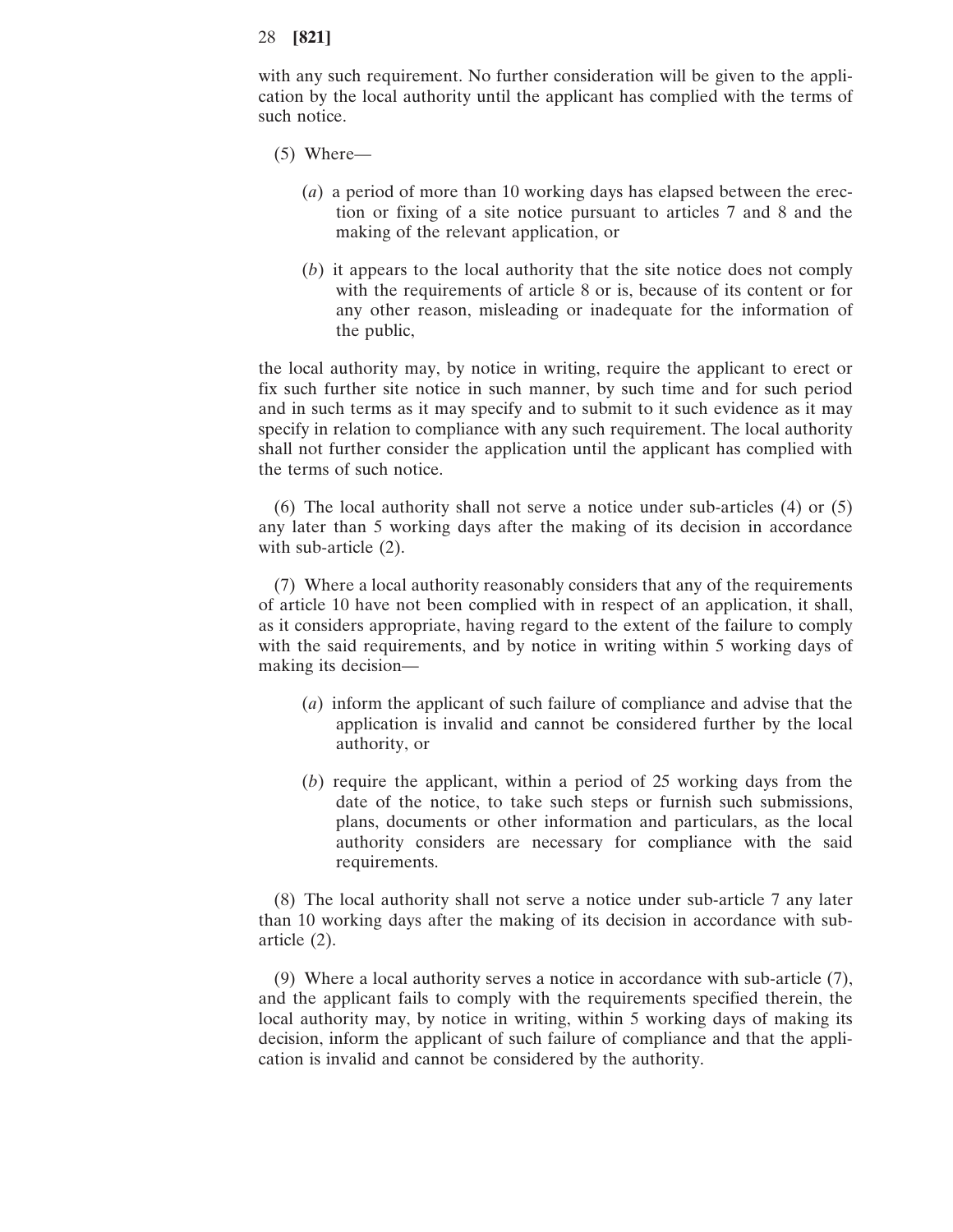with any such requirement. No further consideration will be given to the application by the local authority until the applicant has complied with the terms of such notice.

- (5) Where—
	- (*a*) a period of more than 10 working days has elapsed between the erection or fixing of a site notice pursuant to articles 7 and 8 and the making of the relevant application, or
	- (*b*) it appears to the local authority that the site notice does not comply with the requirements of article 8 or is, because of its content or for any other reason, misleading or inadequate for the information of the public,

the local authority may, by notice in writing, require the applicant to erect or fix such further site notice in such manner, by such time and for such period and in such terms as it may specify and to submit to it such evidence as it may specify in relation to compliance with any such requirement. The local authority shall not further consider the application until the applicant has complied with the terms of such notice.

(6) The local authority shall not serve a notice under sub-articles (4) or (5) any later than 5 working days after the making of its decision in accordance with sub-article (2).

(7) Where a local authority reasonably considers that any of the requirements of article 10 have not been complied with in respect of an application, it shall, as it considers appropriate, having regard to the extent of the failure to comply with the said requirements, and by notice in writing within 5 working days of making its decision—

- (*a*) inform the applicant of such failure of compliance and advise that the application is invalid and cannot be considered further by the local authority, or
- (*b*) require the applicant, within a period of 25 working days from the date of the notice, to take such steps or furnish such submissions, plans, documents or other information and particulars, as the local authority considers are necessary for compliance with the said requirements.

(8) The local authority shall not serve a notice under sub-article 7 any later than 10 working days after the making of its decision in accordance with subarticle (2).

(9) Where a local authority serves a notice in accordance with sub-article (7), and the applicant fails to comply with the requirements specified therein, the local authority may, by notice in writing, within 5 working days of making its decision, inform the applicant of such failure of compliance and that the application is invalid and cannot be considered by the authority.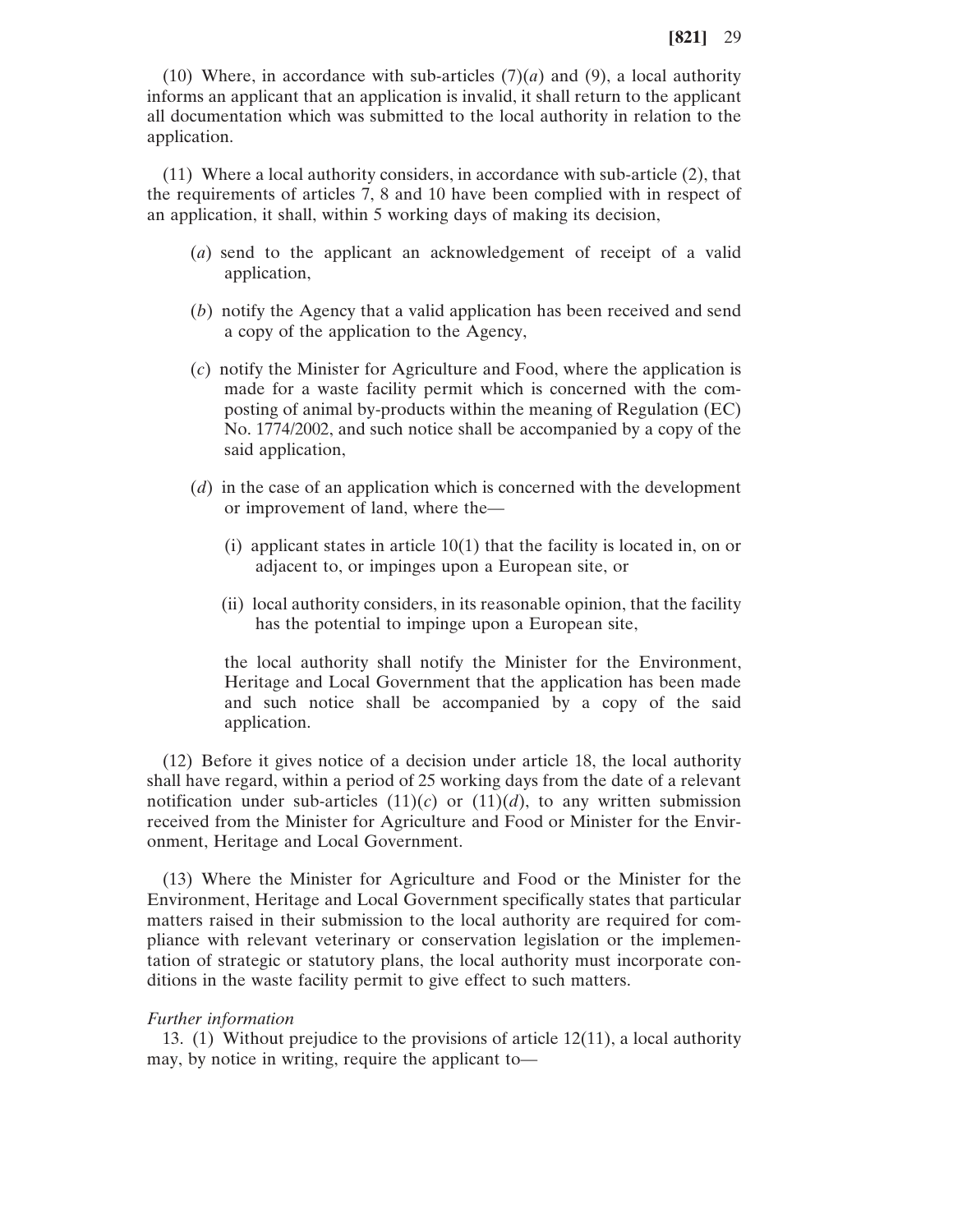(10) Where, in accordance with sub-articles  $(7)(a)$  and  $(9)$ , a local authority informs an applicant that an application is invalid, it shall return to the applicant all documentation which was submitted to the local authority in relation to the application.

(11) Where a local authority considers, in accordance with sub-article (2), that the requirements of articles 7, 8 and 10 have been complied with in respect of an application, it shall, within 5 working days of making its decision,

- (*a*) send to the applicant an acknowledgement of receipt of a valid application,
- (*b*) notify the Agency that a valid application has been received and send a copy of the application to the Agency,
- (*c*) notify the Minister for Agriculture and Food, where the application is made for a waste facility permit which is concerned with the composting of animal by-products within the meaning of Regulation (EC) No. 1774/2002, and such notice shall be accompanied by a copy of the said application,
- (*d*) in the case of an application which is concerned with the development or improvement of land, where the—
	- (i) applicant states in article 10(1) that the facility is located in, on or adjacent to, or impinges upon a European site, or
	- (ii) local authority considers, in its reasonable opinion, that the facility has the potential to impinge upon a European site,

the local authority shall notify the Minister for the Environment, Heritage and Local Government that the application has been made and such notice shall be accompanied by a copy of the said application.

(12) Before it gives notice of a decision under article 18, the local authority shall have regard, within a period of 25 working days from the date of a relevant notification under sub-articles  $(11)(c)$  or  $(11)(d)$ , to any written submission received from the Minister for Agriculture and Food or Minister for the Environment, Heritage and Local Government.

(13) Where the Minister for Agriculture and Food or the Minister for the Environment, Heritage and Local Government specifically states that particular matters raised in their submission to the local authority are required for compliance with relevant veterinary or conservation legislation or the implementation of strategic or statutory plans, the local authority must incorporate conditions in the waste facility permit to give effect to such matters.

#### *Further information*

13. (1) Without prejudice to the provisions of article 12(11), a local authority may, by notice in writing, require the applicant to—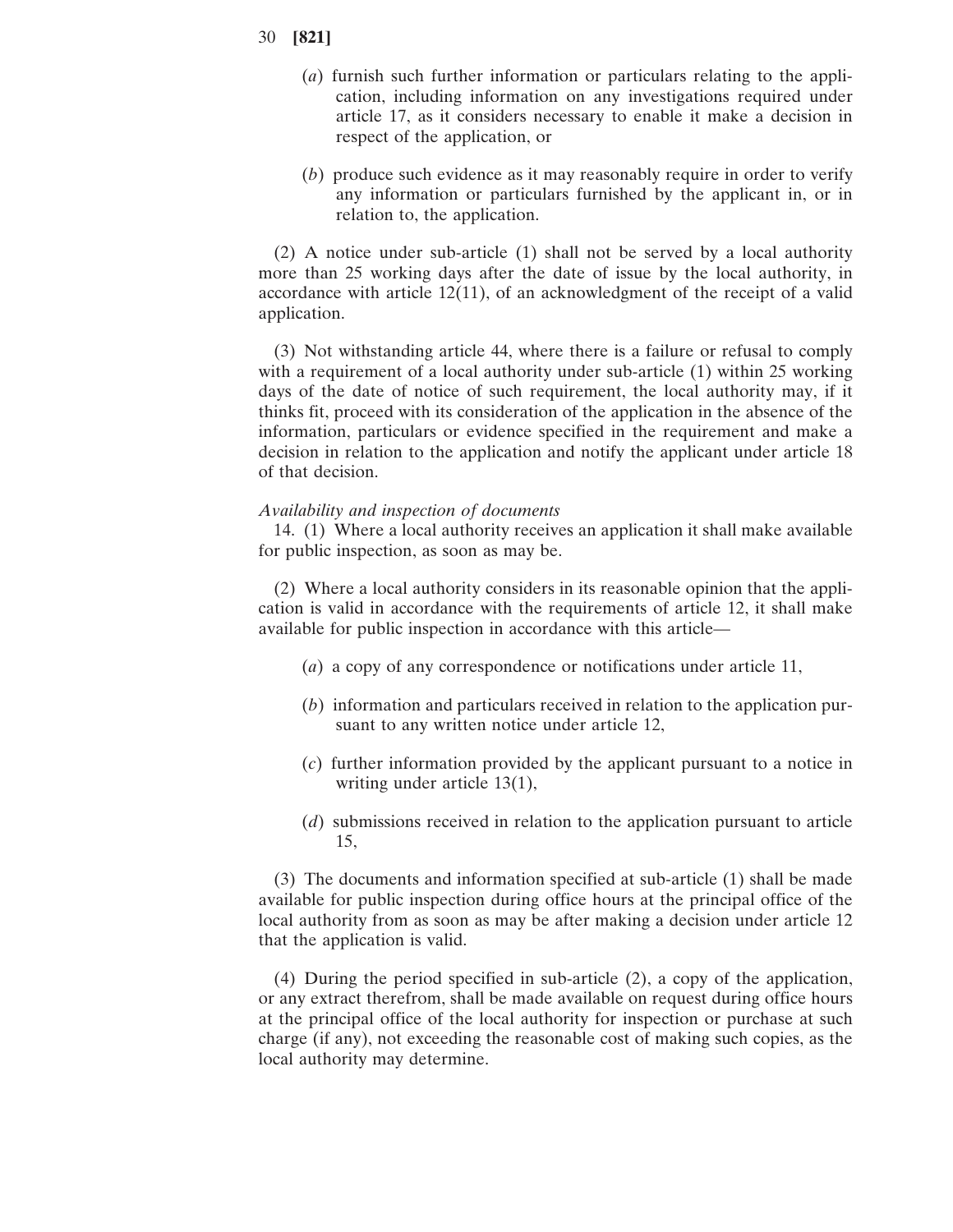- 30 **[821]**
	- (*a*) furnish such further information or particulars relating to the application, including information on any investigations required under article 17, as it considers necessary to enable it make a decision in respect of the application, or
	- (*b*) produce such evidence as it may reasonably require in order to verify any information or particulars furnished by the applicant in, or in relation to, the application.

(2) A notice under sub-article (1) shall not be served by a local authority more than 25 working days after the date of issue by the local authority, in accordance with article 12(11), of an acknowledgment of the receipt of a valid application.

(3) Not withstanding article 44, where there is a failure or refusal to comply with a requirement of a local authority under sub-article (1) within 25 working days of the date of notice of such requirement, the local authority may, if it thinks fit, proceed with its consideration of the application in the absence of the information, particulars or evidence specified in the requirement and make a decision in relation to the application and notify the applicant under article 18 of that decision.

#### *Availability and inspection of documents*

14. (1) Where a local authority receives an application it shall make available for public inspection, as soon as may be.

(2) Where a local authority considers in its reasonable opinion that the application is valid in accordance with the requirements of article 12, it shall make available for public inspection in accordance with this article—

- (*a*) a copy of any correspondence or notifications under article 11,
- (*b*) information and particulars received in relation to the application pursuant to any written notice under article 12,
- (*c*) further information provided by the applicant pursuant to a notice in writing under article 13(1),
- (*d*) submissions received in relation to the application pursuant to article 15,

(3) The documents and information specified at sub-article (1) shall be made available for public inspection during office hours at the principal office of the local authority from as soon as may be after making a decision under article 12 that the application is valid.

(4) During the period specified in sub-article (2), a copy of the application, or any extract therefrom, shall be made available on request during office hours at the principal office of the local authority for inspection or purchase at such charge (if any), not exceeding the reasonable cost of making such copies, as the local authority may determine.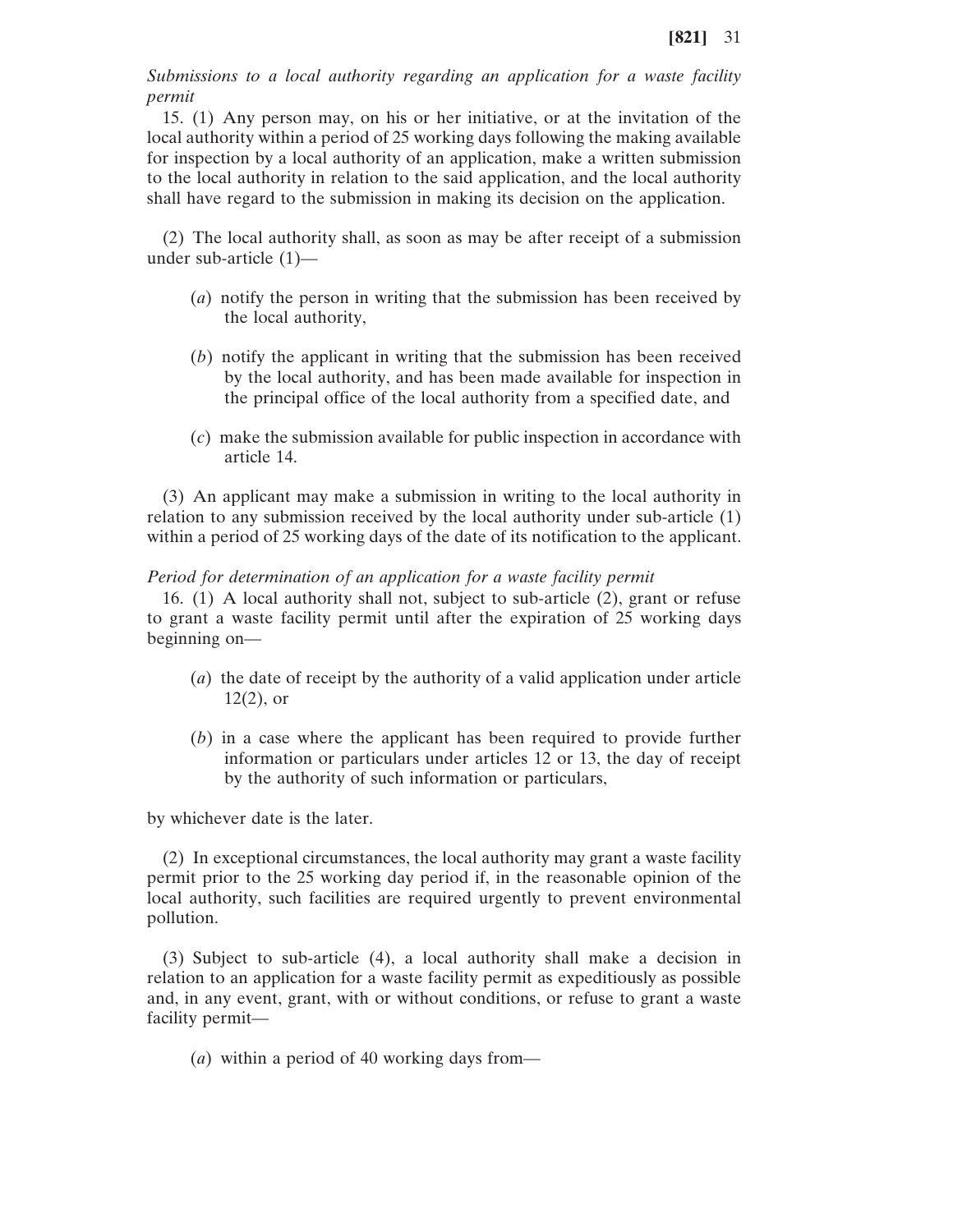*Submissions to a local authority regarding an application for a waste facility permit*

15. (1) Any person may, on his or her initiative, or at the invitation of the local authority within a period of 25 working days following the making available for inspection by a local authority of an application, make a written submission to the local authority in relation to the said application, and the local authority shall have regard to the submission in making its decision on the application.

(2) The local authority shall, as soon as may be after receipt of a submission under sub-article (1)—

- (*a*) notify the person in writing that the submission has been received by the local authority,
- (*b*) notify the applicant in writing that the submission has been received by the local authority, and has been made available for inspection in the principal office of the local authority from a specified date, and
- (*c*) make the submission available for public inspection in accordance with article 14.

(3) An applicant may make a submission in writing to the local authority in relation to any submission received by the local authority under sub-article (1) within a period of 25 working days of the date of its notification to the applicant.

### *Period for determination of an application for a waste facility permit*

16. (1) A local authority shall not, subject to sub-article (2), grant or refuse to grant a waste facility permit until after the expiration of 25 working days beginning on—

- (*a*) the date of receipt by the authority of a valid application under article  $12(2)$ , or
- (*b*) in a case where the applicant has been required to provide further information or particulars under articles 12 or 13, the day of receipt by the authority of such information or particulars,

by whichever date is the later.

(2) In exceptional circumstances, the local authority may grant a waste facility permit prior to the 25 working day period if, in the reasonable opinion of the local authority, such facilities are required urgently to prevent environmental pollution.

(3) Subject to sub-article (4), a local authority shall make a decision in relation to an application for a waste facility permit as expeditiously as possible and, in any event, grant, with or without conditions, or refuse to grant a waste facility permit—

(*a*) within a period of 40 working days from—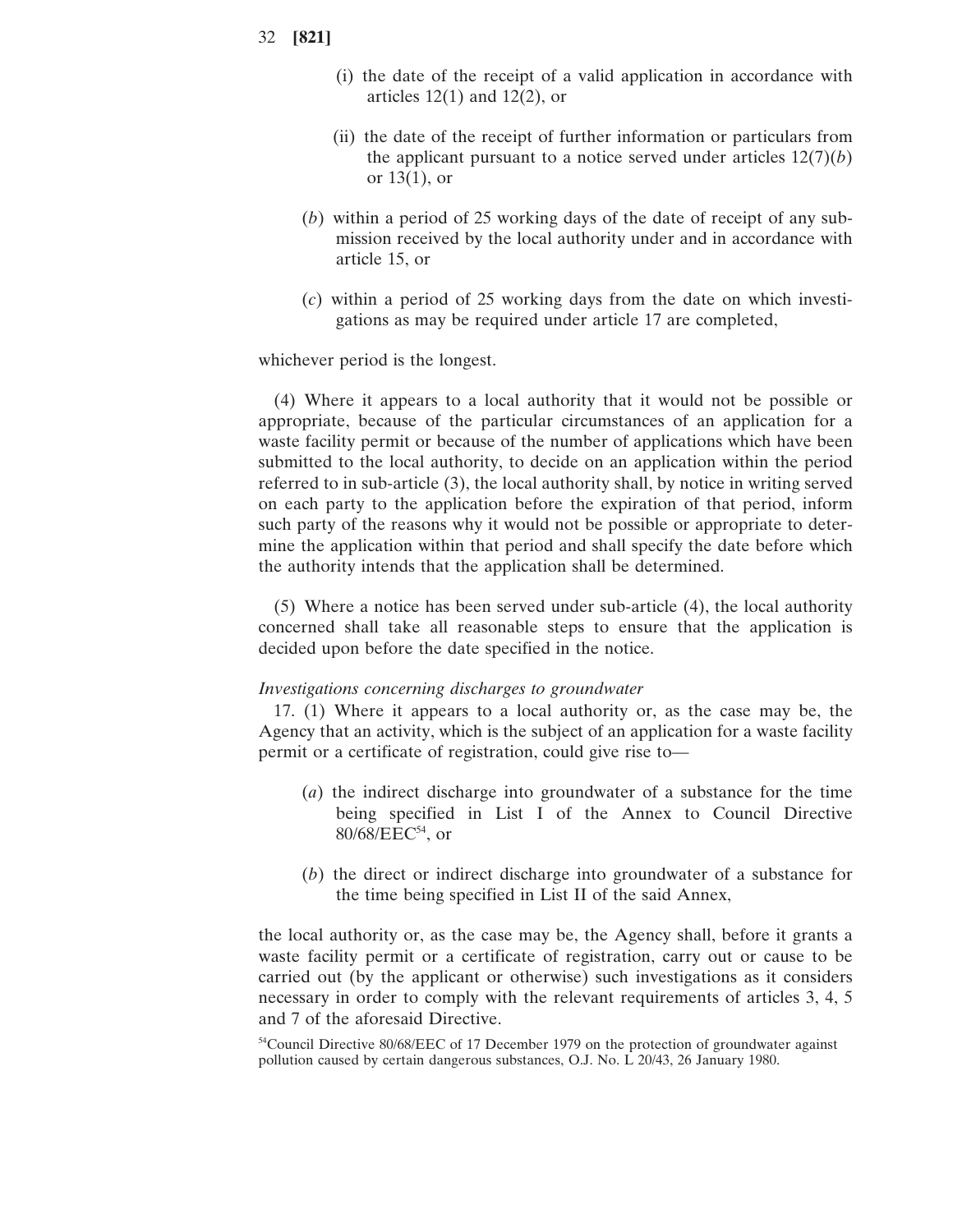- (i) the date of the receipt of a valid application in accordance with articles  $12(1)$  and  $12(2)$ , or
- (ii) the date of the receipt of further information or particulars from the applicant pursuant to a notice served under articles  $12(7)(b)$ or 13(1), or
- (*b*) within a period of 25 working days of the date of receipt of any submission received by the local authority under and in accordance with article 15, or
- (*c*) within a period of 25 working days from the date on which investigations as may be required under article 17 are completed,

whichever period is the longest.

(4) Where it appears to a local authority that it would not be possible or appropriate, because of the particular circumstances of an application for a waste facility permit or because of the number of applications which have been submitted to the local authority, to decide on an application within the period referred to in sub-article (3), the local authority shall, by notice in writing served on each party to the application before the expiration of that period, inform such party of the reasons why it would not be possible or appropriate to determine the application within that period and shall specify the date before which the authority intends that the application shall be determined.

(5) Where a notice has been served under sub-article (4), the local authority concerned shall take all reasonable steps to ensure that the application is decided upon before the date specified in the notice.

#### *Investigations concerning discharges to groundwater*

17. (1) Where it appears to a local authority or, as the case may be, the Agency that an activity, which is the subject of an application for a waste facility permit or a certificate of registration, could give rise to—

- (*a*) the indirect discharge into groundwater of a substance for the time being specified in List I of the Annex to Council Directive  $80/68/EEC^{54}$ , or
- (*b*) the direct or indirect discharge into groundwater of a substance for the time being specified in List II of the said Annex,

the local authority or, as the case may be, the Agency shall, before it grants a waste facility permit or a certificate of registration, carry out or cause to be carried out (by the applicant or otherwise) such investigations as it considers necessary in order to comply with the relevant requirements of articles 3, 4, 5 and 7 of the aforesaid Directive.

<sup>&</sup>lt;sup>54</sup>Council Directive 80/68/EEC of 17 December 1979 on the protection of groundwater against pollution caused by certain dangerous substances, O.J. No. L 20/43, 26 January 1980.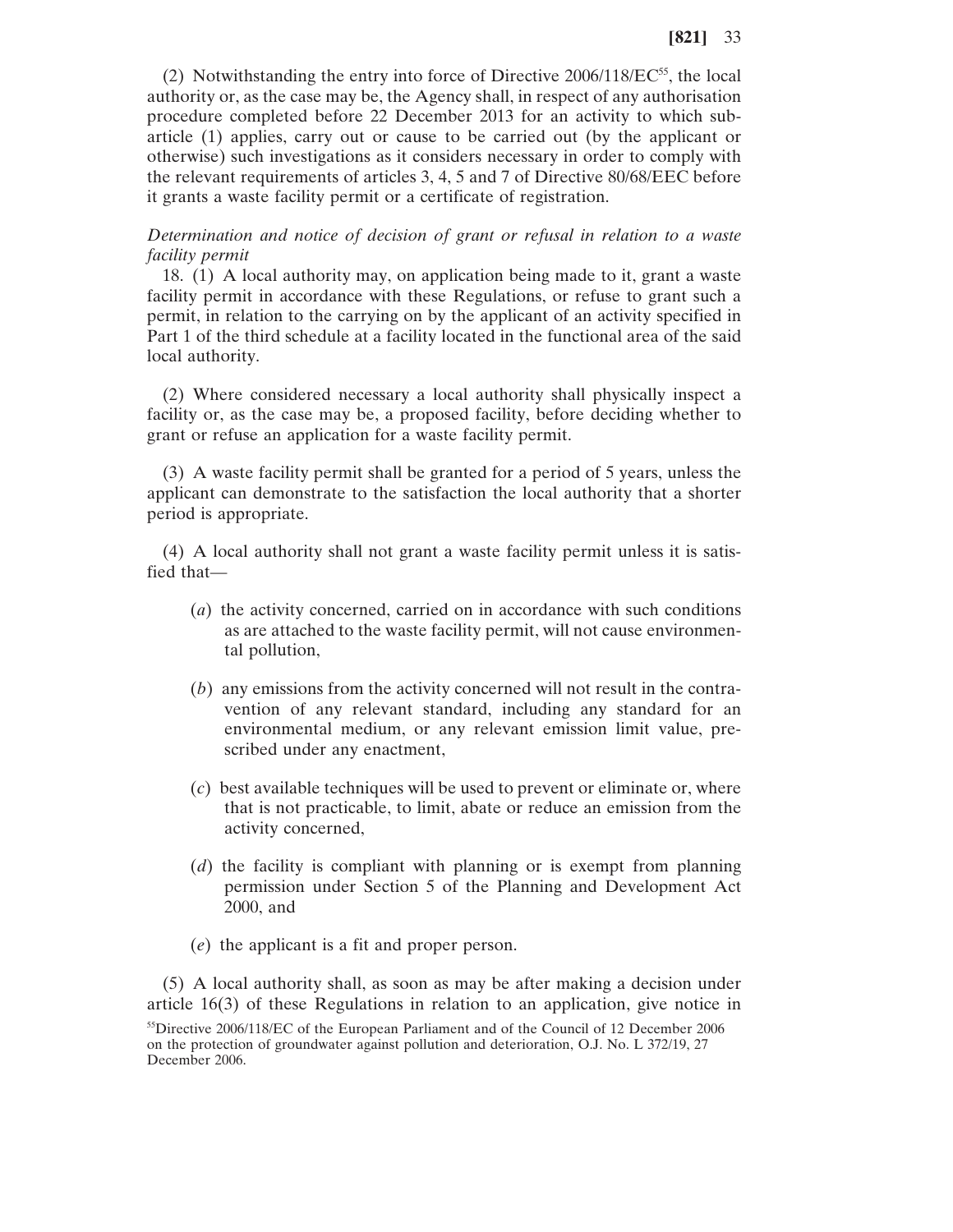(2) Notwithstanding the entry into force of Directive  $2006/118/EC^{55}$ , the local authority or, as the case may be, the Agency shall, in respect of any authorisation procedure completed before 22 December 2013 for an activity to which subarticle (1) applies, carry out or cause to be carried out (by the applicant or otherwise) such investigations as it considers necessary in order to comply with the relevant requirements of articles 3, 4, 5 and 7 of Directive 80/68/EEC before it grants a waste facility permit or a certificate of registration.

*Determination and notice of decision of grant or refusal in relation to a waste facility permit*

18. (1) A local authority may, on application being made to it, grant a waste facility permit in accordance with these Regulations, or refuse to grant such a permit, in relation to the carrying on by the applicant of an activity specified in Part 1 of the third schedule at a facility located in the functional area of the said local authority.

(2) Where considered necessary a local authority shall physically inspect a facility or, as the case may be, a proposed facility, before deciding whether to grant or refuse an application for a waste facility permit.

(3) A waste facility permit shall be granted for a period of 5 years, unless the applicant can demonstrate to the satisfaction the local authority that a shorter period is appropriate.

(4) A local authority shall not grant a waste facility permit unless it is satisfied that—

- (*a*) the activity concerned, carried on in accordance with such conditions as are attached to the waste facility permit, will not cause environmental pollution,
- (*b*) any emissions from the activity concerned will not result in the contravention of any relevant standard, including any standard for an environmental medium, or any relevant emission limit value, prescribed under any enactment,
- (*c*) best available techniques will be used to prevent or eliminate or, where that is not practicable, to limit, abate or reduce an emission from the activity concerned,
- (*d*) the facility is compliant with planning or is exempt from planning permission under Section 5 of the Planning and Development Act 2000, and
- (*e*) the applicant is a fit and proper person.

(5) A local authority shall, as soon as may be after making a decision under article 16(3) of these Regulations in relation to an application, give notice in

<sup>&</sup>lt;sup>55</sup>Directive 2006/118/EC of the European Parliament and of the Council of 12 December 2006 on the protection of groundwater against pollution and deterioration, O.J. No. L 372/19, 27 December 2006.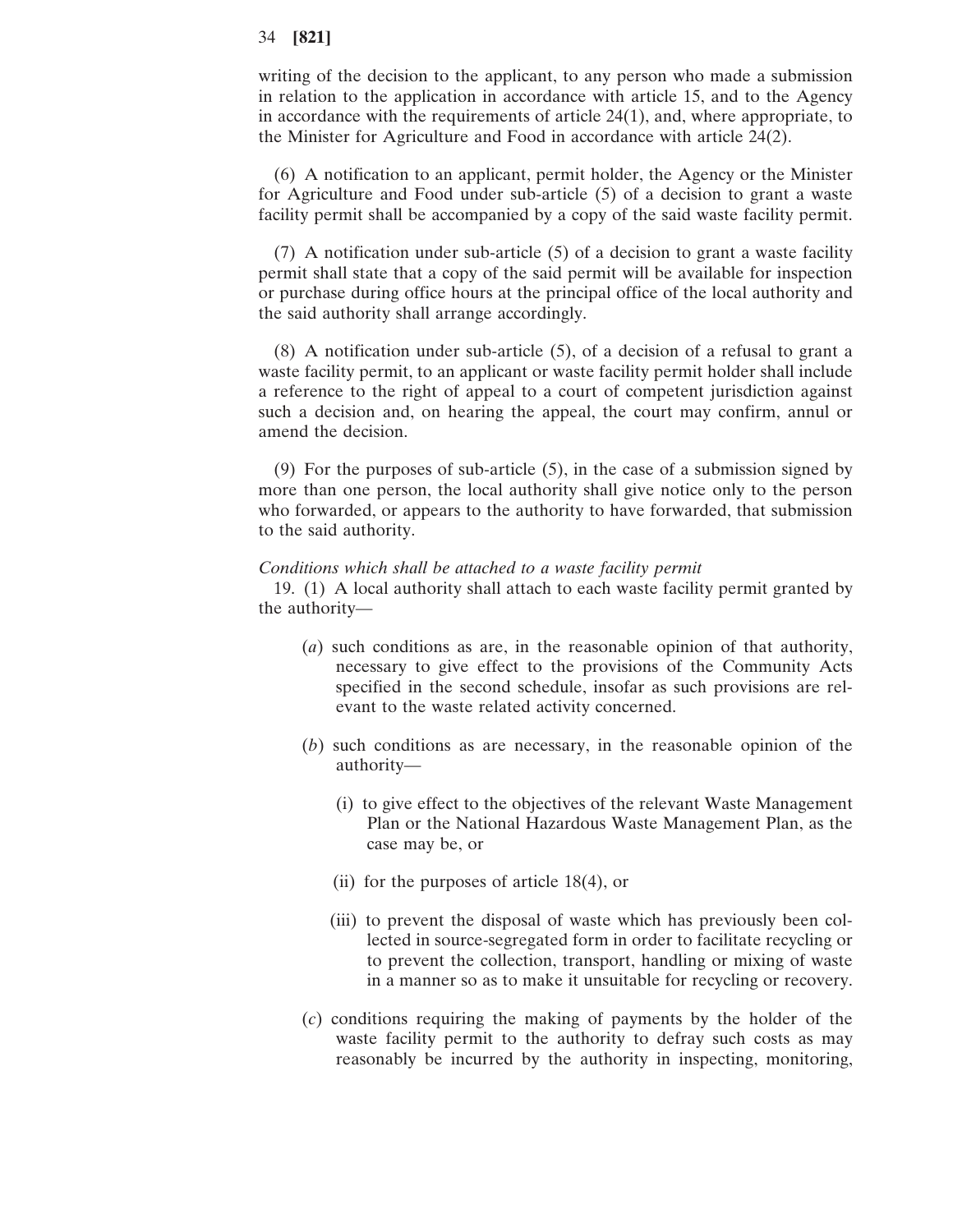writing of the decision to the applicant, to any person who made a submission in relation to the application in accordance with article 15, and to the Agency in accordance with the requirements of article 24(1), and, where appropriate, to the Minister for Agriculture and Food in accordance with article 24(2).

(6) A notification to an applicant, permit holder, the Agency or the Minister for Agriculture and Food under sub-article (5) of a decision to grant a waste facility permit shall be accompanied by a copy of the said waste facility permit.

(7) A notification under sub-article (5) of a decision to grant a waste facility permit shall state that a copy of the said permit will be available for inspection or purchase during office hours at the principal office of the local authority and the said authority shall arrange accordingly.

(8) A notification under sub-article (5), of a decision of a refusal to grant a waste facility permit, to an applicant or waste facility permit holder shall include a reference to the right of appeal to a court of competent jurisdiction against such a decision and, on hearing the appeal, the court may confirm, annul or amend the decision.

(9) For the purposes of sub-article (5), in the case of a submission signed by more than one person, the local authority shall give notice only to the person who forwarded, or appears to the authority to have forwarded, that submission to the said authority.

#### *Conditions which shall be attached to a waste facility permit*

19. (1) A local authority shall attach to each waste facility permit granted by the authority—

- (*a*) such conditions as are, in the reasonable opinion of that authority, necessary to give effect to the provisions of the Community Acts specified in the second schedule, insofar as such provisions are relevant to the waste related activity concerned.
- (*b*) such conditions as are necessary, in the reasonable opinion of the authority—
	- (i) to give effect to the objectives of the relevant Waste Management Plan or the National Hazardous Waste Management Plan, as the case may be, or
	- (ii) for the purposes of article 18(4), or
	- (iii) to prevent the disposal of waste which has previously been collected in source-segregated form in order to facilitate recycling or to prevent the collection, transport, handling or mixing of waste in a manner so as to make it unsuitable for recycling or recovery.
- (*c*) conditions requiring the making of payments by the holder of the waste facility permit to the authority to defray such costs as may reasonably be incurred by the authority in inspecting, monitoring,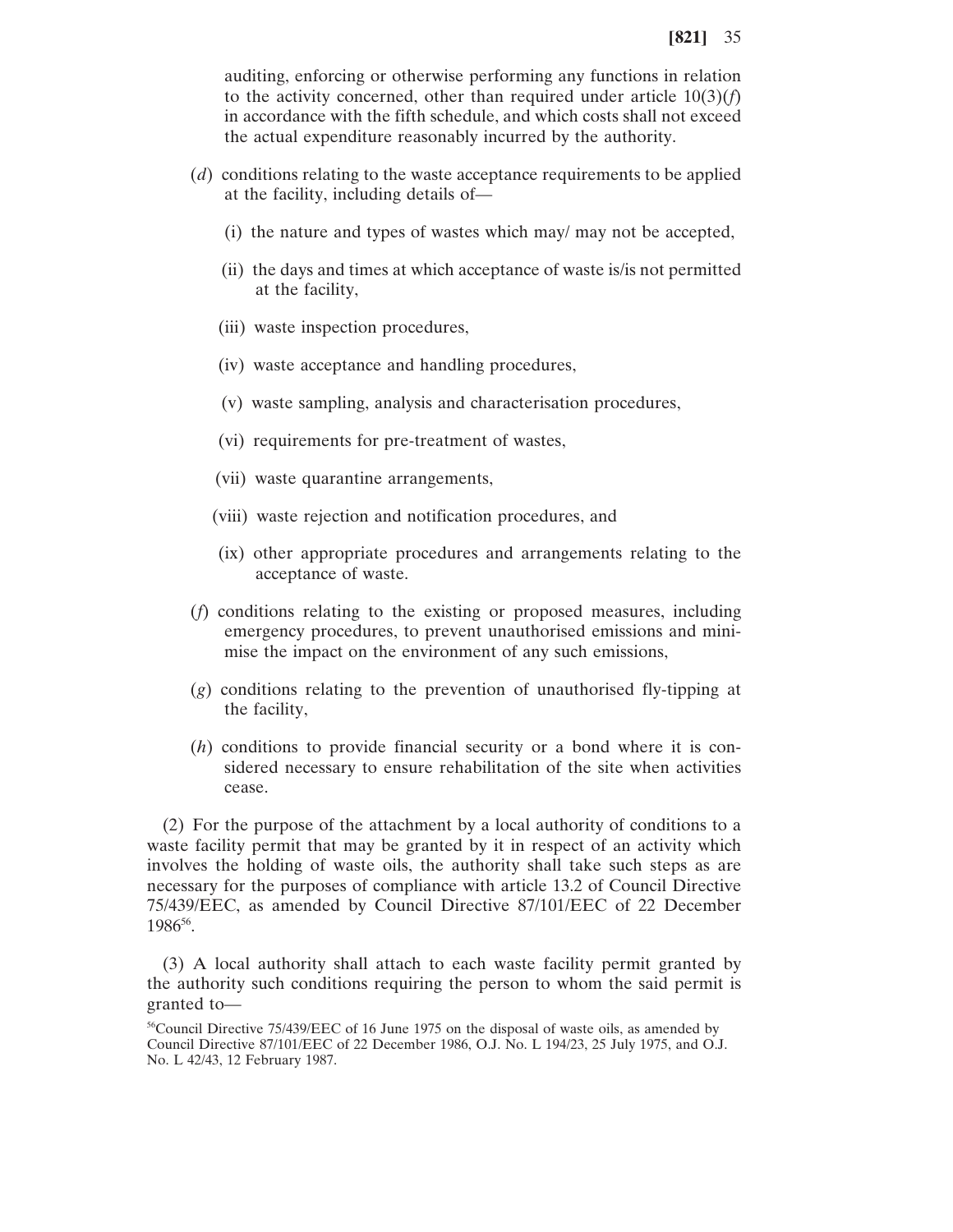auditing, enforcing or otherwise performing any functions in relation to the activity concerned, other than required under article  $10(3)(f)$ in accordance with the fifth schedule, and which costs shall not exceed the actual expenditure reasonably incurred by the authority.

- (*d*) conditions relating to the waste acceptance requirements to be applied at the facility, including details of—
	- (i) the nature and types of wastes which may/ may not be accepted,
	- (ii) the days and times at which acceptance of waste is/is not permitted at the facility,
	- (iii) waste inspection procedures,
	- (iv) waste acceptance and handling procedures,
	- (v) waste sampling, analysis and characterisation procedures,
	- (vi) requirements for pre-treatment of wastes,
	- (vii) waste quarantine arrangements,
	- (viii) waste rejection and notification procedures, and
	- (ix) other appropriate procedures and arrangements relating to the acceptance of waste.
- (*f*) conditions relating to the existing or proposed measures, including emergency procedures, to prevent unauthorised emissions and minimise the impact on the environment of any such emissions,
- (*g*) conditions relating to the prevention of unauthorised fly-tipping at the facility,
- (*h*) conditions to provide financial security or a bond where it is considered necessary to ensure rehabilitation of the site when activities cease.

(2) For the purpose of the attachment by a local authority of conditions to a waste facility permit that may be granted by it in respect of an activity which involves the holding of waste oils, the authority shall take such steps as are necessary for the purposes of compliance with article 13.2 of Council Directive 75/439/EEC, as amended by Council Directive 87/101/EEC of 22 December 198656.

(3) A local authority shall attach to each waste facility permit granted by the authority such conditions requiring the person to whom the said permit is granted to—

 $56$ Council Directive 75/439/EEC of 16 June 1975 on the disposal of waste oils, as amended by Council Directive 87/101/EEC of 22 December 1986, O.J. No. L 194/23, 25 July 1975, and O.J. No. L 42/43, 12 February 1987.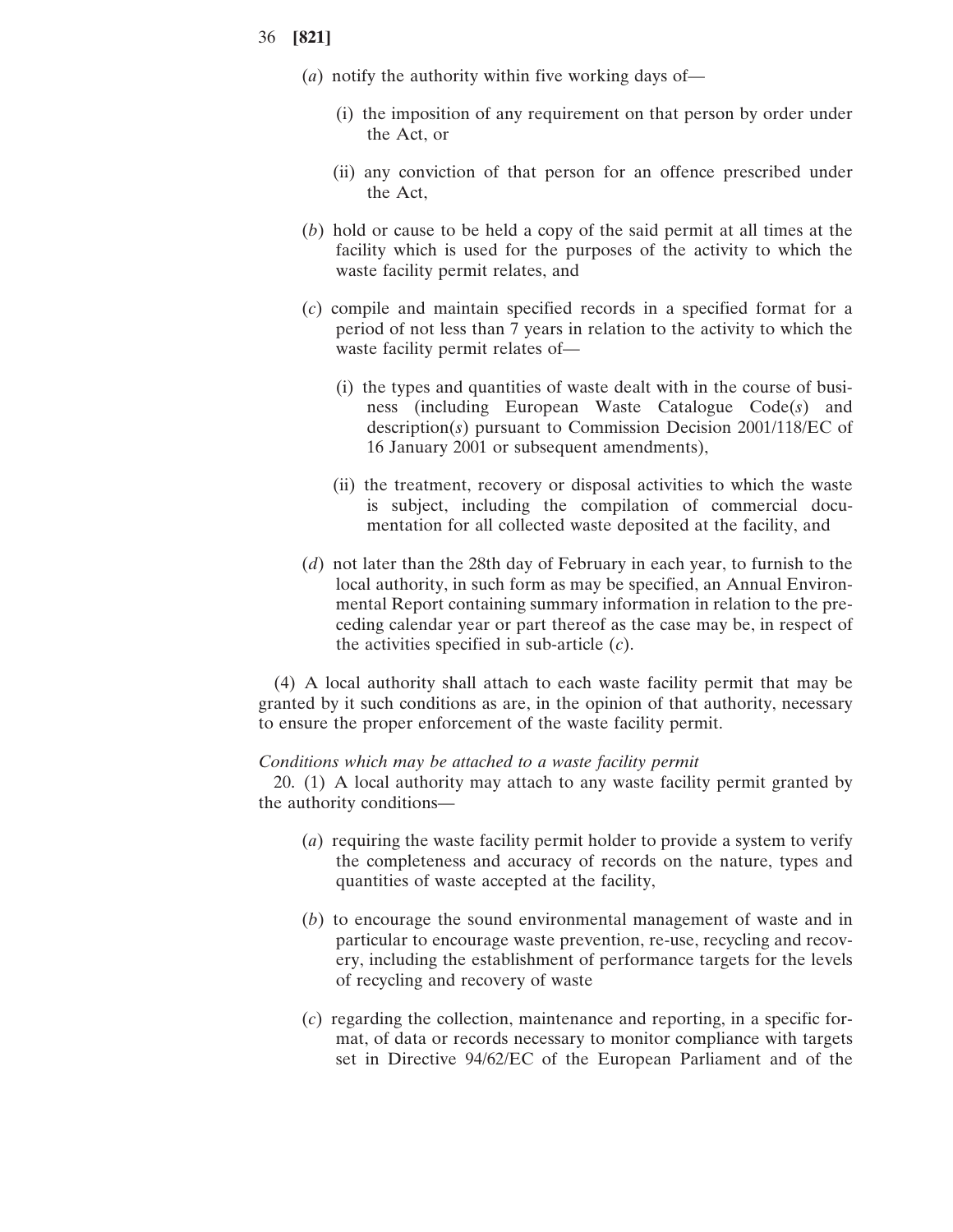- (*a*) notify the authority within five working days of—
	- (i) the imposition of any requirement on that person by order under the Act, or
	- (ii) any conviction of that person for an offence prescribed under the Act,
- (*b*) hold or cause to be held a copy of the said permit at all times at the facility which is used for the purposes of the activity to which the waste facility permit relates, and
- (*c*) compile and maintain specified records in a specified format for a period of not less than 7 years in relation to the activity to which the waste facility permit relates of—
	- (i) the types and quantities of waste dealt with in the course of business (including European Waste Catalogue Code(*s*) and description(*s*) pursuant to Commission Decision 2001/118/EC of 16 January 2001 or subsequent amendments),
	- (ii) the treatment, recovery or disposal activities to which the waste is subject, including the compilation of commercial documentation for all collected waste deposited at the facility, and
- (*d*) not later than the 28th day of February in each year, to furnish to the local authority, in such form as may be specified, an Annual Environmental Report containing summary information in relation to the preceding calendar year or part thereof as the case may be, in respect of the activities specified in sub-article (*c*).

(4) A local authority shall attach to each waste facility permit that may be granted by it such conditions as are, in the opinion of that authority, necessary to ensure the proper enforcement of the waste facility permit.

#### *Conditions which may be attached to a waste facility permit*

20. (1) A local authority may attach to any waste facility permit granted by the authority conditions—

- (*a*) requiring the waste facility permit holder to provide a system to verify the completeness and accuracy of records on the nature, types and quantities of waste accepted at the facility,
- (*b*) to encourage the sound environmental management of waste and in particular to encourage waste prevention, re-use, recycling and recovery, including the establishment of performance targets for the levels of recycling and recovery of waste
- (*c*) regarding the collection, maintenance and reporting, in a specific format, of data or records necessary to monitor compliance with targets set in Directive 94/62/EC of the European Parliament and of the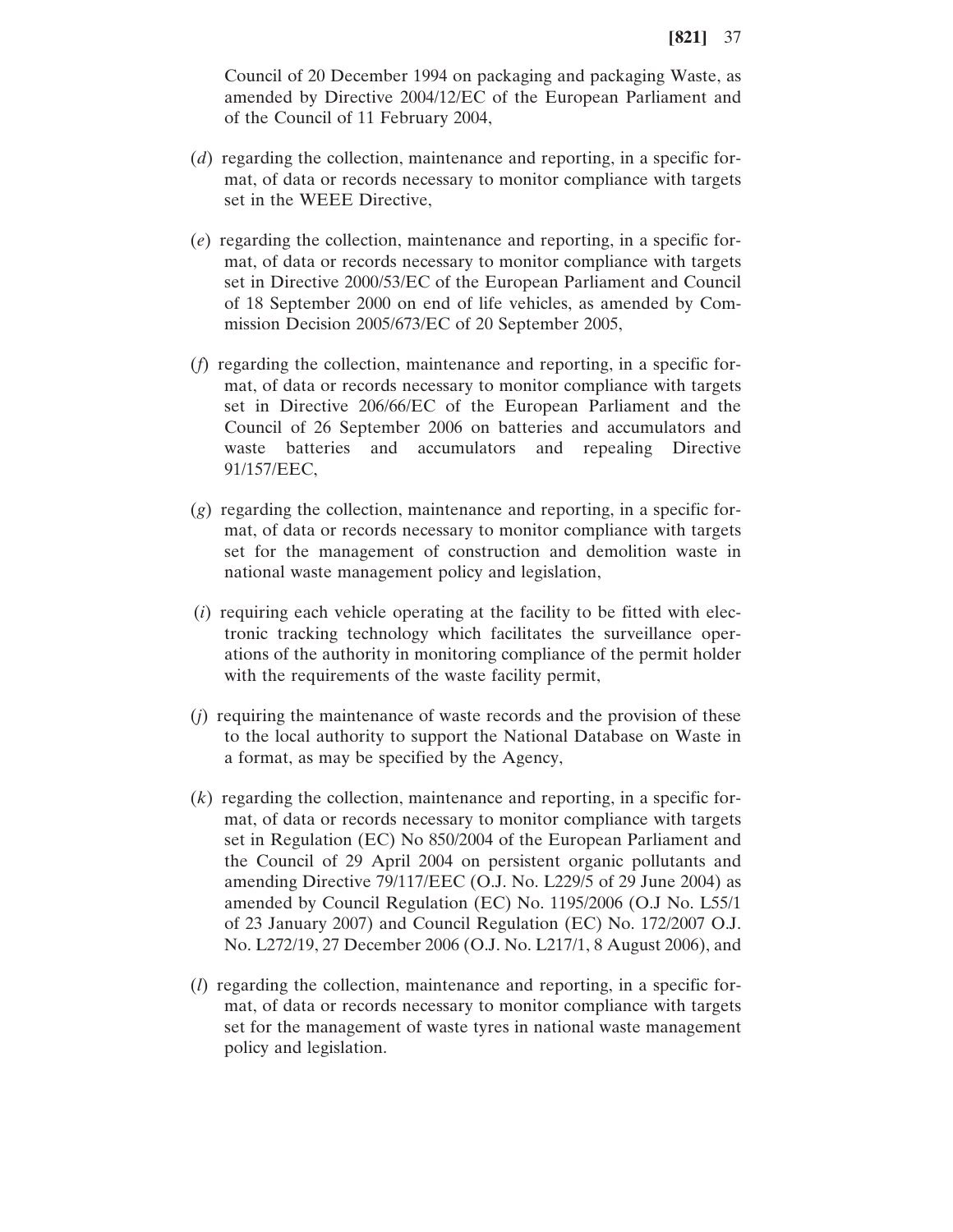Council of 20 December 1994 on packaging and packaging Waste, as amended by Directive 2004/12/EC of the European Parliament and of the Council of 11 February 2004,

- (*d*) regarding the collection, maintenance and reporting, in a specific format, of data or records necessary to monitor compliance with targets set in the WEEE Directive,
- (*e*) regarding the collection, maintenance and reporting, in a specific format, of data or records necessary to monitor compliance with targets set in Directive 2000/53/EC of the European Parliament and Council of 18 September 2000 on end of life vehicles, as amended by Commission Decision 2005/673/EC of 20 September 2005,
- (*f*) regarding the collection, maintenance and reporting, in a specific format, of data or records necessary to monitor compliance with targets set in Directive 206/66/EC of the European Parliament and the Council of 26 September 2006 on batteries and accumulators and waste batteries and accumulators and repealing Directive 91/157/EEC,
- (*g*) regarding the collection, maintenance and reporting, in a specific format, of data or records necessary to monitor compliance with targets set for the management of construction and demolition waste in national waste management policy and legislation,
- (*i*) requiring each vehicle operating at the facility to be fitted with electronic tracking technology which facilitates the surveillance operations of the authority in monitoring compliance of the permit holder with the requirements of the waste facility permit,
- (*j*) requiring the maintenance of waste records and the provision of these to the local authority to support the National Database on Waste in a format, as may be specified by the Agency,
- (*k*) regarding the collection, maintenance and reporting, in a specific format, of data or records necessary to monitor compliance with targets set in Regulation (EC) No 850/2004 of the European Parliament and the Council of 29 April 2004 on persistent organic pollutants and amending Directive 79/117/EEC (O.J. No. L229/5 of 29 June 2004) as amended by Council Regulation (EC) No. 1195/2006 (O.J No. L55/1 of 23 January 2007) and Council Regulation (EC) No. 172/2007 O.J. No. L272/19, 27 December 2006 (O.J. No. L217/1, 8 August 2006), and
- (*l*) regarding the collection, maintenance and reporting, in a specific format, of data or records necessary to monitor compliance with targets set for the management of waste tyres in national waste management policy and legislation.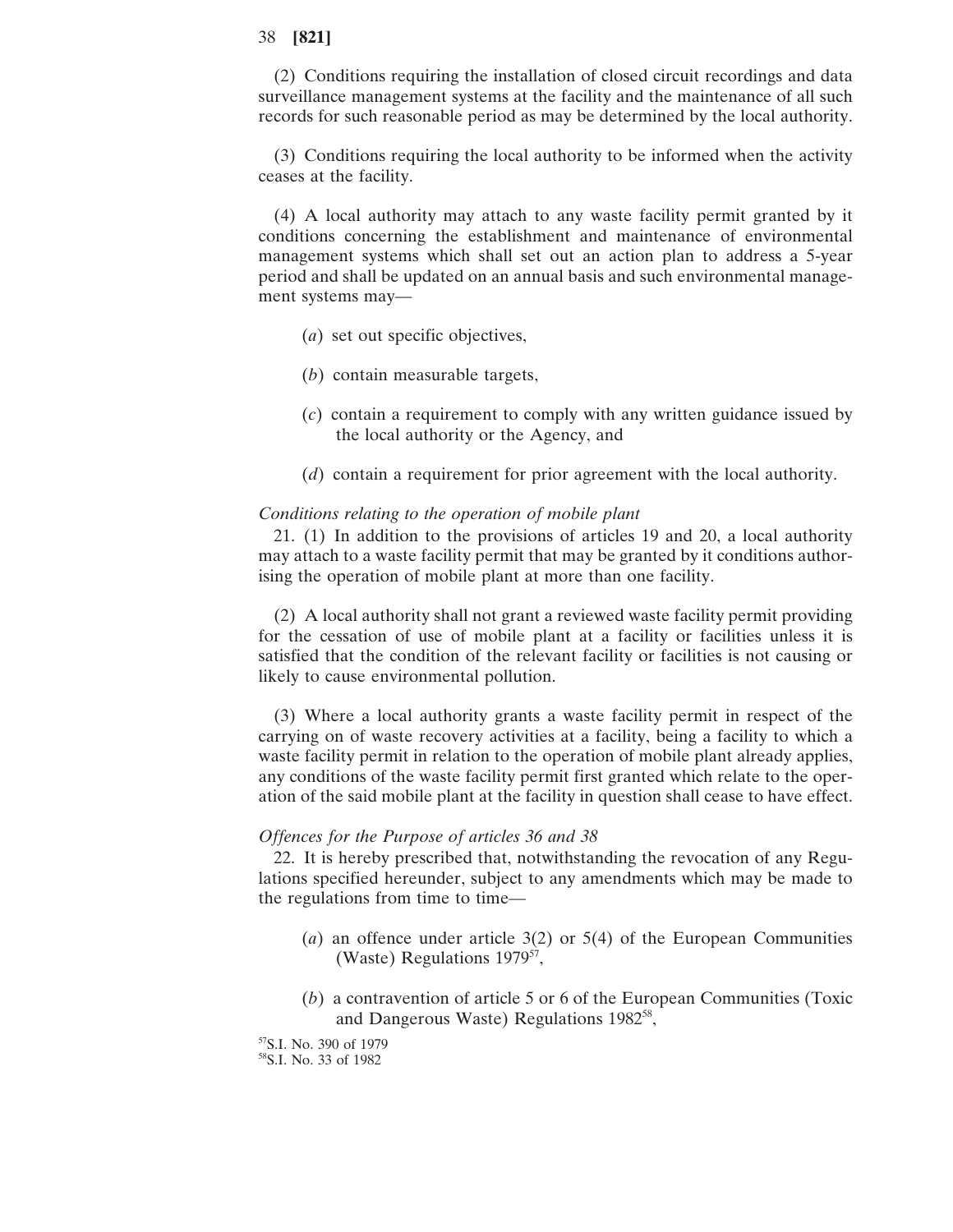(2) Conditions requiring the installation of closed circuit recordings and data surveillance management systems at the facility and the maintenance of all such records for such reasonable period as may be determined by the local authority.

(3) Conditions requiring the local authority to be informed when the activity ceases at the facility.

(4) A local authority may attach to any waste facility permit granted by it conditions concerning the establishment and maintenance of environmental management systems which shall set out an action plan to address a 5-year period and shall be updated on an annual basis and such environmental management systems may—

- (*a*) set out specific objectives,
- (*b*) contain measurable targets,
- (*c*) contain a requirement to comply with any written guidance issued by the local authority or the Agency, and
- (*d*) contain a requirement for prior agreement with the local authority.

#### *Conditions relating to the operation of mobile plant*

21. (1) In addition to the provisions of articles 19 and 20, a local authority may attach to a waste facility permit that may be granted by it conditions authorising the operation of mobile plant at more than one facility.

(2) A local authority shall not grant a reviewed waste facility permit providing for the cessation of use of mobile plant at a facility or facilities unless it is satisfied that the condition of the relevant facility or facilities is not causing or likely to cause environmental pollution.

(3) Where a local authority grants a waste facility permit in respect of the carrying on of waste recovery activities at a facility, being a facility to which a waste facility permit in relation to the operation of mobile plant already applies, any conditions of the waste facility permit first granted which relate to the operation of the said mobile plant at the facility in question shall cease to have effect.

#### *Offences for the Purpose of articles 36 and 38*

22. It is hereby prescribed that, notwithstanding the revocation of any Regulations specified hereunder, subject to any amendments which may be made to the regulations from time to time—

- (*a*) an offence under article 3(2) or 5(4) of the European Communities (Waste) Regulations 1979<sup>57</sup>,
- (*b*) a contravention of article 5 or 6 of the European Communities (Toxic and Dangerous Waste) Regulations 1982<sup>58</sup>,
- 57S.I. No. 390 of 1979

58S.I. No. 33 of 1982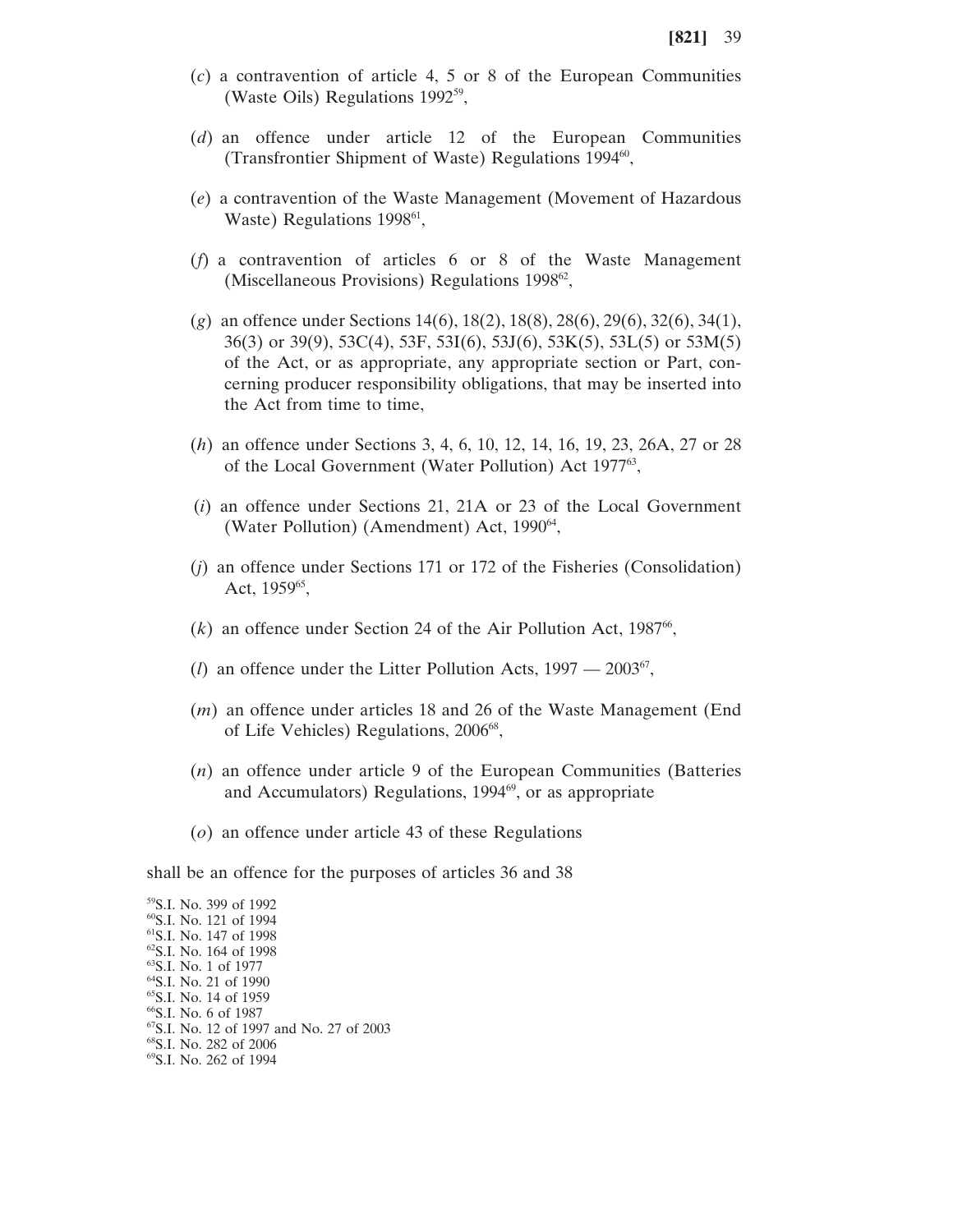- (*c*) a contravention of article 4, 5 or 8 of the European Communities (Waste Oils) Regulations 199259,
- (*d*) an offence under article 12 of the European Communities (Transfrontier Shipment of Waste) Regulations  $1994\%$ ,
- (*e*) a contravention of the Waste Management (Movement of Hazardous Waste) Regulations 1998<sup>61</sup>,
- (*f*) a contravention of articles 6 or 8 of the Waste Management (Miscellaneous Provisions) Regulations 1998<sup>62</sup>,
- (*g*) an offence under Sections 14(6), 18(2), 18(8), 28(6), 29(6), 32(6), 34(1), 36(3) or 39(9), 53C(4), 53F, 53I(6), 53J(6), 53K(5), 53L(5) or 53M(5) of the Act, or as appropriate, any appropriate section or Part, concerning producer responsibility obligations, that may be inserted into the Act from time to time,
- (*h*) an offence under Sections 3, 4, 6, 10, 12, 14, 16, 19, 23, 26A, 27 or 28 of the Local Government (Water Pollution) Act 197763,
- (*i*) an offence under Sections 21, 21A or 23 of the Local Government (Water Pollution) (Amendment) Act,  $1990^{64}$ ,
- (*j*) an offence under Sections 171 or 172 of the Fisheries (Consolidation) Act, 1959<sup>65</sup>,
- $(k)$  an offence under Section 24 of the Air Pollution Act, 1987<sup>66</sup>,
- (*l*) an offence under the Litter Pollution Acts,  $1997 2003^{67}$ ,
- (*m*) an offence under articles 18 and 26 of the Waste Management (End of Life Vehicles) Regulations, 2006<sup>68</sup>,
- (*n*) an offence under article 9 of the European Communities (Batteries and Accumulators) Regulations, 1994<sup>69</sup>, or as appropriate
- (*o*) an offence under article 43 of these Regulations

shall be an offence for the purposes of articles 36 and 38

59S.I. No. 399 of 1992 60S.I. No. 121 of 1994 61S.I. No. 147 of 1998 62S.I. No. 164 of 1998 63S.I. No. 1 of 1977 64S.I. No. 21 of 1990 65S.I. No. 14 of 1959 66S.I. No. 6 of 1987 67S.I. No. 12 of 1997 and No. 27 of 2003 68S.I. No. 282 of 2006 69S.I. No. 262 of 1994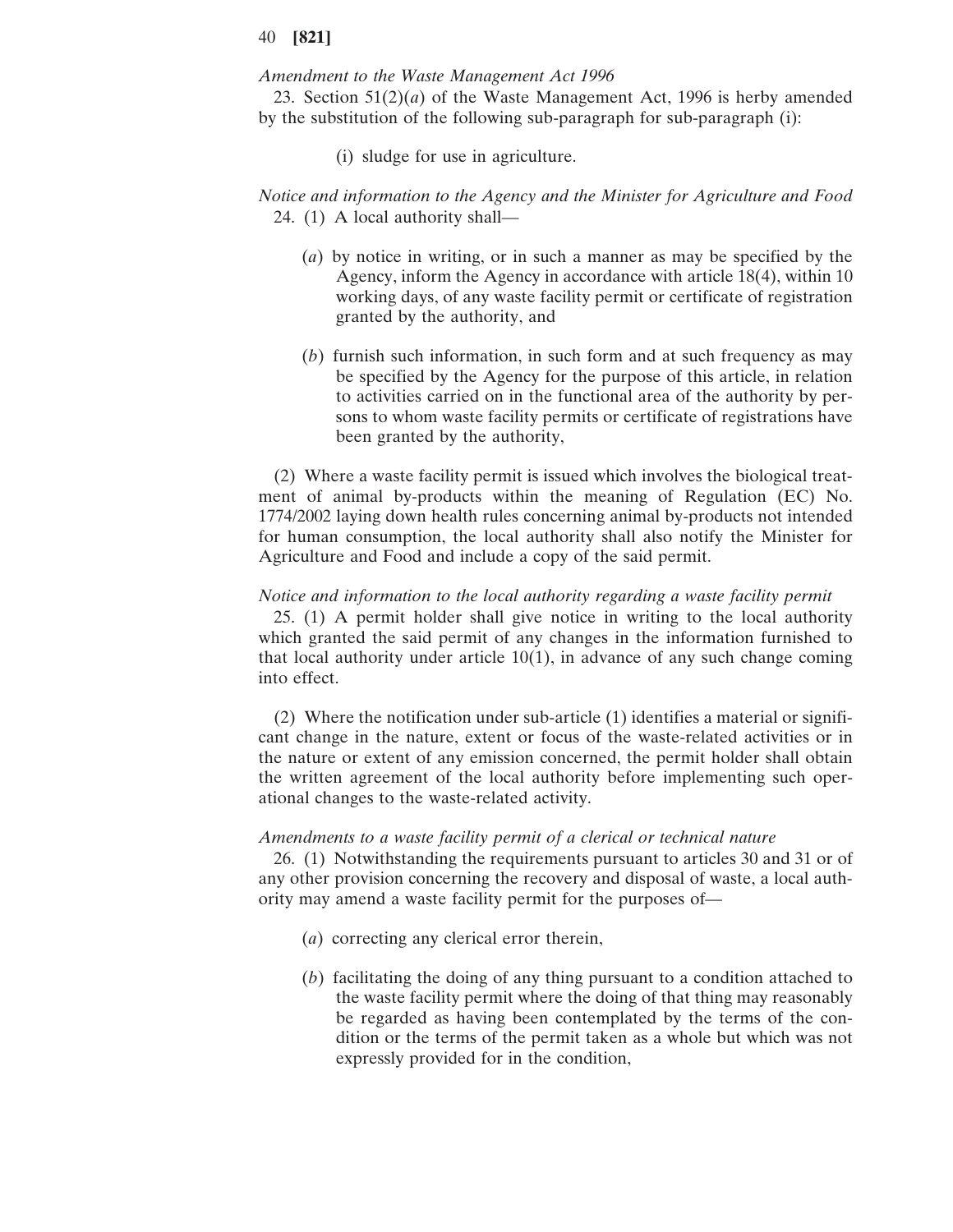#### *Amendment to the Waste Management Act 1996*

23. Section 51(2)(*a*) of the Waste Management Act, 1996 is herby amended by the substitution of the following sub-paragraph for sub-paragraph (i):

(i) sludge for use in agriculture.

# *Notice and information to the Agency and the Minister for Agriculture and Food* 24. (1) A local authority shall—

- (*a*) by notice in writing, or in such a manner as may be specified by the Agency, inform the Agency in accordance with article 18(4), within 10 working days, of any waste facility permit or certificate of registration granted by the authority, and
- (*b*) furnish such information, in such form and at such frequency as may be specified by the Agency for the purpose of this article, in relation to activities carried on in the functional area of the authority by persons to whom waste facility permits or certificate of registrations have been granted by the authority,

(2) Where a waste facility permit is issued which involves the biological treatment of animal by-products within the meaning of Regulation (EC) No. 1774/2002 laying down health rules concerning animal by-products not intended for human consumption, the local authority shall also notify the Minister for Agriculture and Food and include a copy of the said permit.

#### *Notice and information to the local authority regarding a waste facility permit*

25. (1) A permit holder shall give notice in writing to the local authority which granted the said permit of any changes in the information furnished to that local authority under article  $10(1)$ , in advance of any such change coming into effect.

(2) Where the notification under sub-article (1) identifies a material or significant change in the nature, extent or focus of the waste-related activities or in the nature or extent of any emission concerned, the permit holder shall obtain the written agreement of the local authority before implementing such operational changes to the waste-related activity.

#### *Amendments to a waste facility permit of a clerical or technical nature*

26. (1) Notwithstanding the requirements pursuant to articles 30 and 31 or of any other provision concerning the recovery and disposal of waste, a local authority may amend a waste facility permit for the purposes of—

- (*a*) correcting any clerical error therein,
- (*b*) facilitating the doing of any thing pursuant to a condition attached to the waste facility permit where the doing of that thing may reasonably be regarded as having been contemplated by the terms of the condition or the terms of the permit taken as a whole but which was not expressly provided for in the condition,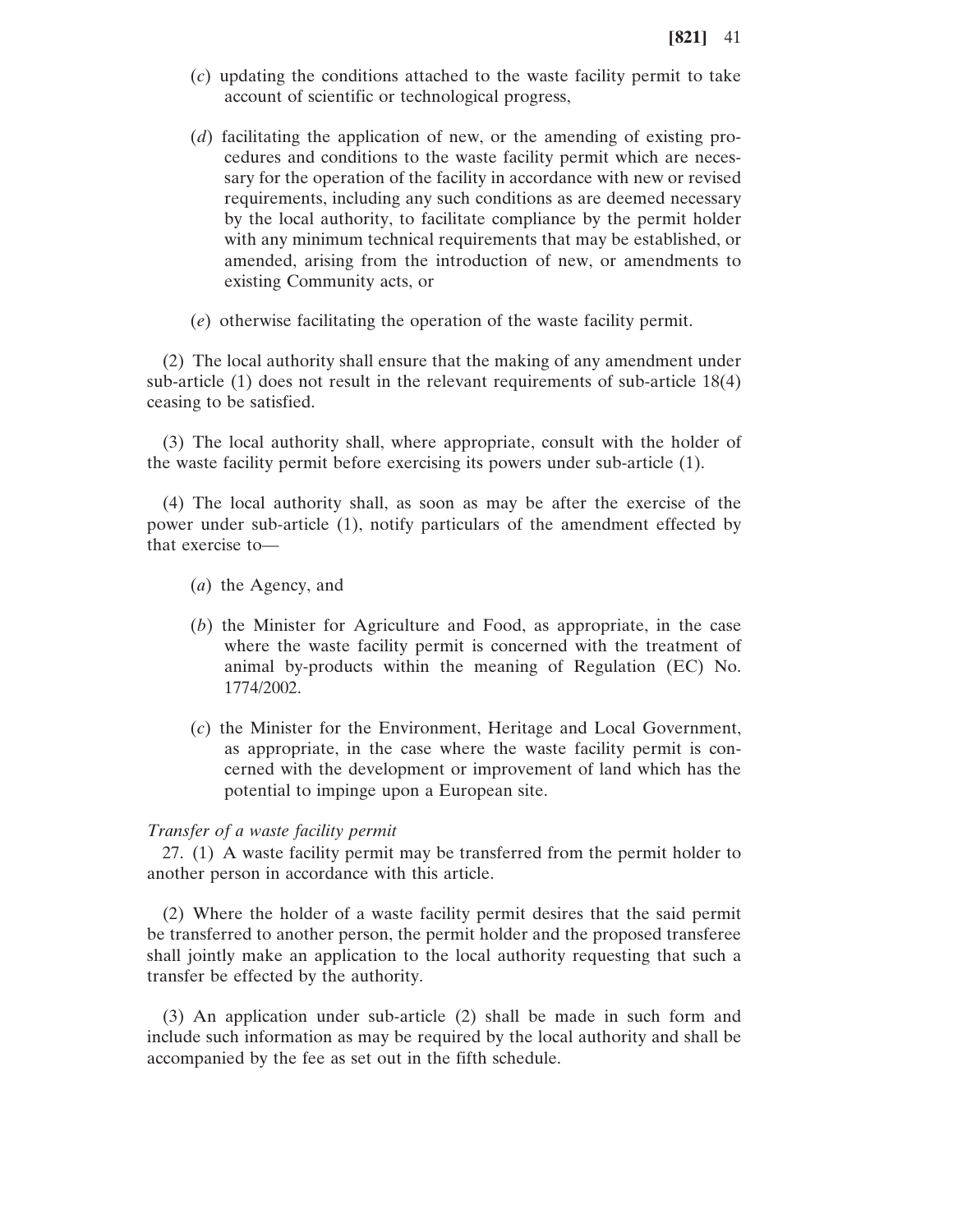- (*c*) updating the conditions attached to the waste facility permit to take account of scientific or technological progress,
- (*d*) facilitating the application of new, or the amending of existing procedures and conditions to the waste facility permit which are necessary for the operation of the facility in accordance with new or revised requirements, including any such conditions as are deemed necessary by the local authority, to facilitate compliance by the permit holder with any minimum technical requirements that may be established, or amended, arising from the introduction of new, or amendments to existing Community acts, or
- (*e*) otherwise facilitating the operation of the waste facility permit.

(2) The local authority shall ensure that the making of any amendment under sub-article (1) does not result in the relevant requirements of sub-article 18(4) ceasing to be satisfied.

(3) The local authority shall, where appropriate, consult with the holder of the waste facility permit before exercising its powers under sub-article (1).

(4) The local authority shall, as soon as may be after the exercise of the power under sub-article (1), notify particulars of the amendment effected by that exercise to—

- (*a*) the Agency, and
- (*b*) the Minister for Agriculture and Food, as appropriate, in the case where the waste facility permit is concerned with the treatment of animal by-products within the meaning of Regulation (EC) No. 1774/2002.
- (*c*) the Minister for the Environment, Heritage and Local Government, as appropriate, in the case where the waste facility permit is concerned with the development or improvement of land which has the potential to impinge upon a European site.

#### *Transfer of a waste facility permit*

27. (1) A waste facility permit may be transferred from the permit holder to another person in accordance with this article.

(2) Where the holder of a waste facility permit desires that the said permit be transferred to another person, the permit holder and the proposed transferee shall jointly make an application to the local authority requesting that such a transfer be effected by the authority.

(3) An application under sub-article (2) shall be made in such form and include such information as may be required by the local authority and shall be accompanied by the fee as set out in the fifth schedule.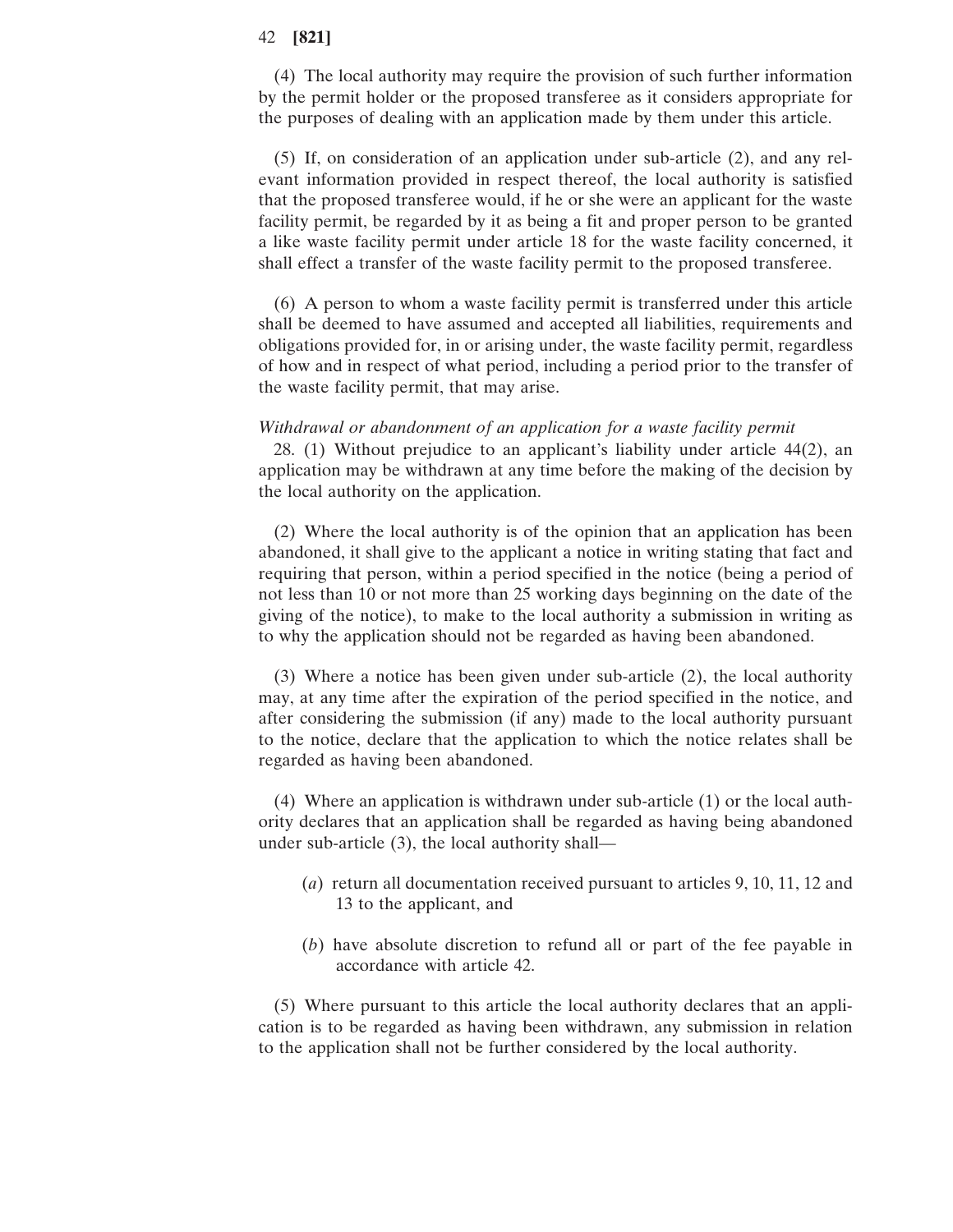(4) The local authority may require the provision of such further information by the permit holder or the proposed transferee as it considers appropriate for the purposes of dealing with an application made by them under this article.

(5) If, on consideration of an application under sub-article (2), and any relevant information provided in respect thereof, the local authority is satisfied that the proposed transferee would, if he or she were an applicant for the waste facility permit, be regarded by it as being a fit and proper person to be granted a like waste facility permit under article 18 for the waste facility concerned, it shall effect a transfer of the waste facility permit to the proposed transferee.

(6) A person to whom a waste facility permit is transferred under this article shall be deemed to have assumed and accepted all liabilities, requirements and obligations provided for, in or arising under, the waste facility permit, regardless of how and in respect of what period, including a period prior to the transfer of the waste facility permit, that may arise.

#### *Withdrawal or abandonment of an application for a waste facility permit*

28. (1) Without prejudice to an applicant's liability under article 44(2), an application may be withdrawn at any time before the making of the decision by the local authority on the application.

(2) Where the local authority is of the opinion that an application has been abandoned, it shall give to the applicant a notice in writing stating that fact and requiring that person, within a period specified in the notice (being a period of not less than 10 or not more than 25 working days beginning on the date of the giving of the notice), to make to the local authority a submission in writing as to why the application should not be regarded as having been abandoned.

(3) Where a notice has been given under sub-article (2), the local authority may, at any time after the expiration of the period specified in the notice, and after considering the submission (if any) made to the local authority pursuant to the notice, declare that the application to which the notice relates shall be regarded as having been abandoned.

(4) Where an application is withdrawn under sub-article (1) or the local authority declares that an application shall be regarded as having being abandoned under sub-article (3), the local authority shall—

- (*a*) return all documentation received pursuant to articles 9, 10, 11, 12 and 13 to the applicant, and
- (*b*) have absolute discretion to refund all or part of the fee payable in accordance with article 42.

(5) Where pursuant to this article the local authority declares that an application is to be regarded as having been withdrawn, any submission in relation to the application shall not be further considered by the local authority.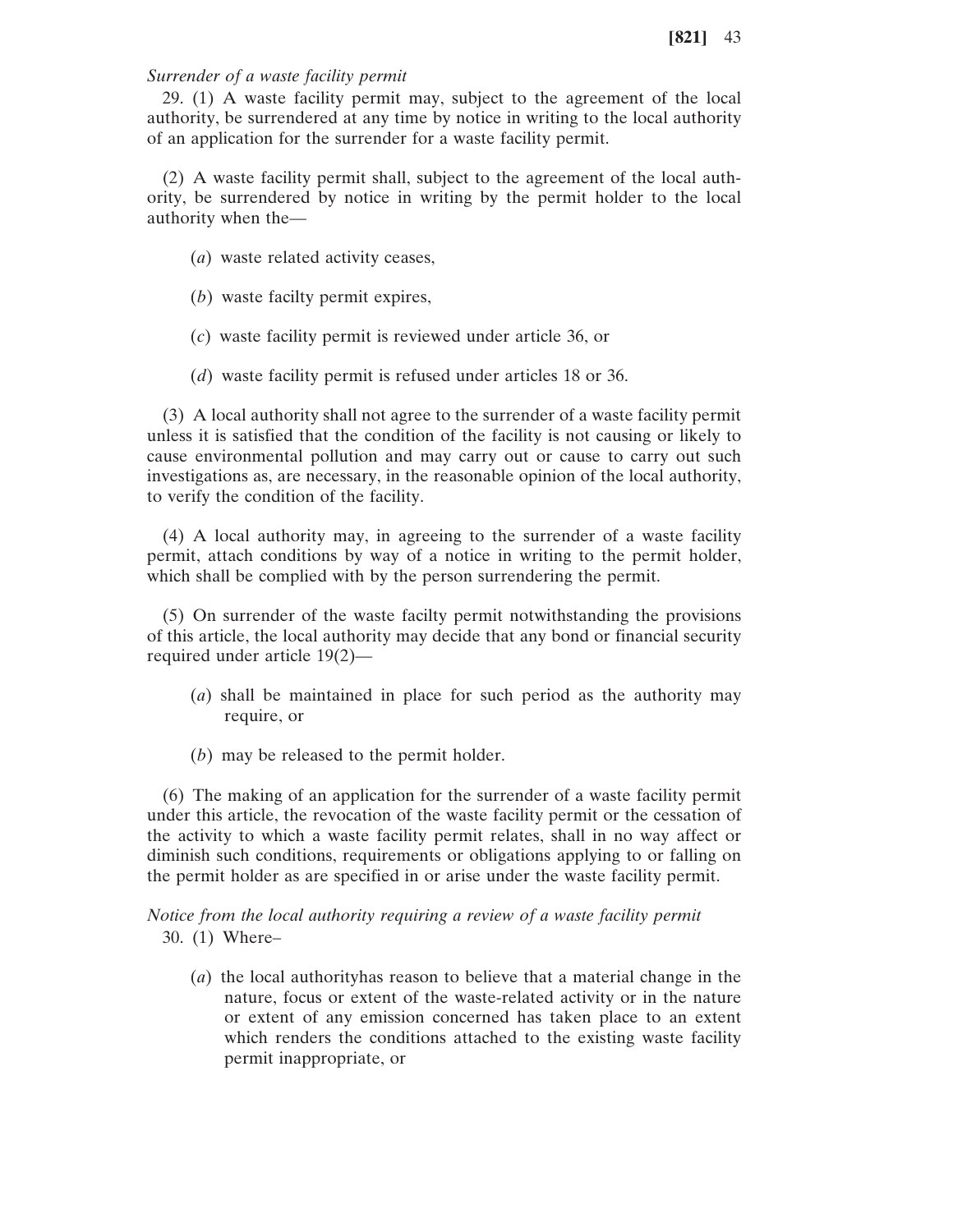### *Surrender of a waste facility permit*

29. (1) A waste facility permit may, subject to the agreement of the local authority, be surrendered at any time by notice in writing to the local authority of an application for the surrender for a waste facility permit.

(2) A waste facility permit shall, subject to the agreement of the local authority, be surrendered by notice in writing by the permit holder to the local authority when the—

- (*a*) waste related activity ceases,
- (*b*) waste facilty permit expires,
- (*c*) waste facility permit is reviewed under article 36, or
- (*d*) waste facility permit is refused under articles 18 or 36.

(3) A local authority shall not agree to the surrender of a waste facility permit unless it is satisfied that the condition of the facility is not causing or likely to cause environmental pollution and may carry out or cause to carry out such investigations as, are necessary, in the reasonable opinion of the local authority, to verify the condition of the facility.

(4) A local authority may, in agreeing to the surrender of a waste facility permit, attach conditions by way of a notice in writing to the permit holder, which shall be complied with by the person surrendering the permit.

(5) On surrender of the waste facilty permit notwithstanding the provisions of this article, the local authority may decide that any bond or financial security required under article 19(2)—

- (*a*) shall be maintained in place for such period as the authority may require, or
- (*b*) may be released to the permit holder.

(6) The making of an application for the surrender of a waste facility permit under this article, the revocation of the waste facility permit or the cessation of the activity to which a waste facility permit relates, shall in no way affect or diminish such conditions, requirements or obligations applying to or falling on the permit holder as are specified in or arise under the waste facility permit.

*Notice from the local authority requiring a review of a waste facility permit* 30. (1) Where–

(*a*) the local authorityhas reason to believe that a material change in the nature, focus or extent of the waste-related activity or in the nature or extent of any emission concerned has taken place to an extent which renders the conditions attached to the existing waste facility permit inappropriate, or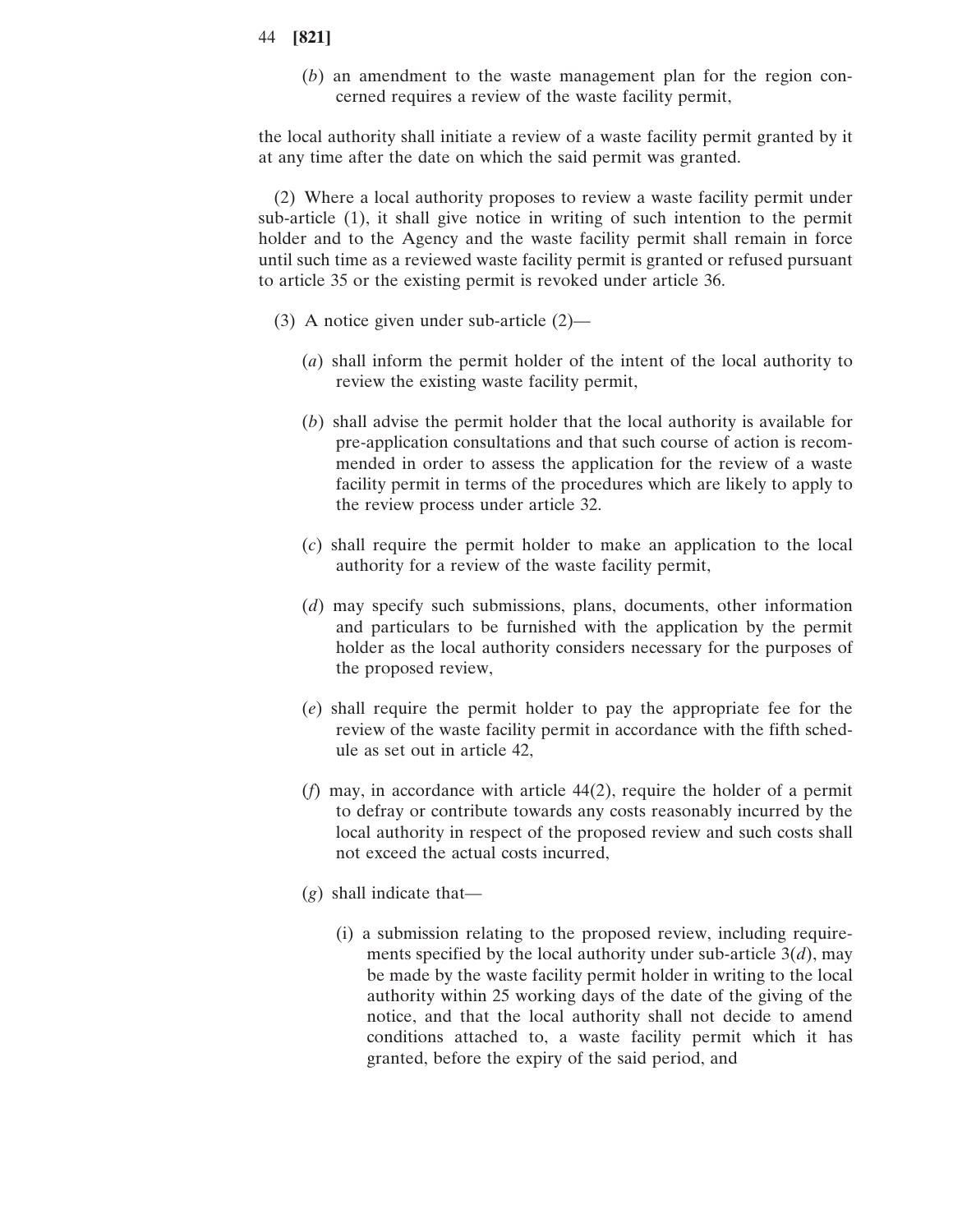(*b*) an amendment to the waste management plan for the region concerned requires a review of the waste facility permit,

the local authority shall initiate a review of a waste facility permit granted by it at any time after the date on which the said permit was granted.

(2) Where a local authority proposes to review a waste facility permit under sub-article (1), it shall give notice in writing of such intention to the permit holder and to the Agency and the waste facility permit shall remain in force until such time as a reviewed waste facility permit is granted or refused pursuant to article 35 or the existing permit is revoked under article 36.

- (3) A notice given under sub-article (2)—
	- (*a*) shall inform the permit holder of the intent of the local authority to review the existing waste facility permit,
	- (*b*) shall advise the permit holder that the local authority is available for pre-application consultations and that such course of action is recommended in order to assess the application for the review of a waste facility permit in terms of the procedures which are likely to apply to the review process under article 32.
	- (*c*) shall require the permit holder to make an application to the local authority for a review of the waste facility permit,
	- (*d*) may specify such submissions, plans, documents, other information and particulars to be furnished with the application by the permit holder as the local authority considers necessary for the purposes of the proposed review,
	- (*e*) shall require the permit holder to pay the appropriate fee for the review of the waste facility permit in accordance with the fifth schedule as set out in article 42,
	- (*f*) may, in accordance with article 44(2), require the holder of a permit to defray or contribute towards any costs reasonably incurred by the local authority in respect of the proposed review and such costs shall not exceed the actual costs incurred,
	- (*g*) shall indicate that—
		- (i) a submission relating to the proposed review, including requirements specified by the local authority under sub-article 3(*d*), may be made by the waste facility permit holder in writing to the local authority within 25 working days of the date of the giving of the notice, and that the local authority shall not decide to amend conditions attached to, a waste facility permit which it has granted, before the expiry of the said period, and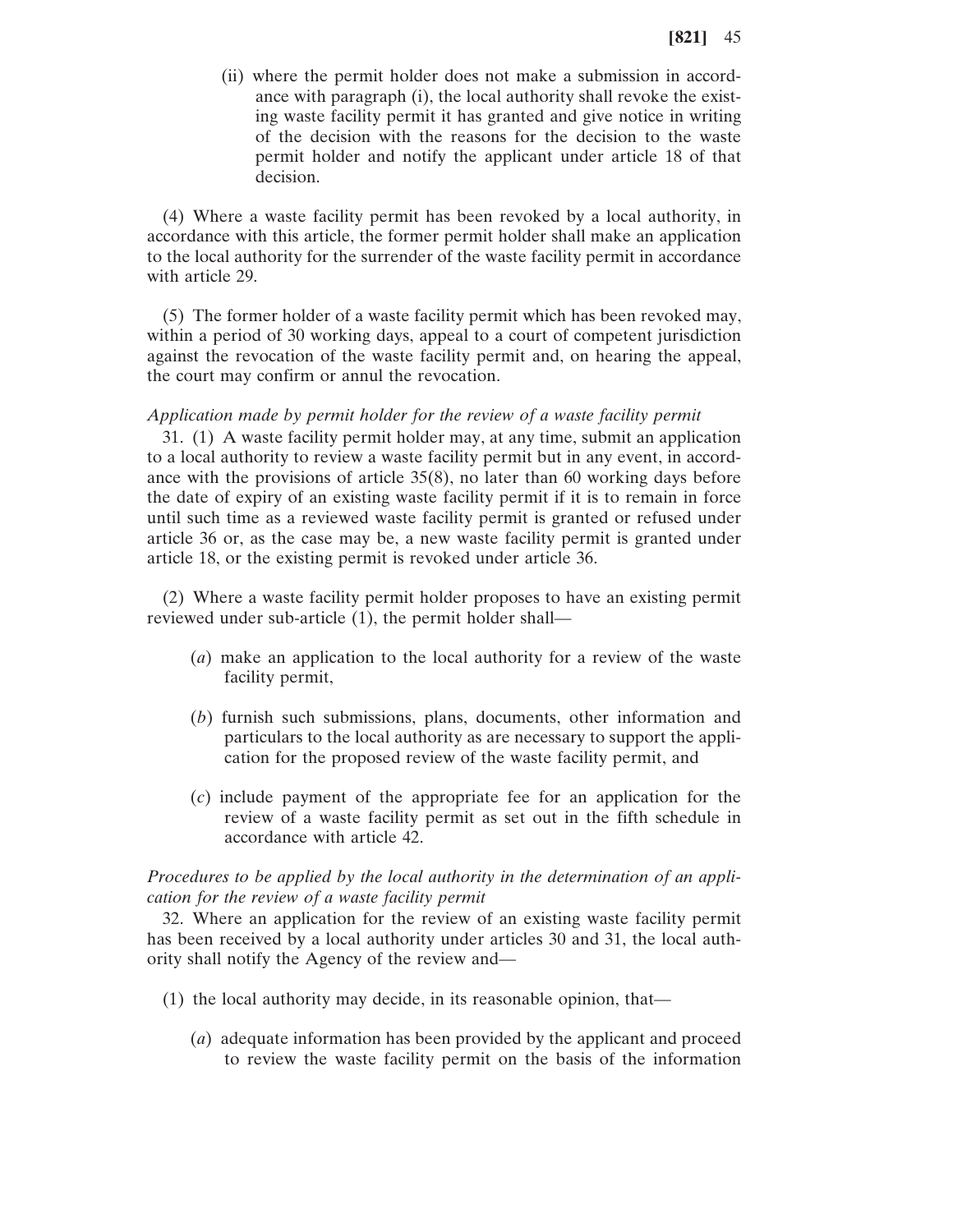(ii) where the permit holder does not make a submission in accordance with paragraph (i), the local authority shall revoke the existing waste facility permit it has granted and give notice in writing of the decision with the reasons for the decision to the waste permit holder and notify the applicant under article 18 of that decision.

(4) Where a waste facility permit has been revoked by a local authority, in accordance with this article, the former permit holder shall make an application to the local authority for the surrender of the waste facility permit in accordance with article 29.

(5) The former holder of a waste facility permit which has been revoked may, within a period of 30 working days, appeal to a court of competent jurisdiction against the revocation of the waste facility permit and, on hearing the appeal, the court may confirm or annul the revocation.

*Application made by permit holder for the review of a waste facility permit*

31. (1) A waste facility permit holder may, at any time, submit an application to a local authority to review a waste facility permit but in any event, in accordance with the provisions of article 35(8), no later than 60 working days before the date of expiry of an existing waste facility permit if it is to remain in force until such time as a reviewed waste facility permit is granted or refused under article 36 or, as the case may be, a new waste facility permit is granted under article 18, or the existing permit is revoked under article 36.

(2) Where a waste facility permit holder proposes to have an existing permit reviewed under sub-article (1), the permit holder shall—

- (*a*) make an application to the local authority for a review of the waste facility permit,
- (*b*) furnish such submissions, plans, documents, other information and particulars to the local authority as are necessary to support the application for the proposed review of the waste facility permit, and
- (*c*) include payment of the appropriate fee for an application for the review of a waste facility permit as set out in the fifth schedule in accordance with article 42.

*Procedures to be applied by the local authority in the determination of an application for the review of a waste facility permit*

32. Where an application for the review of an existing waste facility permit has been received by a local authority under articles 30 and 31, the local authority shall notify the Agency of the review and—

- (1) the local authority may decide, in its reasonable opinion, that—
	- (*a*) adequate information has been provided by the applicant and proceed to review the waste facility permit on the basis of the information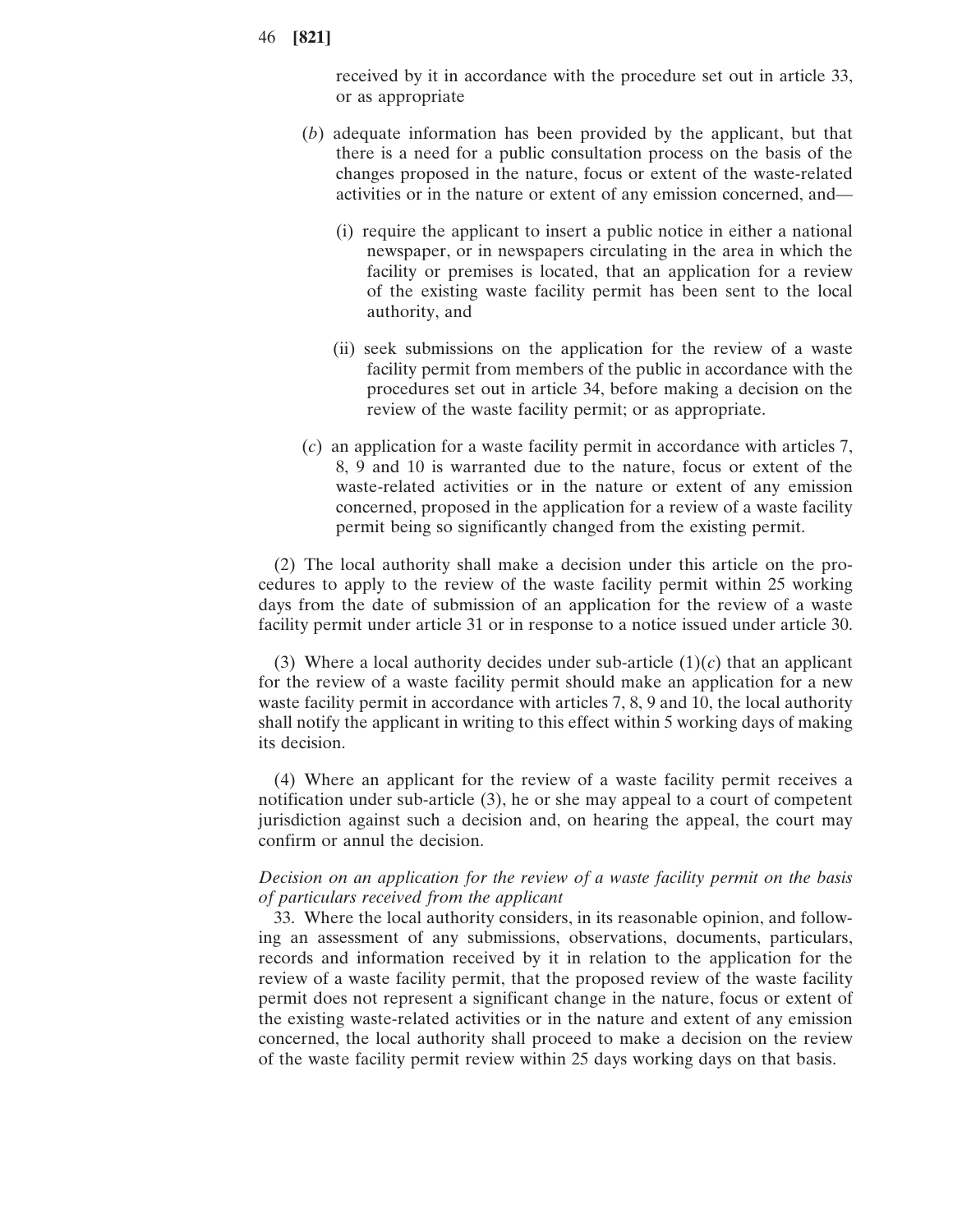received by it in accordance with the procedure set out in article 33, or as appropriate

- (*b*) adequate information has been provided by the applicant, but that there is a need for a public consultation process on the basis of the changes proposed in the nature, focus or extent of the waste-related activities or in the nature or extent of any emission concerned, and—
	- (i) require the applicant to insert a public notice in either a national newspaper, or in newspapers circulating in the area in which the facility or premises is located, that an application for a review of the existing waste facility permit has been sent to the local authority, and
	- (ii) seek submissions on the application for the review of a waste facility permit from members of the public in accordance with the procedures set out in article 34, before making a decision on the review of the waste facility permit; or as appropriate.
- (*c*) an application for a waste facility permit in accordance with articles 7, 8, 9 and 10 is warranted due to the nature, focus or extent of the waste-related activities or in the nature or extent of any emission concerned, proposed in the application for a review of a waste facility permit being so significantly changed from the existing permit.

(2) The local authority shall make a decision under this article on the procedures to apply to the review of the waste facility permit within 25 working days from the date of submission of an application for the review of a waste facility permit under article 31 or in response to a notice issued under article 30.

(3) Where a local authority decides under sub-article  $(1)(c)$  that an applicant for the review of a waste facility permit should make an application for a new waste facility permit in accordance with articles 7, 8, 9 and 10, the local authority shall notify the applicant in writing to this effect within 5 working days of making its decision.

(4) Where an applicant for the review of a waste facility permit receives a notification under sub-article (3), he or she may appeal to a court of competent jurisdiction against such a decision and, on hearing the appeal, the court may confirm or annul the decision.

*Decision on an application for the review of a waste facility permit on the basis of particulars received from the applicant*

33. Where the local authority considers, in its reasonable opinion, and following an assessment of any submissions, observations, documents, particulars, records and information received by it in relation to the application for the review of a waste facility permit, that the proposed review of the waste facility permit does not represent a significant change in the nature, focus or extent of the existing waste-related activities or in the nature and extent of any emission concerned, the local authority shall proceed to make a decision on the review of the waste facility permit review within 25 days working days on that basis.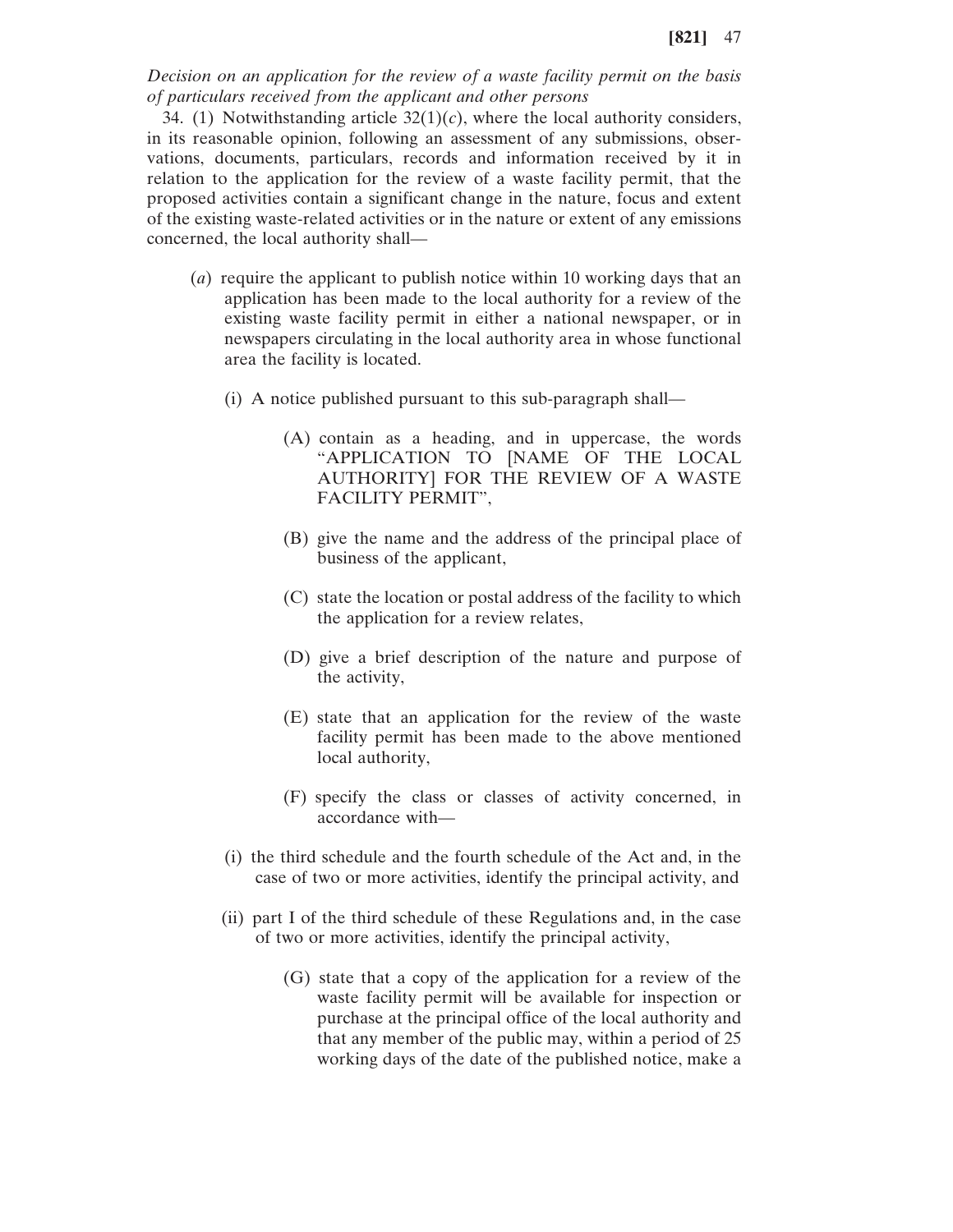*Decision on an application for the review of a waste facility permit on the basis of particulars received from the applicant and other persons*

34. (1) Notwithstanding article  $32(1)(c)$ , where the local authority considers, in its reasonable opinion, following an assessment of any submissions, observations, documents, particulars, records and information received by it in relation to the application for the review of a waste facility permit, that the proposed activities contain a significant change in the nature, focus and extent of the existing waste-related activities or in the nature or extent of any emissions concerned, the local authority shall—

- (*a*) require the applicant to publish notice within 10 working days that an application has been made to the local authority for a review of the existing waste facility permit in either a national newspaper, or in newspapers circulating in the local authority area in whose functional area the facility is located.
	- (i) A notice published pursuant to this sub-paragraph shall—
		- (A) contain as a heading, and in uppercase, the words "APPLICATION TO [NAME OF THE LOCAL AUTHORITY] FOR THE REVIEW OF A WASTE FACILITY PERMIT",
		- (B) give the name and the address of the principal place of business of the applicant,
		- (C) state the location or postal address of the facility to which the application for a review relates,
		- (D) give a brief description of the nature and purpose of the activity,
		- (E) state that an application for the review of the waste facility permit has been made to the above mentioned local authority,
		- (F) specify the class or classes of activity concerned, in accordance with—
	- (i) the third schedule and the fourth schedule of the Act and, in the case of two or more activities, identify the principal activity, and
	- (ii) part I of the third schedule of these Regulations and, in the case of two or more activities, identify the principal activity,
		- (G) state that a copy of the application for a review of the waste facility permit will be available for inspection or purchase at the principal office of the local authority and that any member of the public may, within a period of 25 working days of the date of the published notice, make a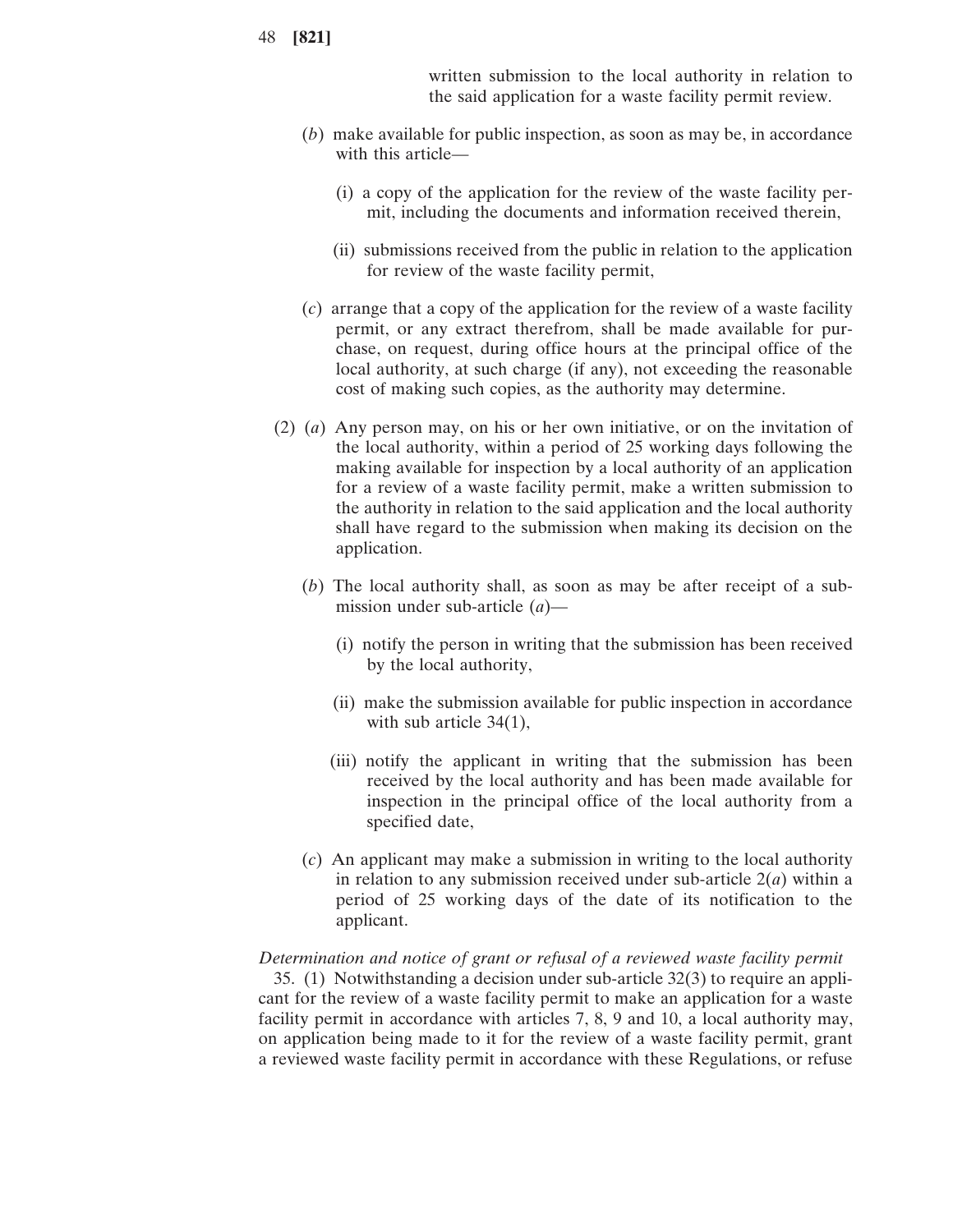written submission to the local authority in relation to the said application for a waste facility permit review.

- (*b*) make available for public inspection, as soon as may be, in accordance with this article—
	- (i) a copy of the application for the review of the waste facility permit, including the documents and information received therein,
	- (ii) submissions received from the public in relation to the application for review of the waste facility permit,
- (*c*) arrange that a copy of the application for the review of a waste facility permit, or any extract therefrom, shall be made available for purchase, on request, during office hours at the principal office of the local authority, at such charge (if any), not exceeding the reasonable cost of making such copies, as the authority may determine.
- (2) (*a*) Any person may, on his or her own initiative, or on the invitation of the local authority, within a period of 25 working days following the making available for inspection by a local authority of an application for a review of a waste facility permit, make a written submission to the authority in relation to the said application and the local authority shall have regard to the submission when making its decision on the application.
	- (*b*) The local authority shall, as soon as may be after receipt of a submission under sub-article (*a*)—
		- (i) notify the person in writing that the submission has been received by the local authority,
		- (ii) make the submission available for public inspection in accordance with sub article 34(1),
		- (iii) notify the applicant in writing that the submission has been received by the local authority and has been made available for inspection in the principal office of the local authority from a specified date,
	- (*c*) An applicant may make a submission in writing to the local authority in relation to any submission received under sub-article 2(*a*) within a period of 25 working days of the date of its notification to the applicant.

#### *Determination and notice of grant or refusal of a reviewed waste facility permit*

35. (1) Notwithstanding a decision under sub-article 32(3) to require an applicant for the review of a waste facility permit to make an application for a waste facility permit in accordance with articles 7, 8, 9 and 10, a local authority may, on application being made to it for the review of a waste facility permit, grant a reviewed waste facility permit in accordance with these Regulations, or refuse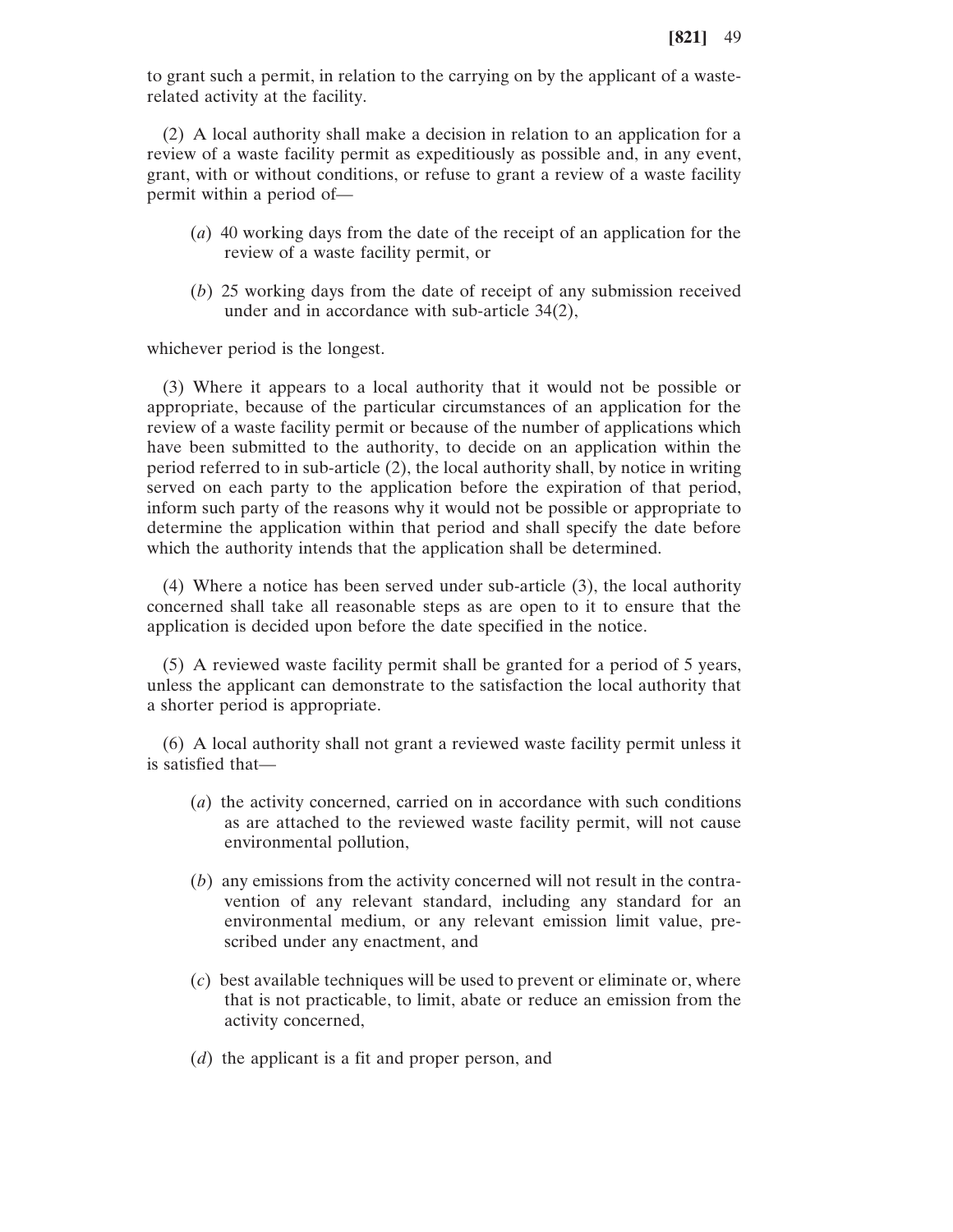to grant such a permit, in relation to the carrying on by the applicant of a wasterelated activity at the facility.

(2) A local authority shall make a decision in relation to an application for a review of a waste facility permit as expeditiously as possible and, in any event, grant, with or without conditions, or refuse to grant a review of a waste facility permit within a period of—

- (*a*) 40 working days from the date of the receipt of an application for the review of a waste facility permit, or
- (*b*) 25 working days from the date of receipt of any submission received under and in accordance with sub-article 34(2),

whichever period is the longest.

(3) Where it appears to a local authority that it would not be possible or appropriate, because of the particular circumstances of an application for the review of a waste facility permit or because of the number of applications which have been submitted to the authority, to decide on an application within the period referred to in sub-article (2), the local authority shall, by notice in writing served on each party to the application before the expiration of that period, inform such party of the reasons why it would not be possible or appropriate to determine the application within that period and shall specify the date before which the authority intends that the application shall be determined.

(4) Where a notice has been served under sub-article (3), the local authority concerned shall take all reasonable steps as are open to it to ensure that the application is decided upon before the date specified in the notice.

(5) A reviewed waste facility permit shall be granted for a period of 5 years, unless the applicant can demonstrate to the satisfaction the local authority that a shorter period is appropriate.

(6) A local authority shall not grant a reviewed waste facility permit unless it is satisfied that—

- (*a*) the activity concerned, carried on in accordance with such conditions as are attached to the reviewed waste facility permit, will not cause environmental pollution,
- (*b*) any emissions from the activity concerned will not result in the contravention of any relevant standard, including any standard for an environmental medium, or any relevant emission limit value, prescribed under any enactment, and
- (*c*) best available techniques will be used to prevent or eliminate or, where that is not practicable, to limit, abate or reduce an emission from the activity concerned,
- (*d*) the applicant is a fit and proper person, and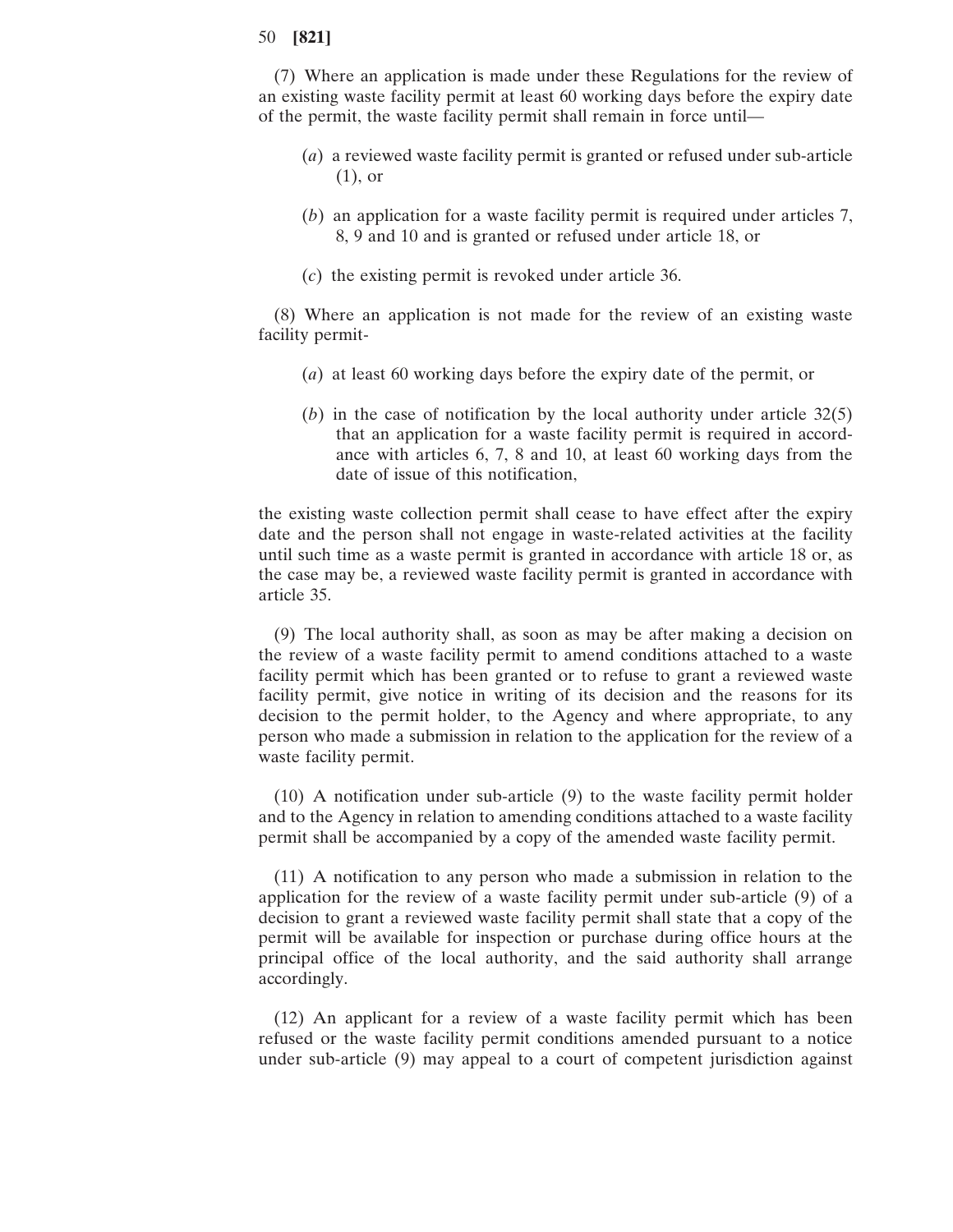(7) Where an application is made under these Regulations for the review of an existing waste facility permit at least 60 working days before the expiry date of the permit, the waste facility permit shall remain in force until—

- (*a*) a reviewed waste facility permit is granted or refused under sub-article (1), or
- (*b*) an application for a waste facility permit is required under articles 7, 8, 9 and 10 and is granted or refused under article 18, or
- (*c*) the existing permit is revoked under article 36.

(8) Where an application is not made for the review of an existing waste facility permit-

- (*a*) at least 60 working days before the expiry date of the permit, or
- (*b*) in the case of notification by the local authority under article 32(5) that an application for a waste facility permit is required in accordance with articles 6, 7, 8 and 10, at least 60 working days from the date of issue of this notification,

the existing waste collection permit shall cease to have effect after the expiry date and the person shall not engage in waste-related activities at the facility until such time as a waste permit is granted in accordance with article 18 or, as the case may be, a reviewed waste facility permit is granted in accordance with article 35.

(9) The local authority shall, as soon as may be after making a decision on the review of a waste facility permit to amend conditions attached to a waste facility permit which has been granted or to refuse to grant a reviewed waste facility permit, give notice in writing of its decision and the reasons for its decision to the permit holder, to the Agency and where appropriate, to any person who made a submission in relation to the application for the review of a waste facility permit.

(10) A notification under sub-article (9) to the waste facility permit holder and to the Agency in relation to amending conditions attached to a waste facility permit shall be accompanied by a copy of the amended waste facility permit.

(11) A notification to any person who made a submission in relation to the application for the review of a waste facility permit under sub-article (9) of a decision to grant a reviewed waste facility permit shall state that a copy of the permit will be available for inspection or purchase during office hours at the principal office of the local authority, and the said authority shall arrange accordingly.

(12) An applicant for a review of a waste facility permit which has been refused or the waste facility permit conditions amended pursuant to a notice under sub-article (9) may appeal to a court of competent jurisdiction against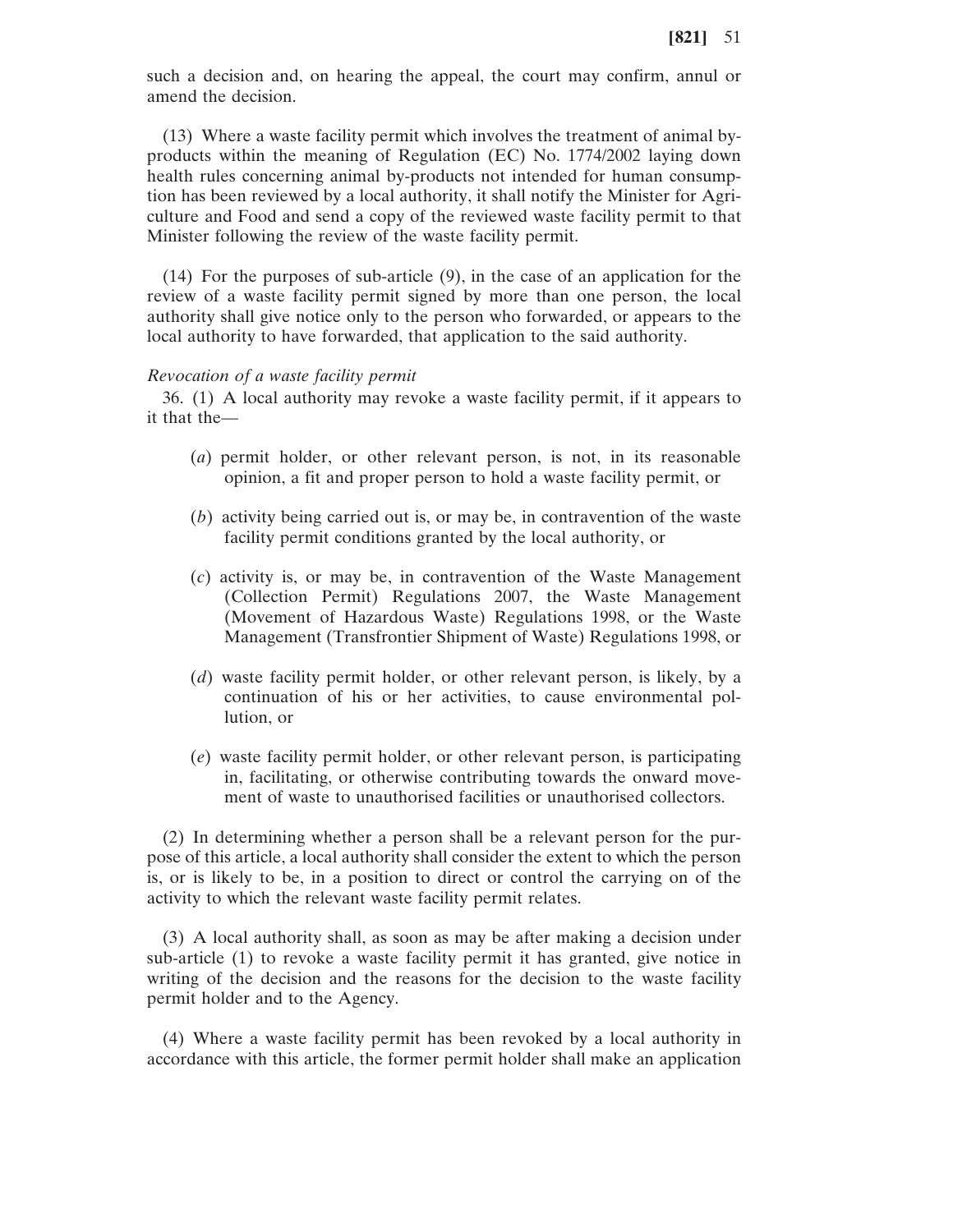such a decision and, on hearing the appeal, the court may confirm, annul or amend the decision.

(13) Where a waste facility permit which involves the treatment of animal byproducts within the meaning of Regulation (EC) No. 1774/2002 laying down health rules concerning animal by-products not intended for human consumption has been reviewed by a local authority, it shall notify the Minister for Agriculture and Food and send a copy of the reviewed waste facility permit to that Minister following the review of the waste facility permit.

(14) For the purposes of sub-article (9), in the case of an application for the review of a waste facility permit signed by more than one person, the local authority shall give notice only to the person who forwarded, or appears to the local authority to have forwarded, that application to the said authority.

#### *Revocation of a waste facility permit*

36. (1) A local authority may revoke a waste facility permit, if it appears to it that the—

- (*a*) permit holder, or other relevant person, is not, in its reasonable opinion, a fit and proper person to hold a waste facility permit, or
- (*b*) activity being carried out is, or may be, in contravention of the waste facility permit conditions granted by the local authority, or
- (*c*) activity is, or may be, in contravention of the Waste Management (Collection Permit) Regulations 2007, the Waste Management (Movement of Hazardous Waste) Regulations 1998, or the Waste Management (Transfrontier Shipment of Waste) Regulations 1998, or
- (*d*) waste facility permit holder, or other relevant person, is likely, by a continuation of his or her activities, to cause environmental pollution, or
- (*e*) waste facility permit holder, or other relevant person, is participating in, facilitating, or otherwise contributing towards the onward movement of waste to unauthorised facilities or unauthorised collectors.

(2) In determining whether a person shall be a relevant person for the purpose of this article, a local authority shall consider the extent to which the person is, or is likely to be, in a position to direct or control the carrying on of the activity to which the relevant waste facility permit relates.

(3) A local authority shall, as soon as may be after making a decision under sub-article (1) to revoke a waste facility permit it has granted, give notice in writing of the decision and the reasons for the decision to the waste facility permit holder and to the Agency.

(4) Where a waste facility permit has been revoked by a local authority in accordance with this article, the former permit holder shall make an application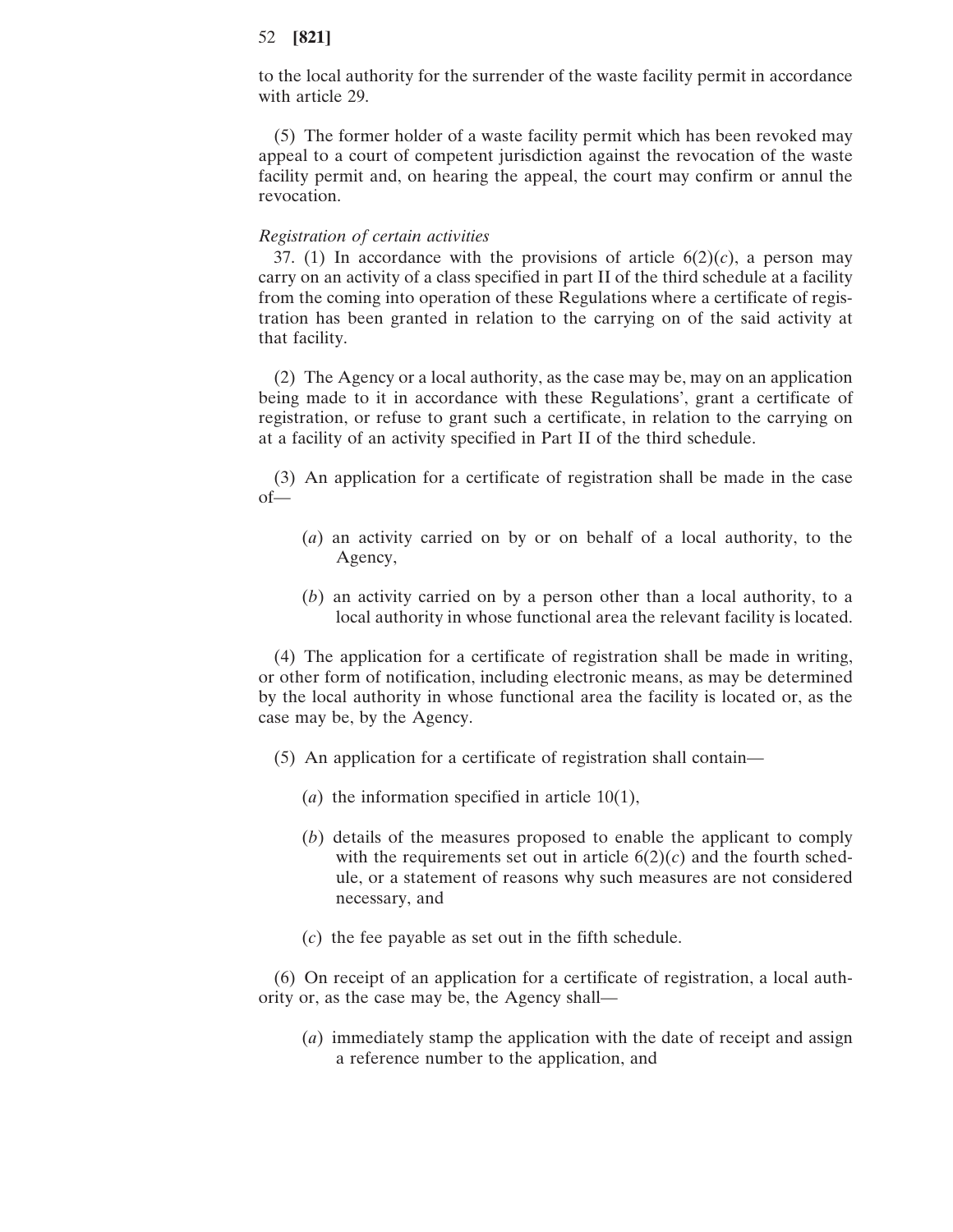to the local authority for the surrender of the waste facility permit in accordance with article 29.

(5) The former holder of a waste facility permit which has been revoked may appeal to a court of competent jurisdiction against the revocation of the waste facility permit and, on hearing the appeal, the court may confirm or annul the revocation.

#### *Registration of certain activities*

37. (1) In accordance with the provisions of article  $6(2)(c)$ , a person may carry on an activity of a class specified in part II of the third schedule at a facility from the coming into operation of these Regulations where a certificate of registration has been granted in relation to the carrying on of the said activity at that facility.

(2) The Agency or a local authority, as the case may be, may on an application being made to it in accordance with these Regulations', grant a certificate of registration, or refuse to grant such a certificate, in relation to the carrying on at a facility of an activity specified in Part II of the third schedule.

(3) An application for a certificate of registration shall be made in the case of—

- (*a*) an activity carried on by or on behalf of a local authority, to the Agency,
- (*b*) an activity carried on by a person other than a local authority, to a local authority in whose functional area the relevant facility is located.

(4) The application for a certificate of registration shall be made in writing, or other form of notification, including electronic means, as may be determined by the local authority in whose functional area the facility is located or, as the case may be, by the Agency.

- (5) An application for a certificate of registration shall contain—
	- (*a*) the information specified in article 10(1),
	- (*b*) details of the measures proposed to enable the applicant to comply with the requirements set out in article  $6(2)(c)$  and the fourth schedule, or a statement of reasons why such measures are not considered necessary, and
	- (*c*) the fee payable as set out in the fifth schedule.

(6) On receipt of an application for a certificate of registration, a local authority or, as the case may be, the Agency shall—

(*a*) immediately stamp the application with the date of receipt and assign a reference number to the application, and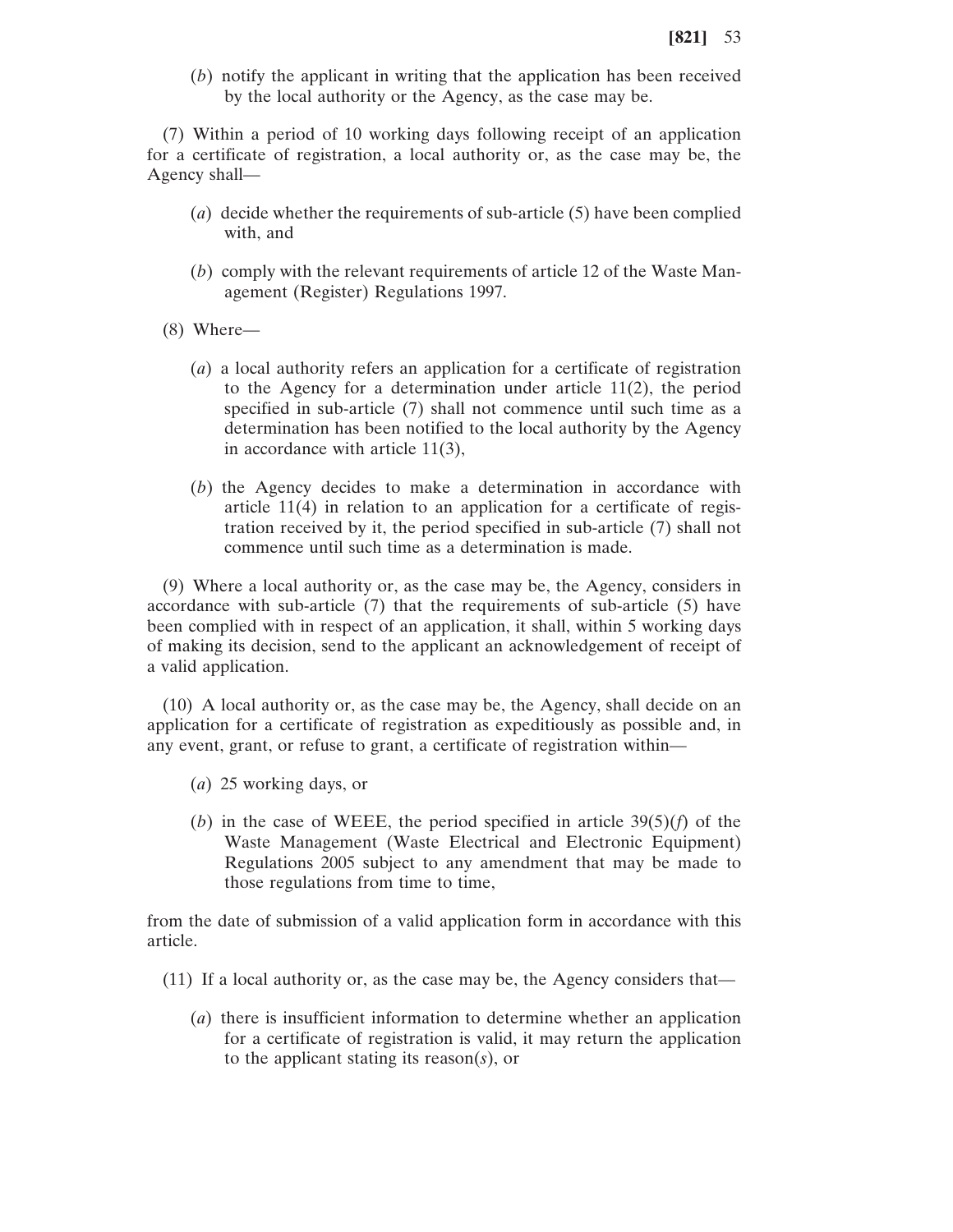(*b*) notify the applicant in writing that the application has been received by the local authority or the Agency, as the case may be.

(7) Within a period of 10 working days following receipt of an application for a certificate of registration, a local authority or, as the case may be, the Agency shall—

- (*a*) decide whether the requirements of sub-article (5) have been complied with, and
- (*b*) comply with the relevant requirements of article 12 of the Waste Management (Register) Regulations 1997.
- (8) Where—
	- (*a*) a local authority refers an application for a certificate of registration to the Agency for a determination under article 11(2), the period specified in sub-article (7) shall not commence until such time as a determination has been notified to the local authority by the Agency in accordance with article 11(3),
	- (*b*) the Agency decides to make a determination in accordance with article 11(4) in relation to an application for a certificate of registration received by it, the period specified in sub-article (7) shall not commence until such time as a determination is made.

(9) Where a local authority or, as the case may be, the Agency, considers in accordance with sub-article (7) that the requirements of sub-article (5) have been complied with in respect of an application, it shall, within 5 working days of making its decision, send to the applicant an acknowledgement of receipt of a valid application.

(10) A local authority or, as the case may be, the Agency, shall decide on an application for a certificate of registration as expeditiously as possible and, in any event, grant, or refuse to grant, a certificate of registration within—

- (*a*) 25 working days, or
- (*b*) in the case of WEEE, the period specified in article 39(5)(*f*) of the Waste Management (Waste Electrical and Electronic Equipment) Regulations 2005 subject to any amendment that may be made to those regulations from time to time,

from the date of submission of a valid application form in accordance with this article.

- (11) If a local authority or, as the case may be, the Agency considers that—
	- (*a*) there is insufficient information to determine whether an application for a certificate of registration is valid, it may return the application to the applicant stating its reason(*s*), or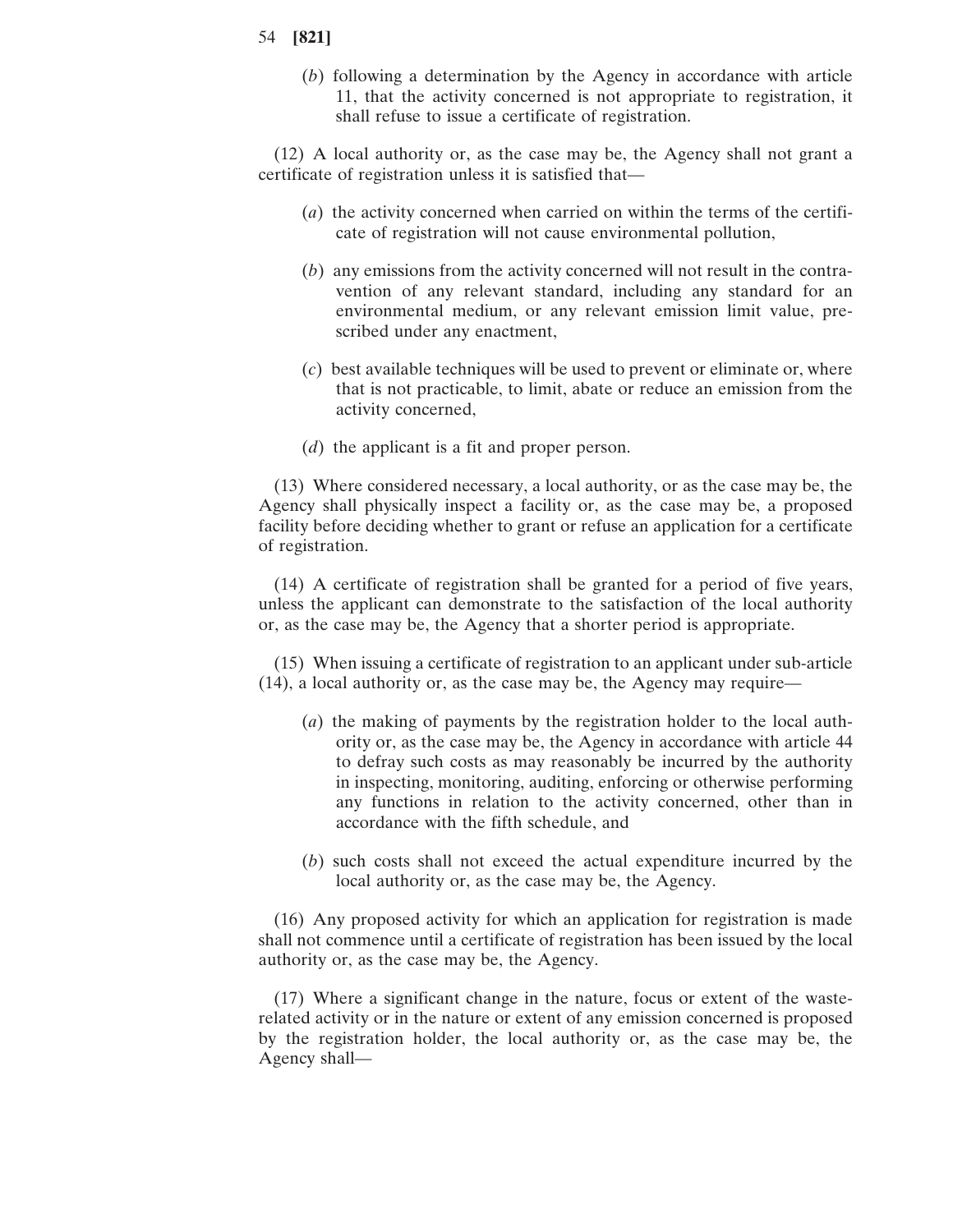(*b*) following a determination by the Agency in accordance with article 11, that the activity concerned is not appropriate to registration, it shall refuse to issue a certificate of registration.

(12) A local authority or, as the case may be, the Agency shall not grant a certificate of registration unless it is satisfied that—

- (*a*) the activity concerned when carried on within the terms of the certificate of registration will not cause environmental pollution,
- (*b*) any emissions from the activity concerned will not result in the contravention of any relevant standard, including any standard for an environmental medium, or any relevant emission limit value, prescribed under any enactment,
- (*c*) best available techniques will be used to prevent or eliminate or, where that is not practicable, to limit, abate or reduce an emission from the activity concerned,
- (*d*) the applicant is a fit and proper person.

(13) Where considered necessary, a local authority, or as the case may be, the Agency shall physically inspect a facility or, as the case may be, a proposed facility before deciding whether to grant or refuse an application for a certificate of registration.

(14) A certificate of registration shall be granted for a period of five years, unless the applicant can demonstrate to the satisfaction of the local authority or, as the case may be, the Agency that a shorter period is appropriate.

(15) When issuing a certificate of registration to an applicant under sub-article (14), a local authority or, as the case may be, the Agency may require—

- (*a*) the making of payments by the registration holder to the local authority or, as the case may be, the Agency in accordance with article 44 to defray such costs as may reasonably be incurred by the authority in inspecting, monitoring, auditing, enforcing or otherwise performing any functions in relation to the activity concerned, other than in accordance with the fifth schedule, and
- (*b*) such costs shall not exceed the actual expenditure incurred by the local authority or, as the case may be, the Agency.

(16) Any proposed activity for which an application for registration is made shall not commence until a certificate of registration has been issued by the local authority or, as the case may be, the Agency.

(17) Where a significant change in the nature, focus or extent of the wasterelated activity or in the nature or extent of any emission concerned is proposed by the registration holder, the local authority or, as the case may be, the Agency shall—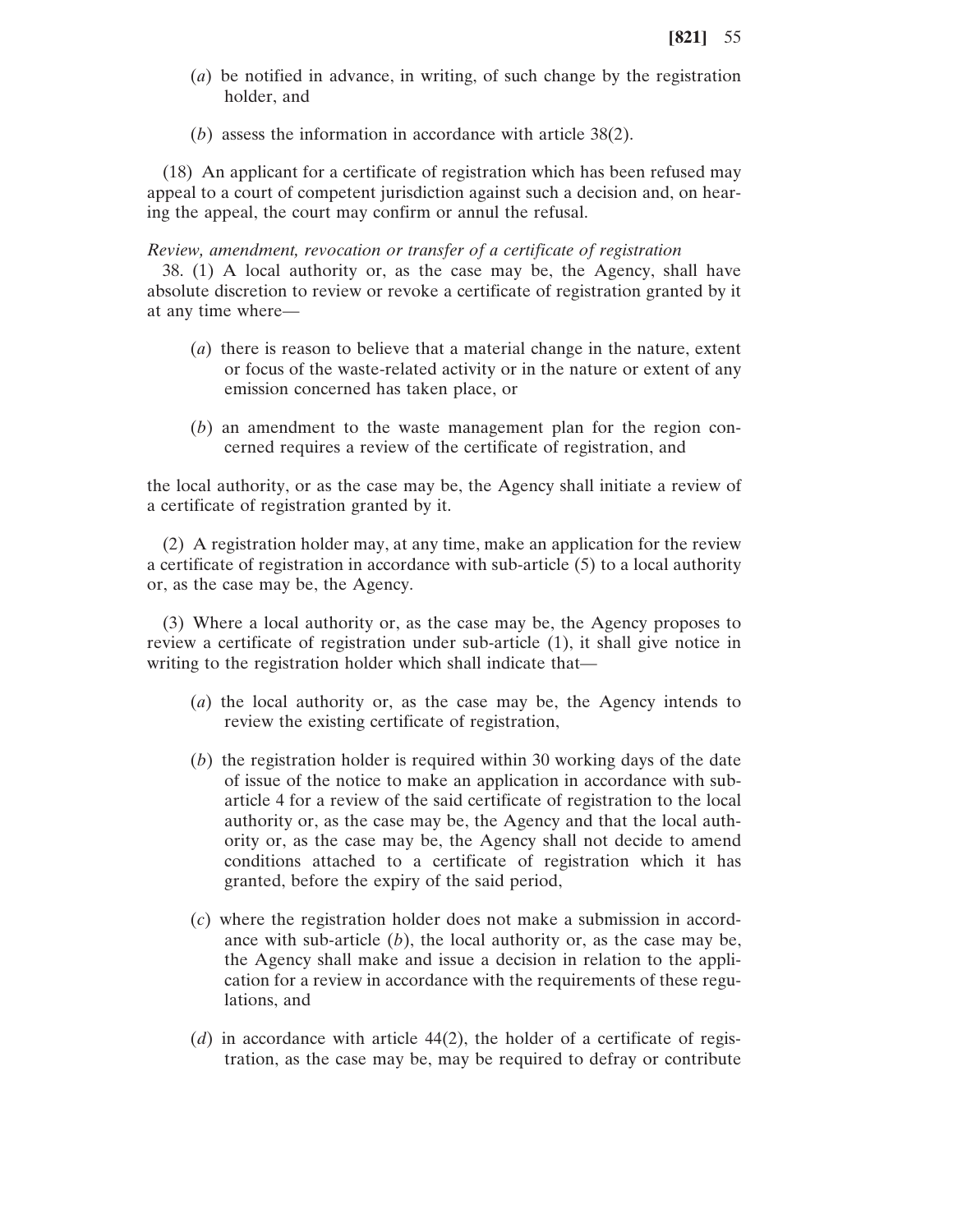- (*a*) be notified in advance, in writing, of such change by the registration holder, and
- (*b*) assess the information in accordance with article 38(2).

(18) An applicant for a certificate of registration which has been refused may appeal to a court of competent jurisdiction against such a decision and, on hearing the appeal, the court may confirm or annul the refusal.

#### *Review, amendment, revocation or transfer of a certificate of registration*

38. (1) A local authority or, as the case may be, the Agency, shall have absolute discretion to review or revoke a certificate of registration granted by it at any time where—

- (*a*) there is reason to believe that a material change in the nature, extent or focus of the waste-related activity or in the nature or extent of any emission concerned has taken place, or
- (*b*) an amendment to the waste management plan for the region concerned requires a review of the certificate of registration, and

the local authority, or as the case may be, the Agency shall initiate a review of a certificate of registration granted by it.

(2) A registration holder may, at any time, make an application for the review a certificate of registration in accordance with sub-article (5) to a local authority or, as the case may be, the Agency.

(3) Where a local authority or, as the case may be, the Agency proposes to review a certificate of registration under sub-article (1), it shall give notice in writing to the registration holder which shall indicate that—

- (*a*) the local authority or, as the case may be, the Agency intends to review the existing certificate of registration,
- (*b*) the registration holder is required within 30 working days of the date of issue of the notice to make an application in accordance with subarticle 4 for a review of the said certificate of registration to the local authority or, as the case may be, the Agency and that the local authority or, as the case may be, the Agency shall not decide to amend conditions attached to a certificate of registration which it has granted, before the expiry of the said period,
- (*c*) where the registration holder does not make a submission in accordance with sub-article (*b*), the local authority or, as the case may be, the Agency shall make and issue a decision in relation to the application for a review in accordance with the requirements of these regulations, and
- (*d*) in accordance with article 44(2), the holder of a certificate of registration, as the case may be, may be required to defray or contribute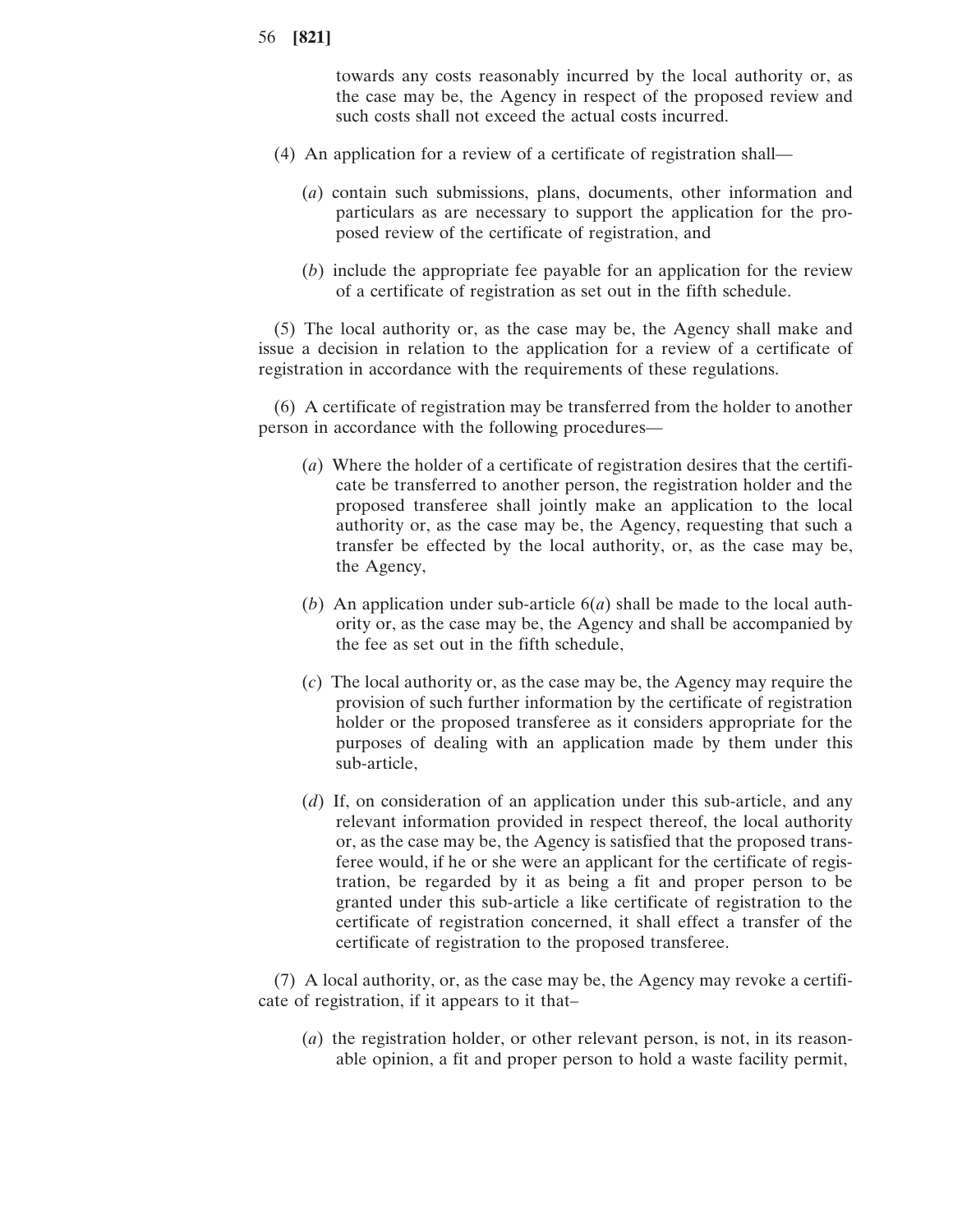towards any costs reasonably incurred by the local authority or, as the case may be, the Agency in respect of the proposed review and such costs shall not exceed the actual costs incurred.

- (4) An application for a review of a certificate of registration shall—
	- (*a*) contain such submissions, plans, documents, other information and particulars as are necessary to support the application for the proposed review of the certificate of registration, and
	- (*b*) include the appropriate fee payable for an application for the review of a certificate of registration as set out in the fifth schedule.

(5) The local authority or, as the case may be, the Agency shall make and issue a decision in relation to the application for a review of a certificate of registration in accordance with the requirements of these regulations.

(6) A certificate of registration may be transferred from the holder to another person in accordance with the following procedures—

- (*a*) Where the holder of a certificate of registration desires that the certificate be transferred to another person, the registration holder and the proposed transferee shall jointly make an application to the local authority or, as the case may be, the Agency, requesting that such a transfer be effected by the local authority, or, as the case may be, the Agency,
- (*b*) An application under sub-article 6(*a*) shall be made to the local authority or, as the case may be, the Agency and shall be accompanied by the fee as set out in the fifth schedule,
- (*c*) The local authority or, as the case may be, the Agency may require the provision of such further information by the certificate of registration holder or the proposed transferee as it considers appropriate for the purposes of dealing with an application made by them under this sub-article,
- (*d*) If, on consideration of an application under this sub-article, and any relevant information provided in respect thereof, the local authority or, as the case may be, the Agency is satisfied that the proposed transferee would, if he or she were an applicant for the certificate of registration, be regarded by it as being a fit and proper person to be granted under this sub-article a like certificate of registration to the certificate of registration concerned, it shall effect a transfer of the certificate of registration to the proposed transferee.

(7) A local authority, or, as the case may be, the Agency may revoke a certificate of registration, if it appears to it that–

(*a*) the registration holder, or other relevant person, is not, in its reasonable opinion, a fit and proper person to hold a waste facility permit,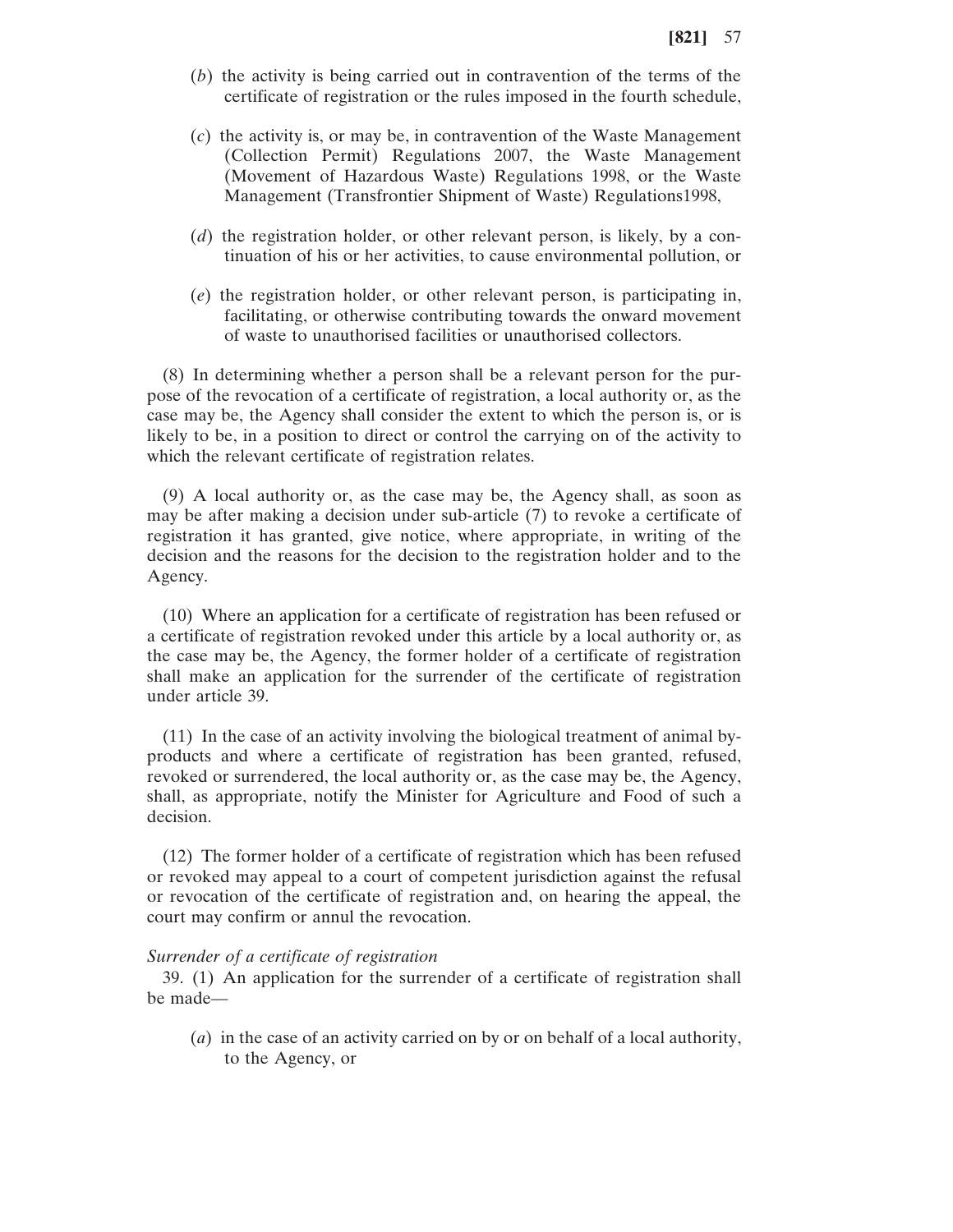- (*b*) the activity is being carried out in contravention of the terms of the certificate of registration or the rules imposed in the fourth schedule,
- (*c*) the activity is, or may be, in contravention of the Waste Management (Collection Permit) Regulations 2007, the Waste Management (Movement of Hazardous Waste) Regulations 1998, or the Waste Management (Transfrontier Shipment of Waste) Regulations1998,
- (*d*) the registration holder, or other relevant person, is likely, by a continuation of his or her activities, to cause environmental pollution, or
- (*e*) the registration holder, or other relevant person, is participating in, facilitating, or otherwise contributing towards the onward movement of waste to unauthorised facilities or unauthorised collectors.

(8) In determining whether a person shall be a relevant person for the purpose of the revocation of a certificate of registration, a local authority or, as the case may be, the Agency shall consider the extent to which the person is, or is likely to be, in a position to direct or control the carrying on of the activity to which the relevant certificate of registration relates.

(9) A local authority or, as the case may be, the Agency shall, as soon as may be after making a decision under sub-article (7) to revoke a certificate of registration it has granted, give notice, where appropriate, in writing of the decision and the reasons for the decision to the registration holder and to the Agency.

(10) Where an application for a certificate of registration has been refused or a certificate of registration revoked under this article by a local authority or, as the case may be, the Agency, the former holder of a certificate of registration shall make an application for the surrender of the certificate of registration under article 39.

(11) In the case of an activity involving the biological treatment of animal byproducts and where a certificate of registration has been granted, refused, revoked or surrendered, the local authority or, as the case may be, the Agency, shall, as appropriate, notify the Minister for Agriculture and Food of such a decision.

(12) The former holder of a certificate of registration which has been refused or revoked may appeal to a court of competent jurisdiction against the refusal or revocation of the certificate of registration and, on hearing the appeal, the court may confirm or annul the revocation.

#### *Surrender of a certificate of registration*

39. (1) An application for the surrender of a certificate of registration shall be made—

(*a*) in the case of an activity carried on by or on behalf of a local authority, to the Agency, or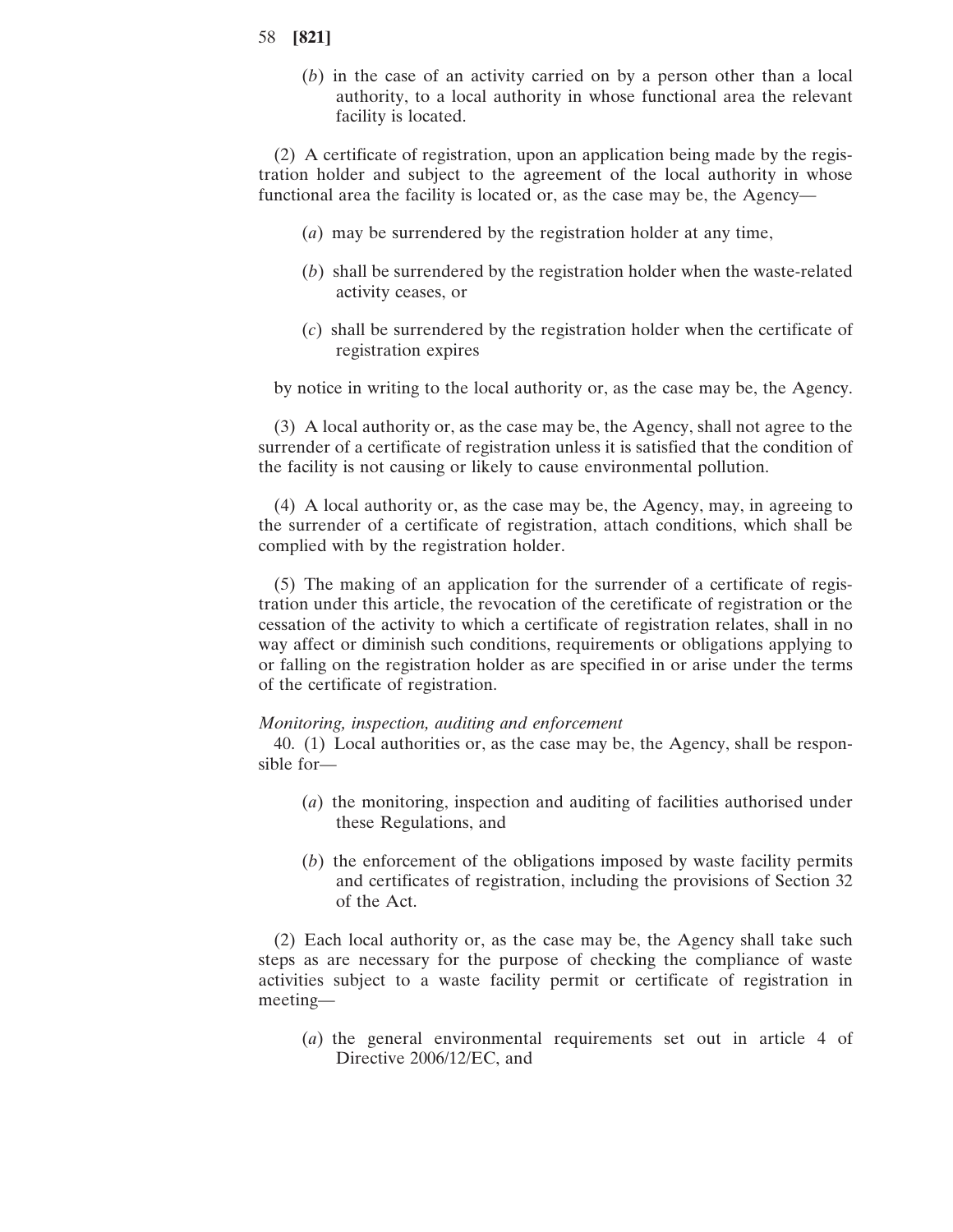(*b*) in the case of an activity carried on by a person other than a local authority, to a local authority in whose functional area the relevant facility is located.

(2) A certificate of registration, upon an application being made by the registration holder and subject to the agreement of the local authority in whose functional area the facility is located or, as the case may be, the Agency—

- (*a*) may be surrendered by the registration holder at any time,
- (*b*) shall be surrendered by the registration holder when the waste-related activity ceases, or
- (*c*) shall be surrendered by the registration holder when the certificate of registration expires

by notice in writing to the local authority or, as the case may be, the Agency.

(3) A local authority or, as the case may be, the Agency, shall not agree to the surrender of a certificate of registration unless it is satisfied that the condition of the facility is not causing or likely to cause environmental pollution.

(4) A local authority or, as the case may be, the Agency, may, in agreeing to the surrender of a certificate of registration, attach conditions, which shall be complied with by the registration holder.

(5) The making of an application for the surrender of a certificate of registration under this article, the revocation of the ceretificate of registration or the cessation of the activity to which a certificate of registration relates, shall in no way affect or diminish such conditions, requirements or obligations applying to or falling on the registration holder as are specified in or arise under the terms of the certificate of registration.

#### *Monitoring, inspection, auditing and enforcement*

40. (1) Local authorities or, as the case may be, the Agency, shall be responsible for—

- (*a*) the monitoring, inspection and auditing of facilities authorised under these Regulations, and
- (*b*) the enforcement of the obligations imposed by waste facility permits and certificates of registration, including the provisions of Section 32 of the Act.

(2) Each local authority or, as the case may be, the Agency shall take such steps as are necessary for the purpose of checking the compliance of waste activities subject to a waste facility permit or certificate of registration in meeting—

(*a*) the general environmental requirements set out in article 4 of Directive 2006/12/EC, and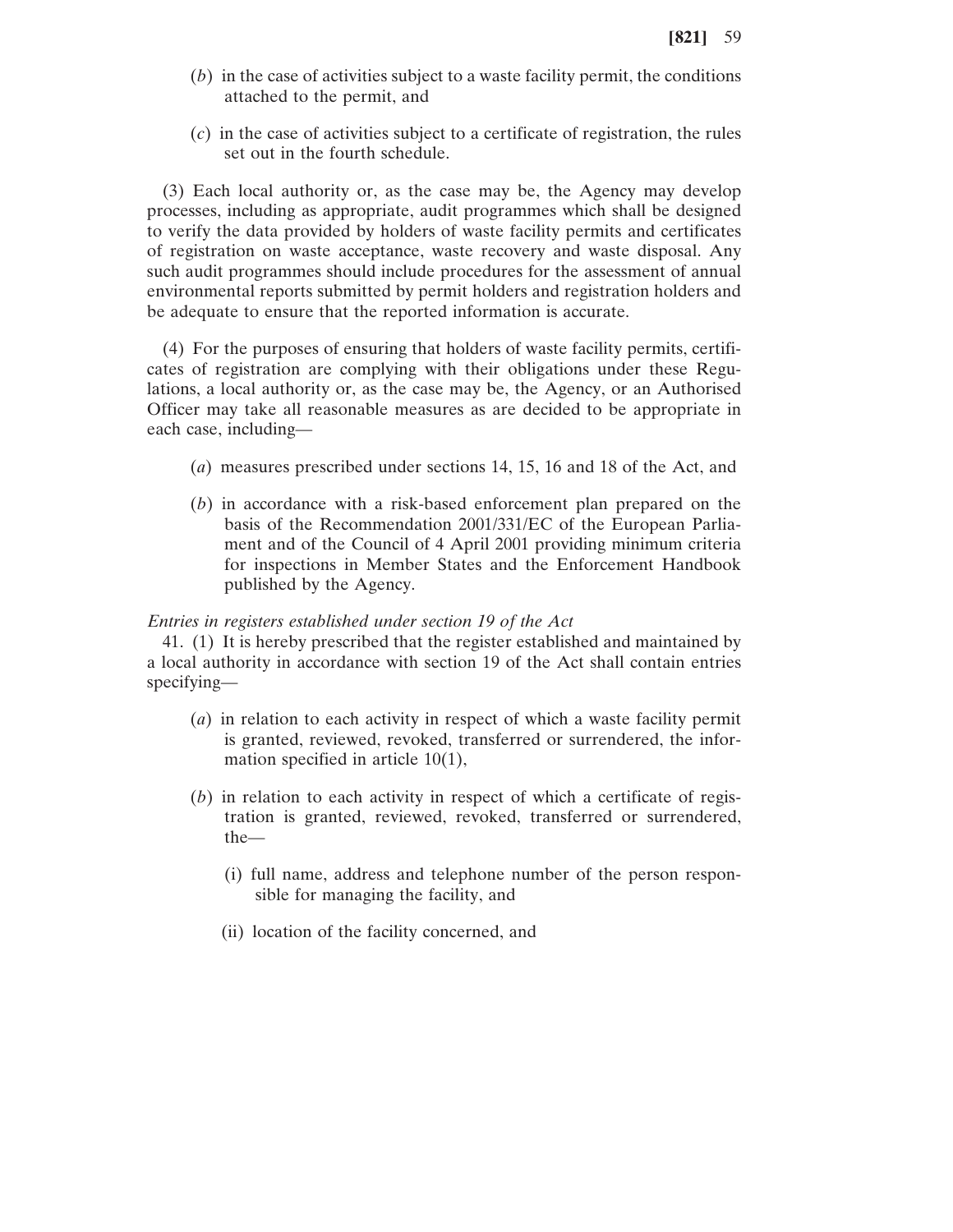- (*b*) in the case of activities subject to a waste facility permit, the conditions attached to the permit, and
- (*c*) in the case of activities subject to a certificate of registration, the rules set out in the fourth schedule.

(3) Each local authority or, as the case may be, the Agency may develop processes, including as appropriate, audit programmes which shall be designed to verify the data provided by holders of waste facility permits and certificates of registration on waste acceptance, waste recovery and waste disposal. Any such audit programmes should include procedures for the assessment of annual environmental reports submitted by permit holders and registration holders and be adequate to ensure that the reported information is accurate.

(4) For the purposes of ensuring that holders of waste facility permits, certificates of registration are complying with their obligations under these Regulations, a local authority or, as the case may be, the Agency, or an Authorised Officer may take all reasonable measures as are decided to be appropriate in each case, including—

- (*a*) measures prescribed under sections 14, 15, 16 and 18 of the Act, and
- (*b*) in accordance with a risk-based enforcement plan prepared on the basis of the Recommendation 2001/331/EC of the European Parliament and of the Council of 4 April 2001 providing minimum criteria for inspections in Member States and the Enforcement Handbook published by the Agency.

#### *Entries in registers established under section 19 of the Act*

41. (1) It is hereby prescribed that the register established and maintained by a local authority in accordance with section 19 of the Act shall contain entries specifying—

- (*a*) in relation to each activity in respect of which a waste facility permit is granted, reviewed, revoked, transferred or surrendered, the information specified in article 10(1),
- (*b*) in relation to each activity in respect of which a certificate of registration is granted, reviewed, revoked, transferred or surrendered, the—
	- (i) full name, address and telephone number of the person responsible for managing the facility, and
	- (ii) location of the facility concerned, and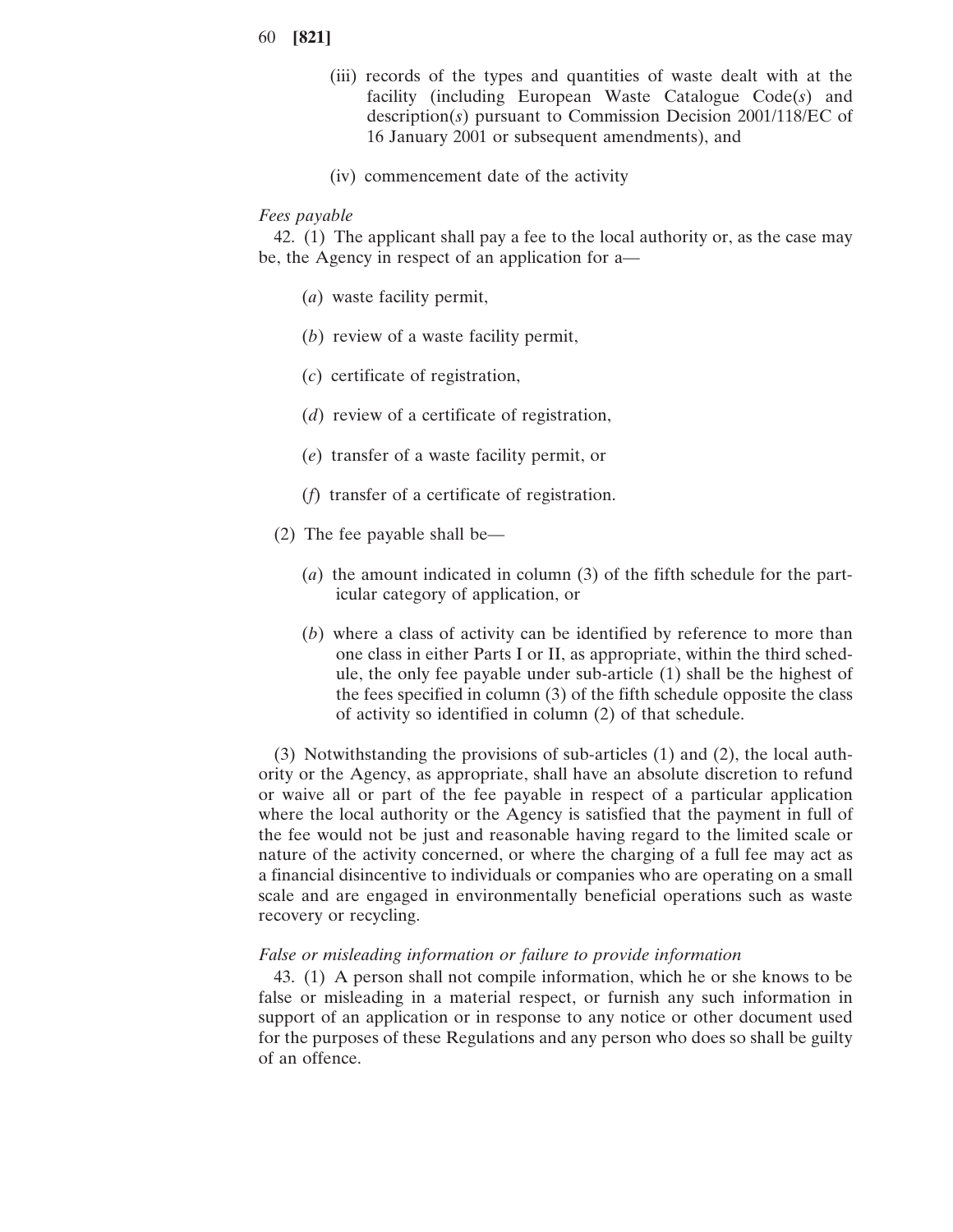- 60 **[821]**
	- (iii) records of the types and quantities of waste dealt with at the facility (including European Waste Catalogue Code(*s*) and description(*s*) pursuant to Commission Decision 2001/118/EC of 16 January 2001 or subsequent amendments), and
	- (iv) commencement date of the activity

#### *Fees payable*

42. (1) The applicant shall pay a fee to the local authority or, as the case may be, the Agency in respect of an application for a—

- (*a*) waste facility permit,
- (*b*) review of a waste facility permit,
- (*c*) certificate of registration,
- (*d*) review of a certificate of registration,
- (*e*) transfer of a waste facility permit, or
- (*f*) transfer of a certificate of registration.
- (2) The fee payable shall be—
	- (*a*) the amount indicated in column (3) of the fifth schedule for the particular category of application, or
	- (*b*) where a class of activity can be identified by reference to more than one class in either Parts I or II, as appropriate, within the third schedule, the only fee payable under sub-article (1) shall be the highest of the fees specified in column (3) of the fifth schedule opposite the class of activity so identified in column (2) of that schedule.

(3) Notwithstanding the provisions of sub-articles (1) and (2), the local authority or the Agency, as appropriate, shall have an absolute discretion to refund or waive all or part of the fee payable in respect of a particular application where the local authority or the Agency is satisfied that the payment in full of the fee would not be just and reasonable having regard to the limited scale or nature of the activity concerned, or where the charging of a full fee may act as a financial disincentive to individuals or companies who are operating on a small scale and are engaged in environmentally beneficial operations such as waste recovery or recycling.

#### *False or misleading information or failure to provide information*

43. (1) A person shall not compile information, which he or she knows to be false or misleading in a material respect, or furnish any such information in support of an application or in response to any notice or other document used for the purposes of these Regulations and any person who does so shall be guilty of an offence.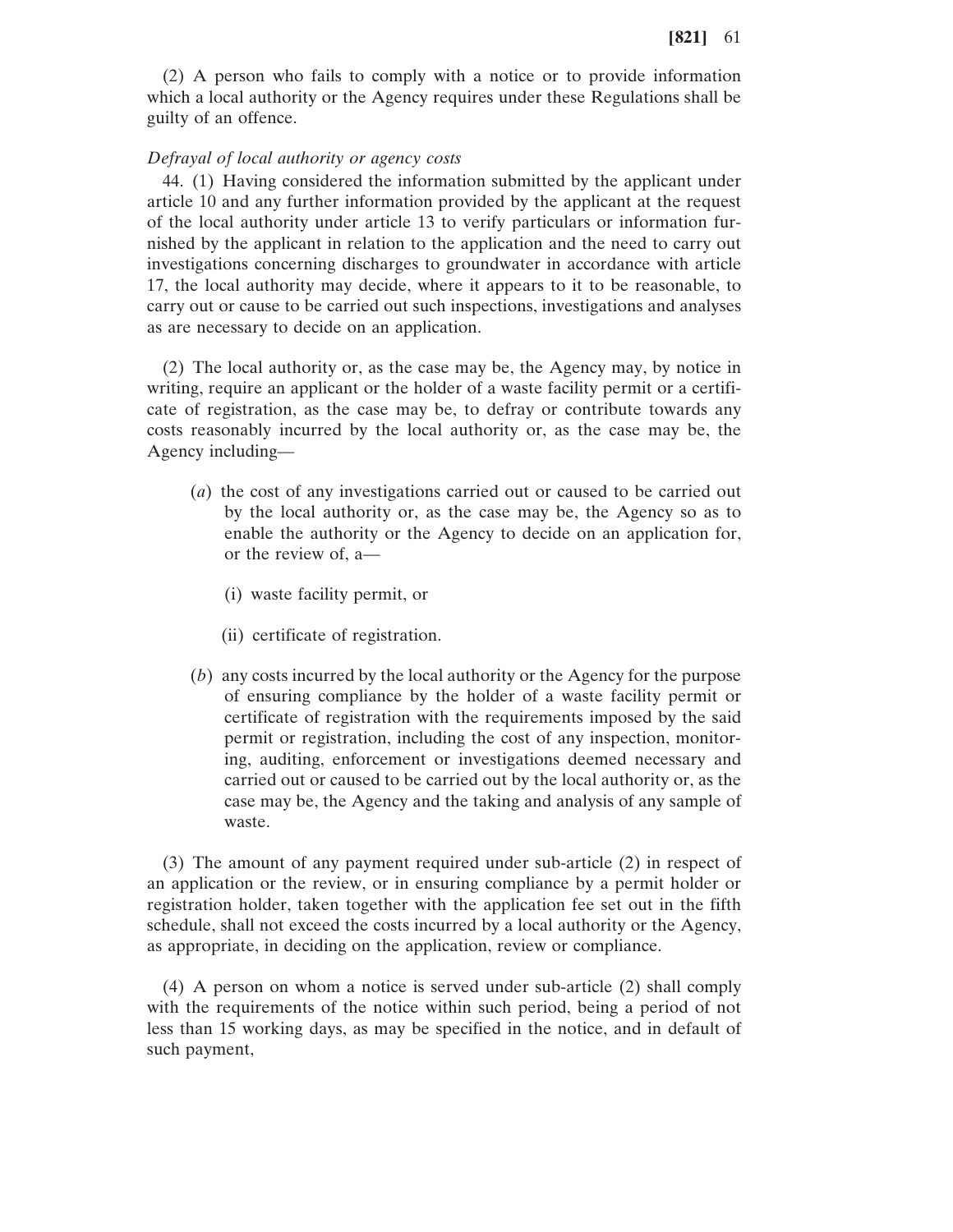(2) A person who fails to comply with a notice or to provide information which a local authority or the Agency requires under these Regulations shall be guilty of an offence.

#### *Defrayal of local authority or agency costs*

44. (1) Having considered the information submitted by the applicant under article 10 and any further information provided by the applicant at the request of the local authority under article 13 to verify particulars or information furnished by the applicant in relation to the application and the need to carry out investigations concerning discharges to groundwater in accordance with article 17, the local authority may decide, where it appears to it to be reasonable, to carry out or cause to be carried out such inspections, investigations and analyses as are necessary to decide on an application.

(2) The local authority or, as the case may be, the Agency may, by notice in writing, require an applicant or the holder of a waste facility permit or a certificate of registration, as the case may be, to defray or contribute towards any costs reasonably incurred by the local authority or, as the case may be, the Agency including—

- (*a*) the cost of any investigations carried out or caused to be carried out by the local authority or, as the case may be, the Agency so as to enable the authority or the Agency to decide on an application for, or the review of, a—
	- (i) waste facility permit, or
	- (ii) certificate of registration.
- (*b*) any costs incurred by the local authority or the Agency for the purpose of ensuring compliance by the holder of a waste facility permit or certificate of registration with the requirements imposed by the said permit or registration, including the cost of any inspection, monitoring, auditing, enforcement or investigations deemed necessary and carried out or caused to be carried out by the local authority or, as the case may be, the Agency and the taking and analysis of any sample of waste.

(3) The amount of any payment required under sub-article (2) in respect of an application or the review, or in ensuring compliance by a permit holder or registration holder, taken together with the application fee set out in the fifth schedule, shall not exceed the costs incurred by a local authority or the Agency, as appropriate, in deciding on the application, review or compliance.

(4) A person on whom a notice is served under sub-article (2) shall comply with the requirements of the notice within such period, being a period of not less than 15 working days, as may be specified in the notice, and in default of such payment,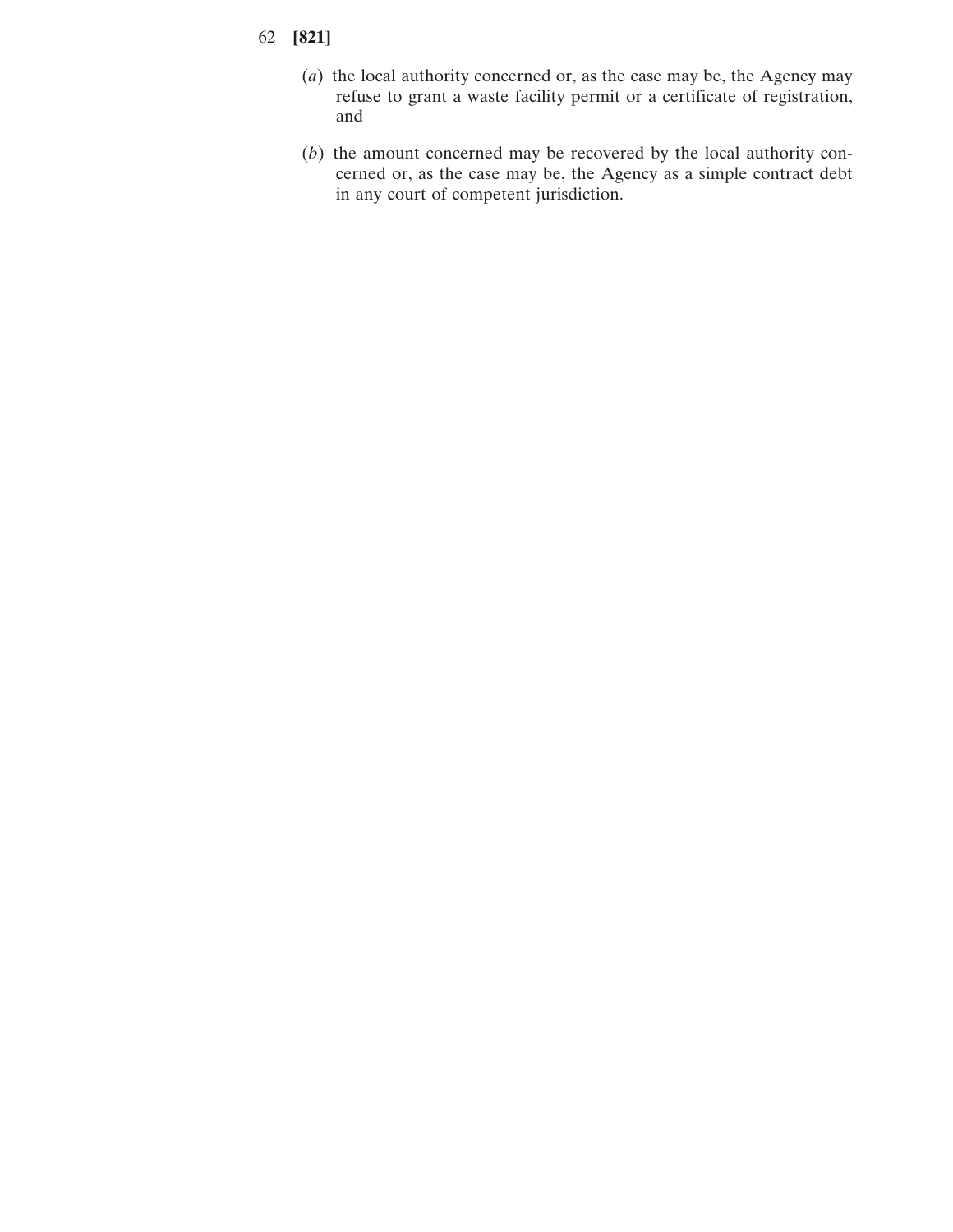- 62 **[821]**
	- (*a*) the local authority concerned or, as the case may be, the Agency may refuse to grant a waste facility permit or a certificate of registration, and
	- (*b*) the amount concerned may be recovered by the local authority concerned or, as the case may be, the Agency as a simple contract debt in any court of competent jurisdiction.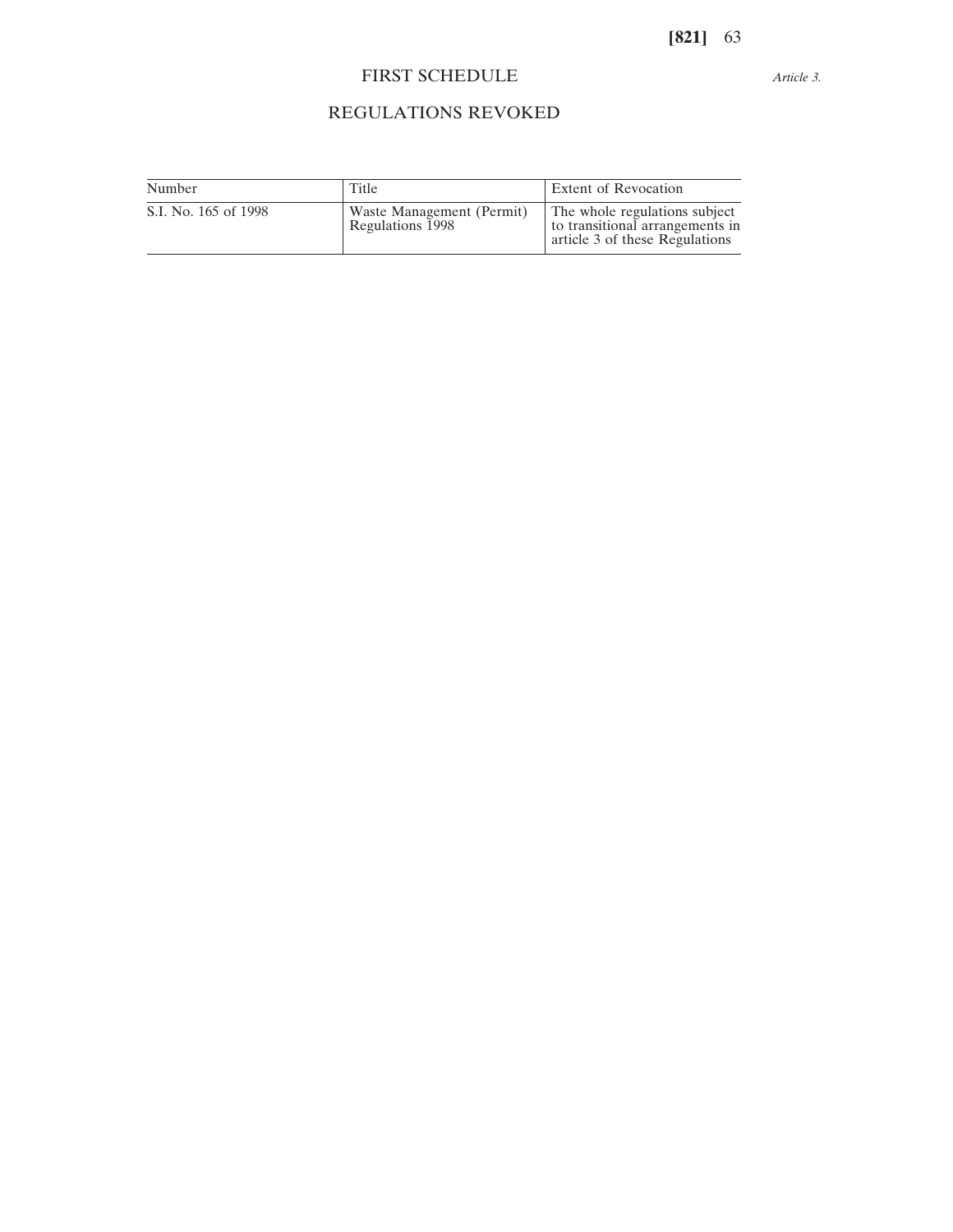# FIRST SCHEDULE

*Article 3.*

# REGULATIONS REVOKED

| Number               | Title                                         | <b>Extent of Revocation</b>                                                                        |
|----------------------|-----------------------------------------------|----------------------------------------------------------------------------------------------------|
| S.I. No. 165 of 1998 | Waste Management (Permit)<br>Regulations 1998 | The whole regulations subject<br>to transitional arrangements in<br>article 3 of these Regulations |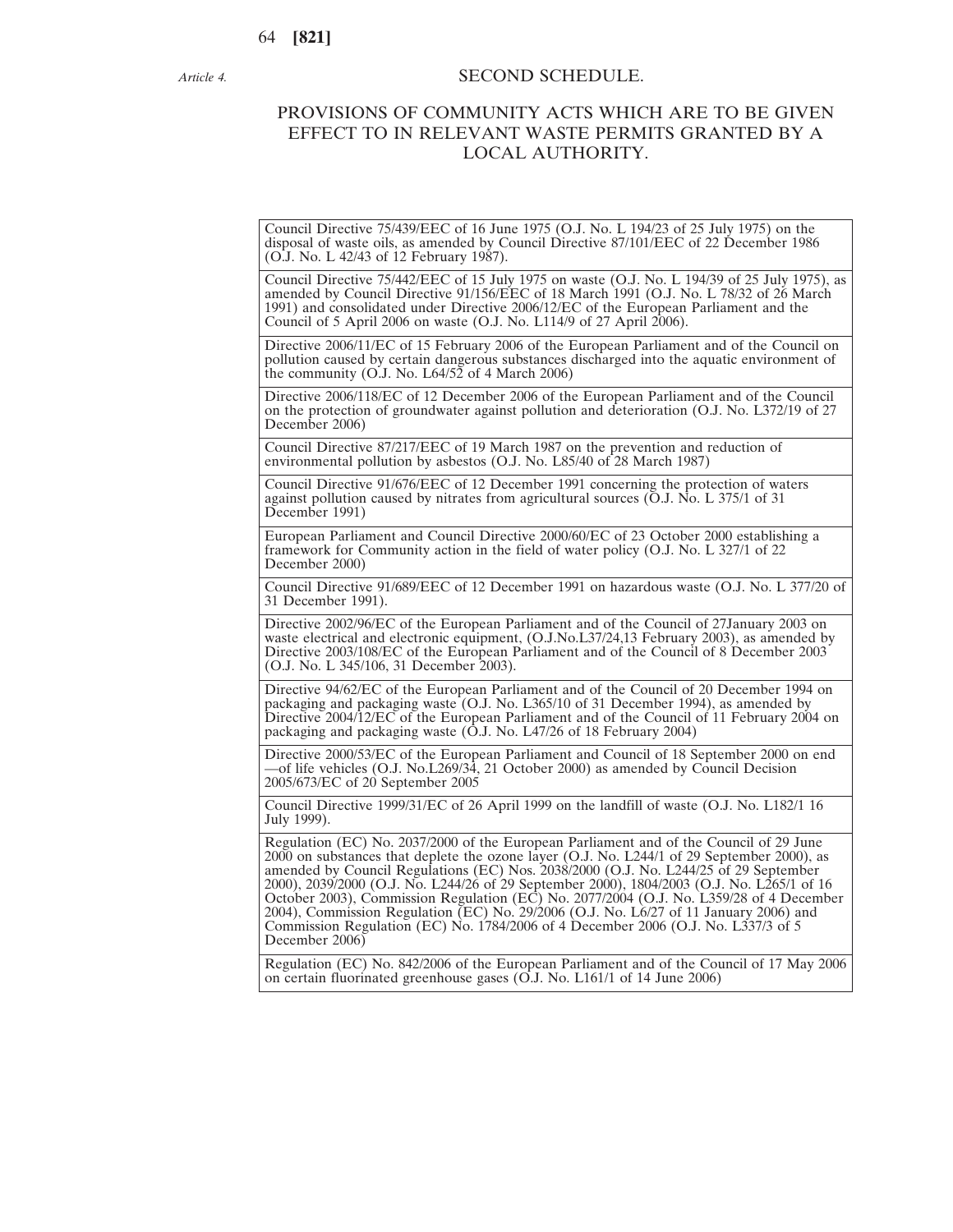*Article 4.*

## SECOND SCHEDULE.

# PROVISIONS OF COMMUNITY ACTS WHICH ARE TO BE GIVEN EFFECT TO IN RELEVANT WASTE PERMITS GRANTED BY A LOCAL AUTHORITY.

Council Directive 75/439/EEC of 16 June 1975 (O.J. No. L 194/23 of 25 July 1975) on the disposal of waste oils, as amended by Council Directive 87/101/EEC of 22 December 1986 (O.J. No. L 42/43 of 12 February 1987).

Council Directive 75/442/EEC of 15 July 1975 on waste (O.J. No. L 194/39 of 25 July 1975), as amended by Council Directive 91/156/EEC of 18 March 1991 (O.J. No. L 78/32 of 26 March 1991) and consolidated under Directive 2006/12/EC of the European Parliament and the Council of 5 April 2006 on waste (O.J. No. L114/9 of 27 April 2006).

Directive 2006/11/EC of 15 February 2006 of the European Parliament and of the Council on pollution caused by certain dangerous substances discharged into the aquatic environment of the community  $(O.I. No. L64/52 of 4 March 2006)$ 

Directive 2006/118/EC of 12 December 2006 of the European Parliament and of the Council on the protection of groundwater against pollution and deterioration (O.J. No. L372/19 of 27 December 2006)

Council Directive 87/217/EEC of 19 March 1987 on the prevention and reduction of environmental pollution by asbestos (O.J. No. L85/40 of 28 March 1987)

Council Directive 91/676/EEC of 12 December 1991 concerning the protection of waters against pollution caused by nitrates from agricultural sources ( $\overline{O}$ .J. No. L 375/1 of 31 December 1991)

European Parliament and Council Directive 2000/60/EC of 23 October 2000 establishing a framework for Community action in the field of water policy (O.J. No. L 327/1 of 22 December 2000)

Council Directive 91/689/EEC of 12 December 1991 on hazardous waste (O.J. No. L 377/20 of 31 December 1991).

Directive 2002/96/EC of the European Parliament and of the Council of 27January 2003 on waste electrical and electronic equipment, (O.J.No.L37/24,13 February 2003), as amended by Directive 2003/108/EC of the European Parliament and of the Council of 8 December 2003 (O.J. No. L 345/106, 31 December 2003).

Directive 94/62/EC of the European Parliament and of the Council of 20 December 1994 on packaging and packaging waste (O.J. No. L365/10 of 31 December 1994), as amended by Directive 2004/12/EC of the European Parliament and of the Council of 11 February 2004 on packaging and packaging waste (O.J. No. L47/26 of 18 February 2004)

Directive 2000/53/EC of the European Parliament and Council of 18 September 2000 on end —of life vehicles (O.J. No.L269/34, 21 October 2000) as amended by Council Decision 2005/673/EC of 20 September 2005

Council Directive 1999/31/EC of 26 April 1999 on the landfill of waste (O.J. No. L182/1 16 July 1999).

Regulation (EC) No. 2037/2000 of the European Parliament and of the Council of 29 June 2000 on substances that deplete the ozone layer (O.J. No. L244/1 of 29 September 2000), as amended by Council Regulations (EC) Nos. 2038/2000 (O.J. No. L244/25 of 29 September 2000), 2039/2000 (O.J. No. L244/26 of 29 September 2000), 1804/2003 (O.J. No. L265/1 of 16 October 2003), Commission Regulation (EC) No. 2077/2004 (O.J. No. L359/28 of 4 December 2004), Commission Regulation (EC) No. 29/2006 (O.J. No. L6/27 of 11 January 2006) and Commission Regulation (EC) No. 1784/2006 of 4 December 2006 (O.J. No. L337/3 of 5 December 2006)

Regulation (EC) No. 842/2006 of the European Parliament and of the Council of 17 May 2006 on certain fluorinated greenhouse gases (O.J. No. L161/1 of 14 June 2006)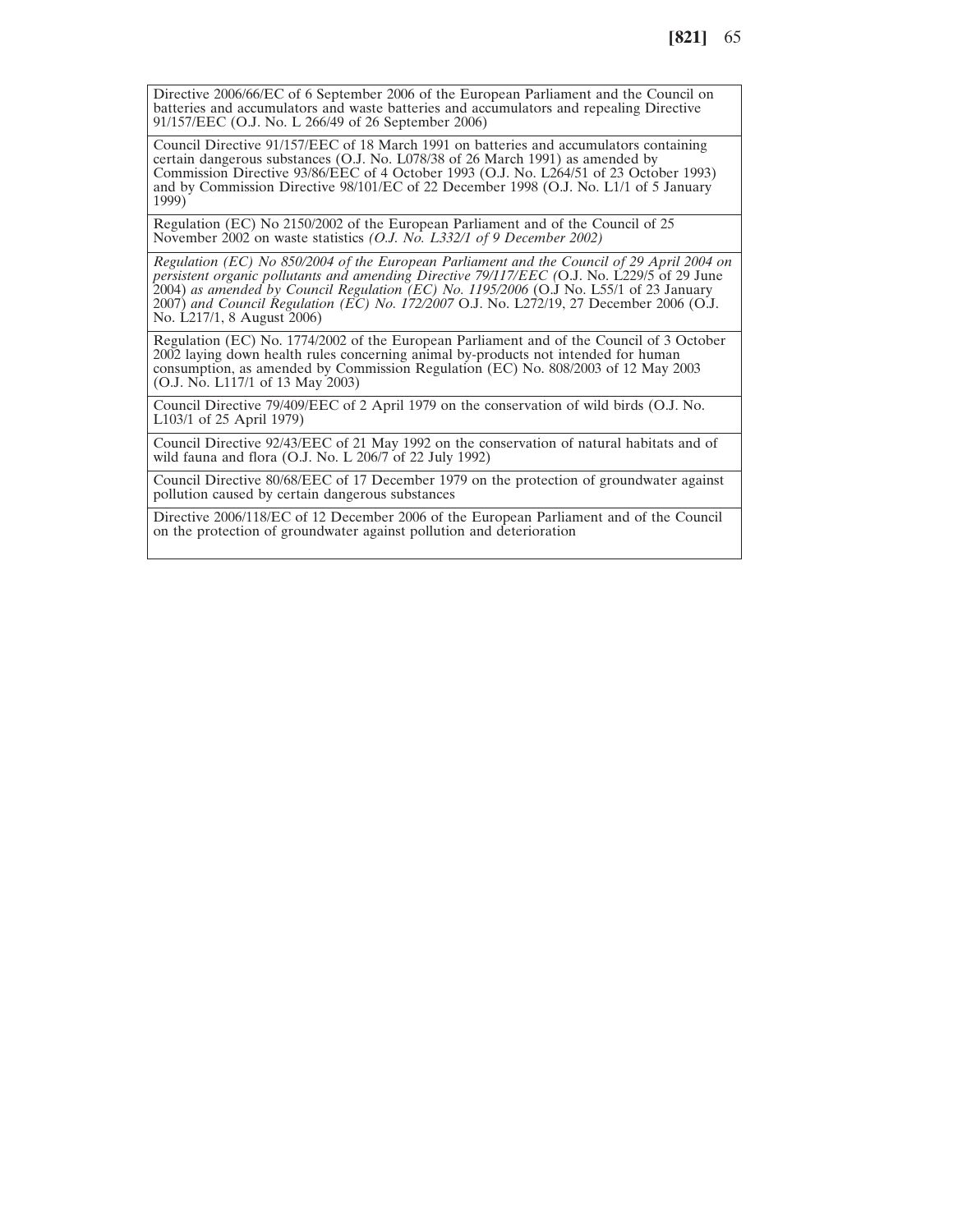Directive 2006/66/EC of 6 September 2006 of the European Parliament and the Council on batteries and accumulators and waste batteries and accumulators and repealing Directive 91/157/EEC (O.J. No. L 266/49 of 26 September 2006)

Council Directive 91/157/EEC of 18 March 1991 on batteries and accumulators containing certain dangerous substances (O.J. No. L078/38 of 26 March 1991) as amended by Commission Directive 93/86/EEC of 4 October 1993 (O.J. No. L264/51 of 23 October 1993) and by Commission Directive 98/101/EC of 22 December 1998 (O.J. No. L1/1 of 5 January 1999)

Regulation (EC) No 2150/2002 of the European Parliament and of the Council of 25 November 2002 on waste statistics *(O.J. No. L332/1 of 9 December 2002)*

*Regulation (EC) No 850/2004 of the European Parliament and the Council of 29 April 2004 on persistent organic pollutants and amending Directive 79/117/EEC (*O.J. No. L229/5 of 29 June 2004) *as amended by Council Regulation (EC) No. 1195/2006* (O.J No. L55/1 of 23 January 2007) *and Council Regulation (EC) No. 172/2007* O.J. No. L272/19, 27 December 2006 (O.J. No. L217/1, 8 August 2006)

Regulation (EC) No. 1774/2002 of the European Parliament and of the Council of 3 October 2002 laying down health rules concerning animal by-products not intended for human consumption, as amended by Commission Regulation (EC) No. 808/2003 of 12 May 2003 (O.J. No. L117/1 of 13 May 2003)

Council Directive 79/409/EEC of 2 April 1979 on the conservation of wild birds (O.J. No. L103/1 of 25 April 1979)

Council Directive 92/43/EEC of 21 May 1992 on the conservation of natural habitats and of wild fauna and flora (O.J. No. L 206/7 of 22 July 1992)

Council Directive 80/68/EEC of 17 December 1979 on the protection of groundwater against pollution caused by certain dangerous substances

Directive 2006/118/EC of 12 December 2006 of the European Parliament and of the Council on the protection of groundwater against pollution and deterioration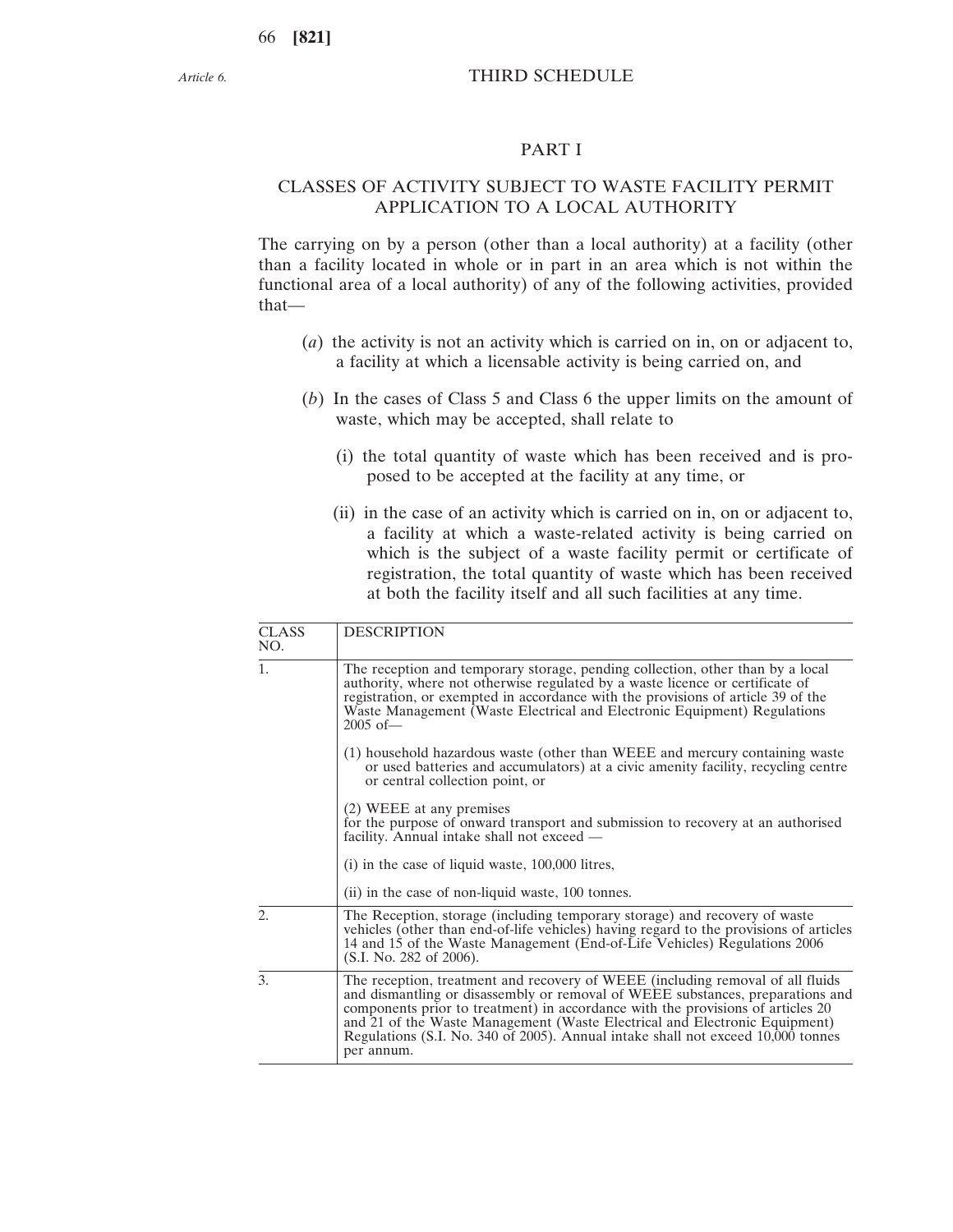# THIRD SCHEDULE

#### PART I

# CLASSES OF ACTIVITY SUBJECT TO WASTE FACILITY PERMIT APPLICATION TO A LOCAL AUTHORITY

The carrying on by a person (other than a local authority) at a facility (other than a facility located in whole or in part in an area which is not within the functional area of a local authority) of any of the following activities, provided that—

- (*a*) the activity is not an activity which is carried on in, on or adjacent to, a facility at which a licensable activity is being carried on, and
- (*b*) In the cases of Class 5 and Class 6 the upper limits on the amount of waste, which may be accepted, shall relate to
	- (i) the total quantity of waste which has been received and is proposed to be accepted at the facility at any time, or
	- (ii) in the case of an activity which is carried on in, on or adjacent to, a facility at which a waste-related activity is being carried on which is the subject of a waste facility permit or certificate of registration, the total quantity of waste which has been received at both the facility itself and all such facilities at any time.

| <b>CLASS</b><br>NO. | <b>DESCRIPTION</b>                                                                                                                                                                                                                                                                                                                                                                                                                  |
|---------------------|-------------------------------------------------------------------------------------------------------------------------------------------------------------------------------------------------------------------------------------------------------------------------------------------------------------------------------------------------------------------------------------------------------------------------------------|
| 1.                  | The reception and temporary storage, pending collection, other than by a local<br>authority, where not otherwise regulated by a waste licence or certificate of<br>registration, or exempted in accordance with the provisions of article 39 of the<br>Waste Management (Waste Electrical and Electronic Equipment) Regulations<br>$2005$ of —                                                                                      |
|                     | (1) household hazardous waste (other than WEEE and mercury containing waste<br>or used batteries and accumulators) at a civic amenity facility, recycling centre<br>or central collection point, or                                                                                                                                                                                                                                 |
|                     | (2) WEEE at any premises<br>for the purpose of onward transport and submission to recovery at an authorised<br>facility. Annual intake shall not exceed —                                                                                                                                                                                                                                                                           |
|                     | (i) in the case of liquid waste, 100,000 litres,                                                                                                                                                                                                                                                                                                                                                                                    |
|                     | (ii) in the case of non-liquid waste, 100 tonnes.                                                                                                                                                                                                                                                                                                                                                                                   |
| $\overline{2}$ .    | The Reception, storage (including temporary storage) and recovery of waste<br>vehicles (other than end-of-life vehicles) having regard to the provisions of articles<br>14 and 15 of the Waste Management (End-of-Life Vehicles) Regulations 2006<br>(S.I. No. 282 of 2006).                                                                                                                                                        |
| 3.                  | The reception, treatment and recovery of WEEE (including removal of all fluids<br>and dismantling or disassembly or removal of WEEE substances, preparations and<br>components prior to treatment) in accordance with the provisions of articles 20<br>and 21 of the Waste Management (Waste Electrical and Electronic Equipment)<br>Regulations (S.I. No. 340 of 2005). Annual intake shall not exceed 10,000 tonnes<br>per annum. |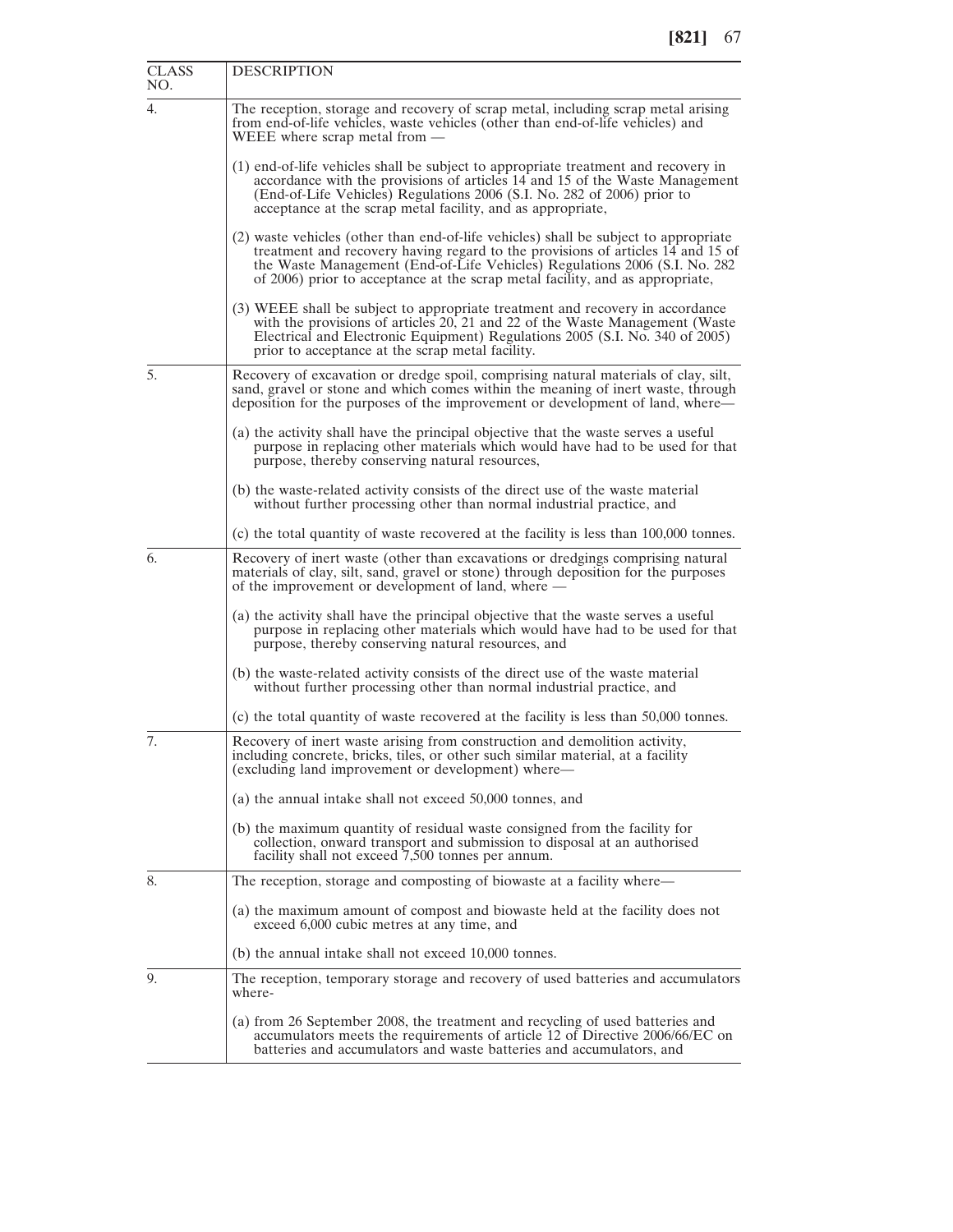| CLASS<br>NO. | <b>DESCRIPTION</b>                                                                                                                                                                                                                                                                                                                     |
|--------------|----------------------------------------------------------------------------------------------------------------------------------------------------------------------------------------------------------------------------------------------------------------------------------------------------------------------------------------|
| 4.           | The reception, storage and recovery of scrap metal, including scrap metal arising<br>from end-of-life vehicles, waste vehicles (other than end-of-life vehicles) and<br>WEEE where scrap metal from $-$                                                                                                                                |
|              | (1) end-of-life vehicles shall be subject to appropriate treatment and recovery in<br>accordance with the provisions of articles 14 and 15 of the Waste Management<br>(End-of-Life Vehicles) Regulations 2006 (S.I. No. 282 of 2006) prior to<br>acceptance at the scrap metal facility, and as appropriate,                           |
|              | (2) waste vehicles (other than end-of-life vehicles) shall be subject to appropriate<br>treatment and recovery having regard to the provisions of articles 14 and 15 of<br>the Waste Management (End-of-Life Vehicles) Regulations 2006 (S.I. No. 282<br>of 2006) prior to acceptance at the scrap metal facility, and as appropriate, |
|              | (3) WEEE shall be subject to appropriate treatment and recovery in accordance<br>with the provisions of articles 20, 21 and 22 of the Waste Management (Waste<br>Electrical and Electronic Equipment) Regulations 2005 (S.I. No. 340 of 2005)<br>prior to acceptance at the scrap metal facility.                                      |
| 5.           | Recovery of excavation or dredge spoil, comprising natural materials of clay, silt,<br>sand, gravel or stone and which comes within the meaning of inert waste, through<br>deposition for the purposes of the improvement or development of land, where—                                                                               |
|              | (a) the activity shall have the principal objective that the waste serves a useful<br>purpose in replacing other materials which would have had to be used for that<br>purpose, thereby conserving natural resources,                                                                                                                  |
|              | (b) the waste-related activity consists of the direct use of the waste material<br>without further processing other than normal industrial practice, and                                                                                                                                                                               |
|              | (c) the total quantity of waste recovered at the facility is less than 100,000 tonnes.                                                                                                                                                                                                                                                 |
| 6.           | Recovery of inert waste (other than excavations or dredgings comprising natural<br>materials of clay, silt, sand, gravel or stone) through deposition for the purposes<br>of the improvement or development of land, where —                                                                                                           |
|              | (a) the activity shall have the principal objective that the waste serves a useful<br>purpose in replacing other materials which would have had to be used for that<br>purpose, thereby conserving natural resources, and                                                                                                              |
|              | (b) the waste-related activity consists of the direct use of the waste material<br>without further processing other than normal industrial practice, and                                                                                                                                                                               |
|              | (c) the total quantity of waste recovered at the facility is less than 50,000 tonnes.                                                                                                                                                                                                                                                  |
| 7.           | Recovery of inert waste arising from construction and demolition activity,<br>including concrete, bricks, tiles, or other such similar material, at a facility<br>(excluding land improvement or development) where—                                                                                                                   |
|              | (a) the annual intake shall not exceed 50,000 tonnes, and                                                                                                                                                                                                                                                                              |
|              | (b) the maximum quantity of residual waste consigned from the facility for<br>collection, onward transport and submission to disposal at an authorised<br>facility shall not exceed 7,500 tonnes per annum.                                                                                                                            |
| 8.           | The reception, storage and composting of biowaste at a facility where—                                                                                                                                                                                                                                                                 |
|              | (a) the maximum amount of compost and biowaste held at the facility does not<br>exceed 6,000 cubic metres at any time, and                                                                                                                                                                                                             |
|              | (b) the annual intake shall not exceed 10,000 tonnes.                                                                                                                                                                                                                                                                                  |
| 9.           | The reception, temporary storage and recovery of used batteries and accumulators<br>where-                                                                                                                                                                                                                                             |
|              | (a) from 26 September 2008, the treatment and recycling of used batteries and<br>accumulators meets the requirements of article 12 of Directive 2006/66/EC on<br>batteries and accumulators and waste batteries and accumulators, and                                                                                                  |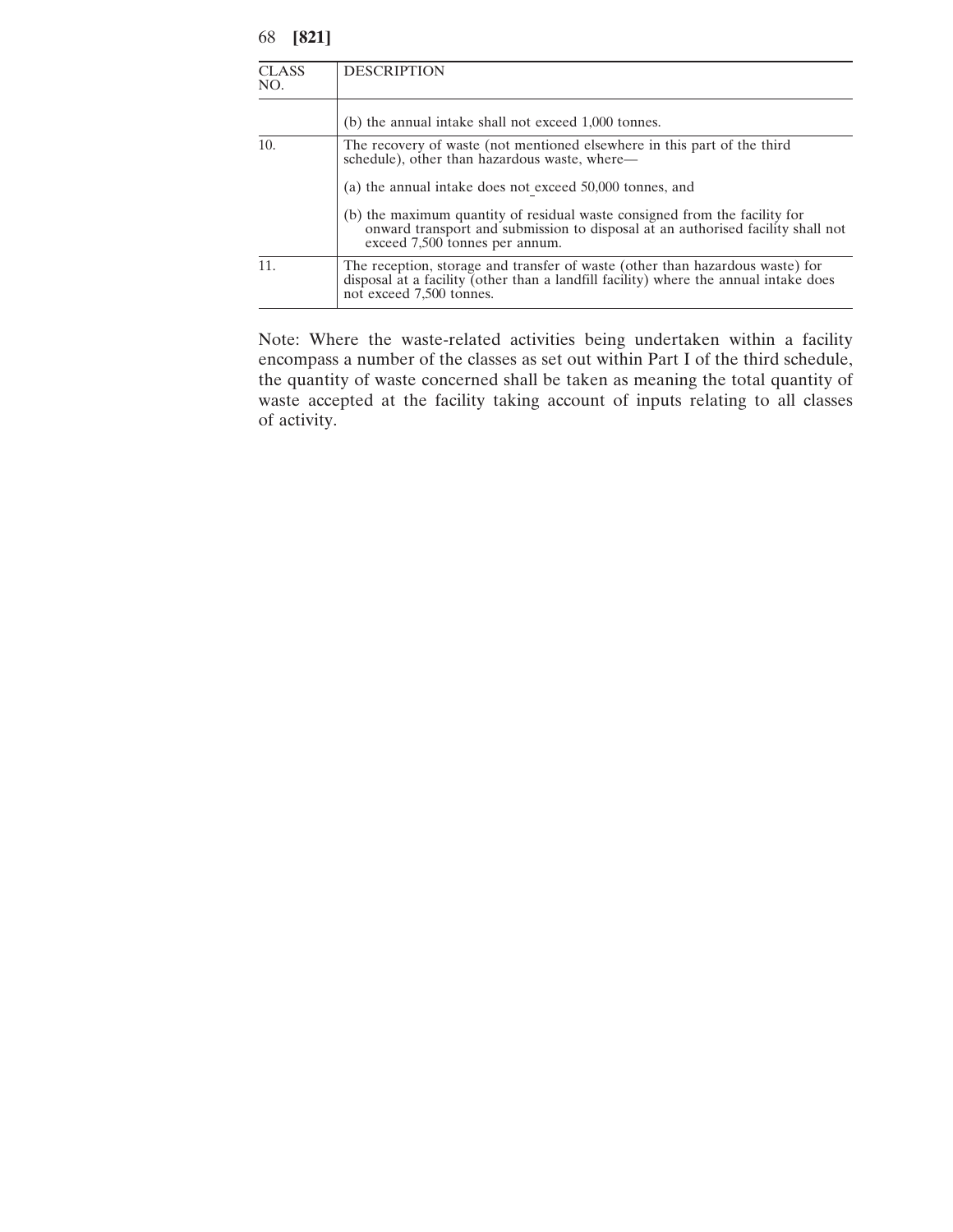| <b>CLASS</b><br>NO. | <b>DESCRIPTION</b>                                                                                                                                                                                |
|---------------------|---------------------------------------------------------------------------------------------------------------------------------------------------------------------------------------------------|
|                     | (b) the annual intake shall not exceed 1,000 tonnes.                                                                                                                                              |
| 10.                 | The recovery of waste (not mentioned elsewhere in this part of the third<br>schedule), other than hazardous waste, where-                                                                         |
|                     | (a) the annual intake does not exceed 50,000 tonnes, and                                                                                                                                          |
|                     | (b) the maximum quantity of residual waste consigned from the facility for<br>onward transport and submission to disposal at an authorised facility shall not<br>exceed 7,500 tonnes per annum.   |
| 11.                 | The reception, storage and transfer of waste (other than hazardous waste) for<br>disposal at a facility (other than a landfill facility) where the annual intake does<br>not exceed 7,500 tonnes. |

Note: Where the waste-related activities being undertaken within a facility encompass a number of the classes as set out within Part I of the third schedule, the quantity of waste concerned shall be taken as meaning the total quantity of waste accepted at the facility taking account of inputs relating to all classes of activity.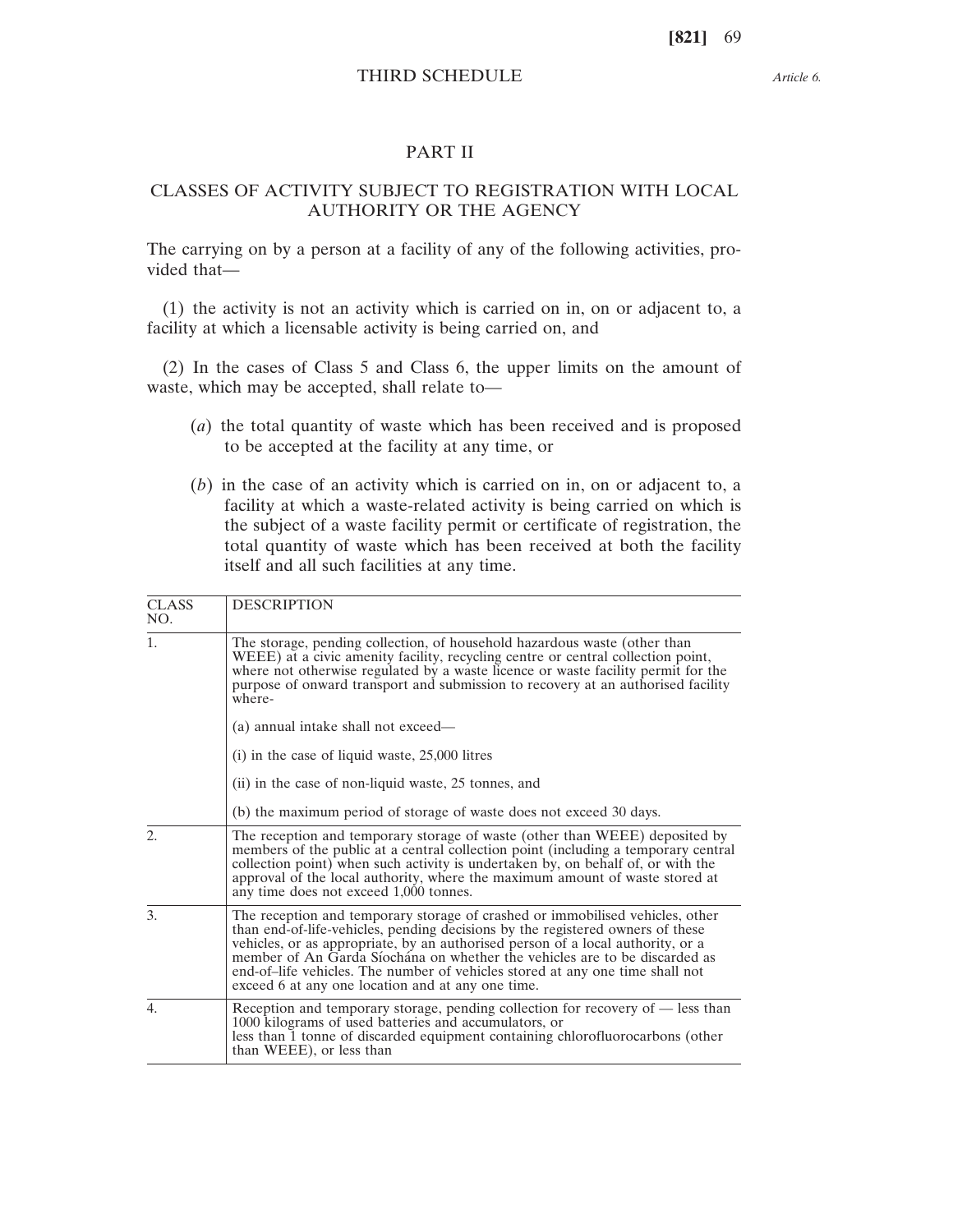#### *Article 6.*

## PART II

# CLASSES OF ACTIVITY SUBJECT TO REGISTRATION WITH LOCAL AUTHORITY OR THE AGENCY

The carrying on by a person at a facility of any of the following activities, provided that—

(1) the activity is not an activity which is carried on in, on or adjacent to, a facility at which a licensable activity is being carried on, and

(2) In the cases of Class 5 and Class 6, the upper limits on the amount of waste, which may be accepted, shall relate to—

- (*a*) the total quantity of waste which has been received and is proposed to be accepted at the facility at any time, or
- (*b*) in the case of an activity which is carried on in, on or adjacent to, a facility at which a waste-related activity is being carried on which is the subject of a waste facility permit or certificate of registration, the total quantity of waste which has been received at both the facility itself and all such facilities at any time.

| <b>CLASS</b><br>NO. | <b>DESCRIPTION</b>                                                                                                                                                                                                                                                                                                                                                                                                                                                     |
|---------------------|------------------------------------------------------------------------------------------------------------------------------------------------------------------------------------------------------------------------------------------------------------------------------------------------------------------------------------------------------------------------------------------------------------------------------------------------------------------------|
| 1.                  | The storage, pending collection, of household hazardous waste (other than<br>WEEE) at a civic amenity facility, recycling centre or central collection point,<br>where not otherwise regulated by a waste licence or waste facility permit for the<br>purpose of onward transport and submission to recovery at an authorised facility<br>where-                                                                                                                       |
|                     | (a) annual intake shall not exceed—                                                                                                                                                                                                                                                                                                                                                                                                                                    |
|                     | $(i)$ in the case of liquid waste, 25,000 litres                                                                                                                                                                                                                                                                                                                                                                                                                       |
|                     | (ii) in the case of non-liquid waste, 25 tonnes, and                                                                                                                                                                                                                                                                                                                                                                                                                   |
|                     | (b) the maximum period of storage of waste does not exceed 30 days.                                                                                                                                                                                                                                                                                                                                                                                                    |
| $\overline{2}$ .    | The reception and temporary storage of waste (other than WEEE) deposited by<br>members of the public at a central collection point (including a temporary central<br>collection point) when such activity is undertaken by, on behalf of, or with the<br>approval of the local authority, where the maximum amount of waste stored at<br>any time does not exceed 1,000 tonnes.                                                                                        |
| 3.                  | The reception and temporary storage of crashed or immobilised vehicles, other<br>than end-of-life-vehicles, pending decisions by the registered owners of these<br>vehicles, or as appropriate, by an authorised person of a local authority, or a<br>member of An Garda Síochána on whether the vehicles are to be discarded as<br>end-of-life vehicles. The number of vehicles stored at any one time shall not<br>exceed 6 at any one location and at any one time. |
| 4.                  | Reception and temporary storage, pending collection for recovery of - less than<br>1000 kilograms of used batteries and accumulators, or<br>less than 1 tonne of discarded equipment containing chlorofluorocarbons (other<br>than WEEE), or less than                                                                                                                                                                                                                 |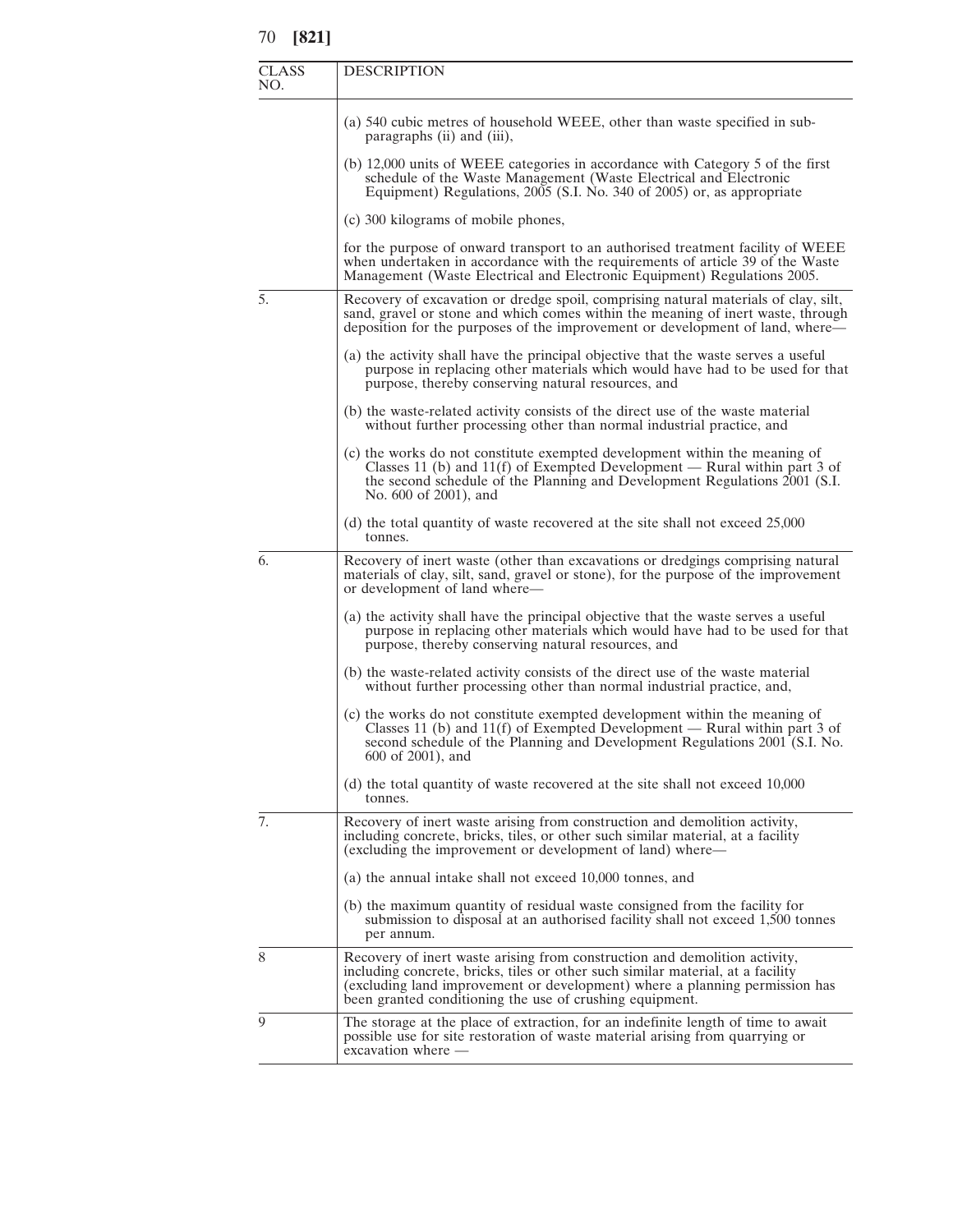| <b>CLASS</b><br>NO. | <b>DESCRIPTION</b>                                                                                                                                                                                                                                                                                       |
|---------------------|----------------------------------------------------------------------------------------------------------------------------------------------------------------------------------------------------------------------------------------------------------------------------------------------------------|
|                     | (a) 540 cubic metres of household WEEE, other than waste specified in sub-<br>paragraphs (ii) and (iii),                                                                                                                                                                                                 |
|                     | (b) 12,000 units of WEEE categories in accordance with Category 5 of the first<br>schedule of the Waste Management (Waste Electrical and Electronic<br>Equipment) Regulations, 2005 (S.I. No. 340 of 2005) or, as appropriate                                                                            |
|                     | (c) 300 kilograms of mobile phones,                                                                                                                                                                                                                                                                      |
|                     | for the purpose of onward transport to an authorised treatment facility of WEEE<br>when undertaken in accordance with the requirements of article 39 of the Waste<br>Management (Waste Electrical and Electronic Equipment) Regulations 2005.                                                            |
| 5.                  | Recovery of excavation or dredge spoil, comprising natural materials of clay, silt,<br>sand, gravel or stone and which comes within the meaning of inert waste, through<br>deposition for the purposes of the improvement or development of land, where—                                                 |
|                     | (a) the activity shall have the principal objective that the waste serves a useful<br>purpose in replacing other materials which would have had to be used for that<br>purpose, thereby conserving natural resources, and                                                                                |
|                     | (b) the waste-related activity consists of the direct use of the waste material<br>without further processing other than normal industrial practice, and                                                                                                                                                 |
|                     | (c) the works do not constitute exempted development within the meaning of<br>Classes 11 (b) and 11(f) of Exempted Development — Rural within part 3 of<br>the second schedule of the Planning and Development Regulations 2001 (S.I.<br>No. 600 of 2001), and                                           |
|                     | (d) the total quantity of waste recovered at the site shall not exceed $25,000$<br>tonnes.                                                                                                                                                                                                               |
| 6.                  | Recovery of inert waste (other than excavations or dredgings comprising natural<br>materials of clay, silt, sand, gravel or stone), for the purpose of the improvement<br>or development of land where—                                                                                                  |
|                     | (a) the activity shall have the principal objective that the waste serves a useful<br>purpose in replacing other materials which would have had to be used for that<br>purpose, thereby conserving natural resources, and                                                                                |
|                     | (b) the waste-related activity consists of the direct use of the waste material<br>without further processing other than normal industrial practice, and,                                                                                                                                                |
|                     | (c) the works do not constitute exempted development within the meaning of<br>Classes 11 (b) and 11(f) of Exempted Development — Rural within part 3 of<br>second schedule of the Planning and Development Regulations 2001 (S.I. No.<br>600 of 2001), and                                               |
|                     | (d) the total quantity of waste recovered at the site shall not exceed 10,000<br>tonnes.                                                                                                                                                                                                                 |
| 7.                  | Recovery of inert waste arising from construction and demolition activity,<br>including concrete, bricks, tiles, or other such similar material, at a facility<br>(excluding the improvement or development of land) where—                                                                              |
|                     | (a) the annual intake shall not exceed 10,000 tonnes, and                                                                                                                                                                                                                                                |
|                     | (b) the maximum quantity of residual waste consigned from the facility for<br>submission to disposal at an authorised facility shall not exceed 1,500 tonnes<br>per annum.                                                                                                                               |
| 8                   | Recovery of inert waste arising from construction and demolition activity,<br>including concrete, bricks, tiles or other such similar material, at a facility<br>(excluding land improvement or development) where a planning permission has<br>been granted conditioning the use of crushing equipment. |
| 9                   | The storage at the place of extraction, for an indefinite length of time to await<br>possible use for site restoration of waste material arising from quarrying or<br>excavation where -                                                                                                                 |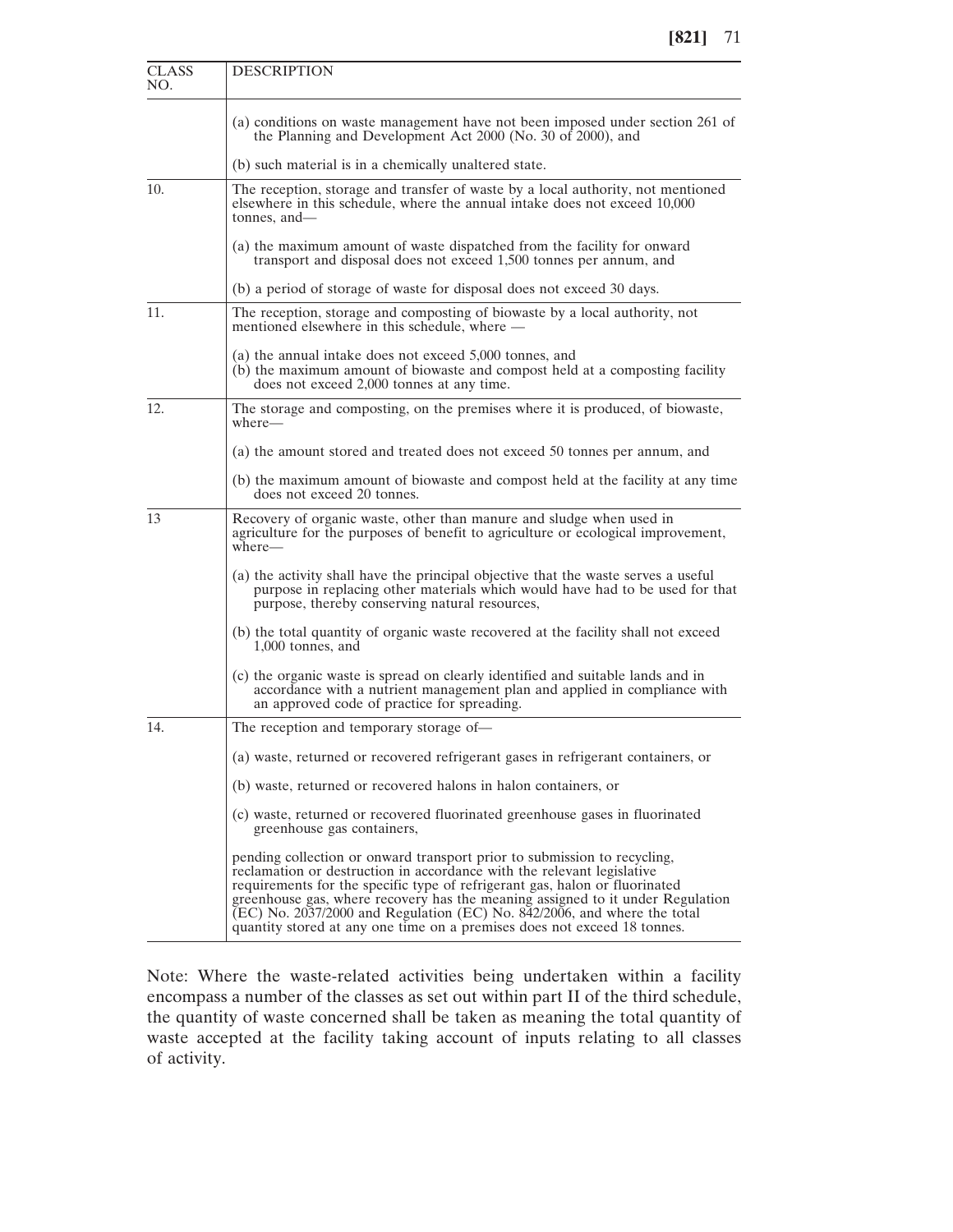| <b>CLASS</b><br>NO. | <b>DESCRIPTION</b>                                                                                                                                                                                                                                                                                                                                                                                                                                                          |
|---------------------|-----------------------------------------------------------------------------------------------------------------------------------------------------------------------------------------------------------------------------------------------------------------------------------------------------------------------------------------------------------------------------------------------------------------------------------------------------------------------------|
|                     | (a) conditions on waste management have not been imposed under section 261 of<br>the Planning and Development Act 2000 (No. 30 of 2000), and                                                                                                                                                                                                                                                                                                                                |
|                     | (b) such material is in a chemically unaltered state.                                                                                                                                                                                                                                                                                                                                                                                                                       |
| 10.                 | The reception, storage and transfer of waste by a local authority, not mentioned<br>elsewhere in this schedule, where the annual intake does not exceed 10,000<br>tonnes, and-                                                                                                                                                                                                                                                                                              |
|                     | (a) the maximum amount of waste dispatched from the facility for onward<br>transport and disposal does not exceed 1,500 tonnes per annum, and                                                                                                                                                                                                                                                                                                                               |
|                     | (b) a period of storage of waste for disposal does not exceed 30 days.                                                                                                                                                                                                                                                                                                                                                                                                      |
| 11.                 | The reception, storage and composting of biowaste by a local authority, not<br>mentioned elsewhere in this schedule, where —                                                                                                                                                                                                                                                                                                                                                |
|                     | (a) the annual intake does not exceed 5,000 tonnes, and<br>(b) the maximum amount of biowaste and compost held at a composting facility<br>does not exceed 2,000 tonnes at any time.                                                                                                                                                                                                                                                                                        |
| 12.                 | The storage and composting, on the premises where it is produced, of biowaste,<br>where—                                                                                                                                                                                                                                                                                                                                                                                    |
|                     | (a) the amount stored and treated does not exceed 50 tonnes per annum, and                                                                                                                                                                                                                                                                                                                                                                                                  |
|                     | (b) the maximum amount of biowaste and compost held at the facility at any time<br>does not exceed 20 tonnes.                                                                                                                                                                                                                                                                                                                                                               |
| 13                  | Recovery of organic waste, other than manure and sludge when used in<br>agriculture for the purposes of benefit to agriculture or ecological improvement,<br>$where -$                                                                                                                                                                                                                                                                                                      |
|                     | (a) the activity shall have the principal objective that the waste serves a useful<br>purpose in replacing other materials which would have had to be used for that<br>purpose, thereby conserving natural resources,                                                                                                                                                                                                                                                       |
|                     | (b) the total quantity of organic waste recovered at the facility shall not exceed<br>$1,000$ tonnes, and                                                                                                                                                                                                                                                                                                                                                                   |
|                     | (c) the organic waste is spread on clearly identified and suitable lands and in<br>accordance with a nutrient management plan and applied in compliance with<br>an approved code of practice for spreading.                                                                                                                                                                                                                                                                 |
| 14.                 | The reception and temporary storage of—                                                                                                                                                                                                                                                                                                                                                                                                                                     |
|                     | (a) waste, returned or recovered refrigerant gases in refrigerant containers, or                                                                                                                                                                                                                                                                                                                                                                                            |
|                     | (b) waste, returned or recovered halons in halon containers, or                                                                                                                                                                                                                                                                                                                                                                                                             |
|                     | (c) waste, returned or recovered fluorinated greenhouse gases in fluorinated<br>greenhouse gas containers,                                                                                                                                                                                                                                                                                                                                                                  |
|                     | pending collection or onward transport prior to submission to recycling,<br>reclamation or destruction in accordance with the relevant legislative<br>requirements for the specific type of refrigerant gas, halon or fluorinated<br>greenhouse gas, where recovery has the meaning assigned to it under Regulation<br>(EC) No. 2037/2000 and Regulation (EC) No. 842/2006, and where the total<br>quantity stored at any one time on a premises does not exceed 18 tonnes. |

Note: Where the waste-related activities being undertaken within a facility encompass a number of the classes as set out within part II of the third schedule, the quantity of waste concerned shall be taken as meaning the total quantity of waste accepted at the facility taking account of inputs relating to all classes of activity.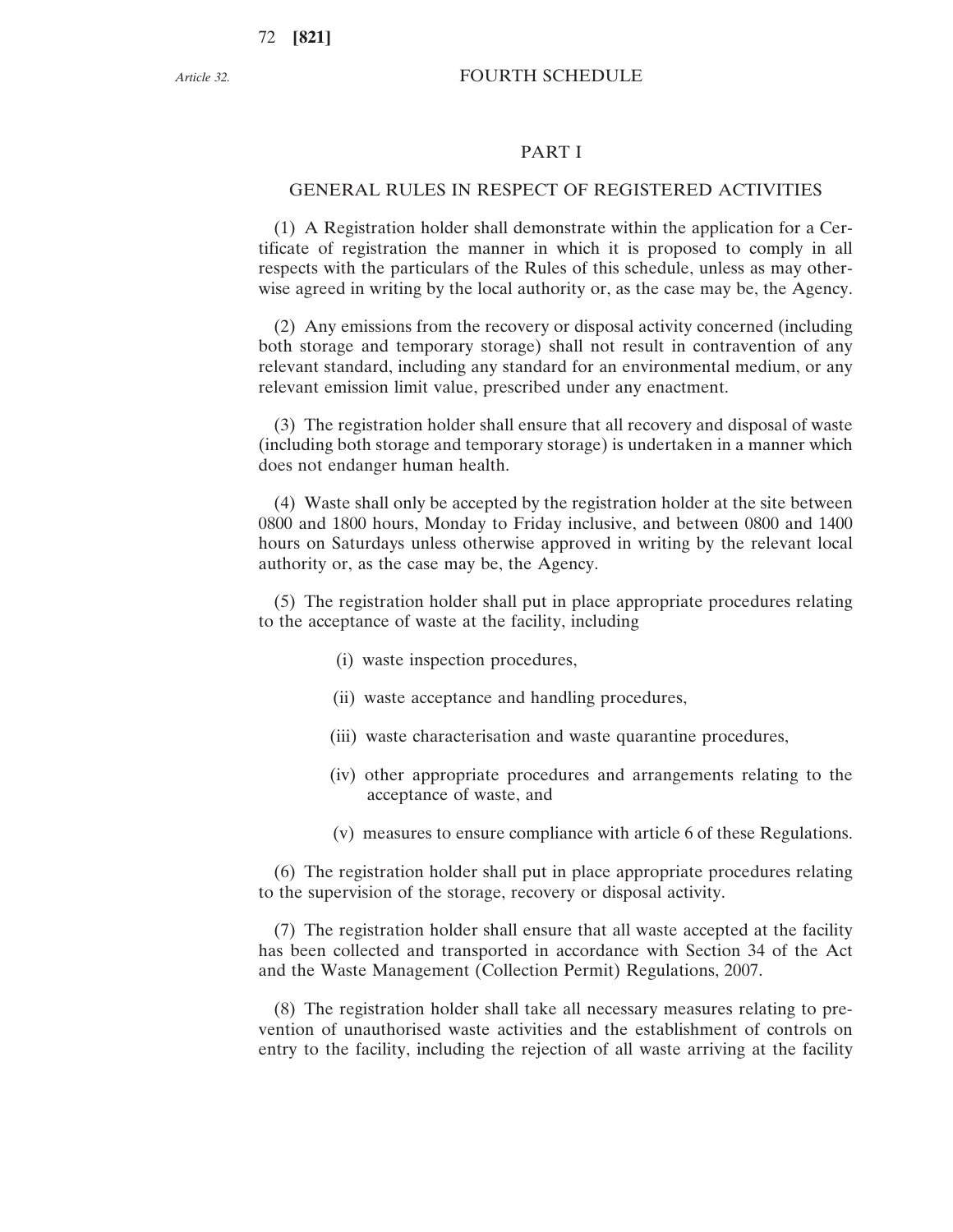# FOURTH SCHEDULE

#### PART I

# GENERAL RULES IN RESPECT OF REGISTERED ACTIVITIES

(1) A Registration holder shall demonstrate within the application for a Certificate of registration the manner in which it is proposed to comply in all respects with the particulars of the Rules of this schedule, unless as may otherwise agreed in writing by the local authority or, as the case may be, the Agency.

(2) Any emissions from the recovery or disposal activity concerned (including both storage and temporary storage) shall not result in contravention of any relevant standard, including any standard for an environmental medium, or any relevant emission limit value, prescribed under any enactment.

(3) The registration holder shall ensure that all recovery and disposal of waste (including both storage and temporary storage) is undertaken in a manner which does not endanger human health.

(4) Waste shall only be accepted by the registration holder at the site between 0800 and 1800 hours, Monday to Friday inclusive, and between 0800 and 1400 hours on Saturdays unless otherwise approved in writing by the relevant local authority or, as the case may be, the Agency.

(5) The registration holder shall put in place appropriate procedures relating to the acceptance of waste at the facility, including

- (i) waste inspection procedures,
- (ii) waste acceptance and handling procedures,
- (iii) waste characterisation and waste quarantine procedures,
- (iv) other appropriate procedures and arrangements relating to the acceptance of waste, and
- (v) measures to ensure compliance with article 6 of these Regulations.

(6) The registration holder shall put in place appropriate procedures relating to the supervision of the storage, recovery or disposal activity.

(7) The registration holder shall ensure that all waste accepted at the facility has been collected and transported in accordance with Section 34 of the Act and the Waste Management (Collection Permit) Regulations, 2007.

(8) The registration holder shall take all necessary measures relating to prevention of unauthorised waste activities and the establishment of controls on entry to the facility, including the rejection of all waste arriving at the facility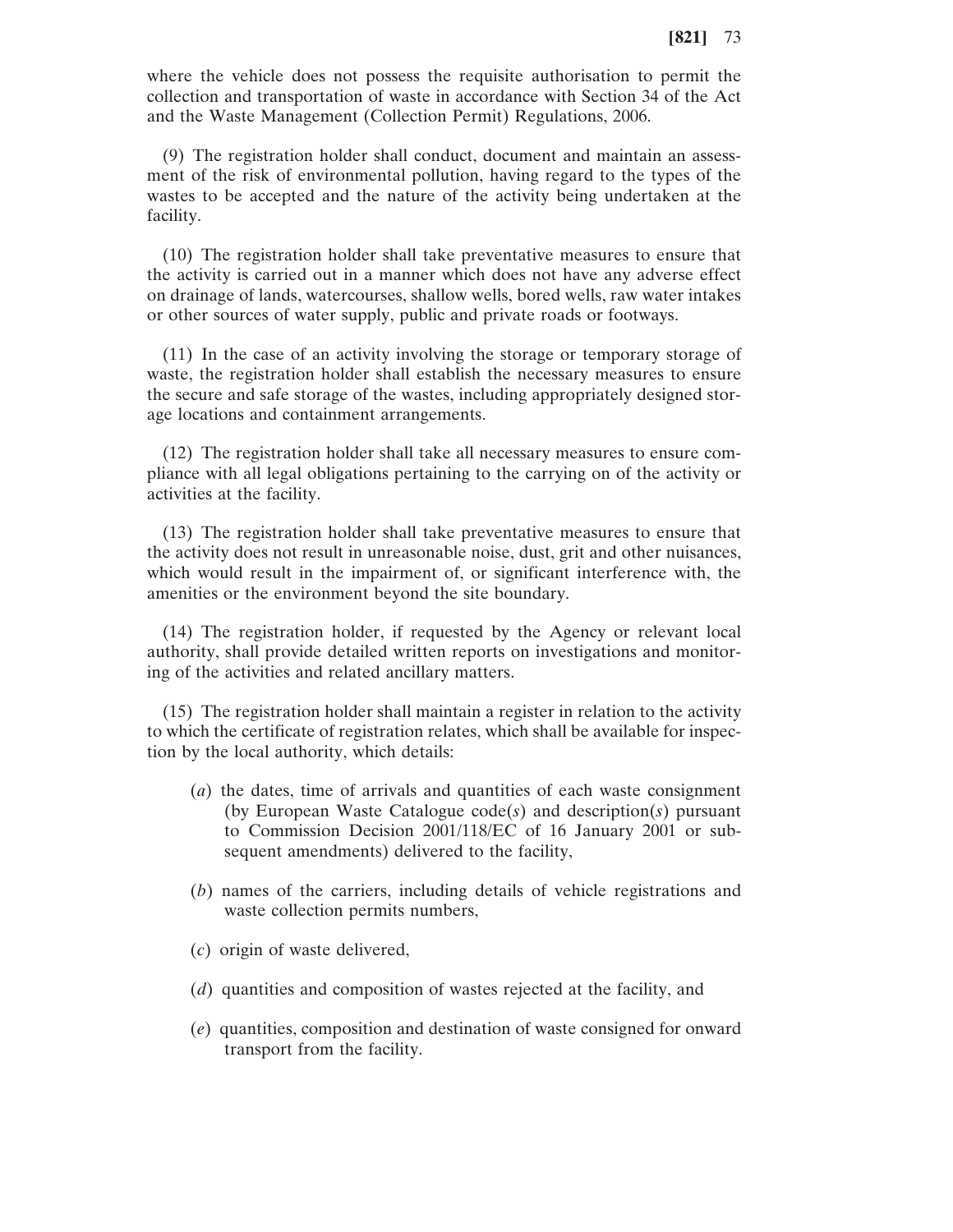where the vehicle does not possess the requisite authorisation to permit the collection and transportation of waste in accordance with Section 34 of the Act and the Waste Management (Collection Permit) Regulations, 2006.

(9) The registration holder shall conduct, document and maintain an assessment of the risk of environmental pollution, having regard to the types of the wastes to be accepted and the nature of the activity being undertaken at the facility.

(10) The registration holder shall take preventative measures to ensure that the activity is carried out in a manner which does not have any adverse effect on drainage of lands, watercourses, shallow wells, bored wells, raw water intakes or other sources of water supply, public and private roads or footways.

(11) In the case of an activity involving the storage or temporary storage of waste, the registration holder shall establish the necessary measures to ensure the secure and safe storage of the wastes, including appropriately designed storage locations and containment arrangements.

(12) The registration holder shall take all necessary measures to ensure compliance with all legal obligations pertaining to the carrying on of the activity or activities at the facility.

(13) The registration holder shall take preventative measures to ensure that the activity does not result in unreasonable noise, dust, grit and other nuisances, which would result in the impairment of, or significant interference with, the amenities or the environment beyond the site boundary.

(14) The registration holder, if requested by the Agency or relevant local authority, shall provide detailed written reports on investigations and monitoring of the activities and related ancillary matters.

(15) The registration holder shall maintain a register in relation to the activity to which the certificate of registration relates, which shall be available for inspection by the local authority, which details:

- (*a*) the dates, time of arrivals and quantities of each waste consignment (by European Waste Catalogue code(*s*) and description(*s*) pursuant to Commission Decision 2001/118/EC of 16 January 2001 or subsequent amendments) delivered to the facility,
- (*b*) names of the carriers, including details of vehicle registrations and waste collection permits numbers,
- (*c*) origin of waste delivered,
- (*d*) quantities and composition of wastes rejected at the facility, and
- (*e*) quantities, composition and destination of waste consigned for onward transport from the facility.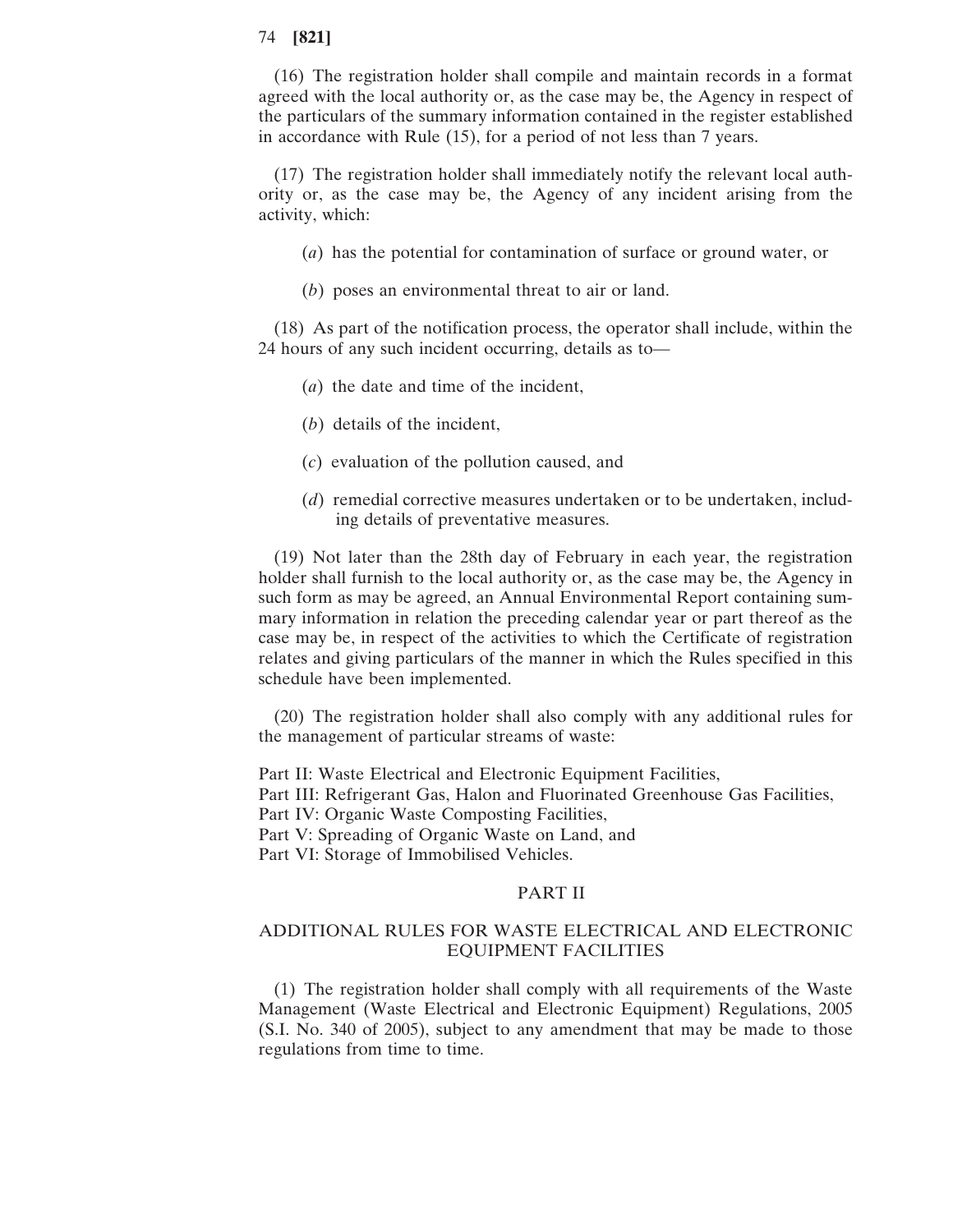# 74 **[821]**

(16) The registration holder shall compile and maintain records in a format agreed with the local authority or, as the case may be, the Agency in respect of the particulars of the summary information contained in the register established in accordance with Rule (15), for a period of not less than 7 years.

(17) The registration holder shall immediately notify the relevant local authority or, as the case may be, the Agency of any incident arising from the activity, which:

(*a*) has the potential for contamination of surface or ground water, or

(*b*) poses an environmental threat to air or land.

(18) As part of the notification process, the operator shall include, within the 24 hours of any such incident occurring, details as to—

- (*a*) the date and time of the incident,
- (*b*) details of the incident,
- (*c*) evaluation of the pollution caused, and
- (*d*) remedial corrective measures undertaken or to be undertaken, including details of preventative measures.

(19) Not later than the 28th day of February in each year, the registration holder shall furnish to the local authority or, as the case may be, the Agency in such form as may be agreed, an Annual Environmental Report containing summary information in relation the preceding calendar year or part thereof as the case may be, in respect of the activities to which the Certificate of registration relates and giving particulars of the manner in which the Rules specified in this schedule have been implemented.

(20) The registration holder shall also comply with any additional rules for the management of particular streams of waste:

Part II: Waste Electrical and Electronic Equipment Facilities, Part III: Refrigerant Gas, Halon and Fluorinated Greenhouse Gas Facilities, Part IV: Organic Waste Composting Facilities, Part V: Spreading of Organic Waste on Land, and Part VI: Storage of Immobilised Vehicles.

### PART II

# ADDITIONAL RULES FOR WASTE ELECTRICAL AND ELECTRONIC EQUIPMENT FACILITIES

(1) The registration holder shall comply with all requirements of the Waste Management (Waste Electrical and Electronic Equipment) Regulations, 2005 (S.I. No. 340 of 2005), subject to any amendment that may be made to those regulations from time to time.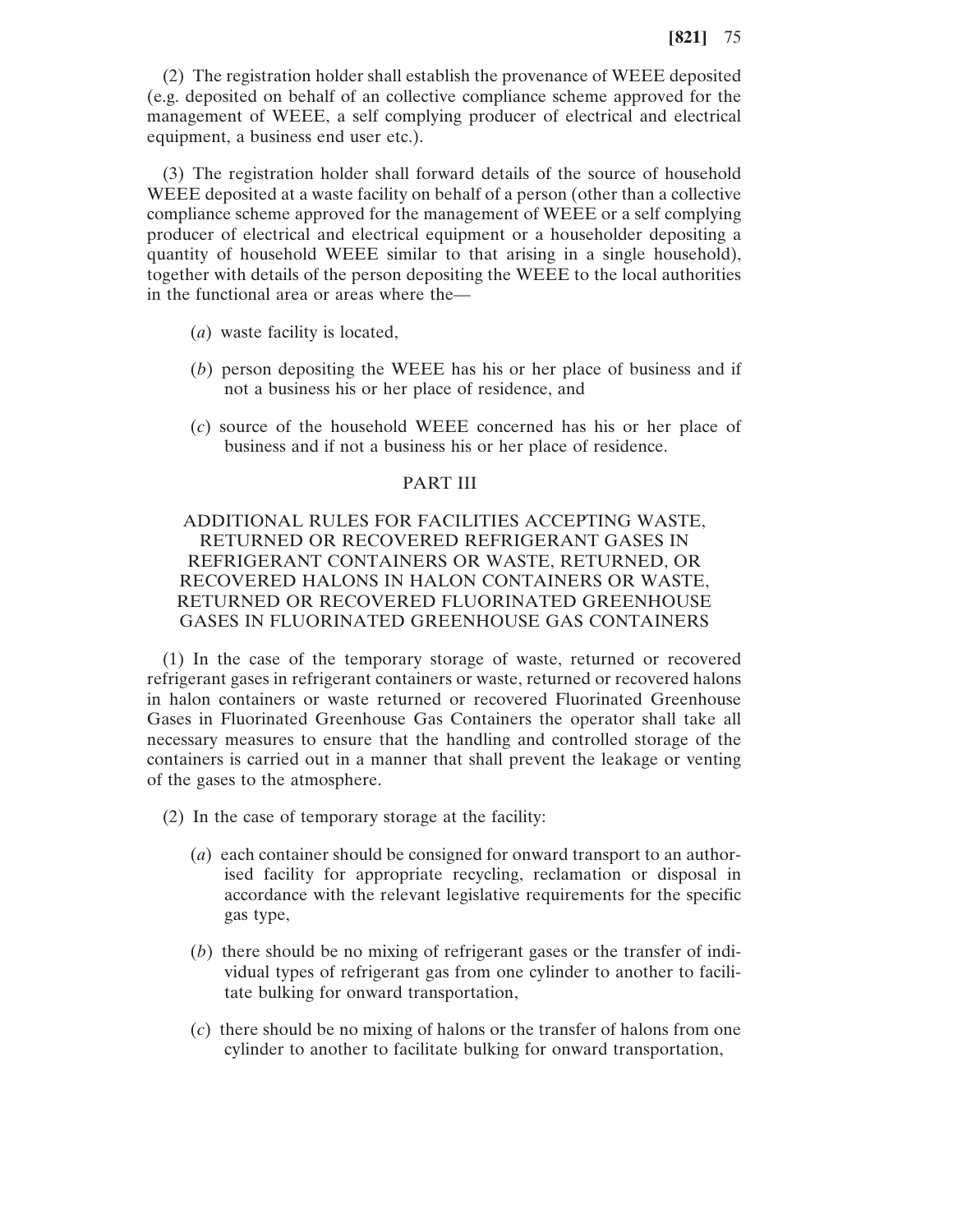(2) The registration holder shall establish the provenance of WEEE deposited (e.g. deposited on behalf of an collective compliance scheme approved for the management of WEEE, a self complying producer of electrical and electrical equipment, a business end user etc.).

(3) The registration holder shall forward details of the source of household WEEE deposited at a waste facility on behalf of a person (other than a collective compliance scheme approved for the management of WEEE or a self complying producer of electrical and electrical equipment or a householder depositing a quantity of household WEEE similar to that arising in a single household), together with details of the person depositing the WEEE to the local authorities in the functional area or areas where the—

- (*a*) waste facility is located,
- (*b*) person depositing the WEEE has his or her place of business and if not a business his or her place of residence, and
- (*c*) source of the household WEEE concerned has his or her place of business and if not a business his or her place of residence.

### PART III

# ADDITIONAL RULES FOR FACILITIES ACCEPTING WASTE, RETURNED OR RECOVERED REFRIGERANT GASES IN REFRIGERANT CONTAINERS OR WASTE, RETURNED, OR RECOVERED HALONS IN HALON CONTAINERS OR WASTE, RETURNED OR RECOVERED FLUORINATED GREENHOUSE GASES IN FLUORINATED GREENHOUSE GAS CONTAINERS

(1) In the case of the temporary storage of waste, returned or recovered refrigerant gases in refrigerant containers or waste, returned or recovered halons in halon containers or waste returned or recovered Fluorinated Greenhouse Gases in Fluorinated Greenhouse Gas Containers the operator shall take all necessary measures to ensure that the handling and controlled storage of the containers is carried out in a manner that shall prevent the leakage or venting of the gases to the atmosphere.

(2) In the case of temporary storage at the facility:

- (*a*) each container should be consigned for onward transport to an authorised facility for appropriate recycling, reclamation or disposal in accordance with the relevant legislative requirements for the specific gas type,
- (*b*) there should be no mixing of refrigerant gases or the transfer of individual types of refrigerant gas from one cylinder to another to facilitate bulking for onward transportation,
- (*c*) there should be no mixing of halons or the transfer of halons from one cylinder to another to facilitate bulking for onward transportation,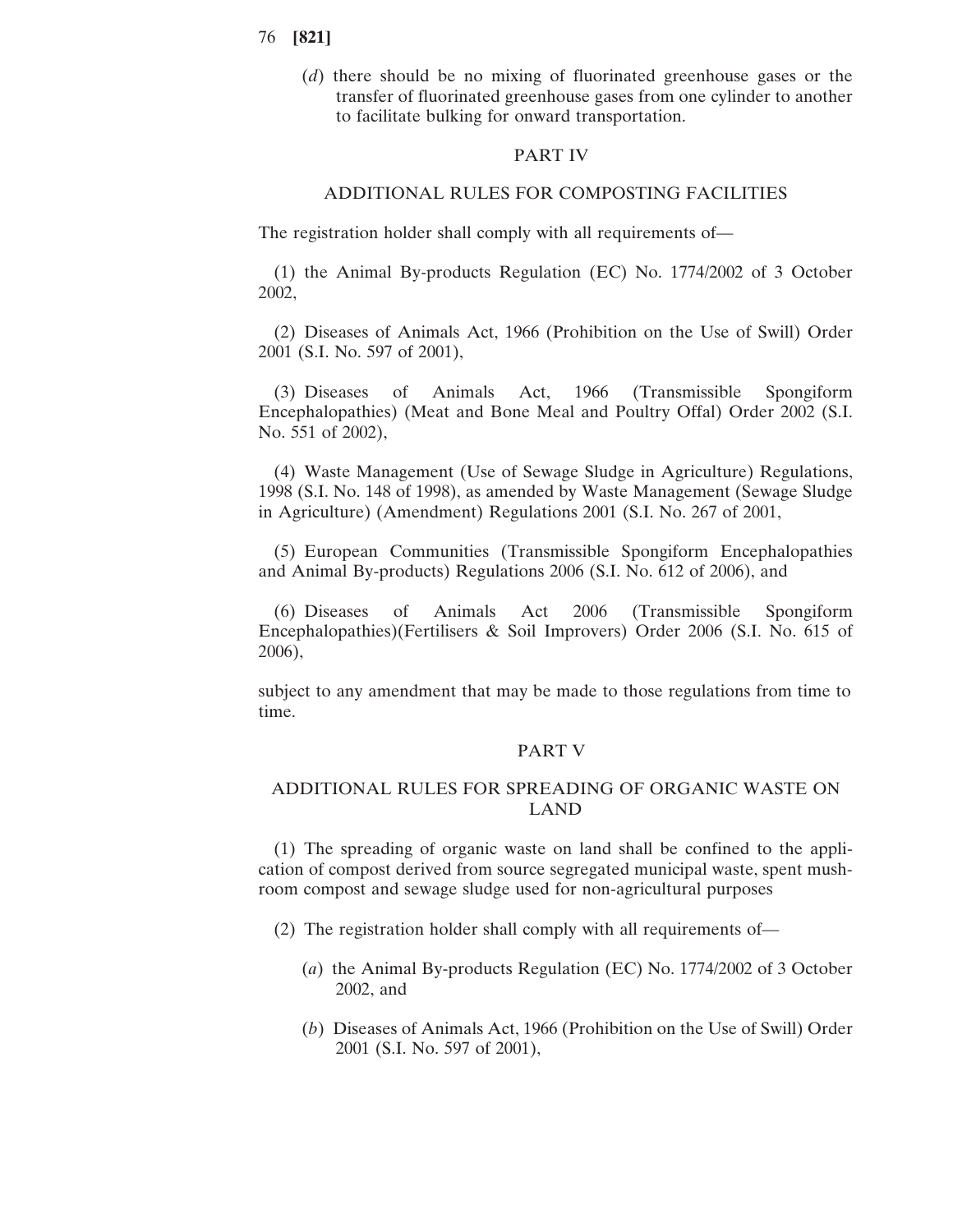- 76 **[821]**
	- (*d*) there should be no mixing of fluorinated greenhouse gases or the transfer of fluorinated greenhouse gases from one cylinder to another to facilitate bulking for onward transportation.

### PART IV

### ADDITIONAL RULES FOR COMPOSTING FACILITIES

The registration holder shall comply with all requirements of—

(1) the Animal By-products Regulation (EC) No. 1774/2002 of 3 October 2002,

(2) Diseases of Animals Act, 1966 (Prohibition on the Use of Swill) Order 2001 (S.I. No. 597 of 2001),

(3) Diseases of Animals Act, 1966 (Transmissible Spongiform Encephalopathies) (Meat and Bone Meal and Poultry Offal) Order 2002 (S.I. No. 551 of 2002),

(4) Waste Management (Use of Sewage Sludge in Agriculture) Regulations, 1998 (S.I. No. 148 of 1998), as amended by Waste Management (Sewage Sludge in Agriculture) (Amendment) Regulations 2001 (S.I. No. 267 of 2001,

(5) European Communities (Transmissible Spongiform Encephalopathies and Animal By-products) Regulations 2006 (S.I. No. 612 of 2006), and

(6) Diseases of Animals Act 2006 (Transmissible Spongiform Encephalopathies)(Fertilisers & Soil Improvers) Order 2006 (S.I. No. 615 of 2006),

subject to any amendment that may be made to those regulations from time to time.

#### PART V

# ADDITIONAL RULES FOR SPREADING OF ORGANIC WASTE ON LAND

(1) The spreading of organic waste on land shall be confined to the application of compost derived from source segregated municipal waste, spent mushroom compost and sewage sludge used for non-agricultural purposes

- (2) The registration holder shall comply with all requirements of—
	- (*a*) the Animal By-products Regulation (EC) No. 1774/2002 of 3 October 2002, and
	- (*b*) Diseases of Animals Act, 1966 (Prohibition on the Use of Swill) Order 2001 (S.I. No. 597 of 2001),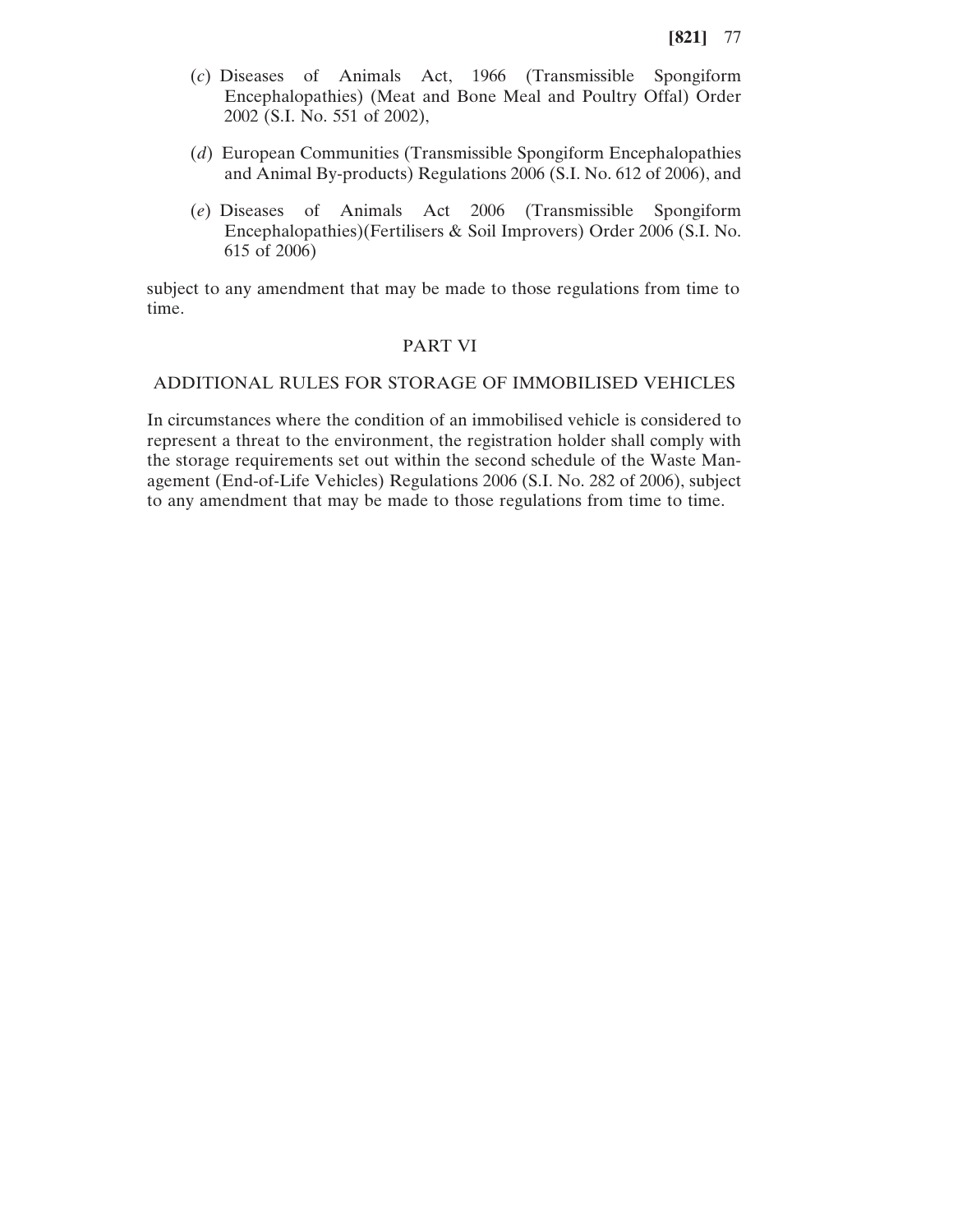- (*c*) Diseases of Animals Act, 1966 (Transmissible Spongiform Encephalopathies) (Meat and Bone Meal and Poultry Offal) Order 2002 (S.I. No. 551 of 2002),
- (*d*) European Communities (Transmissible Spongiform Encephalopathies and Animal By-products) Regulations 2006 (S.I. No. 612 of 2006), and
- (*e*) Diseases of Animals Act 2006 (Transmissible Spongiform Encephalopathies)(Fertilisers & Soil Improvers) Order 2006 (S.I. No. 615 of 2006)

subject to any amendment that may be made to those regulations from time to time.

# PART VI

# ADDITIONAL RULES FOR STORAGE OF IMMOBILISED VEHICLES

In circumstances where the condition of an immobilised vehicle is considered to represent a threat to the environment, the registration holder shall comply with the storage requirements set out within the second schedule of the Waste Management (End-of-Life Vehicles) Regulations 2006 (S.I. No. 282 of 2006), subject to any amendment that may be made to those regulations from time to time.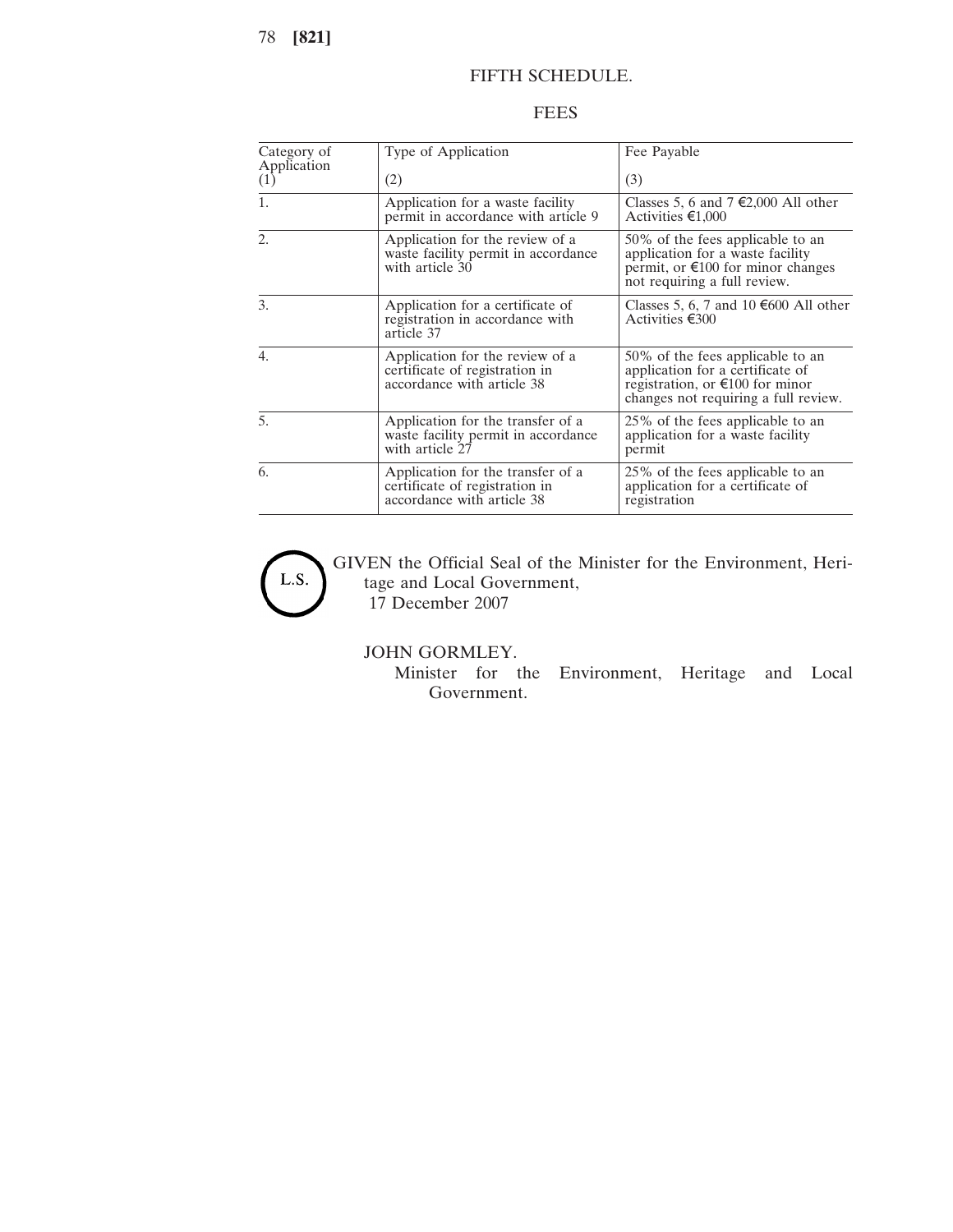78 **[821]**

# FIFTH SCHEDULE.

# FEES

| Category of<br>Application | Type of Application                                                                               | Fee Payable                                                                                                                                               |
|----------------------------|---------------------------------------------------------------------------------------------------|-----------------------------------------------------------------------------------------------------------------------------------------------------------|
| (1)                        | (2)                                                                                               | (3)                                                                                                                                                       |
| 1.                         | Application for a waste facility<br>permit in accordance with article 9                           | Classes 5, 6 and 7 €2,000 All other<br>Activities €1,000                                                                                                  |
| 2.                         | Application for the review of a<br>waste facility permit in accordance<br>with article 30         | 50% of the fees applicable to an<br>application for a waste facility<br>permit, or $\epsilon$ 100 for minor changes<br>not requiring a full review.       |
| 3.                         | Application for a certificate of<br>registration in accordance with<br>article 37                 | Classes 5, 6, 7 and 10 €600 All other<br>Activities €300                                                                                                  |
| $\overline{4}$ .           | Application for the review of a<br>certificate of registration in<br>accordance with article 38   | 50% of the fees applicable to an<br>application for a certificate of<br>registration, or $\epsilon$ 100 for minor<br>changes not requiring a full review. |
| 5.                         | Application for the transfer of a<br>waste facility permit in accordance<br>with article 27       | 25% of the fees applicable to an<br>application for a waste facility<br>permit                                                                            |
| 6.                         | Application for the transfer of a<br>certificate of registration in<br>accordance with article 38 | 25% of the fees applicable to an<br>application for a certificate of<br>registration                                                                      |



GIVEN the Official Seal of the Minister for the Environment, Heritage and Local Government, 17 December 2007

JOHN GORMLEY.

Minister for the Environment, Heritage and Local Government.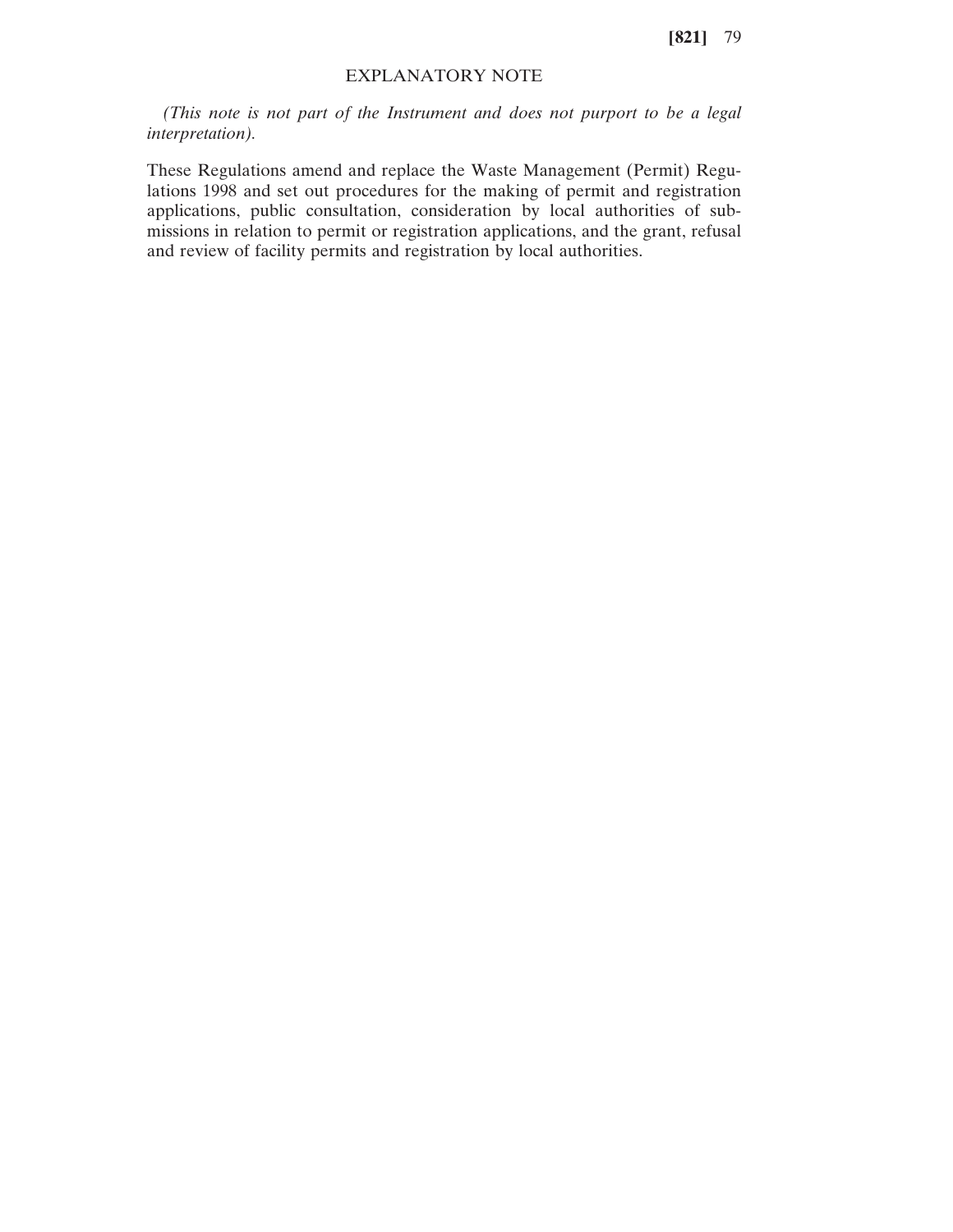**[821]** 79

# EXPLANATORY NOTE

*(This note is not part of the Instrument and does not purport to be a legal interpretation).*

These Regulations amend and replace the Waste Management (Permit) Regulations 1998 and set out procedures for the making of permit and registration applications, public consultation, consideration by local authorities of submissions in relation to permit or registration applications, and the grant, refusal and review of facility permits and registration by local authorities.